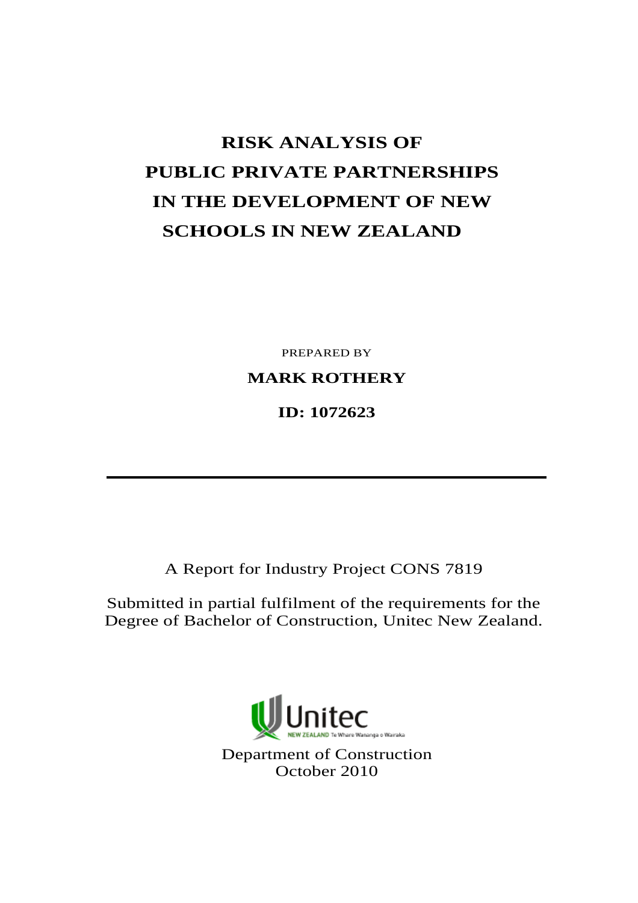# **RISK ANALYSIS OF PUBLIC PRIVATE PARTNERSHIPS IN THE DEVELOPMENT OF NEW SCHOOLS IN NEW ZEALAND**

PREPARED BY

**MARK ROTHERY** 

**ID: 1072623** 

A Report for Industry Project CONS 7819

Submitted in partial fulfilment of the requirements for the Degree of Bachelor of Construction, Unitec New Zealand.

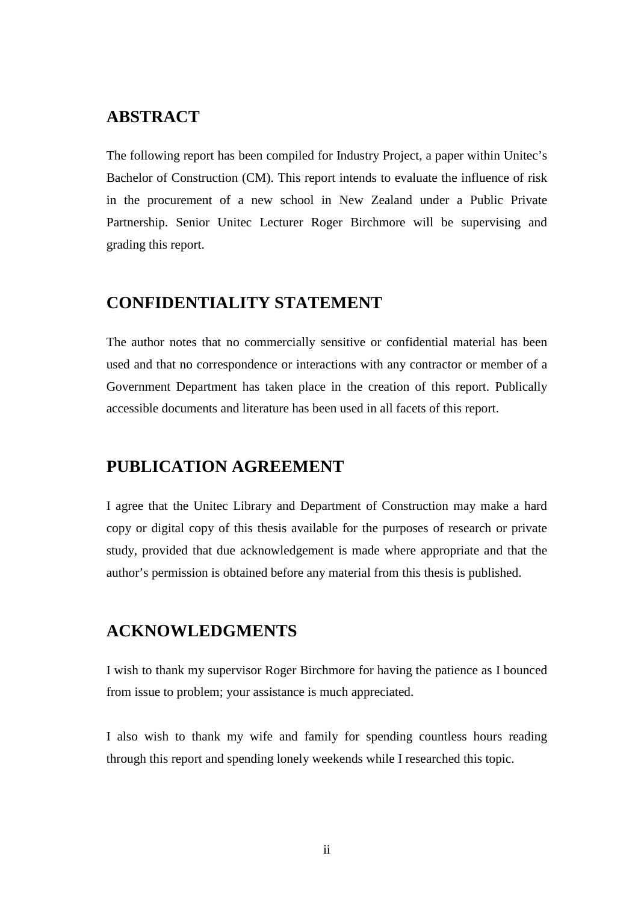## **ABSTRACT**

The following report has been compiled for Industry Project, a paper within Unitec's Bachelor of Construction (CM). This report intends to evaluate the influence of risk in the procurement of a new school in New Zealand under a Public Private Partnership. Senior Unitec Lecturer Roger Birchmore will be supervising and grading this report.

## **CONFIDENTIALITY STATEMENT**

The author notes that no commercially sensitive or confidential material has been used and that no correspondence or interactions with any contractor or member of a Government Department has taken place in the creation of this report. Publically accessible documents and literature has been used in all facets of this report.

## **PUBLICATION AGREEMENT**

I agree that the Unitec Library and Department of Construction may make a hard copy or digital copy of this thesis available for the purposes of research or private study, provided that due acknowledgement is made where appropriate and that the author's permission is obtained before any material from this thesis is published.

## **ACKNOWLEDGMENTS**

I wish to thank my supervisor Roger Birchmore for having the patience as I bounced from issue to problem; your assistance is much appreciated.

I also wish to thank my wife and family for spending countless hours reading through this report and spending lonely weekends while I researched this topic.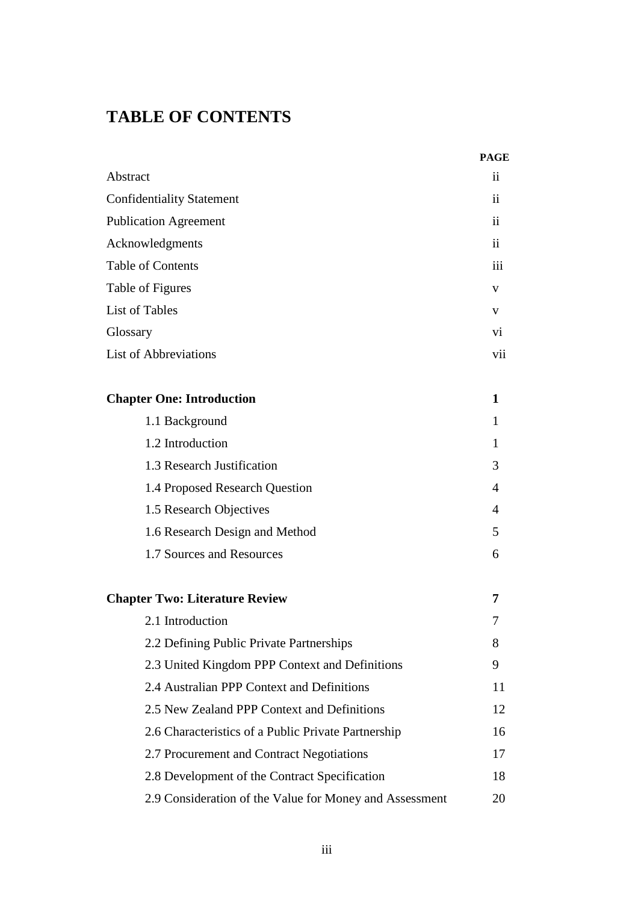## **TABLE OF CONTENTS**

|                                                         | <b>PAGE</b>     |
|---------------------------------------------------------|-----------------|
| Abstract                                                | ii              |
| <b>Confidentiality Statement</b>                        | $\overline{11}$ |
| <b>Publication Agreement</b>                            |                 |
| Acknowledgments                                         |                 |
| <b>Table of Contents</b>                                |                 |
| Table of Figures                                        |                 |
| <b>List of Tables</b>                                   | V               |
| Glossary                                                | vi.             |
| <b>List of Abbreviations</b>                            | vii             |
| <b>Chapter One: Introduction</b>                        | 1               |
| 1.1 Background                                          | 1               |
| 1.2 Introduction                                        | 1               |
| 1.3 Research Justification                              | 3               |
| 1.4 Proposed Research Question                          | 4               |
| 1.5 Research Objectives                                 | 4               |
| 1.6 Research Design and Method                          | 5               |
| 1.7 Sources and Resources                               | 6               |
| <b>Chapter Two: Literature Review</b>                   | 7               |
| 2.1 Introduction                                        | 7               |
| 2.2 Defining Public Private Partnerships                | 8               |
| 2.3 United Kingdom PPP Context and Definitions          | 9               |
| 2.4 Australian PPP Context and Definitions              | 11              |
| 2.5 New Zealand PPP Context and Definitions             | 12              |
| 2.6 Characteristics of a Public Private Partnership     | 16              |
| 2.7 Procurement and Contract Negotiations               | 17              |
| 2.8 Development of the Contract Specification           | 18              |
| 2.9 Consideration of the Value for Money and Assessment | 20              |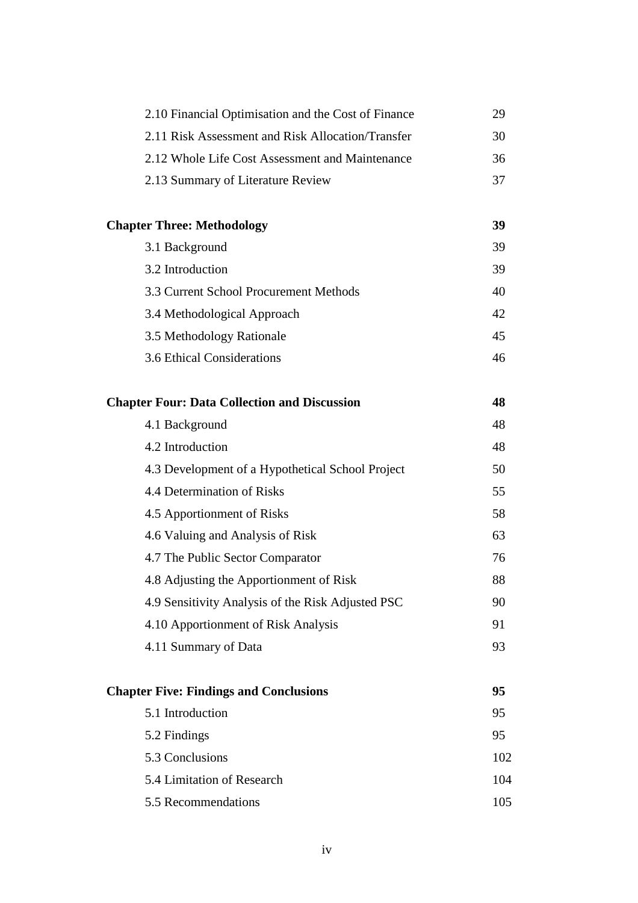| 2.10 Financial Optimisation and the Cost of Finance | 29  |
|-----------------------------------------------------|-----|
| 2.11 Risk Assessment and Risk Allocation/Transfer   | 30  |
| 2.12 Whole Life Cost Assessment and Maintenance     | 36  |
| 2.13 Summary of Literature Review                   | 37  |
|                                                     |     |
| <b>Chapter Three: Methodology</b>                   | 39  |
| 3.1 Background                                      | 39  |
| 3.2 Introduction                                    | 39  |
| 3.3 Current School Procurement Methods              | 40  |
| 3.4 Methodological Approach                         | 42  |
| 3.5 Methodology Rationale                           | 45  |
| 3.6 Ethical Considerations                          | 46  |
| <b>Chapter Four: Data Collection and Discussion</b> | 48  |
| 4.1 Background                                      | 48  |
| 4.2 Introduction                                    | 48  |
| 4.3 Development of a Hypothetical School Project    | 50  |
| 4.4 Determination of Risks                          | 55  |
| 4.5 Apportionment of Risks                          | 58  |
| 4.6 Valuing and Analysis of Risk                    | 63  |
| 4.7 The Public Sector Comparator                    | 76  |
| 4.8 Adjusting the Apportionment of Risk             | 88  |
| 4.9 Sensitivity Analysis of the Risk Adjusted PSC   | 90  |
| 4.10 Apportionment of Risk Analysis                 | 91  |
| 4.11 Summary of Data                                | 93  |
| <b>Chapter Five: Findings and Conclusions</b>       | 95  |
| 5.1 Introduction                                    | 95  |
| 5.2 Findings                                        | 95  |
| 5.3 Conclusions                                     | 102 |
| 5.4 Limitation of Research                          | 104 |
| 5.5 Recommendations                                 | 105 |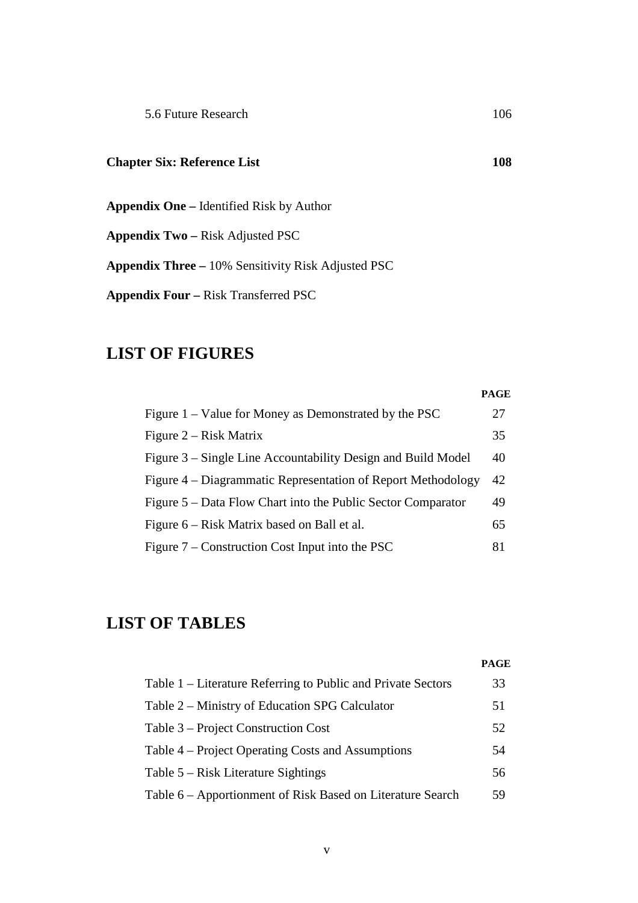## **Chapter Six: Reference List 108**

**Appendix One –** Identified Risk by Author

**Appendix Two –** Risk Adjusted PSC

**Appendix Three –** 10% Sensitivity Risk Adjusted PSC

**Appendix Four –** Risk Transferred PSC

## **LIST OF FIGURES**

|                                                              | <b>PAGE</b> |
|--------------------------------------------------------------|-------------|
| Figure $1 -$ Value for Money as Demonstrated by the PSC      | 27          |
| Figure $2 - Risk Matrix$                                     | 35          |
| Figure 3 – Single Line Accountability Design and Build Model | 40          |
| Figure 4 – Diagrammatic Representation of Report Methodology | 42          |
| Figure 5 – Data Flow Chart into the Public Sector Comparator | 49          |
| Figure 6 – Risk Matrix based on Ball et al.                  | 65          |
| Figure $7$ – Construction Cost Input into the PSC            | 81          |

## **LIST OF TABLES**

|                                                              | <b>PAGE</b> |
|--------------------------------------------------------------|-------------|
| Table 1 – Literature Referring to Public and Private Sectors | 33          |
| Table 2 – Ministry of Education SPG Calculator               | 51          |
| Table 3 – Project Construction Cost                          | 52          |
| Table 4 – Project Operating Costs and Assumptions            | 54          |
| Table $5 - Risk Literature$ Sightings                        | 56          |
| Table 6 – Apportionment of Risk Based on Literature Search   | 59          |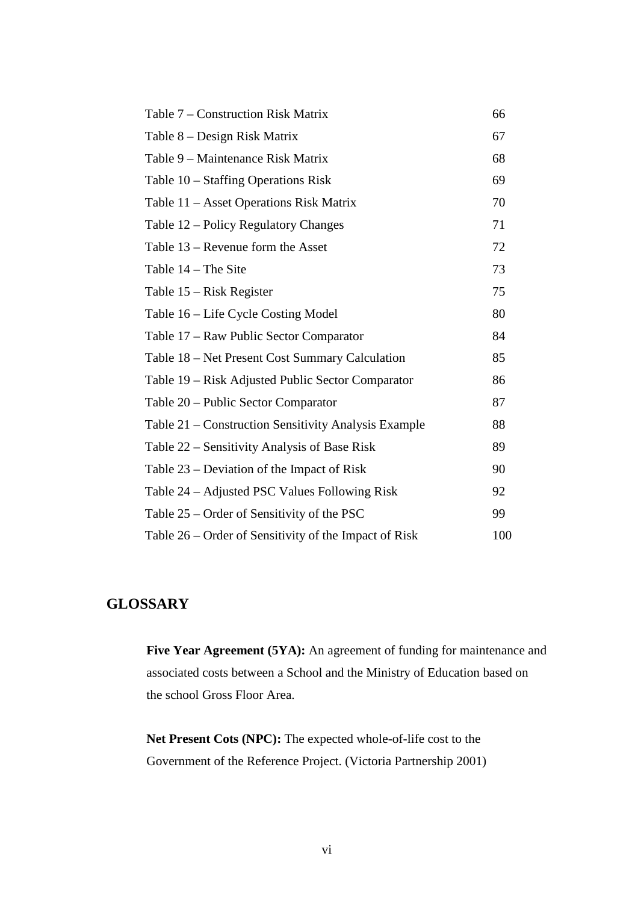| Table 7 – Construction Risk Matrix                    | 66  |
|-------------------------------------------------------|-----|
| Table 8 – Design Risk Matrix                          | 67  |
| Table 9 – Maintenance Risk Matrix                     | 68  |
| Table 10 – Staffing Operations Risk                   | 69  |
| Table 11 – Asset Operations Risk Matrix               | 70  |
| Table 12 – Policy Regulatory Changes                  | 71  |
| Table $13$ – Revenue form the Asset                   | 72  |
| Table 14 - The Site                                   | 73  |
| Table 15 – Risk Register                              | 75  |
| Table 16 – Life Cycle Costing Model                   | 80  |
| Table 17 - Raw Public Sector Comparator               | 84  |
| Table 18 – Net Present Cost Summary Calculation       | 85  |
| Table 19 – Risk Adjusted Public Sector Comparator     | 86  |
| Table 20 – Public Sector Comparator                   | 87  |
| Table 21 – Construction Sensitivity Analysis Example  | 88  |
| Table 22 – Sensitivity Analysis of Base Risk          | 89  |
| Table $23$ – Deviation of the Impact of Risk          | 90  |
| Table 24 – Adjusted PSC Values Following Risk         | 92  |
| Table 25 – Order of Sensitivity of the PSC            | 99  |
| Table 26 – Order of Sensitivity of the Impact of Risk | 100 |

## **GLOSSARY**

Five Year Agreement (5YA): An agreement of funding for maintenance and associated costs between a School and the Ministry of Education based on the school Gross Floor Area.

**Net Present Cots (NPC):** The expected whole-of-life cost to the Government of the Reference Project. (Victoria Partnership 2001)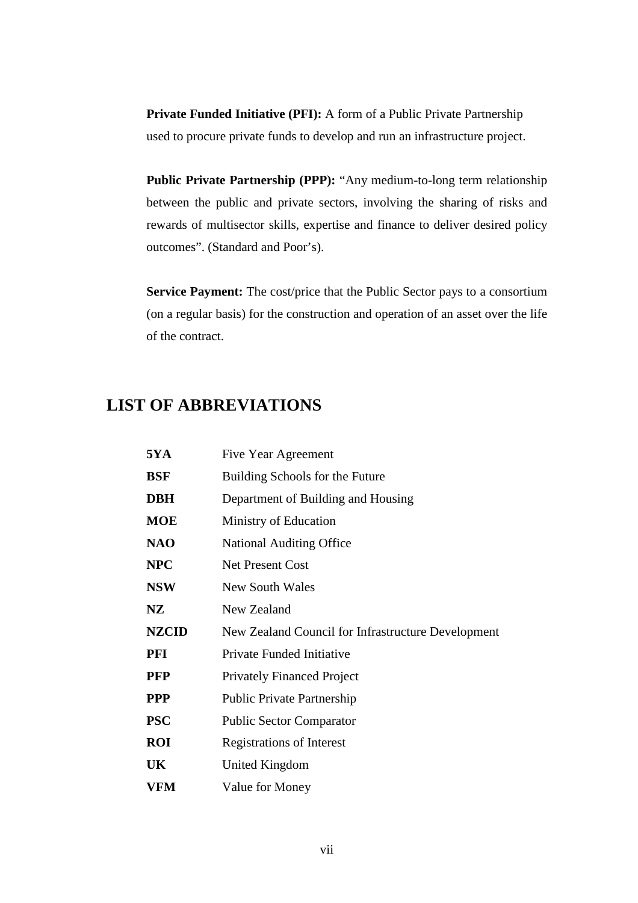**Private Funded Initiative (PFI):** A form of a Public Private Partnership used to procure private funds to develop and run an infrastructure project.

**Public Private Partnership (PPP):** "Any medium-to-long term relationship between the public and private sectors, involving the sharing of risks and rewards of multisector skills, expertise and finance to deliver desired policy outcomes". (Standard and Poor's).

**Service Payment:** The cost/price that the Public Sector pays to a consortium (on a regular basis) for the construction and operation of an asset over the life of the contract.

## **LIST OF ABBREVIATIONS**

| <b>5YA</b>   | Five Year Agreement                                |
|--------------|----------------------------------------------------|
| <b>BSF</b>   | Building Schools for the Future                    |
| <b>DBH</b>   | Department of Building and Housing                 |
| <b>MOE</b>   | Ministry of Education                              |
| <b>NAO</b>   | <b>National Auditing Office</b>                    |
| <b>NPC</b>   | <b>Net Present Cost</b>                            |
| <b>NSW</b>   | New South Wales                                    |
| NZ           | New Zealand                                        |
| <b>NZCID</b> | New Zealand Council for Infrastructure Development |
| PFI          | Private Funded Initiative                          |
| <b>PFP</b>   | <b>Privately Financed Project</b>                  |
| <b>PPP</b>   | <b>Public Private Partnership</b>                  |
| <b>PSC</b>   | <b>Public Sector Comparator</b>                    |
| <b>ROI</b>   | <b>Registrations of Interest</b>                   |
| UK           | United Kingdom                                     |
| <b>VFM</b>   | Value for Money                                    |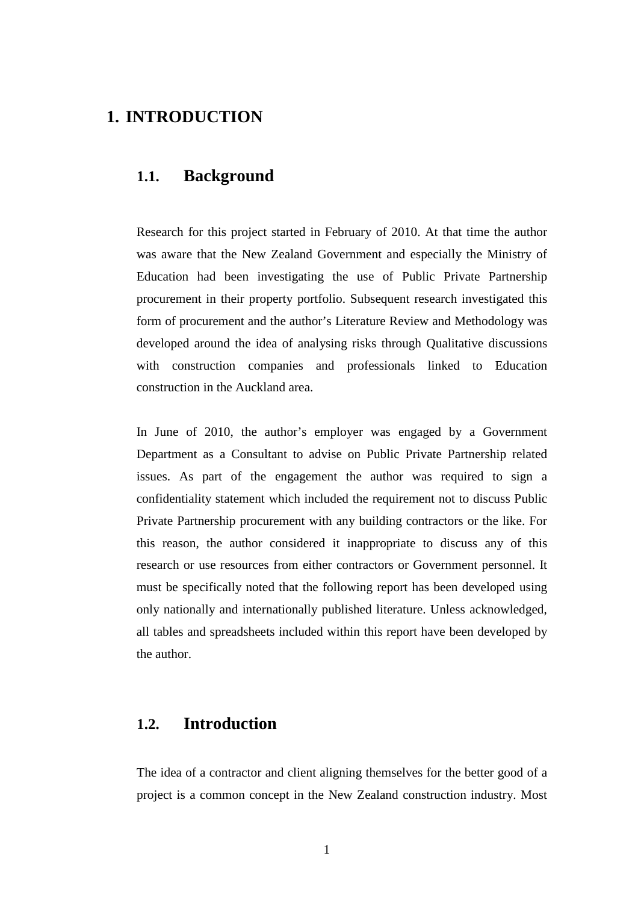## **1. INTRODUCTION**

## **1.1. Background**

Research for this project started in February of 2010. At that time the author was aware that the New Zealand Government and especially the Ministry of Education had been investigating the use of Public Private Partnership procurement in their property portfolio. Subsequent research investigated this form of procurement and the author's Literature Review and Methodology was developed around the idea of analysing risks through Qualitative discussions with construction companies and professionals linked to Education construction in the Auckland area.

In June of 2010, the author's employer was engaged by a Government Department as a Consultant to advise on Public Private Partnership related issues. As part of the engagement the author was required to sign a confidentiality statement which included the requirement not to discuss Public Private Partnership procurement with any building contractors or the like. For this reason, the author considered it inappropriate to discuss any of this research or use resources from either contractors or Government personnel. It must be specifically noted that the following report has been developed using only nationally and internationally published literature. Unless acknowledged, all tables and spreadsheets included within this report have been developed by the author.

## **1.2. Introduction**

The idea of a contractor and client aligning themselves for the better good of a project is a common concept in the New Zealand construction industry. Most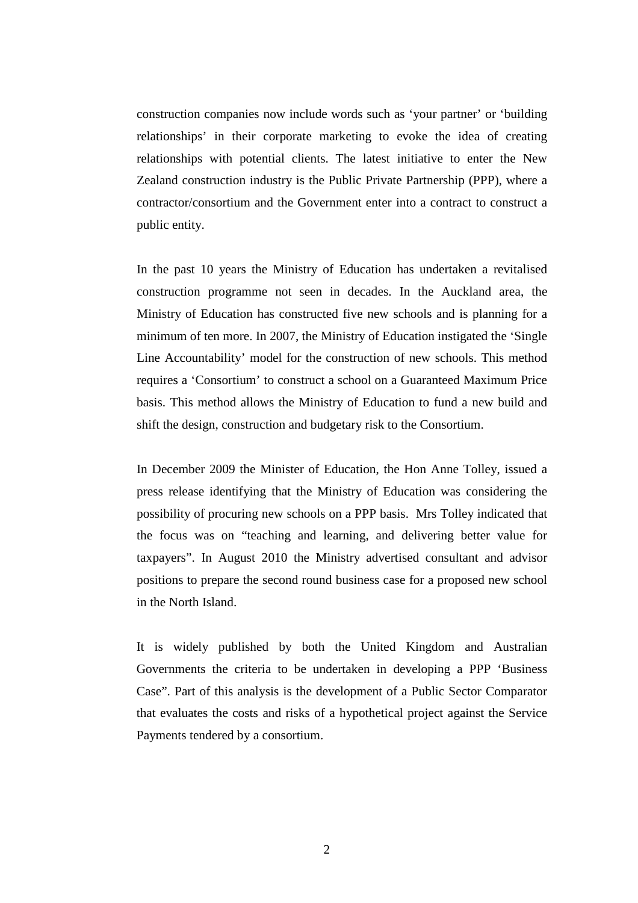construction companies now include words such as 'your partner' or 'building relationships' in their corporate marketing to evoke the idea of creating relationships with potential clients. The latest initiative to enter the New Zealand construction industry is the Public Private Partnership (PPP), where a contractor/consortium and the Government enter into a contract to construct a public entity.

In the past 10 years the Ministry of Education has undertaken a revitalised construction programme not seen in decades. In the Auckland area, the Ministry of Education has constructed five new schools and is planning for a minimum of ten more. In 2007, the Ministry of Education instigated the 'Single Line Accountability' model for the construction of new schools. This method requires a 'Consortium' to construct a school on a Guaranteed Maximum Price basis. This method allows the Ministry of Education to fund a new build and shift the design, construction and budgetary risk to the Consortium.

In December 2009 the Minister of Education, the Hon Anne Tolley, issued a press release identifying that the Ministry of Education was considering the possibility of procuring new schools on a PPP basis. Mrs Tolley indicated that the focus was on "teaching and learning, and delivering better value for taxpayers". In August 2010 the Ministry advertised consultant and advisor positions to prepare the second round business case for a proposed new school in the North Island.

It is widely published by both the United Kingdom and Australian Governments the criteria to be undertaken in developing a PPP 'Business Case". Part of this analysis is the development of a Public Sector Comparator that evaluates the costs and risks of a hypothetical project against the Service Payments tendered by a consortium.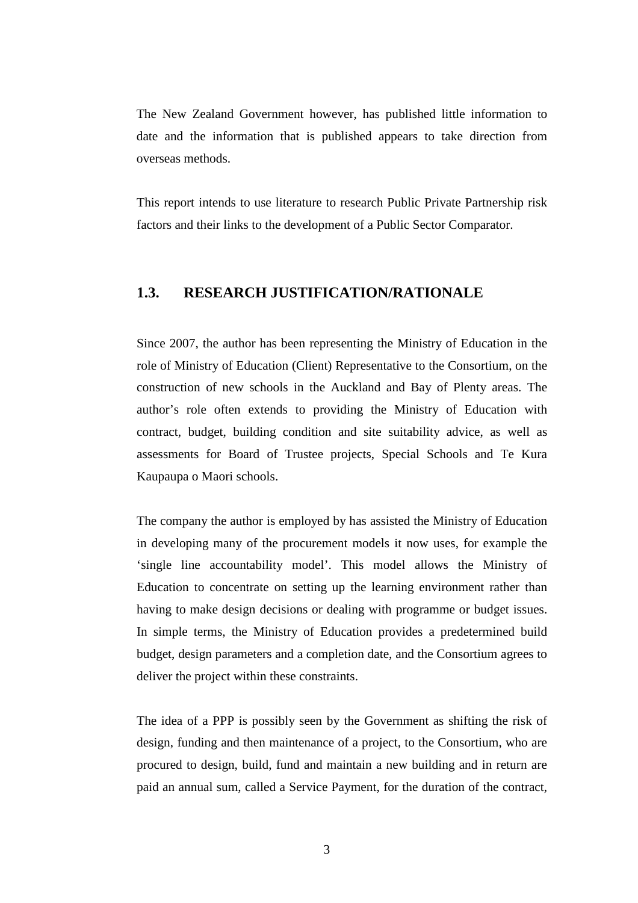The New Zealand Government however, has published little information to date and the information that is published appears to take direction from overseas methods.

This report intends to use literature to research Public Private Partnership risk factors and their links to the development of a Public Sector Comparator.

#### **1.3. RESEARCH JUSTIFICATION/RATIONALE**

Since 2007, the author has been representing the Ministry of Education in the role of Ministry of Education (Client) Representative to the Consortium, on the construction of new schools in the Auckland and Bay of Plenty areas. The author's role often extends to providing the Ministry of Education with contract, budget, building condition and site suitability advice, as well as assessments for Board of Trustee projects, Special Schools and Te Kura Kaupaupa o Maori schools.

The company the author is employed by has assisted the Ministry of Education in developing many of the procurement models it now uses, for example the 'single line accountability model'. This model allows the Ministry of Education to concentrate on setting up the learning environment rather than having to make design decisions or dealing with programme or budget issues. In simple terms, the Ministry of Education provides a predetermined build budget, design parameters and a completion date, and the Consortium agrees to deliver the project within these constraints.

The idea of a PPP is possibly seen by the Government as shifting the risk of design, funding and then maintenance of a project, to the Consortium, who are procured to design, build, fund and maintain a new building and in return are paid an annual sum, called a Service Payment, for the duration of the contract,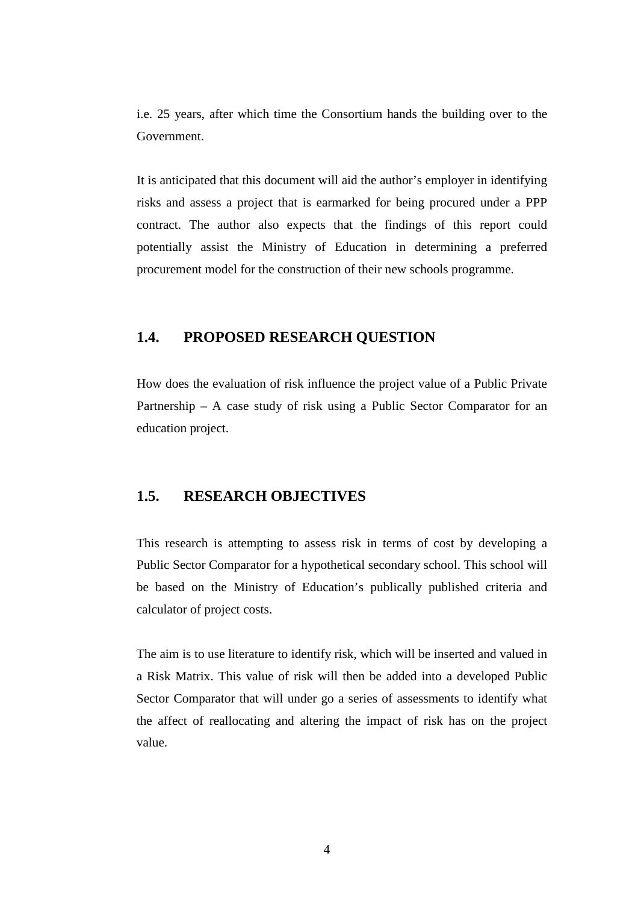i.e. 25 years, after which time the Consortium hands the building over to the Government.

It is anticipated that this document will aid the author's employer in identifying risks and assess a project that is earmarked for being procured under a PPP contract. The author also expects that the findings of this report could potentially assist the Ministry of Education in determining a preferred procurement model for the construction of their new schools programme.

## **1.4. PROPOSED RESEARCH QUESTION**

How does the evaluation of risk influence the project value of a Public Private Partnership – A case study of risk using a Public Sector Comparator for an education project.

### **1.5. RESEARCH OBJECTIVES**

This research is attempting to assess risk in terms of cost by developing a Public Sector Comparator for a hypothetical secondary school. This school will be based on the Ministry of Education's publically published criteria and calculator of project costs.

The aim is to use literature to identify risk, which will be inserted and valued in a Risk Matrix. This value of risk will then be added into a developed Public Sector Comparator that will under go a series of assessments to identify what the affect of reallocating and altering the impact of risk has on the project value.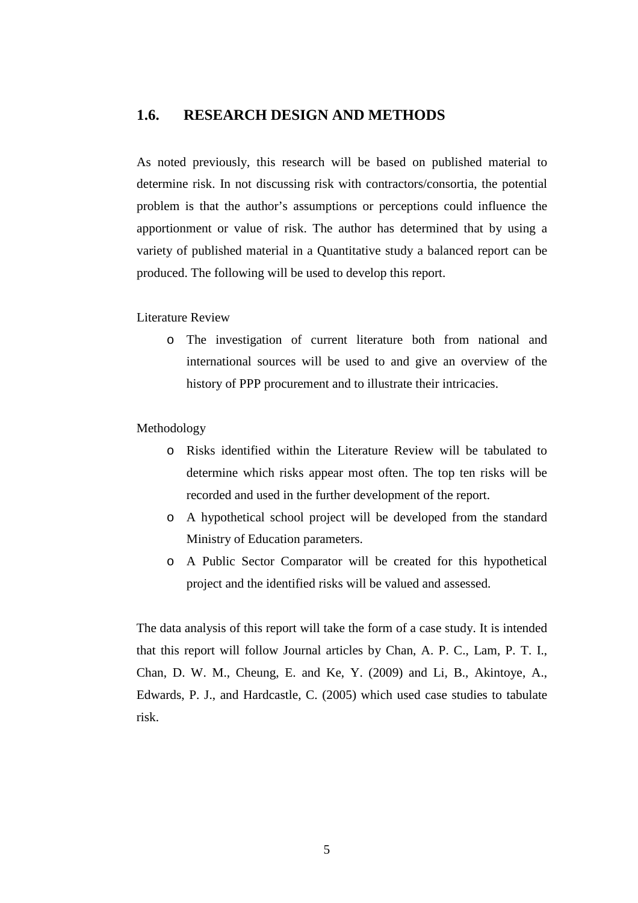#### **1.6. RESEARCH DESIGN AND METHODS**

As noted previously, this research will be based on published material to determine risk. In not discussing risk with contractors/consortia, the potential problem is that the author's assumptions or perceptions could influence the apportionment or value of risk. The author has determined that by using a variety of published material in a Quantitative study a balanced report can be produced. The following will be used to develop this report.

Literature Review

o The investigation of current literature both from national and international sources will be used to and give an overview of the history of PPP procurement and to illustrate their intricacies.

#### Methodology

- o Risks identified within the Literature Review will be tabulated to determine which risks appear most often. The top ten risks will be recorded and used in the further development of the report.
- o A hypothetical school project will be developed from the standard Ministry of Education parameters.
- o A Public Sector Comparator will be created for this hypothetical project and the identified risks will be valued and assessed.

The data analysis of this report will take the form of a case study. It is intended that this report will follow Journal articles by Chan, A. P. C., Lam, P. T. I., Chan, D. W. M., Cheung, E. and Ke, Y. (2009) and Li, B., Akintoye, A., Edwards, P. J., and Hardcastle, C. (2005) which used case studies to tabulate risk.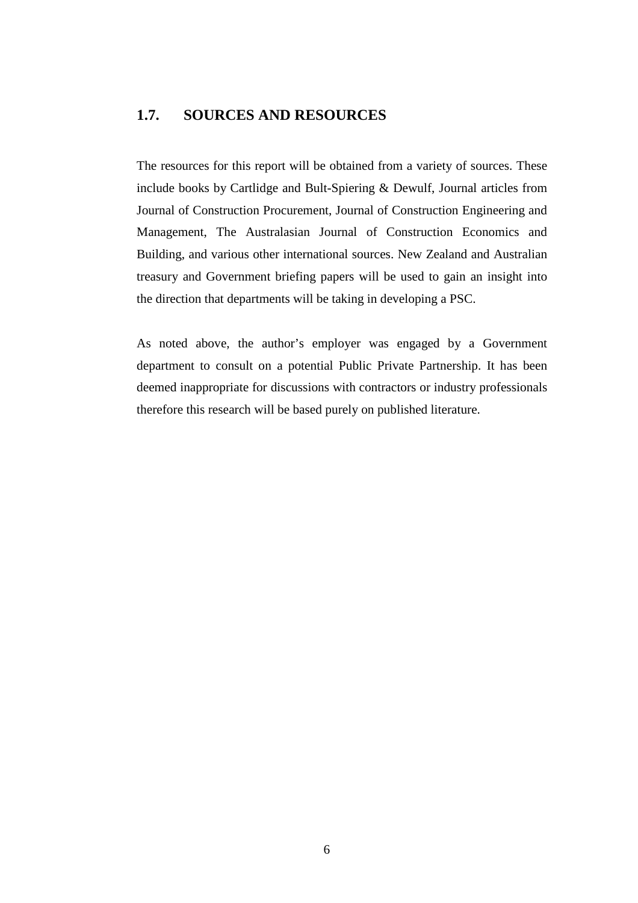## **1.7. SOURCES AND RESOURCES**

The resources for this report will be obtained from a variety of sources. These include books by Cartlidge and Bult-Spiering & Dewulf, Journal articles from Journal of Construction Procurement, Journal of Construction Engineering and Management, The Australasian Journal of Construction Economics and Building, and various other international sources. New Zealand and Australian treasury and Government briefing papers will be used to gain an insight into the direction that departments will be taking in developing a PSC.

As noted above, the author's employer was engaged by a Government department to consult on a potential Public Private Partnership. It has been deemed inappropriate for discussions with contractors or industry professionals therefore this research will be based purely on published literature.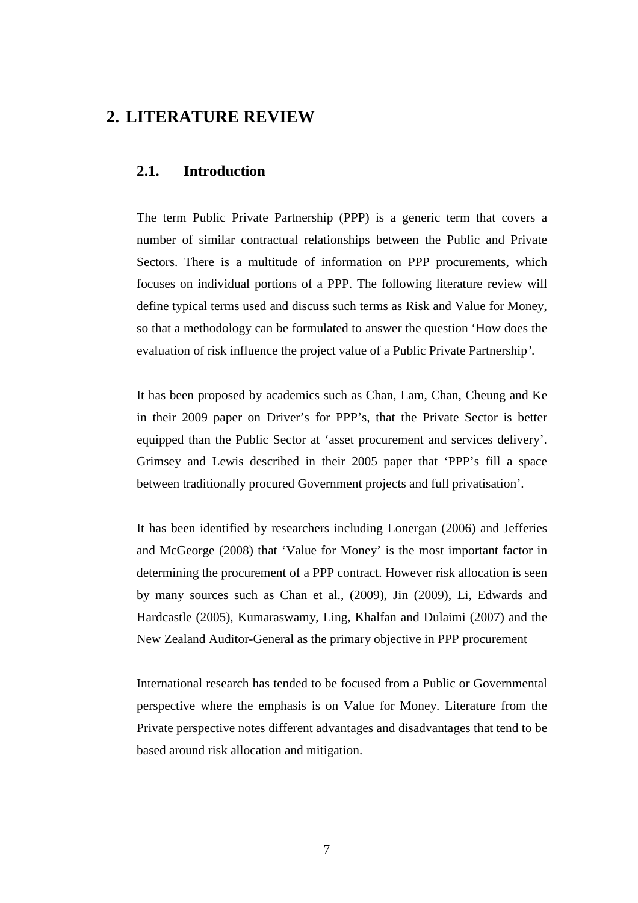## **2. LITERATURE REVIEW**

#### **2.1. Introduction**

The term Public Private Partnership (PPP) is a generic term that covers a number of similar contractual relationships between the Public and Private Sectors. There is a multitude of information on PPP procurements, which focuses on individual portions of a PPP. The following literature review will define typical terms used and discuss such terms as Risk and Value for Money, so that a methodology can be formulated to answer the question 'How does the evaluation of risk influence the project value of a Public Private Partnership*'*.

It has been proposed by academics such as Chan, Lam, Chan, Cheung and Ke in their 2009 paper on Driver's for PPP's, that the Private Sector is better equipped than the Public Sector at 'asset procurement and services delivery'. Grimsey and Lewis described in their 2005 paper that 'PPP's fill a space between traditionally procured Government projects and full privatisation'.

It has been identified by researchers including Lonergan (2006) and Jefferies and McGeorge (2008) that 'Value for Money' is the most important factor in determining the procurement of a PPP contract. However risk allocation is seen by many sources such as Chan et al., (2009), Jin (2009), Li, Edwards and Hardcastle (2005), Kumaraswamy, Ling, Khalfan and Dulaimi (2007) and the New Zealand Auditor-General as the primary objective in PPP procurement

International research has tended to be focused from a Public or Governmental perspective where the emphasis is on Value for Money. Literature from the Private perspective notes different advantages and disadvantages that tend to be based around risk allocation and mitigation.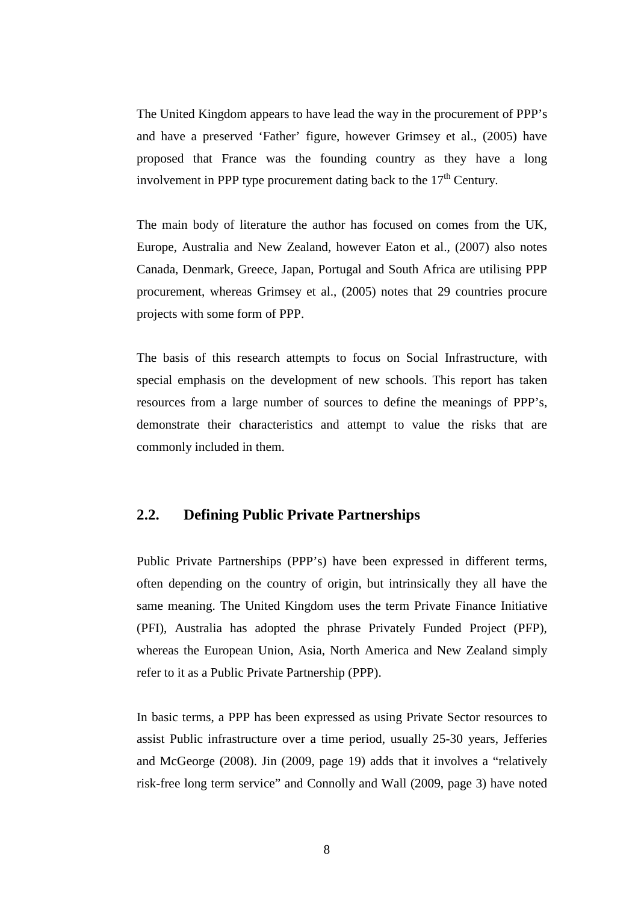The United Kingdom appears to have lead the way in the procurement of PPP's and have a preserved 'Father' figure, however Grimsey et al., (2005) have proposed that France was the founding country as they have a long involvement in PPP type procurement dating back to the  $17<sup>th</sup>$  Century.

The main body of literature the author has focused on comes from the UK, Europe, Australia and New Zealand, however Eaton et al., (2007) also notes Canada, Denmark, Greece, Japan, Portugal and South Africa are utilising PPP procurement, whereas Grimsey et al., (2005) notes that 29 countries procure projects with some form of PPP.

The basis of this research attempts to focus on Social Infrastructure, with special emphasis on the development of new schools. This report has taken resources from a large number of sources to define the meanings of PPP's, demonstrate their characteristics and attempt to value the risks that are commonly included in them.

## **2.2. Defining Public Private Partnerships**

Public Private Partnerships (PPP's) have been expressed in different terms, often depending on the country of origin, but intrinsically they all have the same meaning. The United Kingdom uses the term Private Finance Initiative (PFI), Australia has adopted the phrase Privately Funded Project (PFP), whereas the European Union, Asia, North America and New Zealand simply refer to it as a Public Private Partnership (PPP).

In basic terms, a PPP has been expressed as using Private Sector resources to assist Public infrastructure over a time period, usually 25-30 years, Jefferies and McGeorge (2008). Jin (2009, page 19) adds that it involves a "relatively risk-free long term service" and Connolly and Wall (2009, page 3) have noted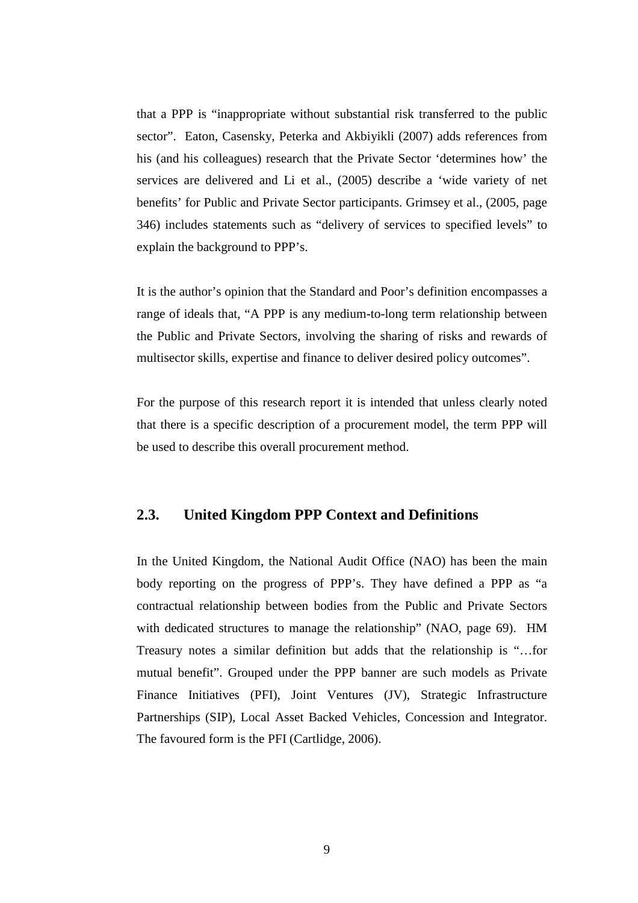that a PPP is "inappropriate without substantial risk transferred to the public sector". Eaton, Casensky, Peterka and Akbiyikli (2007) adds references from his (and his colleagues) research that the Private Sector 'determines how' the services are delivered and Li et al., (2005) describe a 'wide variety of net benefits' for Public and Private Sector participants. Grimsey et al., (2005, page 346) includes statements such as "delivery of services to specified levels" to explain the background to PPP's.

It is the author's opinion that the Standard and Poor's definition encompasses a range of ideals that, "A PPP is any medium-to-long term relationship between the Public and Private Sectors, involving the sharing of risks and rewards of multisector skills, expertise and finance to deliver desired policy outcomes".

For the purpose of this research report it is intended that unless clearly noted that there is a specific description of a procurement model, the term PPP will be used to describe this overall procurement method.

### **2.3. United Kingdom PPP Context and Definitions**

In the United Kingdom, the National Audit Office (NAO) has been the main body reporting on the progress of PPP's. They have defined a PPP as "a contractual relationship between bodies from the Public and Private Sectors with dedicated structures to manage the relationship" (NAO, page 69). HM Treasury notes a similar definition but adds that the relationship is "…for mutual benefit". Grouped under the PPP banner are such models as Private Finance Initiatives (PFI), Joint Ventures (JV), Strategic Infrastructure Partnerships (SIP), Local Asset Backed Vehicles, Concession and Integrator. The favoured form is the PFI (Cartlidge, 2006).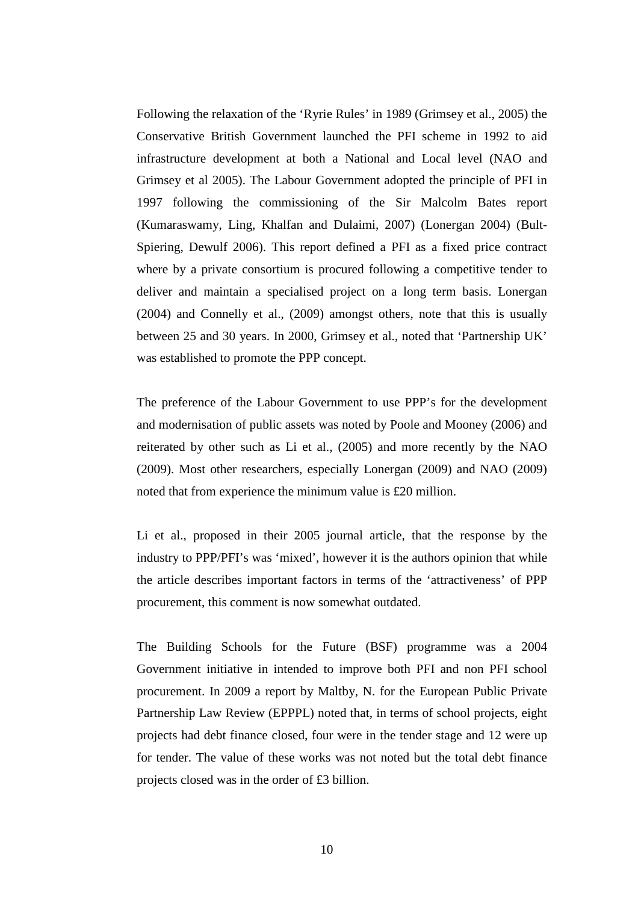Following the relaxation of the 'Ryrie Rules' in 1989 (Grimsey et al., 2005) the Conservative British Government launched the PFI scheme in 1992 to aid infrastructure development at both a National and Local level (NAO and Grimsey et al 2005). The Labour Government adopted the principle of PFI in 1997 following the commissioning of the Sir Malcolm Bates report (Kumaraswamy, Ling, Khalfan and Dulaimi, 2007) (Lonergan 2004) (Bult-Spiering, Dewulf 2006). This report defined a PFI as a fixed price contract where by a private consortium is procured following a competitive tender to deliver and maintain a specialised project on a long term basis. Lonergan (2004) and Connelly et al., (2009) amongst others, note that this is usually between 25 and 30 years. In 2000, Grimsey et al., noted that 'Partnership UK' was established to promote the PPP concept.

The preference of the Labour Government to use PPP's for the development and modernisation of public assets was noted by Poole and Mooney (2006) and reiterated by other such as Li et al., (2005) and more recently by the NAO (2009). Most other researchers, especially Lonergan (2009) and NAO (2009) noted that from experience the minimum value is £20 million.

Li et al., proposed in their 2005 journal article, that the response by the industry to PPP/PFI's was 'mixed', however it is the authors opinion that while the article describes important factors in terms of the 'attractiveness' of PPP procurement, this comment is now somewhat outdated.

The Building Schools for the Future (BSF) programme was a 2004 Government initiative in intended to improve both PFI and non PFI school procurement. In 2009 a report by Maltby, N. for the European Public Private Partnership Law Review (EPPPL) noted that, in terms of school projects, eight projects had debt finance closed, four were in the tender stage and 12 were up for tender. The value of these works was not noted but the total debt finance projects closed was in the order of £3 billion.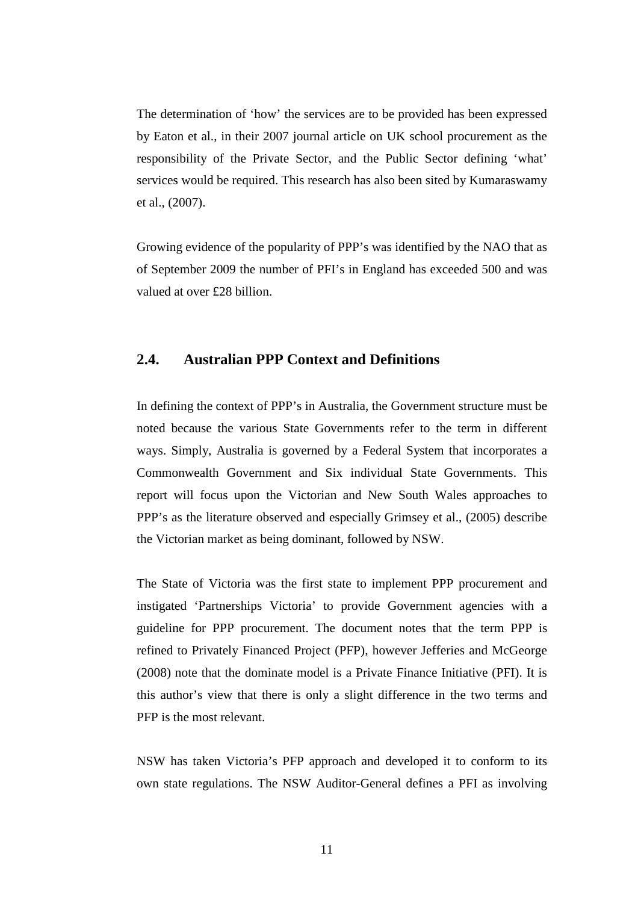The determination of 'how' the services are to be provided has been expressed by Eaton et al., in their 2007 journal article on UK school procurement as the responsibility of the Private Sector, and the Public Sector defining 'what' services would be required. This research has also been sited by Kumaraswamy et al., (2007).

Growing evidence of the popularity of PPP's was identified by the NAO that as of September 2009 the number of PFI's in England has exceeded 500 and was valued at over £28 billion.

#### **2.4. Australian PPP Context and Definitions**

In defining the context of PPP's in Australia, the Government structure must be noted because the various State Governments refer to the term in different ways. Simply, Australia is governed by a Federal System that incorporates a Commonwealth Government and Six individual State Governments. This report will focus upon the Victorian and New South Wales approaches to PPP's as the literature observed and especially Grimsey et al., (2005) describe the Victorian market as being dominant, followed by NSW.

The State of Victoria was the first state to implement PPP procurement and instigated 'Partnerships Victoria' to provide Government agencies with a guideline for PPP procurement. The document notes that the term PPP is refined to Privately Financed Project (PFP), however Jefferies and McGeorge (2008) note that the dominate model is a Private Finance Initiative (PFI). It is this author's view that there is only a slight difference in the two terms and PFP is the most relevant.

NSW has taken Victoria's PFP approach and developed it to conform to its own state regulations. The NSW Auditor-General defines a PFI as involving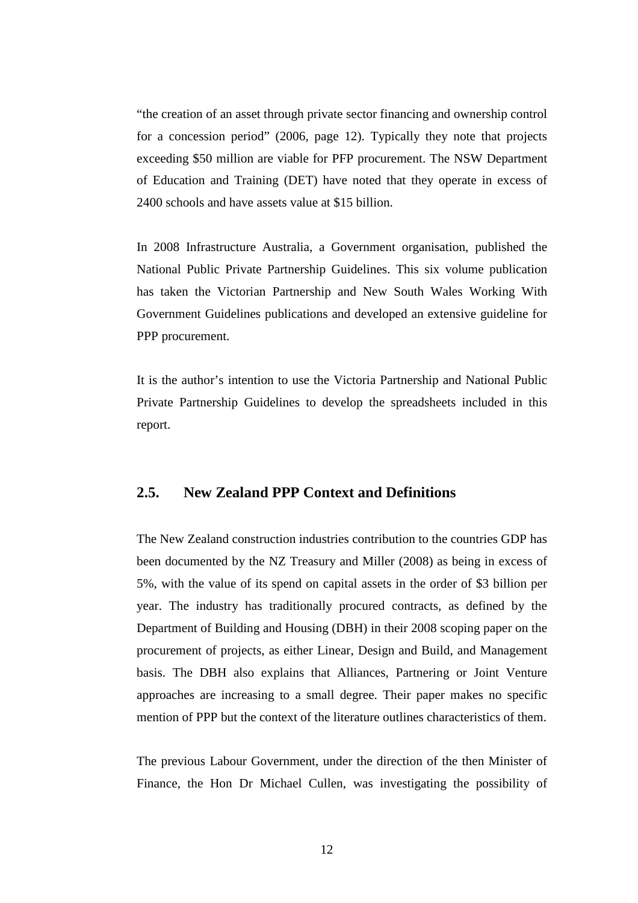"the creation of an asset through private sector financing and ownership control for a concession period" (2006, page 12). Typically they note that projects exceeding \$50 million are viable for PFP procurement. The NSW Department of Education and Training (DET) have noted that they operate in excess of 2400 schools and have assets value at \$15 billion.

In 2008 Infrastructure Australia, a Government organisation, published the National Public Private Partnership Guidelines. This six volume publication has taken the Victorian Partnership and New South Wales Working With Government Guidelines publications and developed an extensive guideline for PPP procurement.

It is the author's intention to use the Victoria Partnership and National Public Private Partnership Guidelines to develop the spreadsheets included in this report.

## **2.5. New Zealand PPP Context and Definitions**

The New Zealand construction industries contribution to the countries GDP has been documented by the NZ Treasury and Miller (2008) as being in excess of 5%, with the value of its spend on capital assets in the order of \$3 billion per year. The industry has traditionally procured contracts, as defined by the Department of Building and Housing (DBH) in their 2008 scoping paper on the procurement of projects, as either Linear, Design and Build, and Management basis. The DBH also explains that Alliances, Partnering or Joint Venture approaches are increasing to a small degree. Their paper makes no specific mention of PPP but the context of the literature outlines characteristics of them.

The previous Labour Government, under the direction of the then Minister of Finance, the Hon Dr Michael Cullen, was investigating the possibility of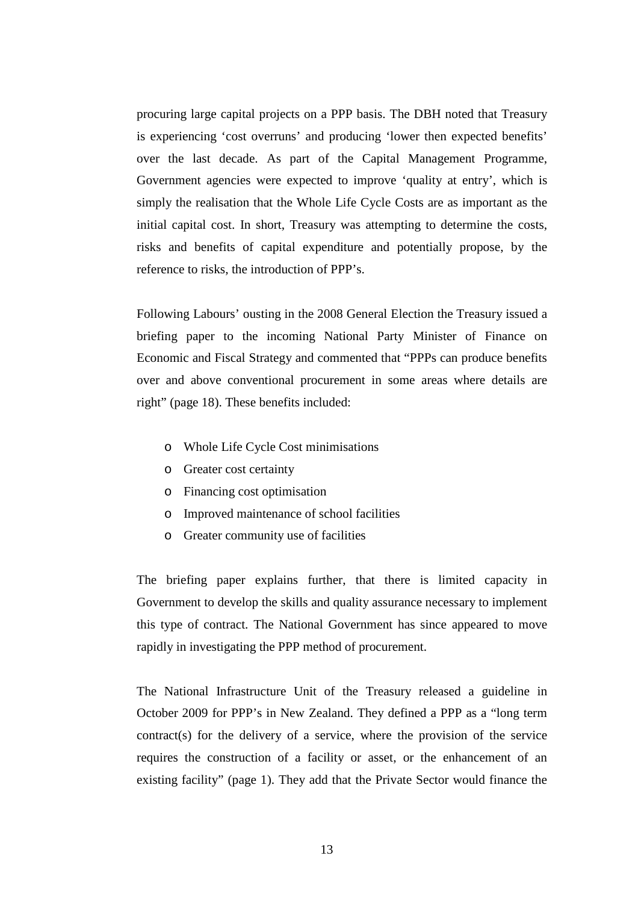procuring large capital projects on a PPP basis. The DBH noted that Treasury is experiencing 'cost overruns' and producing 'lower then expected benefits' over the last decade. As part of the Capital Management Programme, Government agencies were expected to improve 'quality at entry', which is simply the realisation that the Whole Life Cycle Costs are as important as the initial capital cost. In short, Treasury was attempting to determine the costs, risks and benefits of capital expenditure and potentially propose, by the reference to risks, the introduction of PPP's.

Following Labours' ousting in the 2008 General Election the Treasury issued a briefing paper to the incoming National Party Minister of Finance on Economic and Fiscal Strategy and commented that "PPPs can produce benefits over and above conventional procurement in some areas where details are right" (page 18). These benefits included:

- o Whole Life Cycle Cost minimisations
- o Greater cost certainty
- o Financing cost optimisation
- o Improved maintenance of school facilities
- o Greater community use of facilities

The briefing paper explains further, that there is limited capacity in Government to develop the skills and quality assurance necessary to implement this type of contract. The National Government has since appeared to move rapidly in investigating the PPP method of procurement.

The National Infrastructure Unit of the Treasury released a guideline in October 2009 for PPP's in New Zealand. They defined a PPP as a "long term contract(s) for the delivery of a service, where the provision of the service requires the construction of a facility or asset, or the enhancement of an existing facility" (page 1). They add that the Private Sector would finance the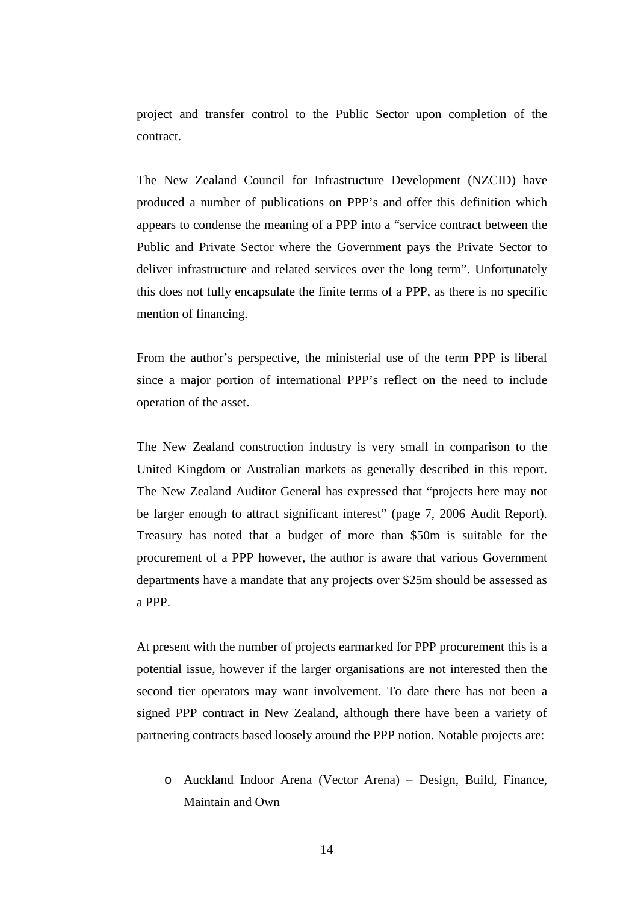project and transfer control to the Public Sector upon completion of the contract.

The New Zealand Council for Infrastructure Development (NZCID) have produced a number of publications on PPP's and offer this definition which appears to condense the meaning of a PPP into a "service contract between the Public and Private Sector where the Government pays the Private Sector to deliver infrastructure and related services over the long term". Unfortunately this does not fully encapsulate the finite terms of a PPP, as there is no specific mention of financing.

From the author's perspective, the ministerial use of the term PPP is liberal since a major portion of international PPP's reflect on the need to include operation of the asset.

The New Zealand construction industry is very small in comparison to the United Kingdom or Australian markets as generally described in this report. The New Zealand Auditor General has expressed that "projects here may not be larger enough to attract significant interest" (page 7, 2006 Audit Report). Treasury has noted that a budget of more than \$50m is suitable for the procurement of a PPP however, the author is aware that various Government departments have a mandate that any projects over \$25m should be assessed as a PPP.

At present with the number of projects earmarked for PPP procurement this is a potential issue, however if the larger organisations are not interested then the second tier operators may want involvement. To date there has not been a signed PPP contract in New Zealand, although there have been a variety of partnering contracts based loosely around the PPP notion. Notable projects are:

o Auckland Indoor Arena (Vector Arena) – Design, Build, Finance, Maintain and Own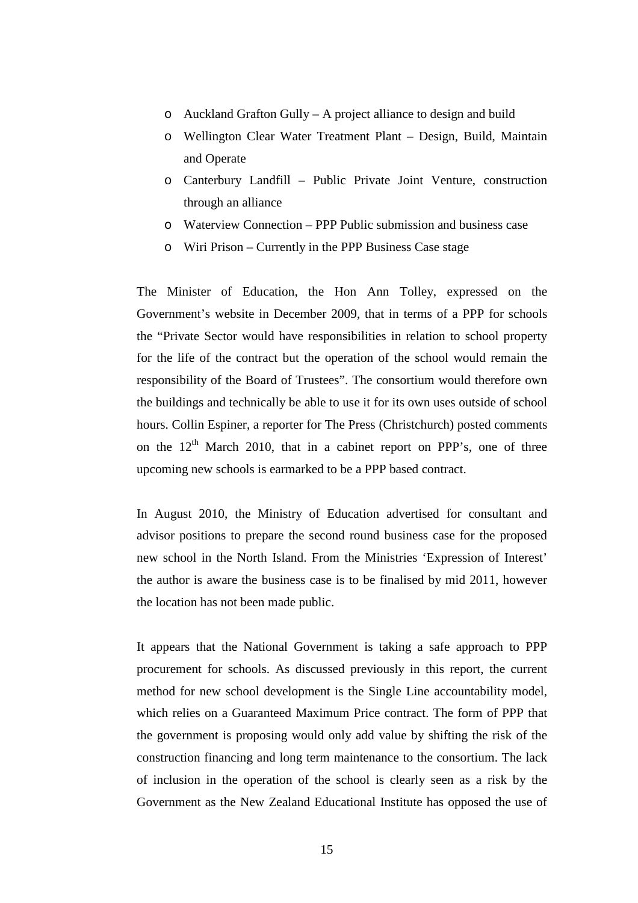- o Auckland Grafton Gully A project alliance to design and build
- o Wellington Clear Water Treatment Plant Design, Build, Maintain and Operate
- o Canterbury Landfill Public Private Joint Venture, construction through an alliance
- o Waterview Connection PPP Public submission and business case
- o Wiri Prison Currently in the PPP Business Case stage

The Minister of Education, the Hon Ann Tolley, expressed on the Government's website in December 2009, that in terms of a PPP for schools the "Private Sector would have responsibilities in relation to school property for the life of the contract but the operation of the school would remain the responsibility of the Board of Trustees". The consortium would therefore own the buildings and technically be able to use it for its own uses outside of school hours. Collin Espiner, a reporter for The Press (Christchurch) posted comments on the  $12<sup>th</sup>$  March 2010, that in a cabinet report on PPP's, one of three upcoming new schools is earmarked to be a PPP based contract.

In August 2010, the Ministry of Education advertised for consultant and advisor positions to prepare the second round business case for the proposed new school in the North Island. From the Ministries 'Expression of Interest' the author is aware the business case is to be finalised by mid 2011, however the location has not been made public.

It appears that the National Government is taking a safe approach to PPP procurement for schools. As discussed previously in this report, the current method for new school development is the Single Line accountability model, which relies on a Guaranteed Maximum Price contract. The form of PPP that the government is proposing would only add value by shifting the risk of the construction financing and long term maintenance to the consortium. The lack of inclusion in the operation of the school is clearly seen as a risk by the Government as the New Zealand Educational Institute has opposed the use of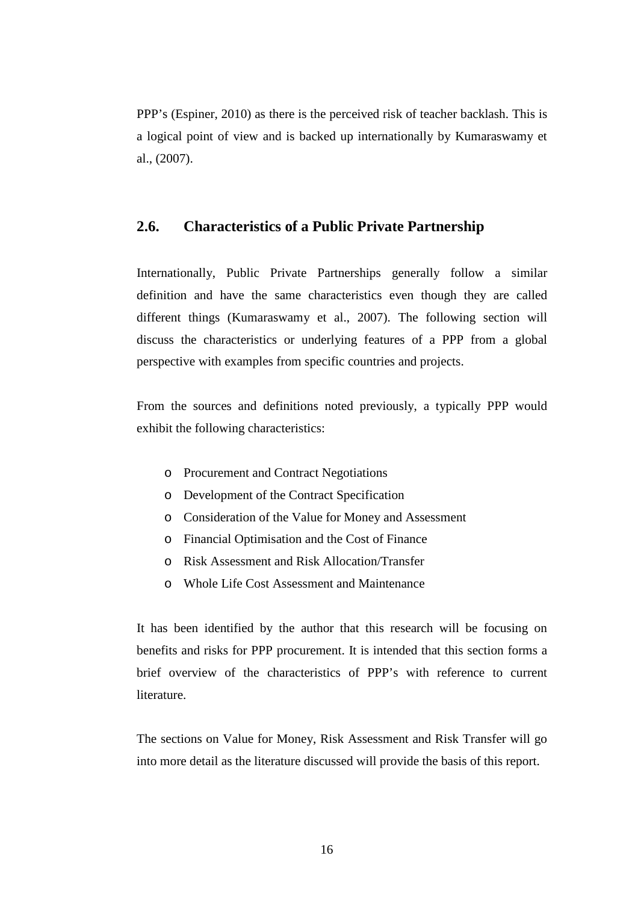PPP's (Espiner, 2010) as there is the perceived risk of teacher backlash. This is a logical point of view and is backed up internationally by Kumaraswamy et al., (2007).

#### **2.6. Characteristics of a Public Private Partnership**

Internationally, Public Private Partnerships generally follow a similar definition and have the same characteristics even though they are called different things (Kumaraswamy et al., 2007). The following section will discuss the characteristics or underlying features of a PPP from a global perspective with examples from specific countries and projects.

From the sources and definitions noted previously, a typically PPP would exhibit the following characteristics:

- o Procurement and Contract Negotiations
- o Development of the Contract Specification
- o Consideration of the Value for Money and Assessment
- o Financial Optimisation and the Cost of Finance
- o Risk Assessment and Risk Allocation/Transfer
- o Whole Life Cost Assessment and Maintenance

It has been identified by the author that this research will be focusing on benefits and risks for PPP procurement. It is intended that this section forms a brief overview of the characteristics of PPP's with reference to current literature.

The sections on Value for Money, Risk Assessment and Risk Transfer will go into more detail as the literature discussed will provide the basis of this report.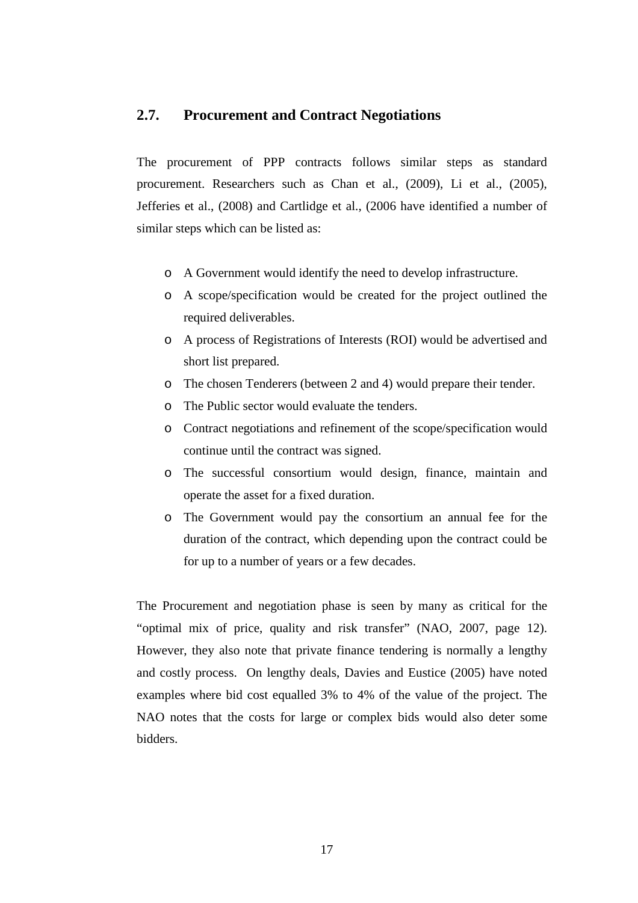#### **2.7. Procurement and Contract Negotiations**

The procurement of PPP contracts follows similar steps as standard procurement. Researchers such as Chan et al., (2009), Li et al., (2005), Jefferies et al., (2008) and Cartlidge et al., (2006 have identified a number of similar steps which can be listed as:

- o A Government would identify the need to develop infrastructure.
- o A scope/specification would be created for the project outlined the required deliverables.
- o A process of Registrations of Interests (ROI) would be advertised and short list prepared.
- o The chosen Tenderers (between 2 and 4) would prepare their tender.
- o The Public sector would evaluate the tenders.
- o Contract negotiations and refinement of the scope/specification would continue until the contract was signed.
- o The successful consortium would design, finance, maintain and operate the asset for a fixed duration.
- o The Government would pay the consortium an annual fee for the duration of the contract, which depending upon the contract could be for up to a number of years or a few decades.

The Procurement and negotiation phase is seen by many as critical for the "optimal mix of price, quality and risk transfer" (NAO, 2007, page 12). However, they also note that private finance tendering is normally a lengthy and costly process. On lengthy deals, Davies and Eustice (2005) have noted examples where bid cost equalled 3% to 4% of the value of the project. The NAO notes that the costs for large or complex bids would also deter some bidders.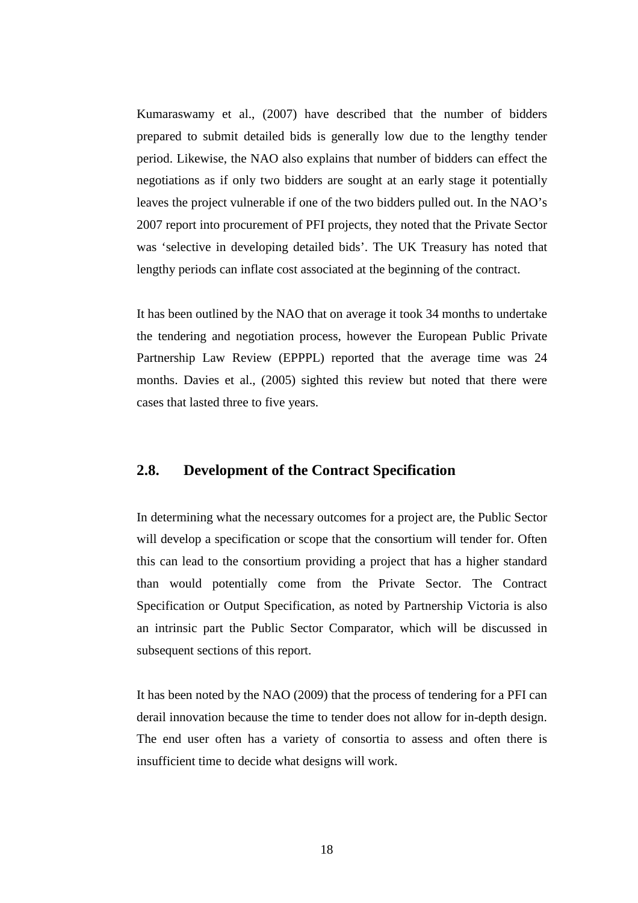Kumaraswamy et al., (2007) have described that the number of bidders prepared to submit detailed bids is generally low due to the lengthy tender period. Likewise, the NAO also explains that number of bidders can effect the negotiations as if only two bidders are sought at an early stage it potentially leaves the project vulnerable if one of the two bidders pulled out. In the NAO's 2007 report into procurement of PFI projects, they noted that the Private Sector was 'selective in developing detailed bids'. The UK Treasury has noted that lengthy periods can inflate cost associated at the beginning of the contract.

It has been outlined by the NAO that on average it took 34 months to undertake the tendering and negotiation process, however the European Public Private Partnership Law Review (EPPPL) reported that the average time was 24 months. Davies et al., (2005) sighted this review but noted that there were cases that lasted three to five years.

#### **2.8. Development of the Contract Specification**

In determining what the necessary outcomes for a project are, the Public Sector will develop a specification or scope that the consortium will tender for. Often this can lead to the consortium providing a project that has a higher standard than would potentially come from the Private Sector. The Contract Specification or Output Specification, as noted by Partnership Victoria is also an intrinsic part the Public Sector Comparator, which will be discussed in subsequent sections of this report.

It has been noted by the NAO (2009) that the process of tendering for a PFI can derail innovation because the time to tender does not allow for in-depth design. The end user often has a variety of consortia to assess and often there is insufficient time to decide what designs will work.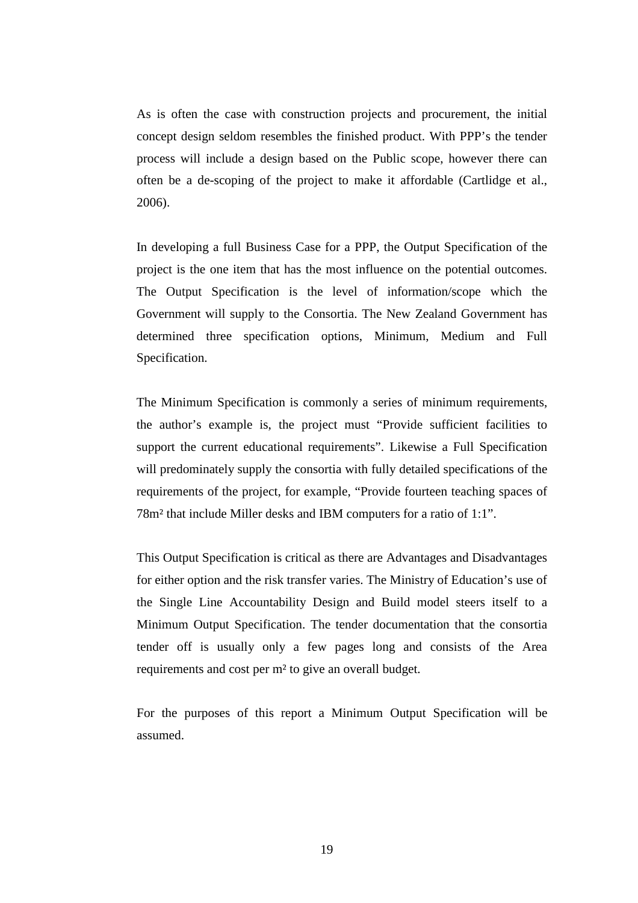As is often the case with construction projects and procurement, the initial concept design seldom resembles the finished product. With PPP's the tender process will include a design based on the Public scope, however there can often be a de-scoping of the project to make it affordable (Cartlidge et al., 2006).

In developing a full Business Case for a PPP, the Output Specification of the project is the one item that has the most influence on the potential outcomes. The Output Specification is the level of information/scope which the Government will supply to the Consortia. The New Zealand Government has determined three specification options, Minimum, Medium and Full Specification.

The Minimum Specification is commonly a series of minimum requirements, the author's example is, the project must "Provide sufficient facilities to support the current educational requirements". Likewise a Full Specification will predominately supply the consortia with fully detailed specifications of the requirements of the project, for example, "Provide fourteen teaching spaces of 78m² that include Miller desks and IBM computers for a ratio of 1:1".

This Output Specification is critical as there are Advantages and Disadvantages for either option and the risk transfer varies. The Ministry of Education's use of the Single Line Accountability Design and Build model steers itself to a Minimum Output Specification. The tender documentation that the consortia tender off is usually only a few pages long and consists of the Area requirements and cost per m² to give an overall budget.

For the purposes of this report a Minimum Output Specification will be assumed.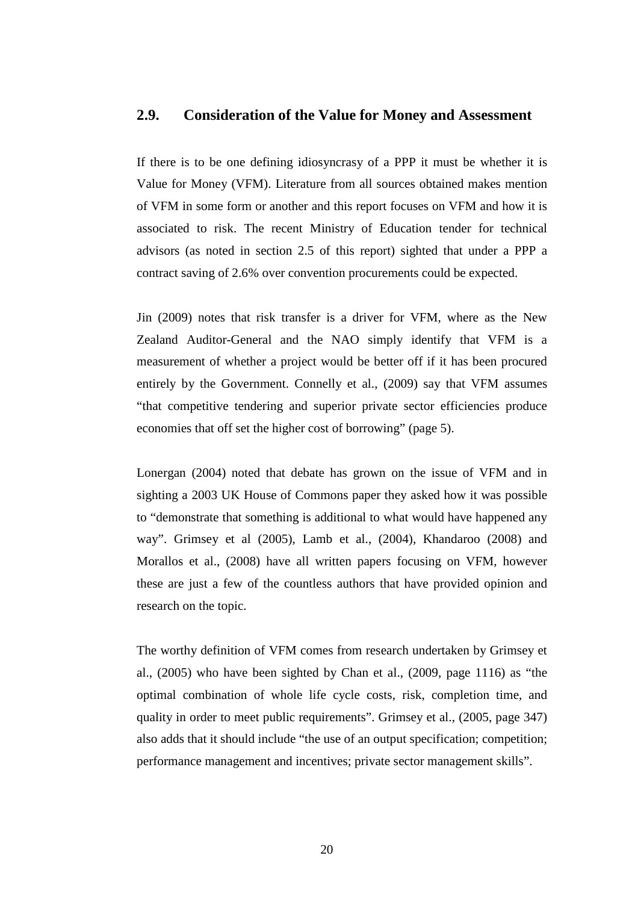### **2.9. Consideration of the Value for Money and Assessment**

If there is to be one defining idiosyncrasy of a PPP it must be whether it is Value for Money (VFM). Literature from all sources obtained makes mention of VFM in some form or another and this report focuses on VFM and how it is associated to risk. The recent Ministry of Education tender for technical advisors (as noted in section 2.5 of this report) sighted that under a PPP a contract saving of 2.6% over convention procurements could be expected.

Jin (2009) notes that risk transfer is a driver for VFM, where as the New Zealand Auditor-General and the NAO simply identify that VFM is a measurement of whether a project would be better off if it has been procured entirely by the Government. Connelly et al., (2009) say that VFM assumes "that competitive tendering and superior private sector efficiencies produce economies that off set the higher cost of borrowing" (page 5).

Lonergan (2004) noted that debate has grown on the issue of VFM and in sighting a 2003 UK House of Commons paper they asked how it was possible to "demonstrate that something is additional to what would have happened any way". Grimsey et al (2005), Lamb et al., (2004), Khandaroo (2008) and Morallos et al., (2008) have all written papers focusing on VFM, however these are just a few of the countless authors that have provided opinion and research on the topic.

The worthy definition of VFM comes from research undertaken by Grimsey et al., (2005) who have been sighted by Chan et al., (2009, page 1116) as "the optimal combination of whole life cycle costs, risk, completion time, and quality in order to meet public requirements". Grimsey et al., (2005, page 347) also adds that it should include "the use of an output specification; competition; performance management and incentives; private sector management skills".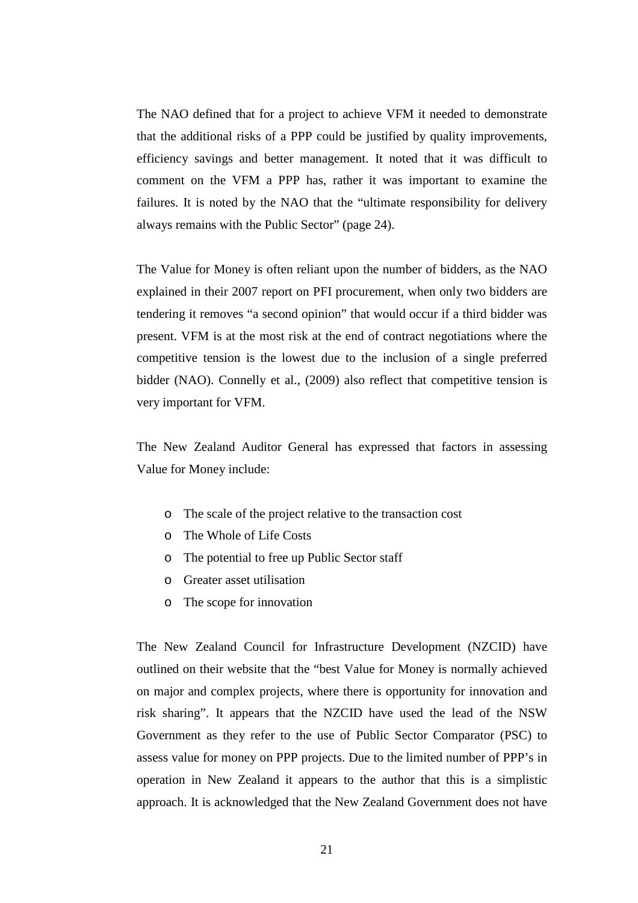The NAO defined that for a project to achieve VFM it needed to demonstrate that the additional risks of a PPP could be justified by quality improvements, efficiency savings and better management. It noted that it was difficult to comment on the VFM a PPP has, rather it was important to examine the failures. It is noted by the NAO that the "ultimate responsibility for delivery always remains with the Public Sector" (page 24).

The Value for Money is often reliant upon the number of bidders, as the NAO explained in their 2007 report on PFI procurement, when only two bidders are tendering it removes "a second opinion" that would occur if a third bidder was present. VFM is at the most risk at the end of contract negotiations where the competitive tension is the lowest due to the inclusion of a single preferred bidder (NAO). Connelly et al., (2009) also reflect that competitive tension is very important for VFM.

The New Zealand Auditor General has expressed that factors in assessing Value for Money include:

- o The scale of the project relative to the transaction cost
- o The Whole of Life Costs
- o The potential to free up Public Sector staff
- o Greater asset utilisation
- o The scope for innovation

The New Zealand Council for Infrastructure Development (NZCID) have outlined on their website that the "best Value for Money is normally achieved on major and complex projects, where there is opportunity for innovation and risk sharing". It appears that the NZCID have used the lead of the NSW Government as they refer to the use of Public Sector Comparator (PSC) to assess value for money on PPP projects. Due to the limited number of PPP's in operation in New Zealand it appears to the author that this is a simplistic approach. It is acknowledged that the New Zealand Government does not have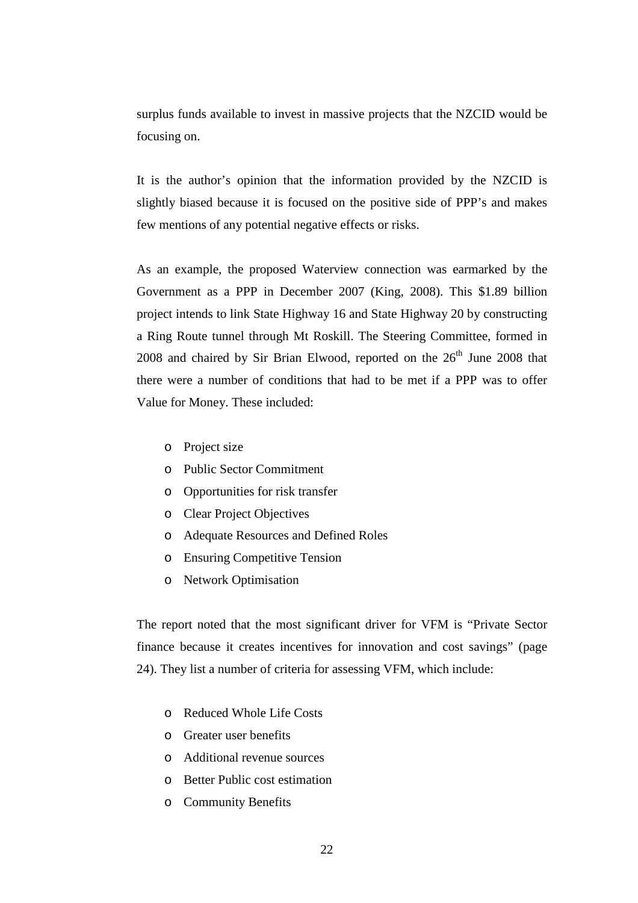surplus funds available to invest in massive projects that the NZCID would be focusing on.

It is the author's opinion that the information provided by the NZCID is slightly biased because it is focused on the positive side of PPP's and makes few mentions of any potential negative effects or risks.

As an example, the proposed Waterview connection was earmarked by the Government as a PPP in December 2007 (King, 2008). This \$1.89 billion project intends to link State Highway 16 and State Highway 20 by constructing a Ring Route tunnel through Mt Roskill. The Steering Committee, formed in  $2008$  and chaired by Sir Brian Elwood, reported on the  $26<sup>th</sup>$  June 2008 that there were a number of conditions that had to be met if a PPP was to offer Value for Money. These included:

- o Project size
- o Public Sector Commitment
- o Opportunities for risk transfer
- o Clear Project Objectives
- o Adequate Resources and Defined Roles
- o Ensuring Competitive Tension
- o Network Optimisation

The report noted that the most significant driver for VFM is "Private Sector finance because it creates incentives for innovation and cost savings" (page 24). They list a number of criteria for assessing VFM, which include:

- o Reduced Whole Life Costs
- o Greater user benefits
- o Additional revenue sources
- o Better Public cost estimation
- o Community Benefits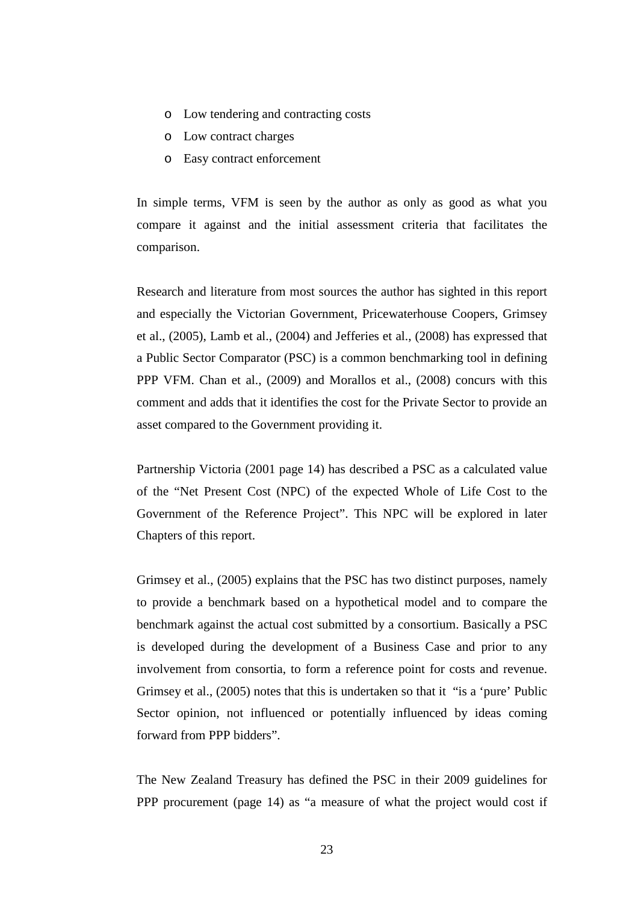- o Low tendering and contracting costs
- o Low contract charges
- o Easy contract enforcement

In simple terms, VFM is seen by the author as only as good as what you compare it against and the initial assessment criteria that facilitates the comparison.

Research and literature from most sources the author has sighted in this report and especially the Victorian Government, Pricewaterhouse Coopers, Grimsey et al., (2005), Lamb et al., (2004) and Jefferies et al., (2008) has expressed that a Public Sector Comparator (PSC) is a common benchmarking tool in defining PPP VFM. Chan et al., (2009) and Morallos et al., (2008) concurs with this comment and adds that it identifies the cost for the Private Sector to provide an asset compared to the Government providing it.

Partnership Victoria (2001 page 14) has described a PSC as a calculated value of the "Net Present Cost (NPC) of the expected Whole of Life Cost to the Government of the Reference Project". This NPC will be explored in later Chapters of this report.

Grimsey et al., (2005) explains that the PSC has two distinct purposes, namely to provide a benchmark based on a hypothetical model and to compare the benchmark against the actual cost submitted by a consortium. Basically a PSC is developed during the development of a Business Case and prior to any involvement from consortia, to form a reference point for costs and revenue. Grimsey et al., (2005) notes that this is undertaken so that it "is a 'pure' Public Sector opinion, not influenced or potentially influenced by ideas coming forward from PPP bidders".

The New Zealand Treasury has defined the PSC in their 2009 guidelines for PPP procurement (page 14) as "a measure of what the project would cost if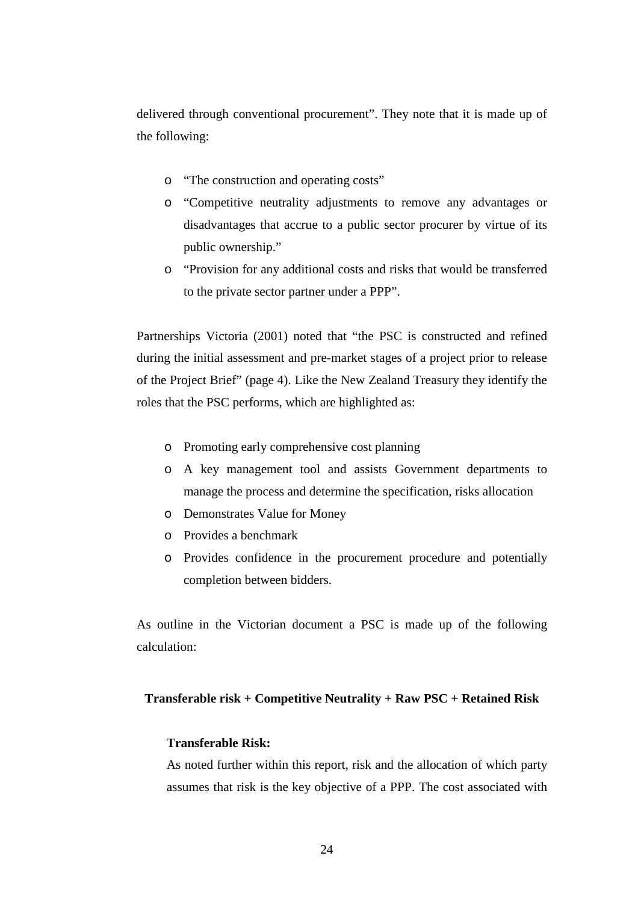delivered through conventional procurement". They note that it is made up of the following:

- o "The construction and operating costs"
- o "Competitive neutrality adjustments to remove any advantages or disadvantages that accrue to a public sector procurer by virtue of its public ownership."
- o "Provision for any additional costs and risks that would be transferred to the private sector partner under a PPP".

Partnerships Victoria (2001) noted that "the PSC is constructed and refined during the initial assessment and pre-market stages of a project prior to release of the Project Brief" (page 4). Like the New Zealand Treasury they identify the roles that the PSC performs, which are highlighted as:

- o Promoting early comprehensive cost planning
- o A key management tool and assists Government departments to manage the process and determine the specification, risks allocation
- o Demonstrates Value for Money
- o Provides a benchmark
- o Provides confidence in the procurement procedure and potentially completion between bidders.

As outline in the Victorian document a PSC is made up of the following calculation:

#### **Transferable risk + Competitive Neutrality + Raw PSC + Retained Risk**

#### **Transferable Risk:**

As noted further within this report, risk and the allocation of which party assumes that risk is the key objective of a PPP. The cost associated with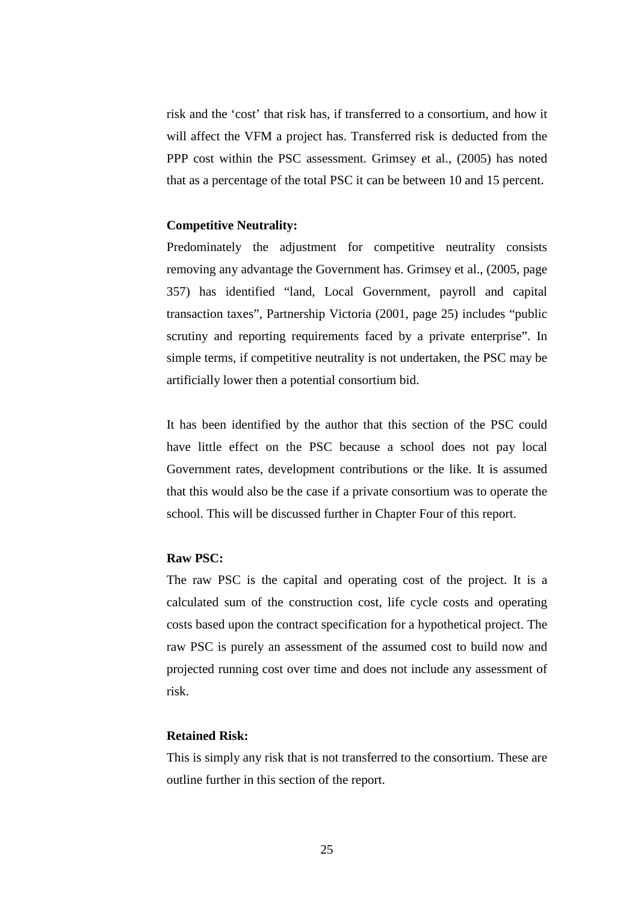risk and the 'cost' that risk has, if transferred to a consortium, and how it will affect the VFM a project has. Transferred risk is deducted from the PPP cost within the PSC assessment. Grimsey et al., (2005) has noted that as a percentage of the total PSC it can be between 10 and 15 percent.

#### **Competitive Neutrality:**

Predominately the adjustment for competitive neutrality consists removing any advantage the Government has. Grimsey et al., (2005, page 357) has identified "land, Local Government, payroll and capital transaction taxes", Partnership Victoria (2001, page 25) includes "public scrutiny and reporting requirements faced by a private enterprise". In simple terms, if competitive neutrality is not undertaken, the PSC may be artificially lower then a potential consortium bid.

It has been identified by the author that this section of the PSC could have little effect on the PSC because a school does not pay local Government rates, development contributions or the like. It is assumed that this would also be the case if a private consortium was to operate the school. This will be discussed further in Chapter Four of this report.

#### **Raw PSC:**

The raw PSC is the capital and operating cost of the project. It is a calculated sum of the construction cost, life cycle costs and operating costs based upon the contract specification for a hypothetical project. The raw PSC is purely an assessment of the assumed cost to build now and projected running cost over time and does not include any assessment of risk.

#### **Retained Risk:**

This is simply any risk that is not transferred to the consortium. These are outline further in this section of the report.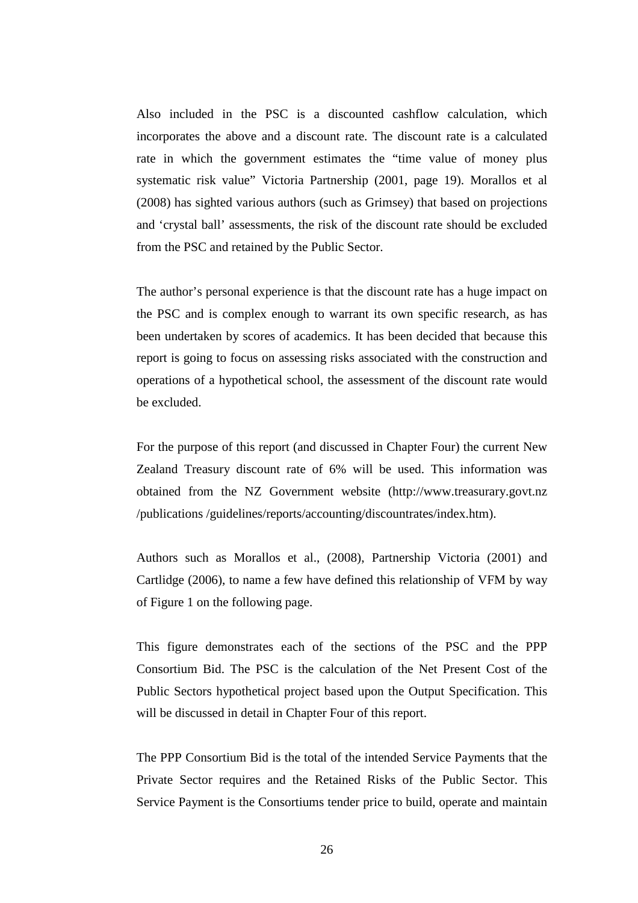Also included in the PSC is a discounted cashflow calculation, which incorporates the above and a discount rate. The discount rate is a calculated rate in which the government estimates the "time value of money plus systematic risk value" Victoria Partnership (2001, page 19). Morallos et al (2008) has sighted various authors (such as Grimsey) that based on projections and 'crystal ball' assessments, the risk of the discount rate should be excluded from the PSC and retained by the Public Sector.

The author's personal experience is that the discount rate has a huge impact on the PSC and is complex enough to warrant its own specific research, as has been undertaken by scores of academics. It has been decided that because this report is going to focus on assessing risks associated with the construction and operations of a hypothetical school, the assessment of the discount rate would be excluded.

For the purpose of this report (and discussed in Chapter Four) the current New Zealand Treasury discount rate of 6% will be used. This information was obtained from the NZ Government website (http://www.treasurary.govt.nz /publications /guidelines/reports/accounting/discountrates/index.htm).

Authors such as Morallos et al., (2008), Partnership Victoria (2001) and Cartlidge (2006), to name a few have defined this relationship of VFM by way of Figure 1 on the following page.

This figure demonstrates each of the sections of the PSC and the PPP Consortium Bid. The PSC is the calculation of the Net Present Cost of the Public Sectors hypothetical project based upon the Output Specification. This will be discussed in detail in Chapter Four of this report.

The PPP Consortium Bid is the total of the intended Service Payments that the Private Sector requires and the Retained Risks of the Public Sector. This Service Payment is the Consortiums tender price to build, operate and maintain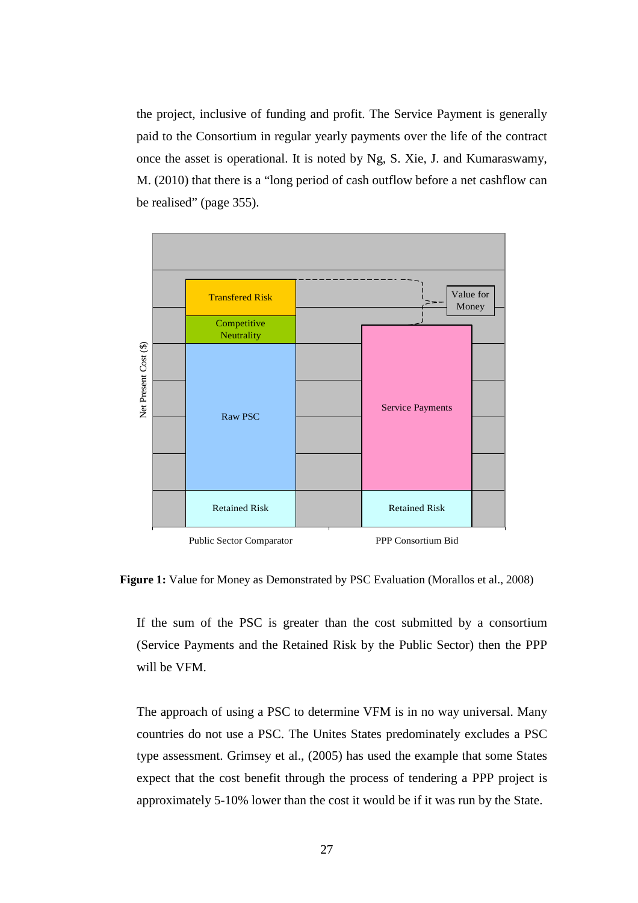the project, inclusive of funding and profit. The Service Payment is generally paid to the Consortium in regular yearly payments over the life of the contract once the asset is operational. It is noted by Ng, S. Xie, J. and Kumaraswamy, M. (2010) that there is a "long period of cash outflow before a net cashflow can be realised" (page 355).



**Figure 1:** Value for Money as Demonstrated by PSC Evaluation (Morallos et al., 2008)

If the sum of the PSC is greater than the cost submitted by a consortium (Service Payments and the Retained Risk by the Public Sector) then the PPP will be VFM.

The approach of using a PSC to determine VFM is in no way universal. Many countries do not use a PSC. The Unites States predominately excludes a PSC type assessment. Grimsey et al., (2005) has used the example that some States expect that the cost benefit through the process of tendering a PPP project is approximately 5-10% lower than the cost it would be if it was run by the State.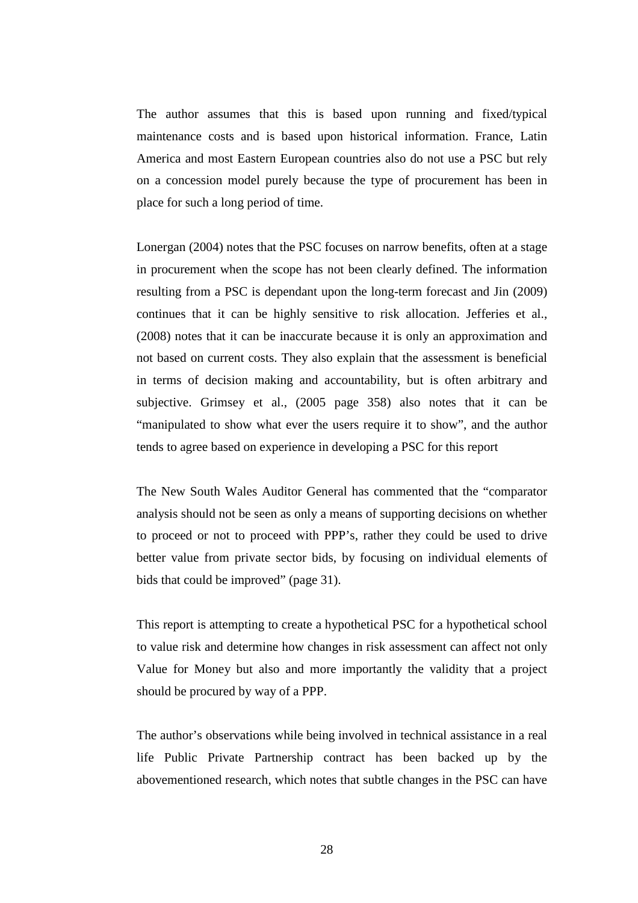The author assumes that this is based upon running and fixed/typical maintenance costs and is based upon historical information. France, Latin America and most Eastern European countries also do not use a PSC but rely on a concession model purely because the type of procurement has been in place for such a long period of time.

Lonergan (2004) notes that the PSC focuses on narrow benefits, often at a stage in procurement when the scope has not been clearly defined. The information resulting from a PSC is dependant upon the long-term forecast and Jin (2009) continues that it can be highly sensitive to risk allocation. Jefferies et al., (2008) notes that it can be inaccurate because it is only an approximation and not based on current costs. They also explain that the assessment is beneficial in terms of decision making and accountability, but is often arbitrary and subjective. Grimsey et al., (2005 page 358) also notes that it can be "manipulated to show what ever the users require it to show", and the author tends to agree based on experience in developing a PSC for this report

The New South Wales Auditor General has commented that the "comparator analysis should not be seen as only a means of supporting decisions on whether to proceed or not to proceed with PPP's, rather they could be used to drive better value from private sector bids, by focusing on individual elements of bids that could be improved" (page 31).

This report is attempting to create a hypothetical PSC for a hypothetical school to value risk and determine how changes in risk assessment can affect not only Value for Money but also and more importantly the validity that a project should be procured by way of a PPP.

The author's observations while being involved in technical assistance in a real life Public Private Partnership contract has been backed up by the abovementioned research, which notes that subtle changes in the PSC can have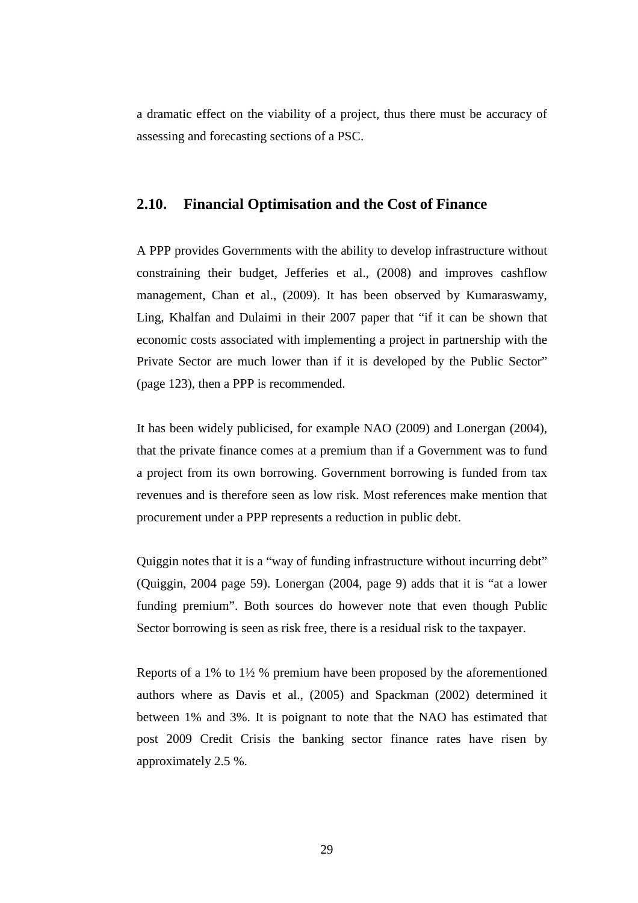a dramatic effect on the viability of a project, thus there must be accuracy of assessing and forecasting sections of a PSC.

#### **2.10. Financial Optimisation and the Cost of Finance**

A PPP provides Governments with the ability to develop infrastructure without constraining their budget, Jefferies et al., (2008) and improves cashflow management, Chan et al., (2009). It has been observed by Kumaraswamy, Ling, Khalfan and Dulaimi in their 2007 paper that "if it can be shown that economic costs associated with implementing a project in partnership with the Private Sector are much lower than if it is developed by the Public Sector" (page 123), then a PPP is recommended.

It has been widely publicised, for example NAO (2009) and Lonergan (2004), that the private finance comes at a premium than if a Government was to fund a project from its own borrowing. Government borrowing is funded from tax revenues and is therefore seen as low risk. Most references make mention that procurement under a PPP represents a reduction in public debt.

Quiggin notes that it is a "way of funding infrastructure without incurring debt" (Quiggin, 2004 page 59). Lonergan (2004, page 9) adds that it is "at a lower funding premium". Both sources do however note that even though Public Sector borrowing is seen as risk free, there is a residual risk to the taxpayer.

Reports of a 1% to 1½ % premium have been proposed by the aforementioned authors where as Davis et al., (2005) and Spackman (2002) determined it between 1% and 3%. It is poignant to note that the NAO has estimated that post 2009 Credit Crisis the banking sector finance rates have risen by approximately 2.5 %.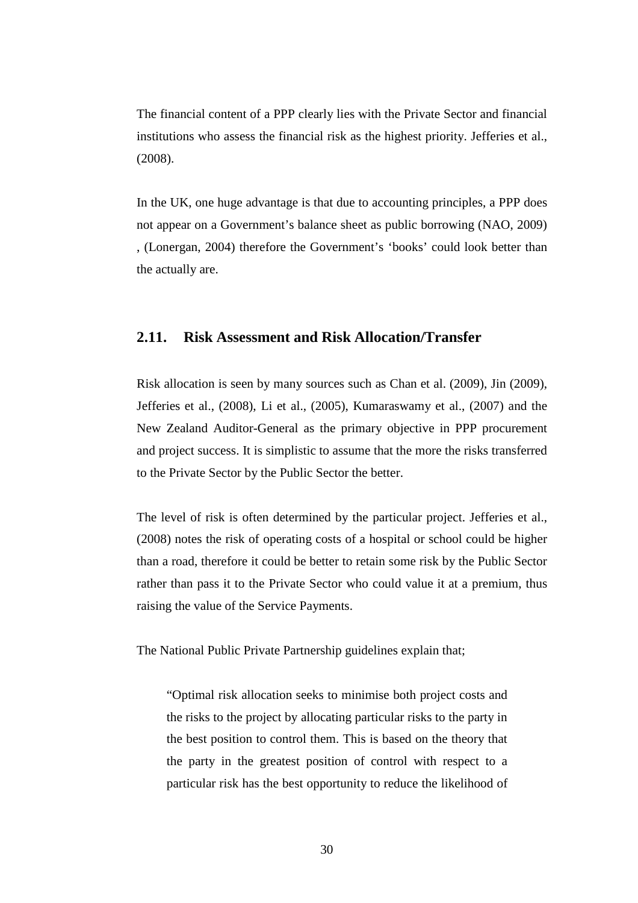The financial content of a PPP clearly lies with the Private Sector and financial institutions who assess the financial risk as the highest priority. Jefferies et al., (2008).

In the UK, one huge advantage is that due to accounting principles, a PPP does not appear on a Government's balance sheet as public borrowing (NAO, 2009) , (Lonergan, 2004) therefore the Government's 'books' could look better than the actually are.

# **2.11. Risk Assessment and Risk Allocation/Transfer**

Risk allocation is seen by many sources such as Chan et al. (2009), Jin (2009), Jefferies et al., (2008), Li et al., (2005), Kumaraswamy et al., (2007) and the New Zealand Auditor-General as the primary objective in PPP procurement and project success. It is simplistic to assume that the more the risks transferred to the Private Sector by the Public Sector the better.

The level of risk is often determined by the particular project. Jefferies et al., (2008) notes the risk of operating costs of a hospital or school could be higher than a road, therefore it could be better to retain some risk by the Public Sector rather than pass it to the Private Sector who could value it at a premium, thus raising the value of the Service Payments.

The National Public Private Partnership guidelines explain that;

"Optimal risk allocation seeks to minimise both project costs and the risks to the project by allocating particular risks to the party in the best position to control them. This is based on the theory that the party in the greatest position of control with respect to a particular risk has the best opportunity to reduce the likelihood of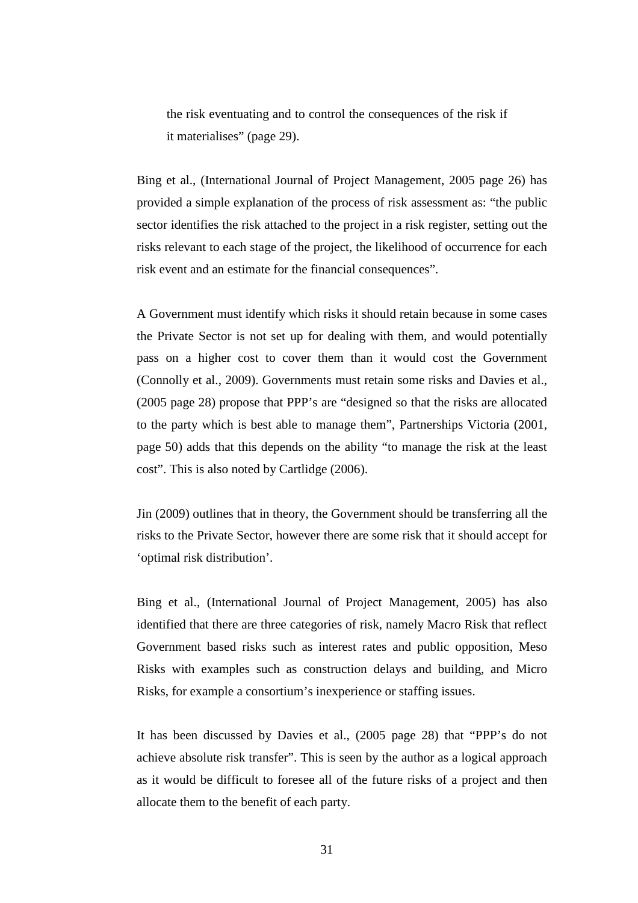the risk eventuating and to control the consequences of the risk if it materialises" (page 29).

Bing et al., (International Journal of Project Management, 2005 page 26) has provided a simple explanation of the process of risk assessment as: "the public sector identifies the risk attached to the project in a risk register, setting out the risks relevant to each stage of the project, the likelihood of occurrence for each risk event and an estimate for the financial consequences".

A Government must identify which risks it should retain because in some cases the Private Sector is not set up for dealing with them, and would potentially pass on a higher cost to cover them than it would cost the Government (Connolly et al., 2009). Governments must retain some risks and Davies et al., (2005 page 28) propose that PPP's are "designed so that the risks are allocated to the party which is best able to manage them", Partnerships Victoria (2001, page 50) adds that this depends on the ability "to manage the risk at the least cost". This is also noted by Cartlidge (2006).

Jin (2009) outlines that in theory, the Government should be transferring all the risks to the Private Sector, however there are some risk that it should accept for 'optimal risk distribution'.

Bing et al., (International Journal of Project Management, 2005) has also identified that there are three categories of risk, namely Macro Risk that reflect Government based risks such as interest rates and public opposition, Meso Risks with examples such as construction delays and building, and Micro Risks, for example a consortium's inexperience or staffing issues.

It has been discussed by Davies et al., (2005 page 28) that "PPP's do not achieve absolute risk transfer". This is seen by the author as a logical approach as it would be difficult to foresee all of the future risks of a project and then allocate them to the benefit of each party.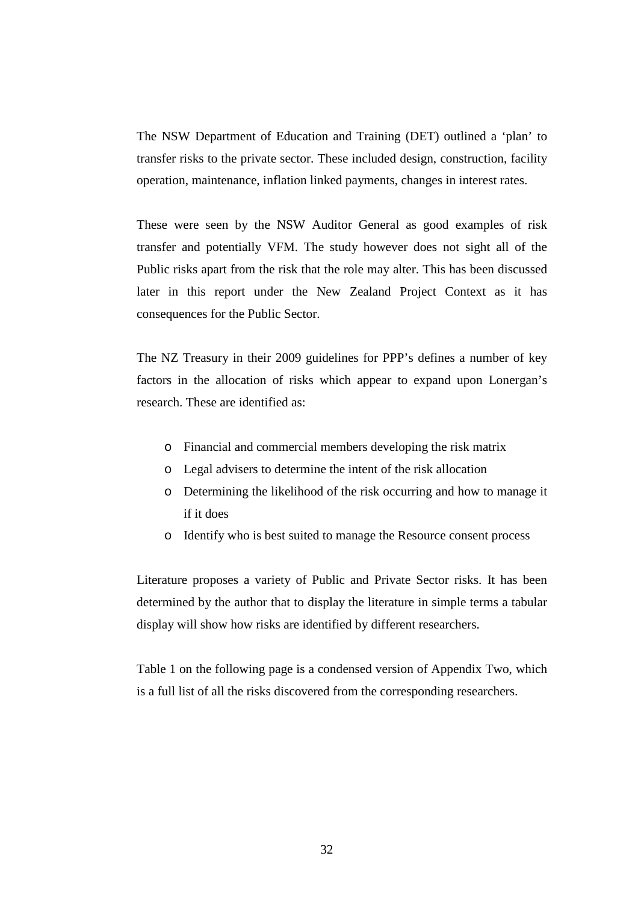The NSW Department of Education and Training (DET) outlined a 'plan' to transfer risks to the private sector. These included design, construction, facility operation, maintenance, inflation linked payments, changes in interest rates.

These were seen by the NSW Auditor General as good examples of risk transfer and potentially VFM. The study however does not sight all of the Public risks apart from the risk that the role may alter. This has been discussed later in this report under the New Zealand Project Context as it has consequences for the Public Sector.

The NZ Treasury in their 2009 guidelines for PPP's defines a number of key factors in the allocation of risks which appear to expand upon Lonergan's research. These are identified as:

- o Financial and commercial members developing the risk matrix
- o Legal advisers to determine the intent of the risk allocation
- o Determining the likelihood of the risk occurring and how to manage it if it does
- o Identify who is best suited to manage the Resource consent process

Literature proposes a variety of Public and Private Sector risks. It has been determined by the author that to display the literature in simple terms a tabular display will show how risks are identified by different researchers.

Table 1 on the following page is a condensed version of Appendix Two, which is a full list of all the risks discovered from the corresponding researchers.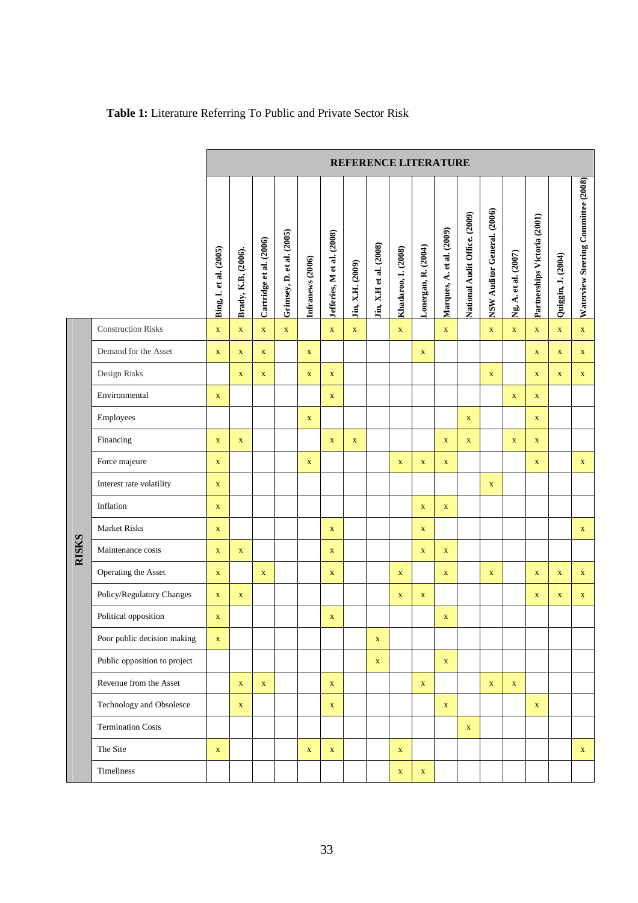|       |                              | REFERENCE LITERATURE  |                     |                         |                           |                  |                            |                  |                        |                     |                     |                           |                               |                             |                      |                              |                    |                                     |
|-------|------------------------------|-----------------------|---------------------|-------------------------|---------------------------|------------------|----------------------------|------------------|------------------------|---------------------|---------------------|---------------------------|-------------------------------|-----------------------------|----------------------|------------------------------|--------------------|-------------------------------------|
|       |                              | Bing, L et al. (2005) | Brady, K.B, (2006). | Cartridge et al. (2006) | Grimsey, D. et al. (2005) | Infranews (2006) | Jefferies, M et al. (2008) | Jin, X.H. (2009) | Jin, X.H et al. (2008) | Khadaroo, I. (2008) | Lonergan, R. (2004) | Marques, A. et al. (2009) | National Audit Office. (2009) | NSW Auditor General. (2006) | Ng, A. et al. (2007) | Partnerships Victoria (2001) | Quiggin, J. (2004) | Waterview Steering Committee (2008) |
|       | <b>Construction Risks</b>    | $\mathbf X$           | $\mathbf{X}$        | $\mathbf X$             | $\mathbf X$               |                  | $\mathbf X$                | $\mathbf X$      |                        | $\mathbf X$         |                     | $\mathbf X$               |                               | $\mathbf X$                 | $\mathbf X$          | $\mathbf X$                  | $\mathbf{X}$       | $\mathbf X$                         |
|       | Demand for the Asset         | $\mathbf X$           | $\mathbf X$         | $\mathbf X$             |                           | $\mathbf X$      |                            |                  |                        |                     | $\mathbf X$         |                           |                               |                             |                      | $\mathbf X$                  | $\mathbf X$        | $\mathbf X$                         |
|       | Design Risks                 |                       | $\mathbf X$         | $\mathbf X$             |                           | $\mathbf X$      | $\mathbf X$                |                  |                        |                     |                     |                           |                               | $\mathbf X$                 |                      | $\mathbf X$                  | $\mathbf X$        | $\mathbf X$                         |
|       | Environmental                | $\mathbf X$           |                     |                         |                           |                  | $\mathbf X$                |                  |                        |                     |                     |                           |                               |                             | $\mathbf X$          | $\mathbf X$                  |                    |                                     |
|       | Employees                    |                       |                     |                         |                           | $\mathbf X$      |                            |                  |                        |                     |                     |                           | $\mathbf X$                   |                             |                      | $\mathbf X$                  |                    |                                     |
|       | Financing                    | $\mathbf X$           | $\mathbf X$         |                         |                           |                  | $\mathbf X$                | $\mathbf X$      |                        |                     |                     | $\mathbf X$               | $\mathbf X$                   |                             | $\mathbf X$          | $\mathbf X$                  |                    |                                     |
|       | Force majeure                | $\mathbf X$           |                     |                         |                           | $\mathbf X$      |                            |                  |                        | $\mathbf X$         | $\mathbf X$         | $\mathbf X$               |                               |                             |                      | $\mathbf X$                  |                    | $\mathbf X$                         |
|       | Interest rate volatility     | $\mathbf X$           |                     |                         |                           |                  |                            |                  |                        |                     |                     |                           |                               | $\mathbf X$                 |                      |                              |                    |                                     |
|       | Inflation                    | $\mathbf X$           |                     |                         |                           |                  |                            |                  |                        |                     | $\mathbf X$         | $\mathbf X$               |                               |                             |                      |                              |                    |                                     |
|       | <b>Market Risks</b>          | $\mathbf X$           |                     |                         |                           |                  | $\mathbf{X}$               |                  |                        |                     | $\mathbf X$         |                           |                               |                             |                      |                              |                    | $\mathbf{X}$                        |
| RISKS | Maintenance costs            | $\mathbf X$           | $\mathbf X$         |                         |                           |                  | $\mathbf{X}$               |                  |                        |                     | $\mathbf X$         | $\mathbf X$               |                               |                             |                      |                              |                    |                                     |
|       | Operating the Asset          | $\mathbf X$           |                     | $\mathbf X$             |                           |                  | $\mathbf X$                |                  |                        | $\mathbf X$         |                     | $\mathbf X$               |                               | $\mathbf X$                 |                      | $\mathbf X$                  | $\mathbf X$        | $\mathbf X$                         |
|       | Policy/Regulatory Changes    | $\mathbf X$           | $\mathbf X$         |                         |                           |                  |                            |                  |                        | $\mathbf X$         | $\mathbf X$         |                           |                               |                             |                      | $\mathbf X$                  | $\mathbf X$        | $\mathbf X$                         |
|       | Political opposition         | $\mathbf X$           |                     |                         |                           |                  | $\mathbf X$                |                  |                        |                     |                     | $\mathbf X$               |                               |                             |                      |                              |                    |                                     |
|       | Poor public decision making  | $\mathbf X$           |                     |                         |                           |                  |                            |                  | $\mathbf X$            |                     |                     |                           |                               |                             |                      |                              |                    |                                     |
|       | Public opposition to project |                       |                     |                         |                           |                  |                            |                  | $\mathbf X$            |                     |                     | $\mathbf X$               |                               |                             |                      |                              |                    |                                     |
|       | Revenue from the Asset       |                       | $\mathbf X$         | $\mathbf X$             |                           |                  | $\mathbf{X}$               |                  |                        |                     | $\mathbf X$         |                           |                               | $\mathbf X$                 | $\mathbf{X}$         |                              |                    |                                     |
|       | Technology and Obsolesce     |                       | $\mathbf{X}$        |                         |                           |                  | $\mathbf X$                |                  |                        |                     |                     | $\mathbf X$               |                               |                             |                      | $\mathbf X$                  |                    |                                     |
|       | <b>Termination Costs</b>     |                       |                     |                         |                           |                  |                            |                  |                        |                     |                     |                           | $\mathbf X$                   |                             |                      |                              |                    |                                     |
|       | The Site                     | $\mathbf X$           |                     |                         |                           | $\mathbf X$      | $\mathbf X$                |                  |                        | $\mathbf X$         |                     |                           |                               |                             |                      |                              |                    | $\mathbf X$                         |
|       | Timeliness                   |                       |                     |                         |                           |                  |                            |                  |                        | $\mathbf X$         | $\mathbf X$         |                           |                               |                             |                      |                              |                    |                                     |

# **Table 1:** Literature Referring To Public and Private Sector Risk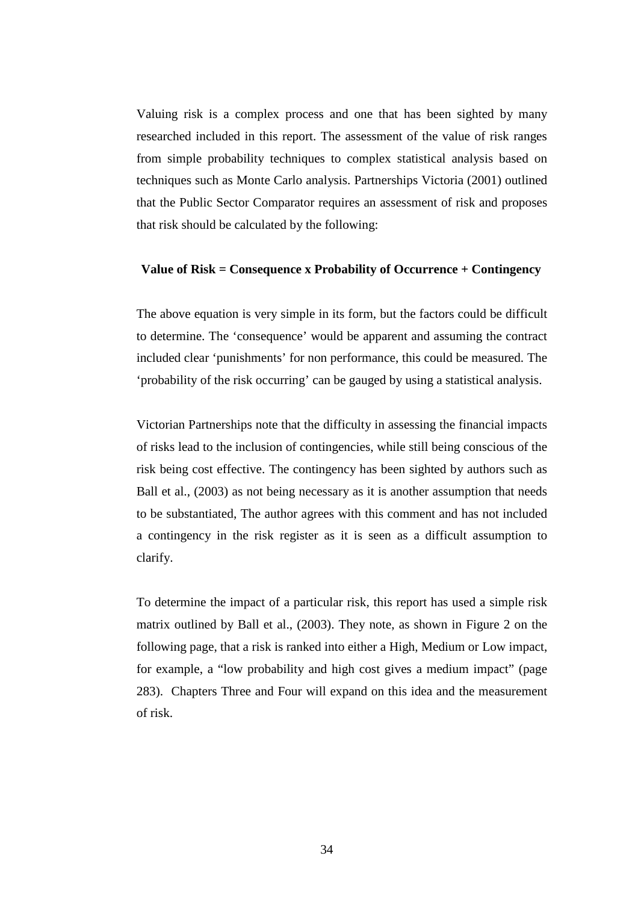Valuing risk is a complex process and one that has been sighted by many researched included in this report. The assessment of the value of risk ranges from simple probability techniques to complex statistical analysis based on techniques such as Monte Carlo analysis. Partnerships Victoria (2001) outlined that the Public Sector Comparator requires an assessment of risk and proposes that risk should be calculated by the following:

#### **Value of Risk = Consequence x Probability of Occurrence + Contingency**

The above equation is very simple in its form, but the factors could be difficult to determine. The 'consequence' would be apparent and assuming the contract included clear 'punishments' for non performance, this could be measured. The 'probability of the risk occurring' can be gauged by using a statistical analysis.

Victorian Partnerships note that the difficulty in assessing the financial impacts of risks lead to the inclusion of contingencies, while still being conscious of the risk being cost effective. The contingency has been sighted by authors such as Ball et al., (2003) as not being necessary as it is another assumption that needs to be substantiated, The author agrees with this comment and has not included a contingency in the risk register as it is seen as a difficult assumption to clarify.

To determine the impact of a particular risk, this report has used a simple risk matrix outlined by Ball et al., (2003). They note, as shown in Figure 2 on the following page, that a risk is ranked into either a High, Medium or Low impact, for example, a "low probability and high cost gives a medium impact" (page 283). Chapters Three and Four will expand on this idea and the measurement of risk.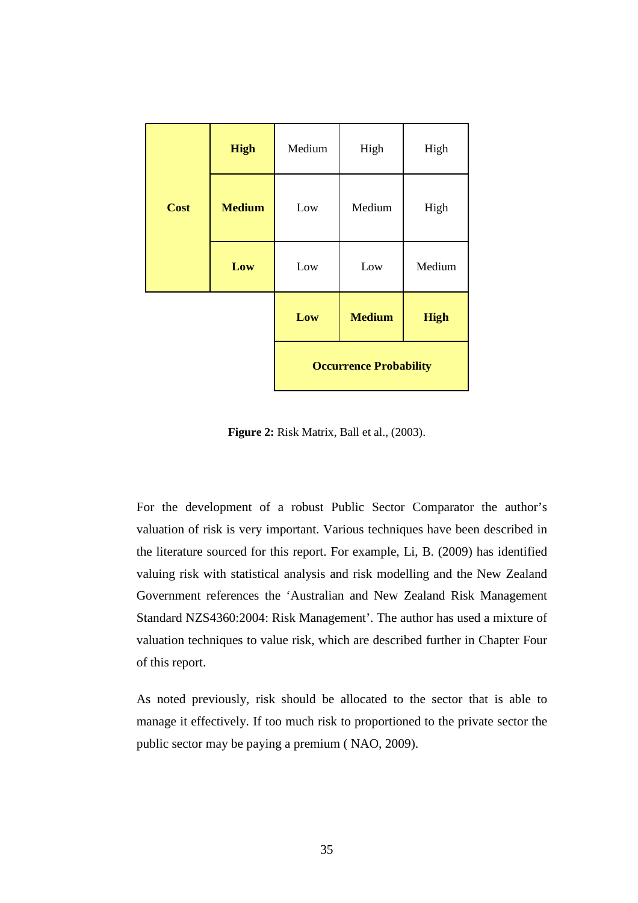|             | <b>High</b>   | Medium                        | High          | High        |  |  |  |  |
|-------------|---------------|-------------------------------|---------------|-------------|--|--|--|--|
| <b>Cost</b> | <b>Medium</b> | Low                           | Medium        | High        |  |  |  |  |
|             | Low           | Low                           | Low           | Medium      |  |  |  |  |
|             |               | Low                           | <b>Medium</b> | <b>High</b> |  |  |  |  |
|             |               | <b>Occurrence Probability</b> |               |             |  |  |  |  |

**Figure 2:** Risk Matrix, Ball et al., (2003).

For the development of a robust Public Sector Comparator the author's valuation of risk is very important. Various techniques have been described in the literature sourced for this report. For example, Li, B. (2009) has identified valuing risk with statistical analysis and risk modelling and the New Zealand Government references the 'Australian and New Zealand Risk Management Standard NZS4360:2004: Risk Management'. The author has used a mixture of valuation techniques to value risk, which are described further in Chapter Four of this report.

As noted previously, risk should be allocated to the sector that is able to manage it effectively. If too much risk to proportioned to the private sector the public sector may be paying a premium ( NAO, 2009).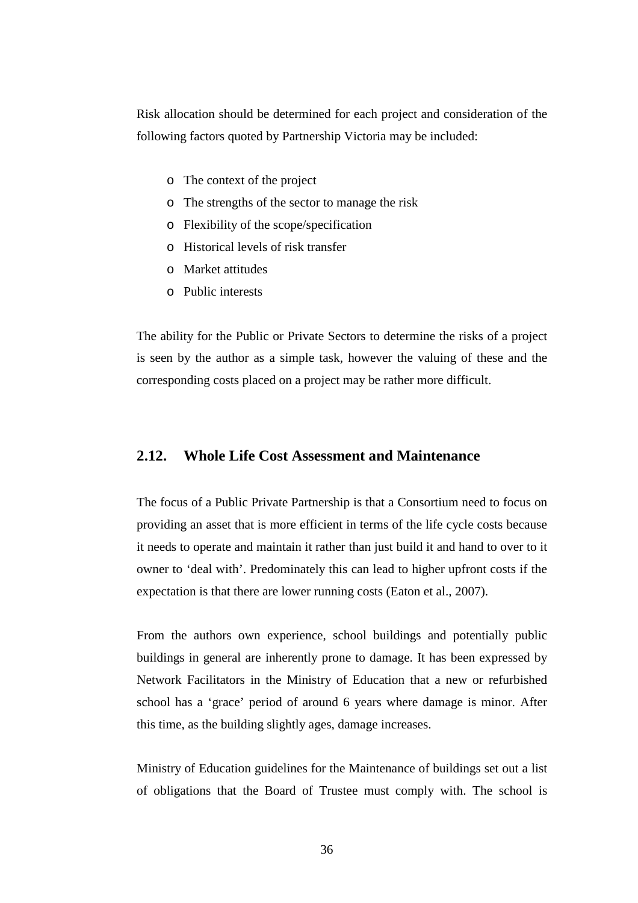Risk allocation should be determined for each project and consideration of the following factors quoted by Partnership Victoria may be included:

- o The context of the project
- o The strengths of the sector to manage the risk
- o Flexibility of the scope/specification
- o Historical levels of risk transfer
- o Market attitudes
- o Public interests

The ability for the Public or Private Sectors to determine the risks of a project is seen by the author as a simple task, however the valuing of these and the corresponding costs placed on a project may be rather more difficult.

### **2.12. Whole Life Cost Assessment and Maintenance**

The focus of a Public Private Partnership is that a Consortium need to focus on providing an asset that is more efficient in terms of the life cycle costs because it needs to operate and maintain it rather than just build it and hand to over to it owner to 'deal with'. Predominately this can lead to higher upfront costs if the expectation is that there are lower running costs (Eaton et al., 2007).

From the authors own experience, school buildings and potentially public buildings in general are inherently prone to damage. It has been expressed by Network Facilitators in the Ministry of Education that a new or refurbished school has a 'grace' period of around 6 years where damage is minor. After this time, as the building slightly ages, damage increases.

Ministry of Education guidelines for the Maintenance of buildings set out a list of obligations that the Board of Trustee must comply with. The school is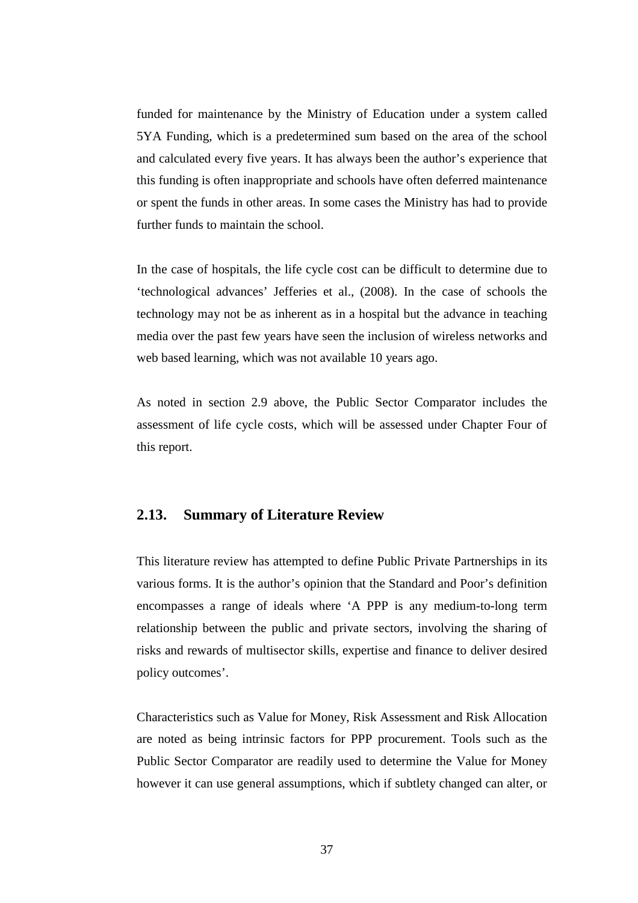funded for maintenance by the Ministry of Education under a system called 5YA Funding, which is a predetermined sum based on the area of the school and calculated every five years. It has always been the author's experience that this funding is often inappropriate and schools have often deferred maintenance or spent the funds in other areas. In some cases the Ministry has had to provide further funds to maintain the school.

In the case of hospitals, the life cycle cost can be difficult to determine due to 'technological advances' Jefferies et al., (2008). In the case of schools the technology may not be as inherent as in a hospital but the advance in teaching media over the past few years have seen the inclusion of wireless networks and web based learning, which was not available 10 years ago.

As noted in section 2.9 above, the Public Sector Comparator includes the assessment of life cycle costs, which will be assessed under Chapter Four of this report.

### **2.13. Summary of Literature Review**

This literature review has attempted to define Public Private Partnerships in its various forms. It is the author's opinion that the Standard and Poor's definition encompasses a range of ideals where 'A PPP is any medium-to-long term relationship between the public and private sectors, involving the sharing of risks and rewards of multisector skills, expertise and finance to deliver desired policy outcomes'.

Characteristics such as Value for Money, Risk Assessment and Risk Allocation are noted as being intrinsic factors for PPP procurement. Tools such as the Public Sector Comparator are readily used to determine the Value for Money however it can use general assumptions, which if subtlety changed can alter, or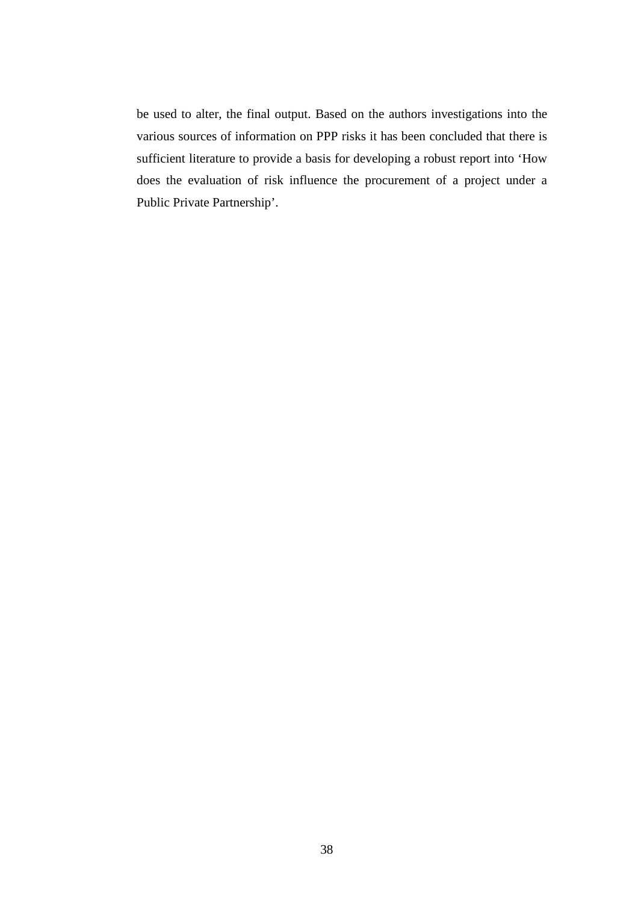be used to alter, the final output. Based on the authors investigations into the various sources of information on PPP risks it has been concluded that there is sufficient literature to provide a basis for developing a robust report into 'How does the evaluation of risk influence the procurement of a project under a Public Private Partnership'.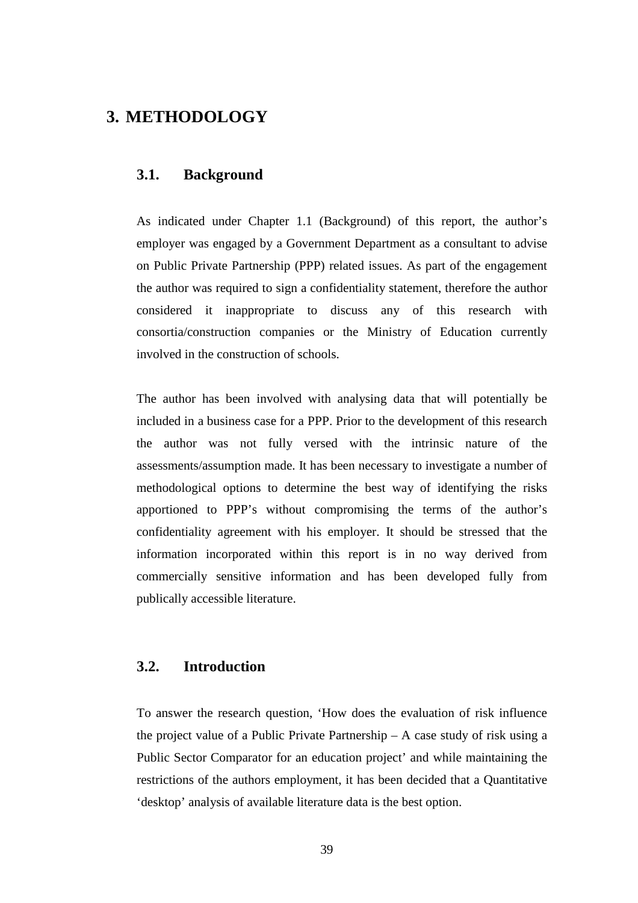# **3. METHODOLOGY**

## **3.1. Background**

As indicated under Chapter 1.1 (Background) of this report, the author's employer was engaged by a Government Department as a consultant to advise on Public Private Partnership (PPP) related issues. As part of the engagement the author was required to sign a confidentiality statement, therefore the author considered it inappropriate to discuss any of this research with consortia/construction companies or the Ministry of Education currently involved in the construction of schools.

The author has been involved with analysing data that will potentially be included in a business case for a PPP. Prior to the development of this research the author was not fully versed with the intrinsic nature of the assessments/assumption made. It has been necessary to investigate a number of methodological options to determine the best way of identifying the risks apportioned to PPP's without compromising the terms of the author's confidentiality agreement with his employer. It should be stressed that the information incorporated within this report is in no way derived from commercially sensitive information and has been developed fully from publically accessible literature.

## **3.2. Introduction**

To answer the research question, 'How does the evaluation of risk influence the project value of a Public Private Partnership  $- A$  case study of risk using a Public Sector Comparator for an education project' and while maintaining the restrictions of the authors employment, it has been decided that a Quantitative 'desktop' analysis of available literature data is the best option.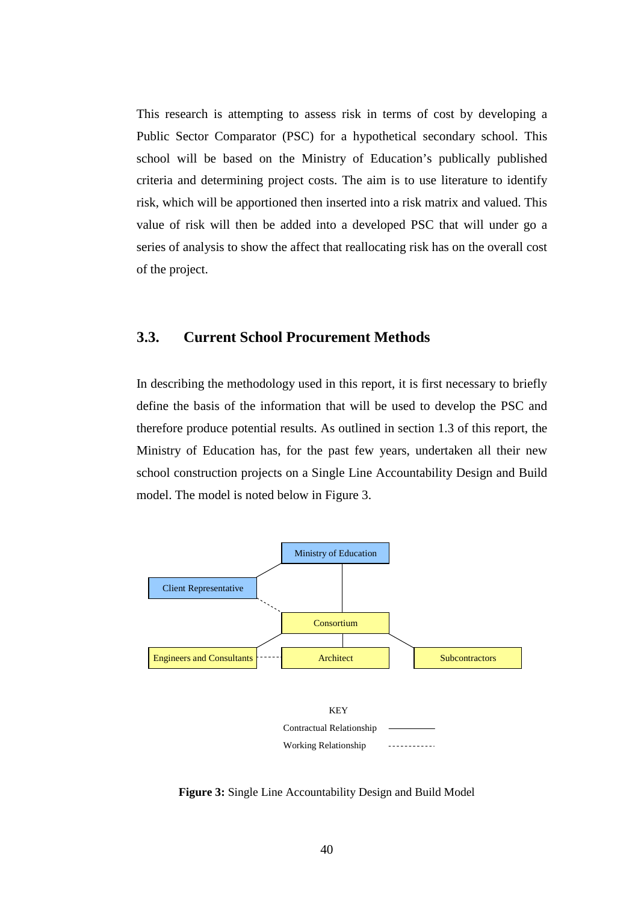This research is attempting to assess risk in terms of cost by developing a Public Sector Comparator (PSC) for a hypothetical secondary school. This school will be based on the Ministry of Education's publically published criteria and determining project costs. The aim is to use literature to identify risk, which will be apportioned then inserted into a risk matrix and valued. This value of risk will then be added into a developed PSC that will under go a series of analysis to show the affect that reallocating risk has on the overall cost of the project.

# **3.3. Current School Procurement Methods**

In describing the methodology used in this report, it is first necessary to briefly define the basis of the information that will be used to develop the PSC and therefore produce potential results. As outlined in section 1.3 of this report, the Ministry of Education has, for the past few years, undertaken all their new school construction projects on a Single Line Accountability Design and Build model. The model is noted below in Figure 3.



**Figure 3:** Single Line Accountability Design and Build Model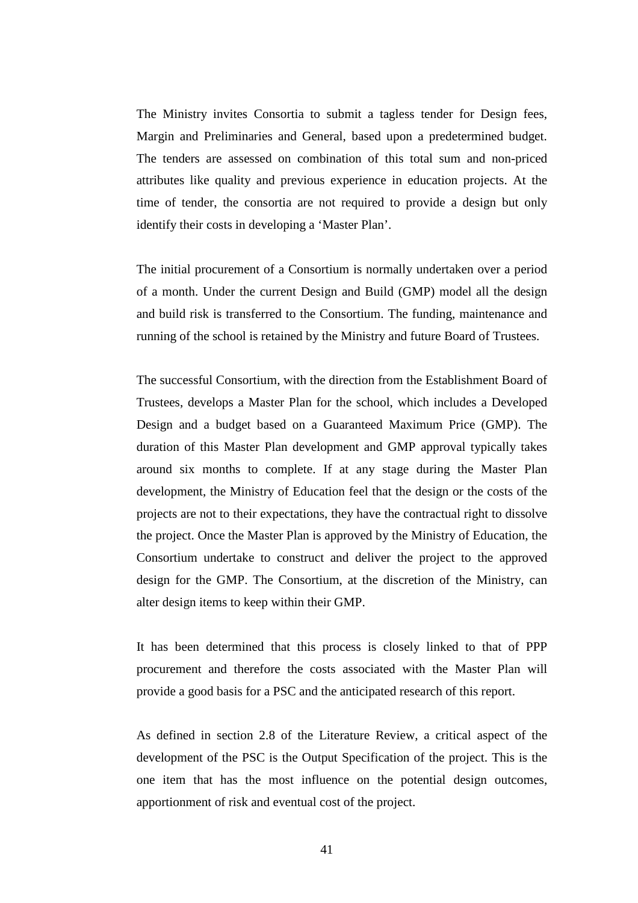The Ministry invites Consortia to submit a tagless tender for Design fees, Margin and Preliminaries and General, based upon a predetermined budget. The tenders are assessed on combination of this total sum and non-priced attributes like quality and previous experience in education projects. At the time of tender, the consortia are not required to provide a design but only identify their costs in developing a 'Master Plan'.

The initial procurement of a Consortium is normally undertaken over a period of a month. Under the current Design and Build (GMP) model all the design and build risk is transferred to the Consortium. The funding, maintenance and running of the school is retained by the Ministry and future Board of Trustees.

The successful Consortium, with the direction from the Establishment Board of Trustees, develops a Master Plan for the school, which includes a Developed Design and a budget based on a Guaranteed Maximum Price (GMP). The duration of this Master Plan development and GMP approval typically takes around six months to complete. If at any stage during the Master Plan development, the Ministry of Education feel that the design or the costs of the projects are not to their expectations, they have the contractual right to dissolve the project. Once the Master Plan is approved by the Ministry of Education, the Consortium undertake to construct and deliver the project to the approved design for the GMP. The Consortium, at the discretion of the Ministry, can alter design items to keep within their GMP.

It has been determined that this process is closely linked to that of PPP procurement and therefore the costs associated with the Master Plan will provide a good basis for a PSC and the anticipated research of this report.

As defined in section 2.8 of the Literature Review, a critical aspect of the development of the PSC is the Output Specification of the project. This is the one item that has the most influence on the potential design outcomes, apportionment of risk and eventual cost of the project.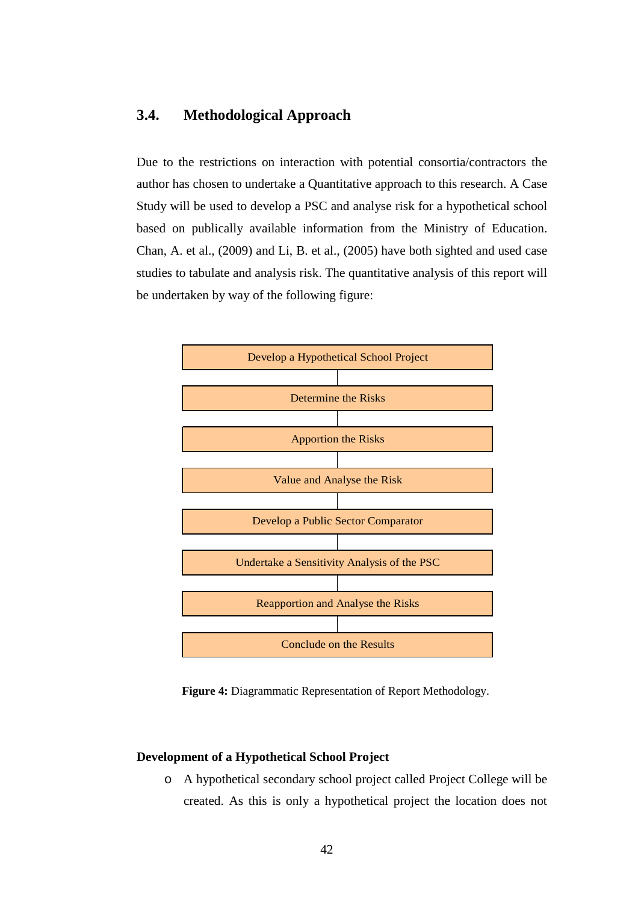## **3.4. Methodological Approach**

Due to the restrictions on interaction with potential consortia/contractors the author has chosen to undertake a Quantitative approach to this research. A Case Study will be used to develop a PSC and analyse risk for a hypothetical school based on publically available information from the Ministry of Education. Chan, A. et al., (2009) and Li, B. et al., (2005) have both sighted and used case studies to tabulate and analysis risk. The quantitative analysis of this report will be undertaken by way of the following figure:



**Figure 4:** Diagrammatic Representation of Report Methodology.

### **Development of a Hypothetical School Project**

o A hypothetical secondary school project called Project College will be created. As this is only a hypothetical project the location does not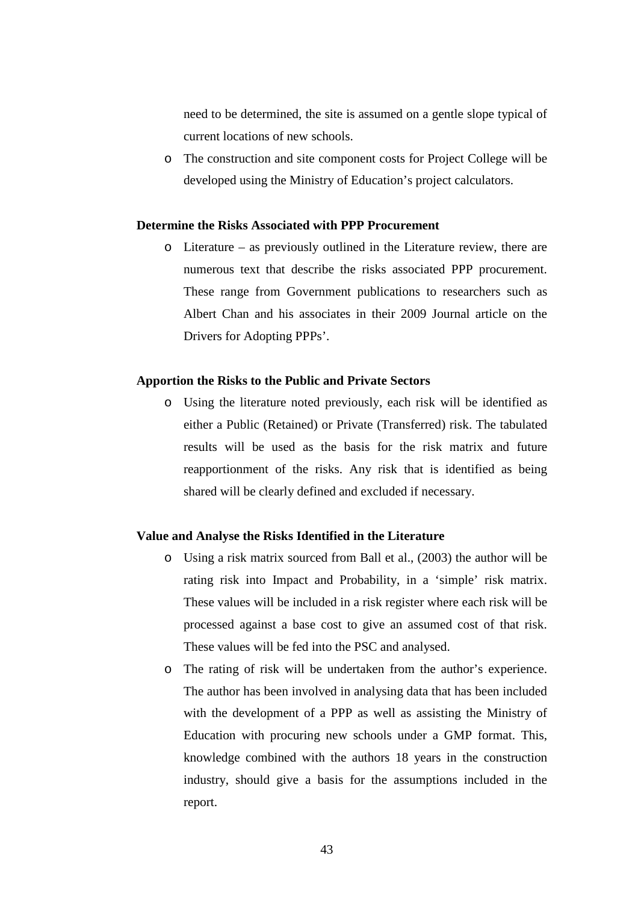need to be determined, the site is assumed on a gentle slope typical of current locations of new schools.

o The construction and site component costs for Project College will be developed using the Ministry of Education's project calculators.

### **Determine the Risks Associated with PPP Procurement**

o Literature – as previously outlined in the Literature review, there are numerous text that describe the risks associated PPP procurement. These range from Government publications to researchers such as Albert Chan and his associates in their 2009 Journal article on the Drivers for Adopting PPPs'.

### **Apportion the Risks to the Public and Private Sectors**

o Using the literature noted previously, each risk will be identified as either a Public (Retained) or Private (Transferred) risk. The tabulated results will be used as the basis for the risk matrix and future reapportionment of the risks. Any risk that is identified as being shared will be clearly defined and excluded if necessary.

#### **Value and Analyse the Risks Identified in the Literature**

- o Using a risk matrix sourced from Ball et al., (2003) the author will be rating risk into Impact and Probability, in a 'simple' risk matrix. These values will be included in a risk register where each risk will be processed against a base cost to give an assumed cost of that risk. These values will be fed into the PSC and analysed.
- o The rating of risk will be undertaken from the author's experience. The author has been involved in analysing data that has been included with the development of a PPP as well as assisting the Ministry of Education with procuring new schools under a GMP format. This, knowledge combined with the authors 18 years in the construction industry, should give a basis for the assumptions included in the report.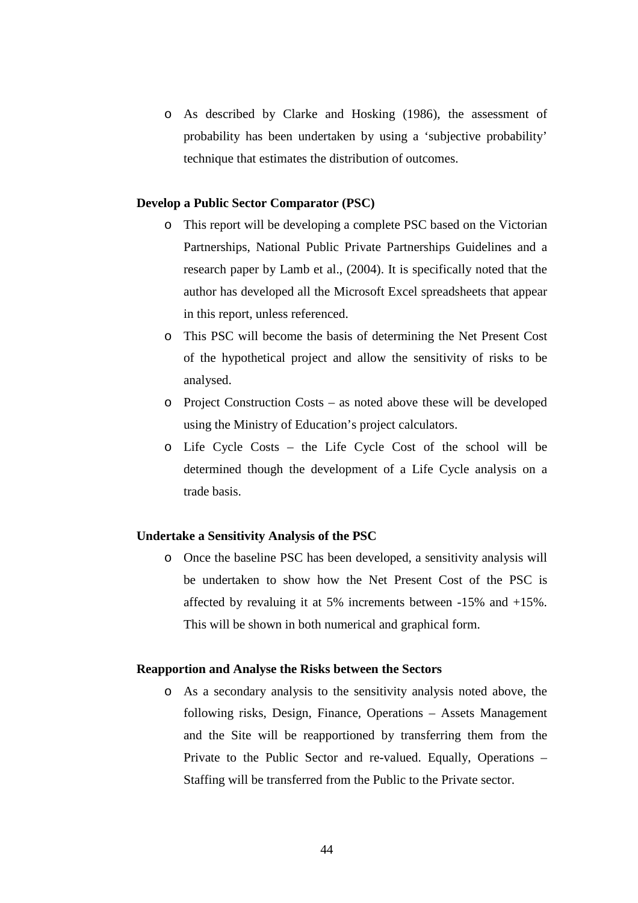o As described by Clarke and Hosking (1986), the assessment of probability has been undertaken by using a 'subjective probability' technique that estimates the distribution of outcomes.

#### **Develop a Public Sector Comparator (PSC)**

- o This report will be developing a complete PSC based on the Victorian Partnerships, National Public Private Partnerships Guidelines and a research paper by Lamb et al., (2004). It is specifically noted that the author has developed all the Microsoft Excel spreadsheets that appear in this report, unless referenced.
- o This PSC will become the basis of determining the Net Present Cost of the hypothetical project and allow the sensitivity of risks to be analysed.
- o Project Construction Costs as noted above these will be developed using the Ministry of Education's project calculators.
- o Life Cycle Costs the Life Cycle Cost of the school will be determined though the development of a Life Cycle analysis on a trade basis.

#### **Undertake a Sensitivity Analysis of the PSC**

o Once the baseline PSC has been developed, a sensitivity analysis will be undertaken to show how the Net Present Cost of the PSC is affected by revaluing it at 5% increments between -15% and +15%. This will be shown in both numerical and graphical form.

### **Reapportion and Analyse the Risks between the Sectors**

o As a secondary analysis to the sensitivity analysis noted above, the following risks, Design, Finance, Operations – Assets Management and the Site will be reapportioned by transferring them from the Private to the Public Sector and re-valued. Equally, Operations – Staffing will be transferred from the Public to the Private sector.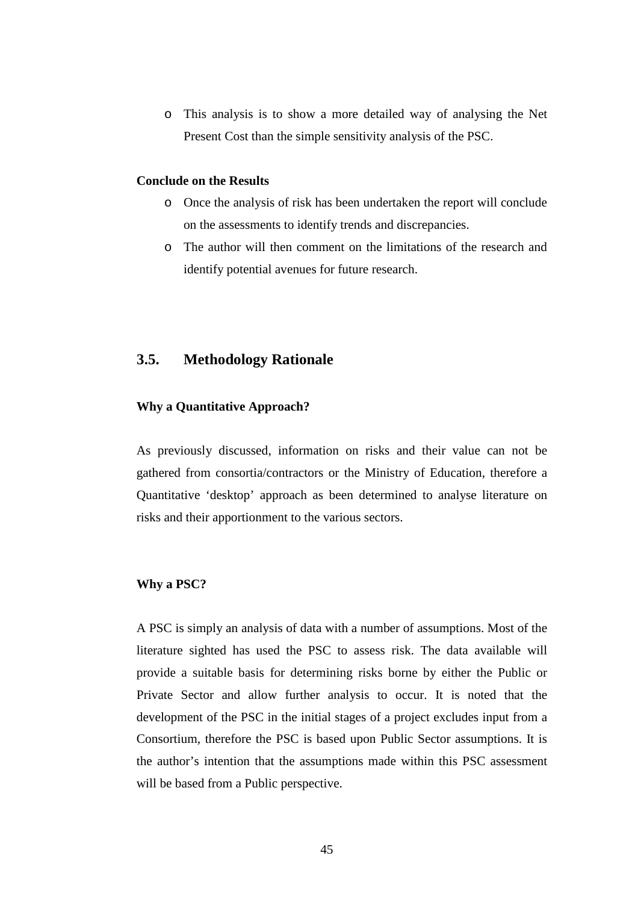o This analysis is to show a more detailed way of analysing the Net Present Cost than the simple sensitivity analysis of the PSC.

#### **Conclude on the Results**

- o Once the analysis of risk has been undertaken the report will conclude on the assessments to identify trends and discrepancies.
- o The author will then comment on the limitations of the research and identify potential avenues for future research.

## **3.5. Methodology Rationale**

#### **Why a Quantitative Approach?**

As previously discussed, information on risks and their value can not be gathered from consortia/contractors or the Ministry of Education, therefore a Quantitative 'desktop' approach as been determined to analyse literature on risks and their apportionment to the various sectors.

### **Why a PSC?**

A PSC is simply an analysis of data with a number of assumptions. Most of the literature sighted has used the PSC to assess risk. The data available will provide a suitable basis for determining risks borne by either the Public or Private Sector and allow further analysis to occur. It is noted that the development of the PSC in the initial stages of a project excludes input from a Consortium, therefore the PSC is based upon Public Sector assumptions. It is the author's intention that the assumptions made within this PSC assessment will be based from a Public perspective.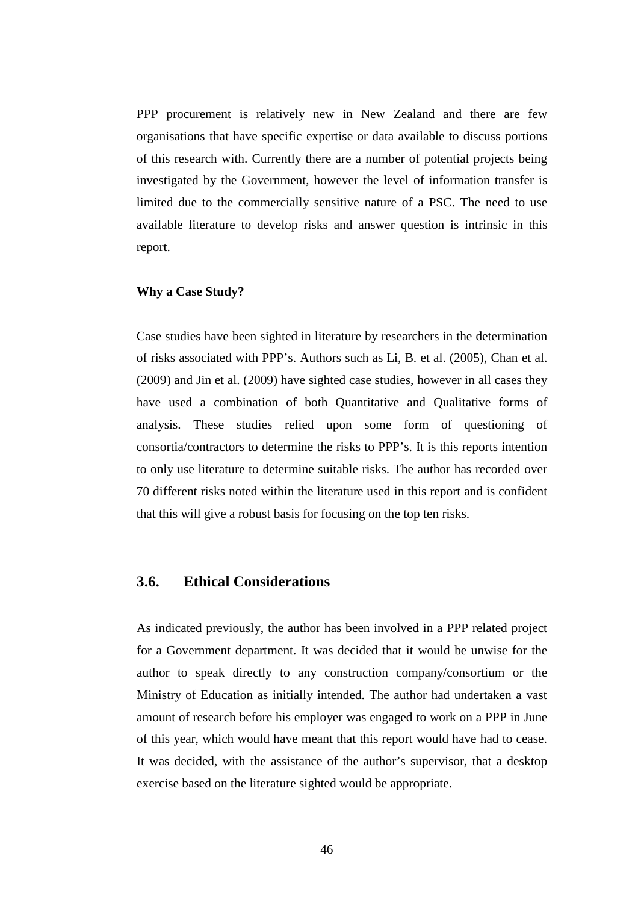PPP procurement is relatively new in New Zealand and there are few organisations that have specific expertise or data available to discuss portions of this research with. Currently there are a number of potential projects being investigated by the Government, however the level of information transfer is limited due to the commercially sensitive nature of a PSC. The need to use available literature to develop risks and answer question is intrinsic in this report.

### **Why a Case Study?**

Case studies have been sighted in literature by researchers in the determination of risks associated with PPP's. Authors such as Li, B. et al. (2005), Chan et al. (2009) and Jin et al. (2009) have sighted case studies, however in all cases they have used a combination of both Quantitative and Qualitative forms of analysis. These studies relied upon some form of questioning of consortia/contractors to determine the risks to PPP's. It is this reports intention to only use literature to determine suitable risks. The author has recorded over 70 different risks noted within the literature used in this report and is confident that this will give a robust basis for focusing on the top ten risks.

### **3.6. Ethical Considerations**

As indicated previously, the author has been involved in a PPP related project for a Government department. It was decided that it would be unwise for the author to speak directly to any construction company/consortium or the Ministry of Education as initially intended. The author had undertaken a vast amount of research before his employer was engaged to work on a PPP in June of this year, which would have meant that this report would have had to cease. It was decided, with the assistance of the author's supervisor, that a desktop exercise based on the literature sighted would be appropriate.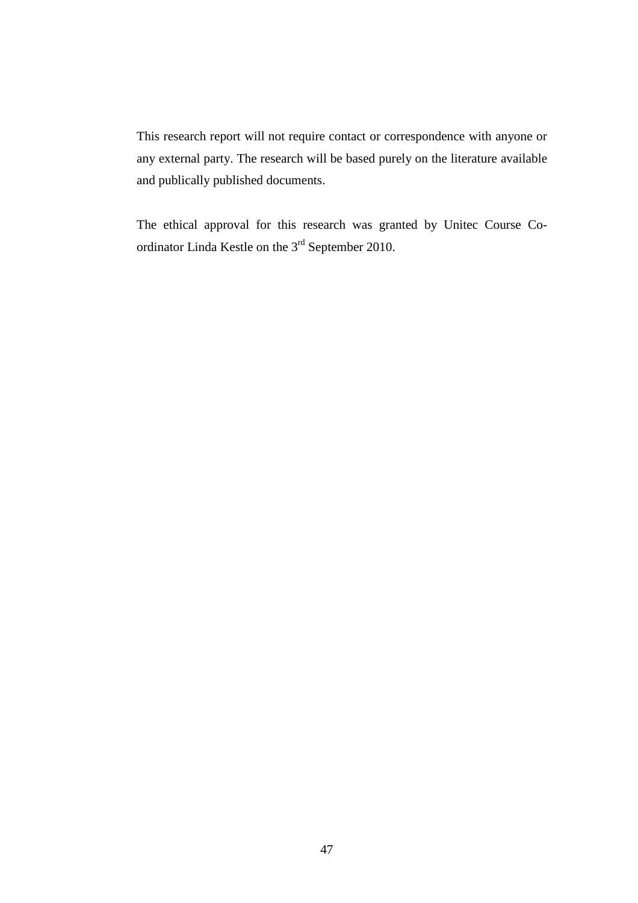This research report will not require contact or correspondence with anyone or any external party. The research will be based purely on the literature available and publically published documents.

The ethical approval for this research was granted by Unitec Course Coordinator Linda Kestle on the 3rd September 2010.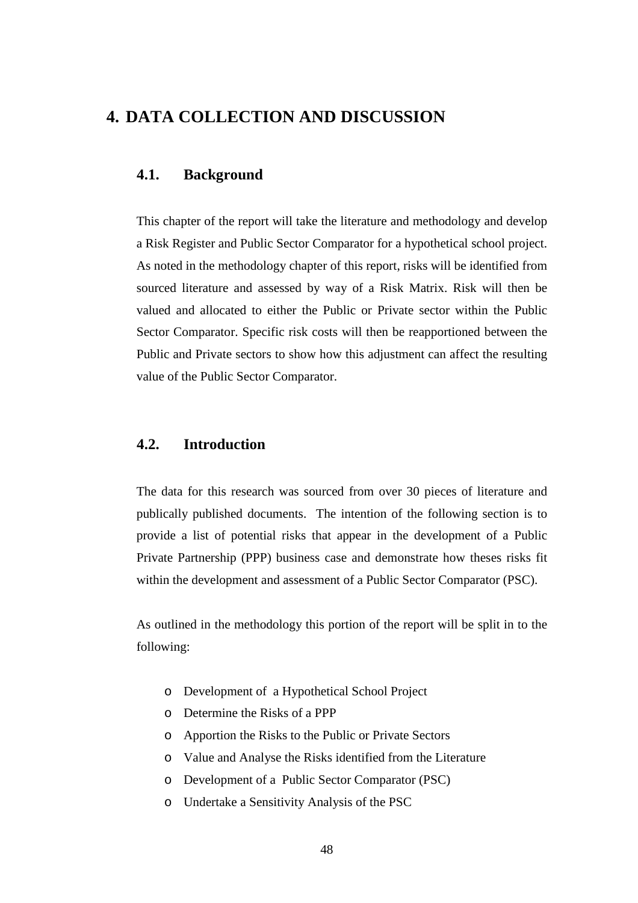# **4. DATA COLLECTION AND DISCUSSION**

## **4.1. Background**

This chapter of the report will take the literature and methodology and develop a Risk Register and Public Sector Comparator for a hypothetical school project. As noted in the methodology chapter of this report, risks will be identified from sourced literature and assessed by way of a Risk Matrix. Risk will then be valued and allocated to either the Public or Private sector within the Public Sector Comparator. Specific risk costs will then be reapportioned between the Public and Private sectors to show how this adjustment can affect the resulting value of the Public Sector Comparator.

## **4.2. Introduction**

The data for this research was sourced from over 30 pieces of literature and publically published documents. The intention of the following section is to provide a list of potential risks that appear in the development of a Public Private Partnership (PPP) business case and demonstrate how theses risks fit within the development and assessment of a Public Sector Comparator (PSC).

As outlined in the methodology this portion of the report will be split in to the following:

- o Development of a Hypothetical School Project
- o Determine the Risks of a PPP
- o Apportion the Risks to the Public or Private Sectors
- o Value and Analyse the Risks identified from the Literature
- o Development of a Public Sector Comparator (PSC)
- o Undertake a Sensitivity Analysis of the PSC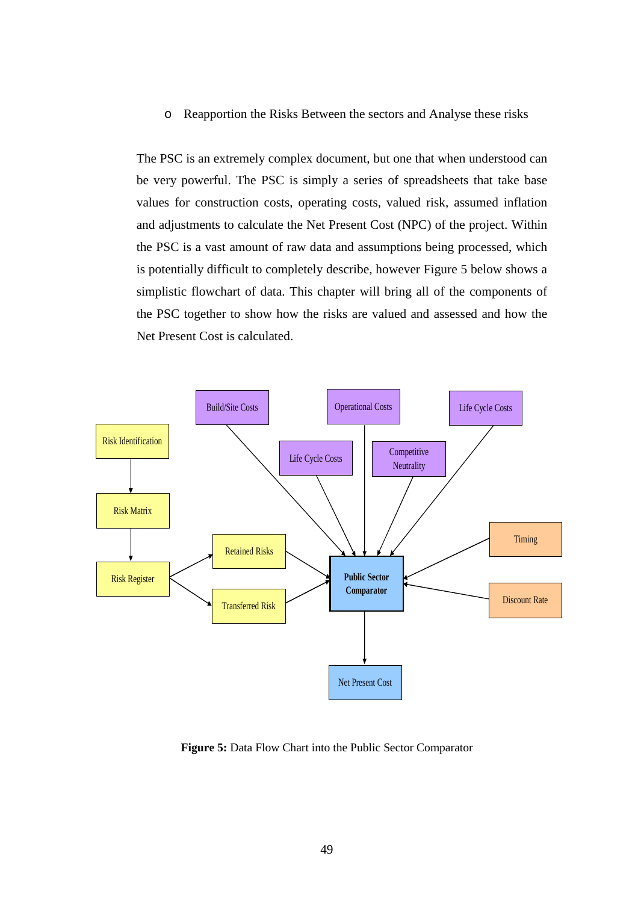o Reapportion the Risks Between the sectors and Analyse these risks

The PSC is an extremely complex document, but one that when understood can be very powerful. The PSC is simply a series of spreadsheets that take base values for construction costs, operating costs, valued risk, assumed inflation and adjustments to calculate the Net Present Cost (NPC) of the project. Within the PSC is a vast amount of raw data and assumptions being processed, which is potentially difficult to completely describe, however Figure 5 below shows a simplistic flowchart of data. This chapter will bring all of the components of the PSC together to show how the risks are valued and assessed and how the Net Present Cost is calculated.



**Figure 5:** Data Flow Chart into the Public Sector Comparator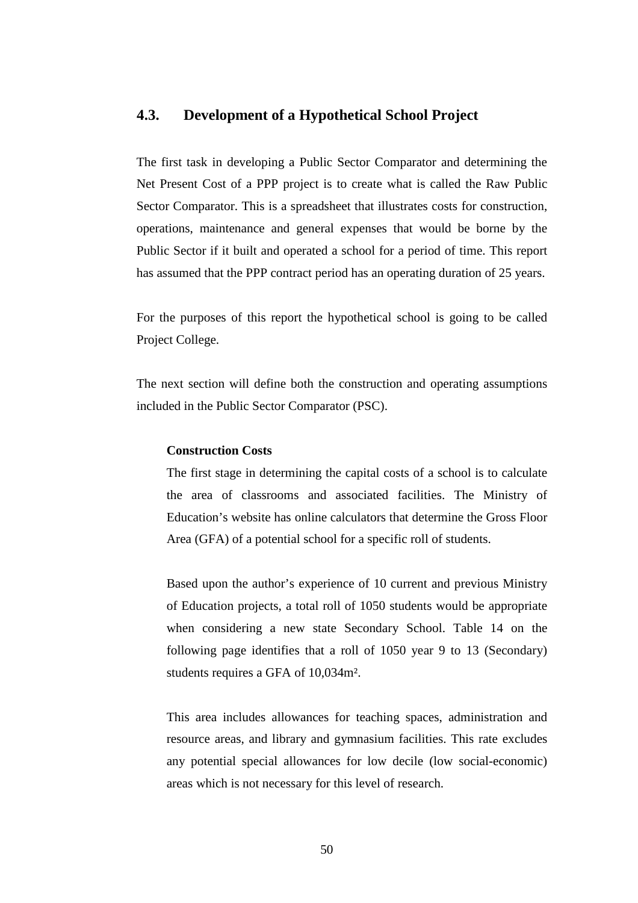### **4.3. Development of a Hypothetical School Project**

The first task in developing a Public Sector Comparator and determining the Net Present Cost of a PPP project is to create what is called the Raw Public Sector Comparator. This is a spreadsheet that illustrates costs for construction, operations, maintenance and general expenses that would be borne by the Public Sector if it built and operated a school for a period of time. This report has assumed that the PPP contract period has an operating duration of 25 years.

For the purposes of this report the hypothetical school is going to be called Project College.

The next section will define both the construction and operating assumptions included in the Public Sector Comparator (PSC).

### **Construction Costs**

The first stage in determining the capital costs of a school is to calculate the area of classrooms and associated facilities. The Ministry of Education's website has online calculators that determine the Gross Floor Area (GFA) of a potential school for a specific roll of students.

Based upon the author's experience of 10 current and previous Ministry of Education projects, a total roll of 1050 students would be appropriate when considering a new state Secondary School. Table 14 on the following page identifies that a roll of 1050 year 9 to 13 (Secondary) students requires a GFA of 10,034m².

This area includes allowances for teaching spaces, administration and resource areas, and library and gymnasium facilities. This rate excludes any potential special allowances for low decile (low social-economic) areas which is not necessary for this level of research.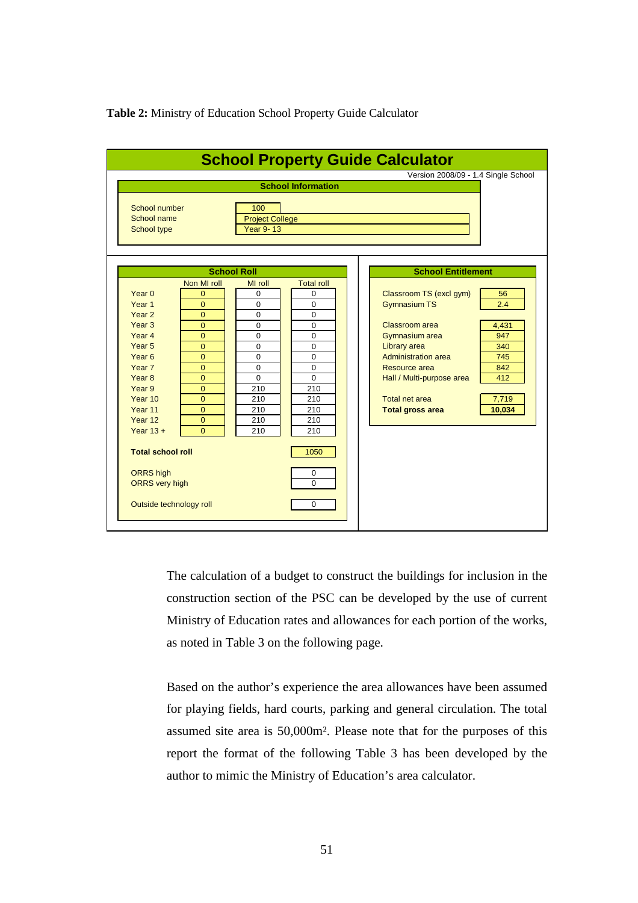### **Table 2:** Ministry of Education School Property Guide Calculator

|                                                                                  |                                                                      |                                                                         | <b>School Information</b>                             | Version 2008/09 - 1.4 Single School                                      |                     |
|----------------------------------------------------------------------------------|----------------------------------------------------------------------|-------------------------------------------------------------------------|-------------------------------------------------------|--------------------------------------------------------------------------|---------------------|
| School number<br>School name<br>School type                                      |                                                                      | 100<br><b>Project College</b><br><b>Year 9-13</b><br><b>School Roll</b> |                                                       | <b>School Entitlement</b>                                                |                     |
| Year $0$<br>Year <sub>1</sub>                                                    | Non MI roll<br>$\Omega$<br>$\overline{0}$                            | MI roll<br>0<br>$\Omega$                                                | <b>Total roll</b><br>$\Omega$<br>$\Omega$             | Classroom TS (excl gym)<br><b>Gymnasium TS</b>                           | 56<br>2.4           |
| Year <sub>2</sub><br>Year <sub>3</sub><br>Year <sub>4</sub><br>Year <sub>5</sub> | $\overline{0}$<br>$\overline{0}$<br>$\overline{0}$<br>$\overline{0}$ | $\Omega$<br>0<br>$\Omega$<br>$\mathbf 0$                                | $\Omega$<br>$\overline{0}$<br>$\Omega$<br>$\mathbf 0$ | Classroom area<br>Gymnasium area<br>Library area                         | 4,431<br>947<br>340 |
| Year <sub>6</sub><br>Year 7<br>Year <sub>8</sub><br>Year 9                       | $\overline{0}$<br>$\overline{0}$<br>$\overline{0}$                   | $\mathbf 0$<br>$\mathbf 0$<br>$\Omega$                                  | $\mathbf 0$<br>$\mathbf 0$<br>$\Omega$                | <b>Administration area</b><br>Resource area<br>Hall / Multi-purpose area | 745<br>842<br>412   |
| Year 10<br>Year 11<br>Year 12                                                    | $\Omega$<br>$\overline{0}$<br>$\overline{0}$<br>$\overline{0}$       | 210<br>210<br>210<br>210                                                | 210<br>210<br>210<br>210                              | <b>Total net area</b><br><b>Total gross area</b>                         | 7,719<br>10,034     |
| Year $13 +$<br><b>Total school roll</b>                                          | $\overline{0}$                                                       | 210                                                                     | 210<br>1050                                           |                                                                          |                     |
| <b>ORRS</b> high<br><b>ORRS</b> very high                                        |                                                                      |                                                                         | 0<br>$\Omega$                                         |                                                                          |                     |
| Outside technology roll                                                          |                                                                      |                                                                         | $\mathbf 0$                                           |                                                                          |                     |

The calculation of a budget to construct the buildings for inclusion in the construction section of the PSC can be developed by the use of current Ministry of Education rates and allowances for each portion of the works, as noted in Table 3 on the following page.

Based on the author's experience the area allowances have been assumed for playing fields, hard courts, parking and general circulation. The total assumed site area is 50,000m². Please note that for the purposes of this report the format of the following Table 3 has been developed by the author to mimic the Ministry of Education's area calculator.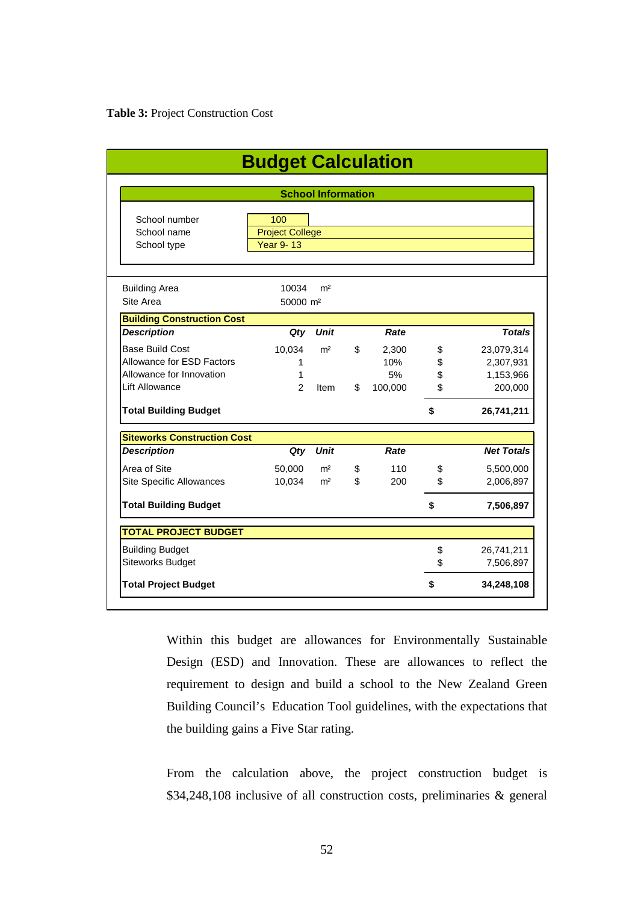|                                    | <b>Budget Calculation</b> |                           |                |         |    |                   |  |  |  |  |  |
|------------------------------------|---------------------------|---------------------------|----------------|---------|----|-------------------|--|--|--|--|--|
|                                    |                           | <b>School Information</b> |                |         |    |                   |  |  |  |  |  |
|                                    |                           |                           |                |         |    |                   |  |  |  |  |  |
| School number                      | 100                       |                           |                |         |    |                   |  |  |  |  |  |
| School name                        | <b>Project College</b>    |                           |                |         |    |                   |  |  |  |  |  |
| School type                        | Year 9-13                 |                           |                |         |    |                   |  |  |  |  |  |
|                                    |                           |                           |                |         |    |                   |  |  |  |  |  |
| <b>Building Area</b>               | 10034                     | m <sup>2</sup>            |                |         |    |                   |  |  |  |  |  |
| Site Area                          | 50000 m <sup>2</sup>      |                           |                |         |    |                   |  |  |  |  |  |
| <b>Building Construction Cost</b>  |                           |                           |                |         |    |                   |  |  |  |  |  |
| <b>Description</b>                 | Qty                       | <b>Unit</b>               |                | Rate    |    | <b>Totals</b>     |  |  |  |  |  |
| <b>Base Build Cost</b>             | 10,034                    | m <sup>2</sup>            | \$             | 2,300   | \$ | 23,079,314        |  |  |  |  |  |
| Allowance for ESD Factors          | 1                         |                           |                | 10%     | \$ | 2,307,931         |  |  |  |  |  |
| Allowance for Innovation           | 1                         |                           |                | 5%      | \$ | 1,153,966         |  |  |  |  |  |
| <b>Lift Allowance</b>              | 2                         | Item                      | \$             | 100,000 | \$ | 200,000           |  |  |  |  |  |
| <b>Total Building Budget</b>       |                           |                           |                |         | \$ | 26,741,211        |  |  |  |  |  |
| <b>Siteworks Construction Cost</b> |                           |                           |                |         |    |                   |  |  |  |  |  |
| <b>Description</b>                 | $Q$ ty                    | <b>Unit</b>               |                | Rate    |    | <b>Net Totals</b> |  |  |  |  |  |
| Area of Site                       | 50,000                    | m <sup>2</sup>            | \$             | 110     | \$ | 5,500,000         |  |  |  |  |  |
| Site Specific Allowances           | 10,034                    | m <sup>2</sup>            | $\mathfrak{L}$ | 200     | \$ | 2,006,897         |  |  |  |  |  |
| <b>Total Building Budget</b>       |                           |                           |                |         | \$ | 7,506,897         |  |  |  |  |  |
| <b>TOTAL PROJECT BUDGET</b>        |                           |                           |                |         |    |                   |  |  |  |  |  |
| <b>Building Budget</b>             |                           |                           |                |         | \$ | 26,741,211        |  |  |  |  |  |
| <b>Siteworks Budget</b>            |                           |                           |                |         | \$ | 7,506,897         |  |  |  |  |  |
| <b>Total Project Budget</b>        |                           |                           |                |         | \$ | 34,248,108        |  |  |  |  |  |

Within this budget are allowances for Environmentally Sustainable Design (ESD) and Innovation. These are allowances to reflect the requirement to design and build a school to the New Zealand Green Building Council's Education Tool guidelines, with the expectations that the building gains a Five Star rating.

From the calculation above, the project construction budget is \$34,248,108 inclusive of all construction costs, preliminaries & general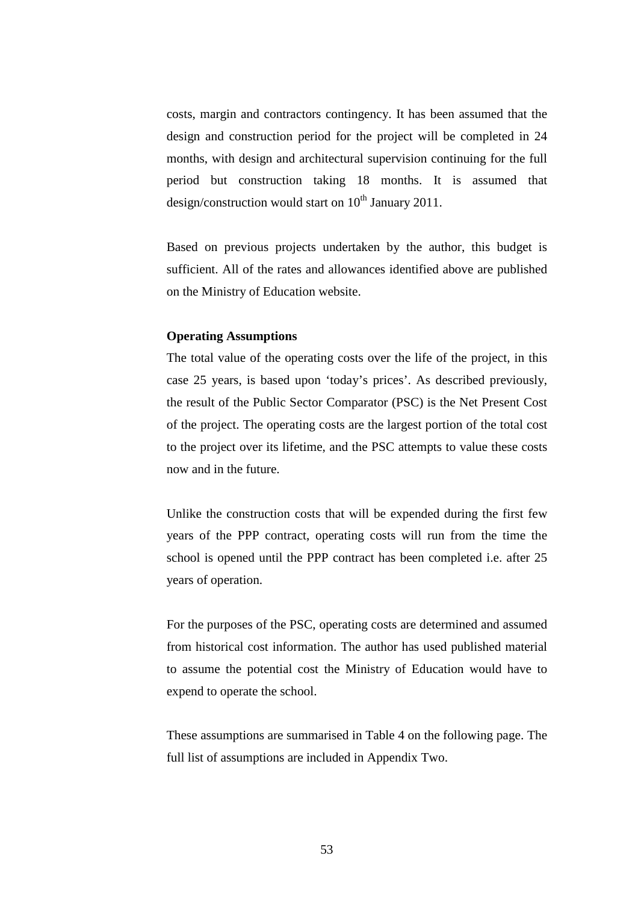costs, margin and contractors contingency. It has been assumed that the design and construction period for the project will be completed in 24 months, with design and architectural supervision continuing for the full period but construction taking 18 months. It is assumed that design/construction would start on  $10^{th}$  January 2011.

Based on previous projects undertaken by the author, this budget is sufficient. All of the rates and allowances identified above are published on the Ministry of Education website.

#### **Operating Assumptions**

The total value of the operating costs over the life of the project, in this case 25 years, is based upon 'today's prices'. As described previously, the result of the Public Sector Comparator (PSC) is the Net Present Cost of the project. The operating costs are the largest portion of the total cost to the project over its lifetime, and the PSC attempts to value these costs now and in the future.

Unlike the construction costs that will be expended during the first few years of the PPP contract, operating costs will run from the time the school is opened until the PPP contract has been completed i.e. after 25 years of operation.

For the purposes of the PSC, operating costs are determined and assumed from historical cost information. The author has used published material to assume the potential cost the Ministry of Education would have to expend to operate the school.

These assumptions are summarised in Table 4 on the following page. The full list of assumptions are included in Appendix Two.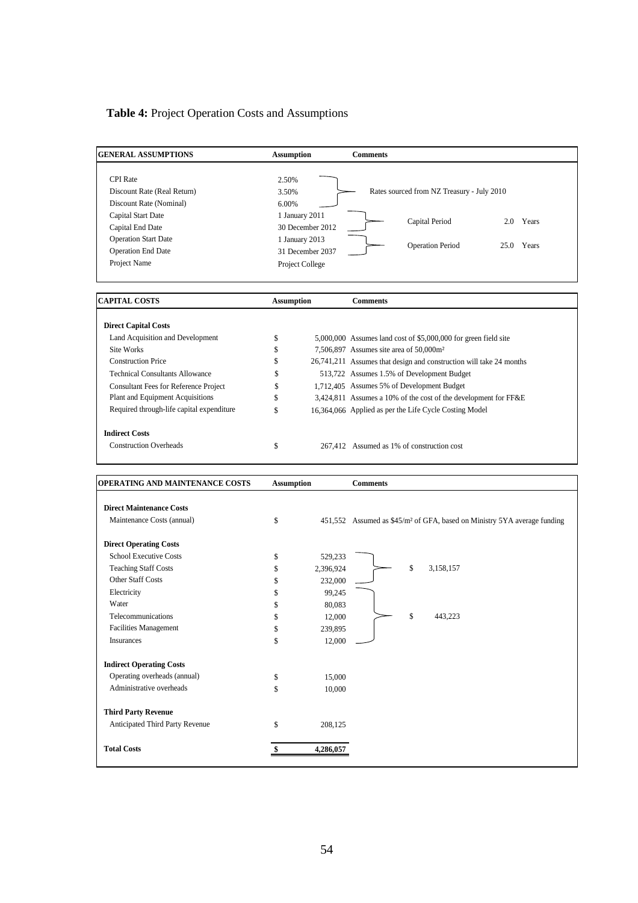# **Table 4:** Project Operation Costs and Assumptions

Anticipated Third Party Revenue  $\qquad$  \$ 208,125

**Total Costs \$ 4,286,057** 

| <b>GENERAL ASSUMPTIONS</b>                                                                                                                                                                                                                                                                                                                      | <b>Assumption</b>                                                       | <b>Comments</b>                                                                                                                                                                                                                                                                                                                                                                                                                                                      |
|-------------------------------------------------------------------------------------------------------------------------------------------------------------------------------------------------------------------------------------------------------------------------------------------------------------------------------------------------|-------------------------------------------------------------------------|----------------------------------------------------------------------------------------------------------------------------------------------------------------------------------------------------------------------------------------------------------------------------------------------------------------------------------------------------------------------------------------------------------------------------------------------------------------------|
| <b>CPI</b> Rate<br>Discount Rate (Real Return)<br>Discount Rate (Nominal)<br>Capital Start Date<br>Capital End Date                                                                                                                                                                                                                             | 2.50%<br>3.50%<br>6.00%<br>1 January 2011<br>30 December 2012           | Rates sourced from NZ Treasury - July 2010<br>Capital Period<br>2.0 Years                                                                                                                                                                                                                                                                                                                                                                                            |
| <b>Operation Start Date</b><br><b>Operation End Date</b><br>Project Name                                                                                                                                                                                                                                                                        | 1 January 2013<br>31 December 2037<br>Project College                   | <b>Operation Period</b><br>25.0 Years                                                                                                                                                                                                                                                                                                                                                                                                                                |
| <b>CAPITAL COSTS</b>                                                                                                                                                                                                                                                                                                                            | <b>Assumption</b>                                                       | <b>Comments</b>                                                                                                                                                                                                                                                                                                                                                                                                                                                      |
| <b>Direct Capital Costs</b><br>Land Acquisition and Development<br>Site Works<br><b>Construction Price</b><br><b>Technical Consultants Allowance</b><br><b>Consultant Fees for Reference Project</b><br>Plant and Equipment Acquisitions<br>Required through-life capital expenditure<br><b>Indirect Costs</b><br><b>Construction Overheads</b> | \$<br>\$<br>\$<br>\$<br>\$<br>\$<br>\$<br>\$                            | 5,000,000 Assumes land cost of \$5,000,000 for green field site<br>7,506,897 Assumes site area of 50,000m <sup>2</sup><br>26,741,211 Assumes that design and construction will take 24 months<br>513,722 Assumes 1.5% of Development Budget<br>1,712,405 Assumes 5% of Development Budget<br>3,424,811 Assumes a 10% of the cost of the development for FF&E<br>16,364,066 Applied as per the Life Cycle Costing Model<br>267.412 Assumed as 1% of construction cost |
| OPERATING AND MAINTENANCE COSTS                                                                                                                                                                                                                                                                                                                 | <b>Assumption</b>                                                       | <b>Comments</b>                                                                                                                                                                                                                                                                                                                                                                                                                                                      |
| <b>Direct Maintenance Costs</b>                                                                                                                                                                                                                                                                                                                 |                                                                         |                                                                                                                                                                                                                                                                                                                                                                                                                                                                      |
| Maintenance Costs (annual)                                                                                                                                                                                                                                                                                                                      | \$                                                                      | 451,552 Assumed as \$45/m <sup>2</sup> of GFA, based on Ministry 5YA average funding                                                                                                                                                                                                                                                                                                                                                                                 |
| <b>Direct Operating Costs</b><br><b>School Executive Costs</b><br><b>Teaching Staff Costs</b><br>Other Staff Costs<br>Electricity                                                                                                                                                                                                               | 529,233<br>\$<br>\$<br>2,396,924<br>\$<br>232,000<br>\$                 | \$<br>3,158,157                                                                                                                                                                                                                                                                                                                                                                                                                                                      |
| Water<br>Telecommunications<br><b>Facilities Management</b><br>Insurances                                                                                                                                                                                                                                                                       | 99,245<br>\$<br>80,083<br>\$<br>12,000<br>\$<br>239,895<br>\$<br>12,000 | \$<br>443,223                                                                                                                                                                                                                                                                                                                                                                                                                                                        |
| <b>Indirect Operating Costs</b><br>Operating overheads (annual)<br>Administrative overheads<br><b>Third Party Revenue</b>                                                                                                                                                                                                                       | \$<br>15,000<br>\$<br>10,000                                            |                                                                                                                                                                                                                                                                                                                                                                                                                                                                      |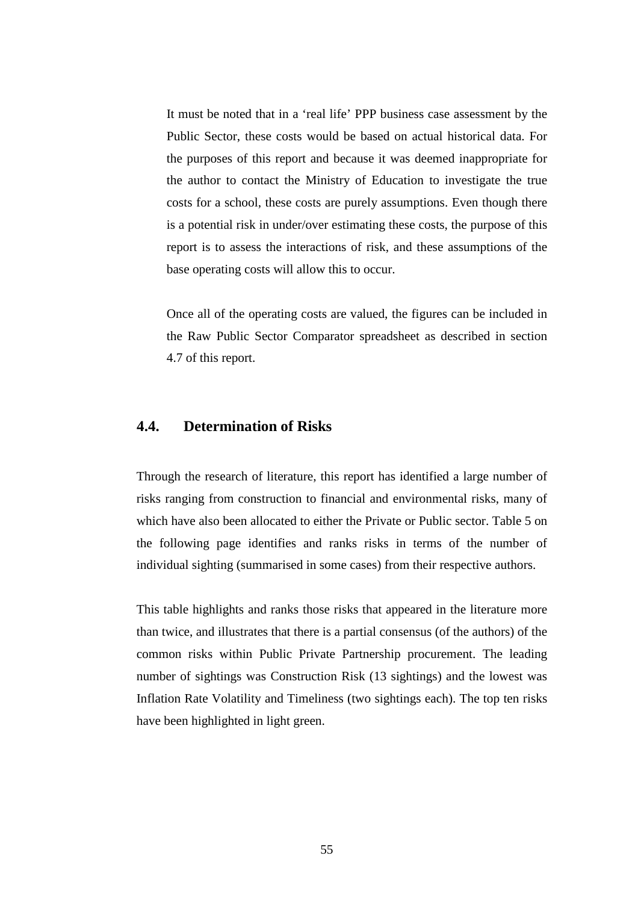It must be noted that in a 'real life' PPP business case assessment by the Public Sector, these costs would be based on actual historical data. For the purposes of this report and because it was deemed inappropriate for the author to contact the Ministry of Education to investigate the true costs for a school, these costs are purely assumptions. Even though there is a potential risk in under/over estimating these costs, the purpose of this report is to assess the interactions of risk, and these assumptions of the base operating costs will allow this to occur.

Once all of the operating costs are valued, the figures can be included in the Raw Public Sector Comparator spreadsheet as described in section 4.7 of this report.

### **4.4. Determination of Risks**

Through the research of literature, this report has identified a large number of risks ranging from construction to financial and environmental risks, many of which have also been allocated to either the Private or Public sector. Table 5 on the following page identifies and ranks risks in terms of the number of individual sighting (summarised in some cases) from their respective authors.

This table highlights and ranks those risks that appeared in the literature more than twice, and illustrates that there is a partial consensus (of the authors) of the common risks within Public Private Partnership procurement. The leading number of sightings was Construction Risk (13 sightings) and the lowest was Inflation Rate Volatility and Timeliness (two sightings each). The top ten risks have been highlighted in light green.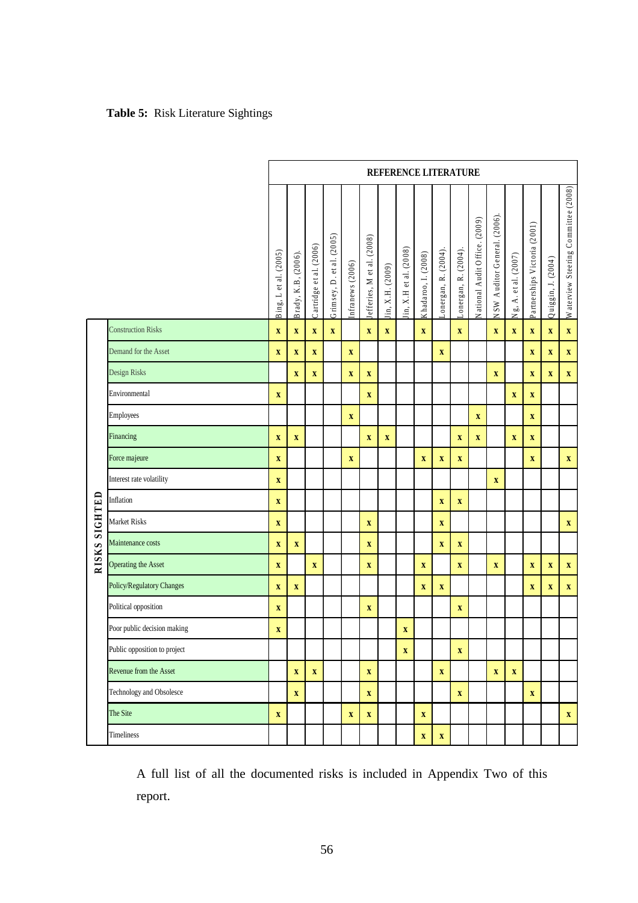# **Table 5:** Risk Literature Sightings

|         |                              | REFERENCE LITERATURE      |                           |                           |                           |                         |                           |                           |                       |                           |                            |                            |                               |                              |                         |                              |                           |                                     |
|---------|------------------------------|---------------------------|---------------------------|---------------------------|---------------------------|-------------------------|---------------------------|---------------------------|-----------------------|---------------------------|----------------------------|----------------------------|-------------------------------|------------------------------|-------------------------|------------------------------|---------------------------|-------------------------------------|
|         |                              | Bing, L et al. (2005)     | Brady, K.B, (2006)        | Cartridge et al. (2006)   | Grimsey, D. et al. (2005) | infranews (2006)        | efferies, M et al. (2008) | (in, X.H. (2009)          | in, X.H et al. (2008) | Khadaroo, I. (2008)       | $L$ onergan, R. $(2004)$ . | $L$ onergan, R. $(2004)$ . | National Audit Office. (2009) | NSW Auditor General. (2006). | Ng, A. et al. (2007)    | Partnerships Victoria (2001) | Quiggin, J. (2004)        | Waterview Steering Committee (2008) |
|         | <b>Construction Risks</b>    | $\mathbf X$               | $\boldsymbol{\mathrm{X}}$ | $\overline{\mathbf{X}}$   | $\mathbf X$               |                         | $\boldsymbol{\mathrm{X}}$ | $\mathbf X$               |                       | $\bar{\mathbf{X}}$        |                            | $\overline{\mathbf{X}}$    |                               | $\mathbf X$                  | $\mathbf X$             | $\mathbf X$                  | $\overline{\mathbf{X}}$   | $\bar{\mathbf{X}}$                  |
|         | Demand for the Asset         | $\mathbf X$               | $\mathbf X$               | $\boldsymbol{\mathrm{X}}$ |                           | $\overline{\mathbf{X}}$ |                           |                           |                       |                           | $\mathbf X$                |                            |                               |                              |                         | $\boldsymbol{\mathrm{X}}$    | $\boldsymbol{\mathrm{X}}$ | $\mathbf X$                         |
|         | Design Risks                 |                           | $\mathbf X$               | $\boldsymbol{\mathrm{X}}$ |                           | $\overline{\mathbf{X}}$ | $\boldsymbol{\mathrm{X}}$ |                           |                       |                           |                            |                            |                               | $\mathbf X$                  |                         | $\mathbf X$                  | $\mathbf X$               | $\mathbf X$                         |
|         | Environmental                | $\mathbf X$               |                           |                           |                           |                         | $\mathbf X$               |                           |                       |                           |                            |                            |                               |                              | $\mathbf X$             | $\mathbf X$                  |                           |                                     |
|         | <b>Employees</b>             |                           |                           |                           |                           | $\overline{\mathbf{X}}$ |                           |                           |                       |                           |                            |                            | $\mathbf X$                   |                              |                         | $\overline{\mathbf{X}}$      |                           |                                     |
|         | Financing                    | $\boldsymbol{\mathrm{X}}$ | $\mathbf X$               |                           |                           |                         | $\mathbf X$               | $\boldsymbol{\mathrm{X}}$ |                       |                           |                            | $\mathbf X$                | $\mathbf X$                   |                              | $\mathbf X$             | $\mathbf X$                  |                           |                                     |
|         | Force majeure                | $\mathbf X$               |                           |                           |                           | $\mathbf X$             |                           |                           |                       | $\mathbf X$               | $\mathbf X$                | $\mathbf X$                |                               |                              |                         | $\mathbf X$                  |                           | $\mathbf X$                         |
|         | Interest rate volatility     | $\mathbf X$               |                           |                           |                           |                         |                           |                           |                       |                           |                            |                            |                               | $\mathbf X$                  |                         |                              |                           |                                     |
|         | Inflation                    | $\pmb{\mathbf{X}}$        |                           |                           |                           |                         |                           |                           |                       |                           | $\overline{\mathbf{X}}$    | $\overline{\mathbf{X}}$    |                               |                              |                         |                              |                           |                                     |
| SIGHTED | <b>Market Risks</b>          | $\mathbf X$               |                           |                           |                           |                         | $\boldsymbol{\mathrm{X}}$ |                           |                       |                           | $\mathbf X$                |                            |                               |                              |                         |                              |                           | $\mathbf X$                         |
|         | Maintenance costs            | $\pmb{\mathbf{X}}$        | $\boldsymbol{\mathrm{X}}$ |                           |                           |                         | $\boldsymbol{\mathrm{X}}$ |                           |                       |                           | $\boldsymbol{\mathrm{X}}$  | $\boldsymbol{\mathrm{X}}$  |                               |                              |                         |                              |                           |                                     |
| RISKS   | Operating the Asset          | $\overline{\mathbf{X}}$   |                           | $\overline{\mathbf{X}}$   |                           |                         | $\mathbf X$               |                           |                       | $\overline{\mathbf{X}}$   |                            | $\overline{\mathbf{X}}$    |                               | $\mathbf X$                  |                         | $\boldsymbol{\mathrm{X}}$    | $\mathbf X$               | $\overline{\mathbf{X}}$             |
|         | Policy/Regulatory Changes    | $\mathbf X$               | $\mathbf X$               |                           |                           |                         |                           |                           |                       | $\pmb{\mathbf{X}}$        | $\mathbf X$                |                            |                               |                              |                         | $\mathbf X$                  | $\mathbf X$               | $\mathbf X$                         |
|         | Political opposition         | $\pmb{\mathbf{X}}$        |                           |                           |                           |                         | $\boldsymbol{\mathrm{X}}$ |                           |                       |                           |                            | $\boldsymbol{\mathrm{X}}$  |                               |                              |                         |                              |                           |                                     |
|         | Poor public decision making  | $\pmb{\mathbf{X}}$        |                           |                           |                           |                         |                           |                           | $\pmb{\mathbf{X}}$    |                           |                            |                            |                               |                              |                         |                              |                           |                                     |
|         | Public opposition to project |                           |                           |                           |                           |                         |                           |                           | $\mathbf X$           |                           |                            | $\mathbf X$                |                               |                              |                         |                              |                           |                                     |
|         | Revenue from the Asset       |                           | $\mathbf X$               | $\mathbf X$               |                           |                         | $\mathbf X$               |                           |                       |                           | $\overline{\mathbf{X}}$    |                            |                               | $\mathbf X$                  | $\overline{\mathbf{X}}$ |                              |                           |                                     |
|         | Technology and Obsolesce     |                           | $\mathbf X$               |                           |                           |                         | $\mathbf X$               |                           |                       |                           |                            | $\mathbf X$                |                               |                              |                         | $\mathbf X$                  |                           |                                     |
|         | The Site                     | $\mathbf X$               |                           |                           |                           | $\mathbf X$             | $\mathbf X$               |                           |                       | $\mathbf X$               |                            |                            |                               |                              |                         |                              |                           | $\mathbf X$                         |
|         | Timeliness                   |                           |                           |                           |                           |                         |                           |                           |                       | $\boldsymbol{\mathrm{X}}$ | $\mathbf X$                |                            |                               |                              |                         |                              |                           |                                     |

A full list of all the documented risks is included in Appendix Two of this report.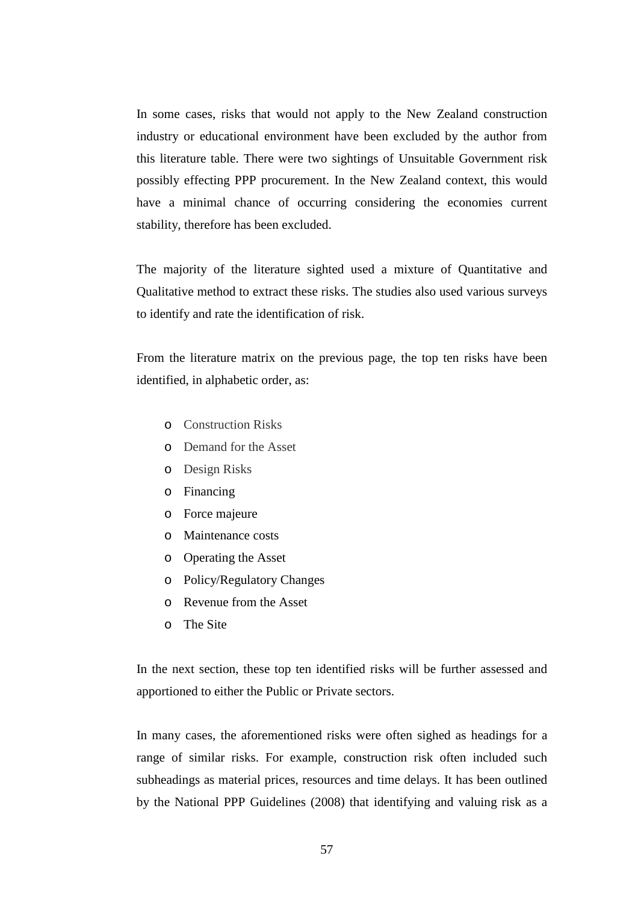In some cases, risks that would not apply to the New Zealand construction industry or educational environment have been excluded by the author from this literature table. There were two sightings of Unsuitable Government risk possibly effecting PPP procurement. In the New Zealand context, this would have a minimal chance of occurring considering the economies current stability, therefore has been excluded.

The majority of the literature sighted used a mixture of Quantitative and Qualitative method to extract these risks. The studies also used various surveys to identify and rate the identification of risk.

From the literature matrix on the previous page, the top ten risks have been identified, in alphabetic order, as:

- o Construction Risks
- o Demand for the Asset
- o Design Risks
- o Financing
- o Force majeure
- o Maintenance costs
- o Operating the Asset
- o Policy/Regulatory Changes
- o Revenue from the Asset
- o The Site

In the next section, these top ten identified risks will be further assessed and apportioned to either the Public or Private sectors.

In many cases, the aforementioned risks were often sighed as headings for a range of similar risks. For example, construction risk often included such subheadings as material prices, resources and time delays. It has been outlined by the National PPP Guidelines (2008) that identifying and valuing risk as a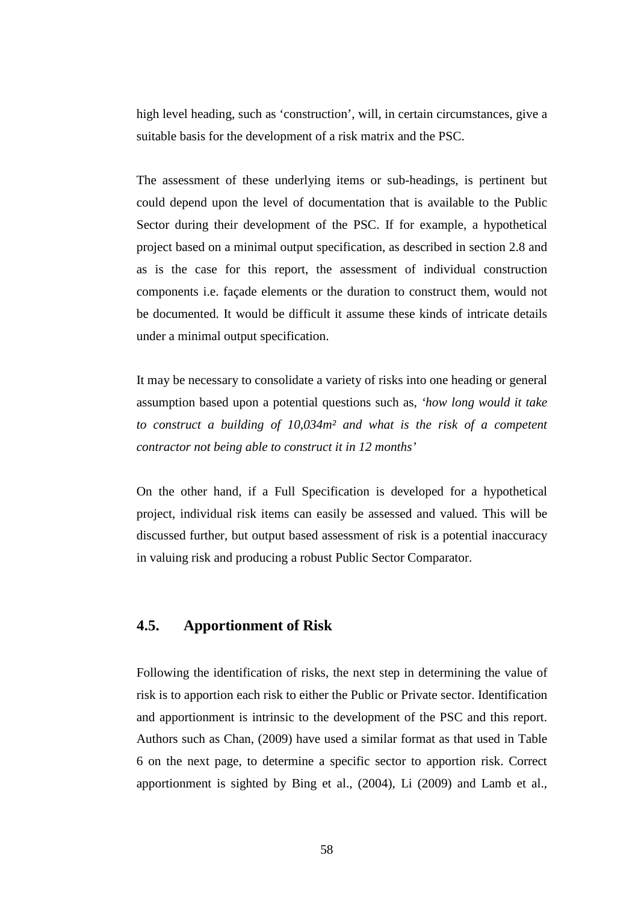high level heading, such as 'construction', will, in certain circumstances, give a suitable basis for the development of a risk matrix and the PSC.

The assessment of these underlying items or sub-headings, is pertinent but could depend upon the level of documentation that is available to the Public Sector during their development of the PSC. If for example, a hypothetical project based on a minimal output specification, as described in section 2.8 and as is the case for this report, the assessment of individual construction components i.e. façade elements or the duration to construct them, would not be documented. It would be difficult it assume these kinds of intricate details under a minimal output specification.

It may be necessary to consolidate a variety of risks into one heading or general assumption based upon a potential questions such as, *'how long would it take to construct a building of 10,034m² and what is the risk of a competent contractor not being able to construct it in 12 months'* 

On the other hand, if a Full Specification is developed for a hypothetical project, individual risk items can easily be assessed and valued. This will be discussed further, but output based assessment of risk is a potential inaccuracy in valuing risk and producing a robust Public Sector Comparator.

## **4.5. Apportionment of Risk**

Following the identification of risks, the next step in determining the value of risk is to apportion each risk to either the Public or Private sector. Identification and apportionment is intrinsic to the development of the PSC and this report. Authors such as Chan, (2009) have used a similar format as that used in Table 6 on the next page, to determine a specific sector to apportion risk. Correct apportionment is sighted by Bing et al., (2004), Li (2009) and Lamb et al.,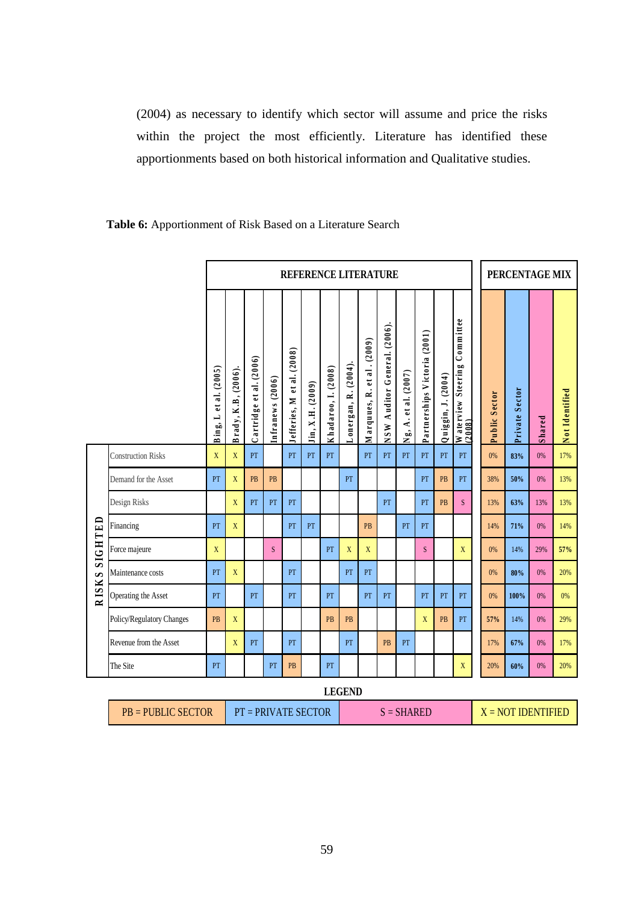(2004) as necessary to identify which sector will assume and price the risks within the project the most efficiently. Literature has identified these apportionments based on both historical information and Qualitative studies.

|         |                           | <b>REFERENCE LITERATURE</b> |                     |                         |                  |                            |                  |                     |                      |                            |                                 | PERCENTAGE MIX       |                              |                         |                                        |               |                |        |                |
|---------|---------------------------|-----------------------------|---------------------|-------------------------|------------------|----------------------------|------------------|---------------------|----------------------|----------------------------|---------------------------------|----------------------|------------------------------|-------------------------|----------------------------------------|---------------|----------------|--------|----------------|
|         |                           | Bing, L et al. $(2005)$     | Brady, K.B, (2006). | Cartridge et al. (2006) | Infranews (2006) | Jefferies, M et al. (2008) | Jin, X.H. (2009) | Khadaroo, I. (2008) | Lonergan, R. (2004). | Marquues, R. et al. (2009) | Auditor General. (2006).<br>NSW | Ng, A. et al. (2007) | Partnerships Victoria (2001) | $Q$ uiggin, J. $(2004)$ | Waterview Steering Committee<br>(2008) | Public Sector | Private Sector | Shared | Not Identified |
|         | <b>Construction Risks</b> | X                           | X                   | PT                      |                  | PT                         | PT               | PT                  |                      | PT                         | PT                              | PT                   | PT                           | PT                      | PT                                     | 0%            | 83%            | 0%     | 17%            |
|         | Demand for the Asset      | PT                          | X                   | PB                      | <b>PB</b>        |                            |                  |                     | PT                   |                            |                                 |                      | PT                           | PB                      | PT                                     | 38%           | 50%            | 0%     | 13%            |
|         | Design Risks              |                             | X                   | PT                      | PT               | PT                         |                  |                     |                      |                            | PT                              |                      | PT                           | PB                      | S.                                     | 13%           | 63%            | 13%    | 13%            |
|         | Financing                 | PT                          | X                   |                         |                  | PT                         | PT               |                     |                      | PB                         |                                 | PT                   | PT                           |                         |                                        | 14%           | 71%            | 0%     | 14%            |
| SIGHTED | Force majeure             | X                           |                     |                         | S                |                            |                  | PT                  | X                    | X                          |                                 |                      | S                            |                         | X                                      | 0%            | 14%            | 29%    | 57%            |
| S       | Maintenance costs         | PT                          | X                   |                         |                  | PT                         |                  |                     | PT                   | PT                         |                                 |                      |                              |                         |                                        | 0%            | 80%            | 0%     | 20%            |
| RISK:   | Operating the Asset       | PT                          |                     | PT                      |                  | PT                         |                  | PT                  |                      | PT                         | PT                              |                      | PT                           | PT                      | PT                                     | 0%            | 100%           | 0%     | 0%             |
|         | Policy/Regulatory Changes | PB                          | $\mathbf{X}$        |                         |                  |                            |                  | PB                  | PB                   |                            |                                 |                      | $\mathbf X$                  | PB                      | PT                                     | 57%           | 14%            | 0%     | 29%            |
|         | Revenue from the Asset    |                             | $\mathbf X$         | PT                      |                  | PT                         |                  |                     | PT                   |                            | PB                              | PT                   |                              |                         |                                        | 17%           | 67%            | 0%     | 17%            |
|         | The Site                  | PT                          |                     |                         | PT               | <b>PB</b>                  |                  | PT                  |                      |                            |                                 |                      |                              |                         | X                                      | 20%           | 60%            | 0%     | 20%            |
|         |                           |                             |                     |                         |                  |                            |                  |                     | <b>LEGEND</b>        |                            |                                 |                      |                              |                         |                                        |               |                |        |                |

### **Table 6:** Apportionment of Risk Based on a Literature Search

|                                                                                       | -------- |  |  |  |  |  |  |  |  |  |  |  |
|---------------------------------------------------------------------------------------|----------|--|--|--|--|--|--|--|--|--|--|--|
| $PB = PUBLIC SECTOR$<br>$X = NOT IDENTIFIED$<br>$PT = PRIVATE$ SECTOR<br>$S = SHARED$ |          |  |  |  |  |  |  |  |  |  |  |  |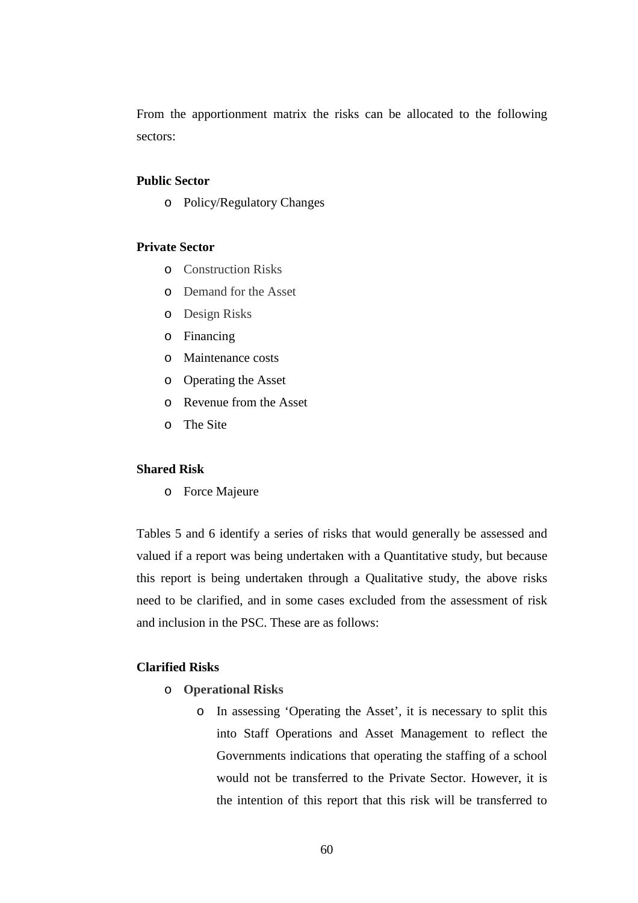From the apportionment matrix the risks can be allocated to the following sectors:

### **Public Sector**

o Policy/Regulatory Changes

#### **Private Sector**

- o Construction Risks
- o Demand for the Asset
- o Design Risks
- o Financing
- o Maintenance costs
- o Operating the Asset
- o Revenue from the Asset
- o The Site

### **Shared Risk**

o Force Majeure

Tables 5 and 6 identify a series of risks that would generally be assessed and valued if a report was being undertaken with a Quantitative study, but because this report is being undertaken through a Qualitative study, the above risks need to be clarified, and in some cases excluded from the assessment of risk and inclusion in the PSC. These are as follows:

### **Clarified Risks**

- o **Operational Risks**
	- o In assessing 'Operating the Asset', it is necessary to split this into Staff Operations and Asset Management to reflect the Governments indications that operating the staffing of a school would not be transferred to the Private Sector. However, it is the intention of this report that this risk will be transferred to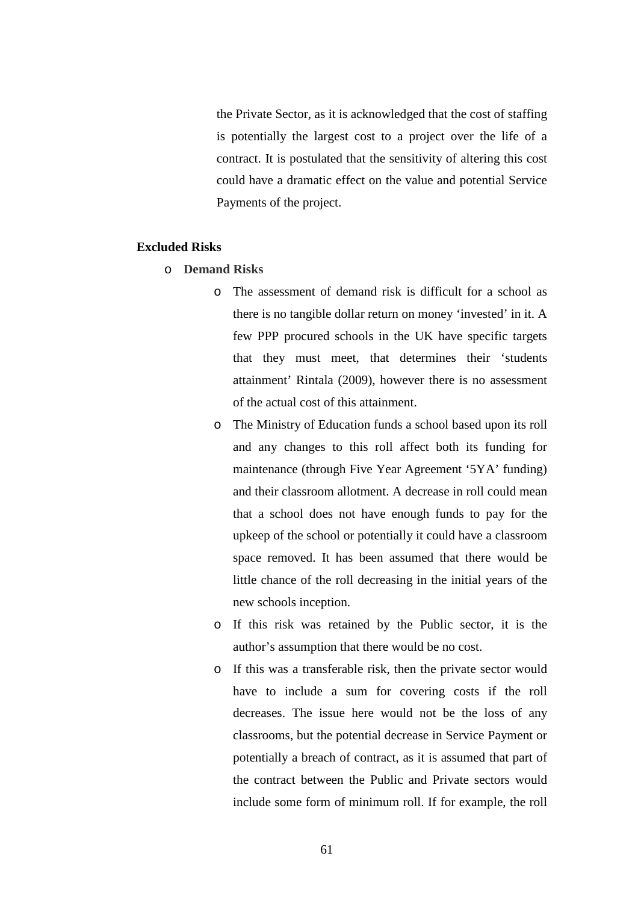the Private Sector, as it is acknowledged that the cost of staffing is potentially the largest cost to a project over the life of a contract. It is postulated that the sensitivity of altering this cost could have a dramatic effect on the value and potential Service Payments of the project.

### **Excluded Risks**

- o **Demand Risks**
	- o The assessment of demand risk is difficult for a school as there is no tangible dollar return on money 'invested' in it. A few PPP procured schools in the UK have specific targets that they must meet, that determines their 'students attainment' Rintala (2009), however there is no assessment of the actual cost of this attainment.
	- o The Ministry of Education funds a school based upon its roll and any changes to this roll affect both its funding for maintenance (through Five Year Agreement '5YA' funding) and their classroom allotment. A decrease in roll could mean that a school does not have enough funds to pay for the upkeep of the school or potentially it could have a classroom space removed. It has been assumed that there would be little chance of the roll decreasing in the initial years of the new schools inception.
	- o If this risk was retained by the Public sector, it is the author's assumption that there would be no cost.
	- o If this was a transferable risk, then the private sector would have to include a sum for covering costs if the roll decreases. The issue here would not be the loss of any classrooms, but the potential decrease in Service Payment or potentially a breach of contract, as it is assumed that part of the contract between the Public and Private sectors would include some form of minimum roll. If for example, the roll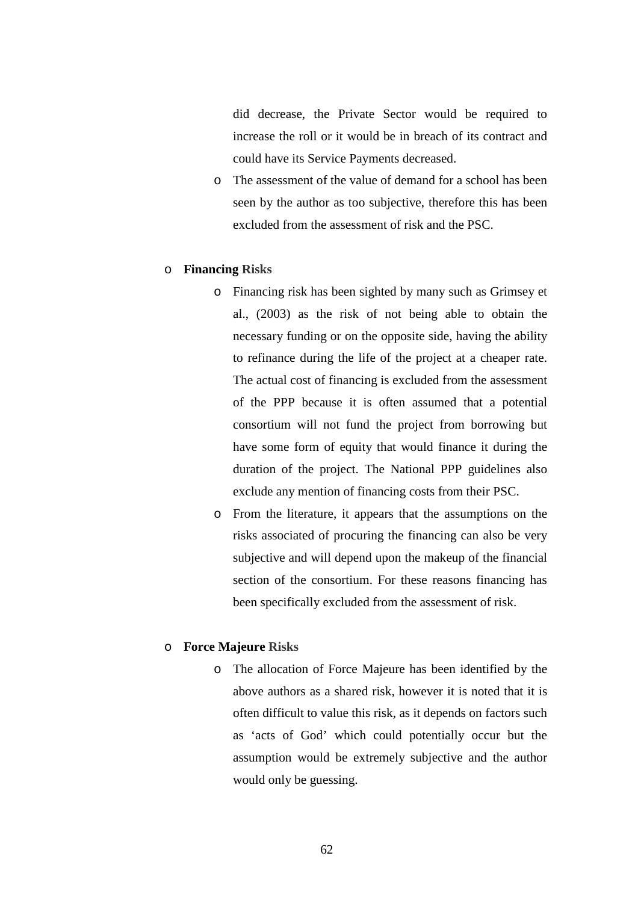did decrease, the Private Sector would be required to increase the roll or it would be in breach of its contract and could have its Service Payments decreased.

o The assessment of the value of demand for a school has been seen by the author as too subjective, therefore this has been excluded from the assessment of risk and the PSC.

#### o **Financing Risks**

- o Financing risk has been sighted by many such as Grimsey et al., (2003) as the risk of not being able to obtain the necessary funding or on the opposite side, having the ability to refinance during the life of the project at a cheaper rate. The actual cost of financing is excluded from the assessment of the PPP because it is often assumed that a potential consortium will not fund the project from borrowing but have some form of equity that would finance it during the duration of the project. The National PPP guidelines also exclude any mention of financing costs from their PSC.
- o From the literature, it appears that the assumptions on the risks associated of procuring the financing can also be very subjective and will depend upon the makeup of the financial section of the consortium. For these reasons financing has been specifically excluded from the assessment of risk.

### o **Force Majeure Risks**

o The allocation of Force Majeure has been identified by the above authors as a shared risk, however it is noted that it is often difficult to value this risk, as it depends on factors such as 'acts of God' which could potentially occur but the assumption would be extremely subjective and the author would only be guessing.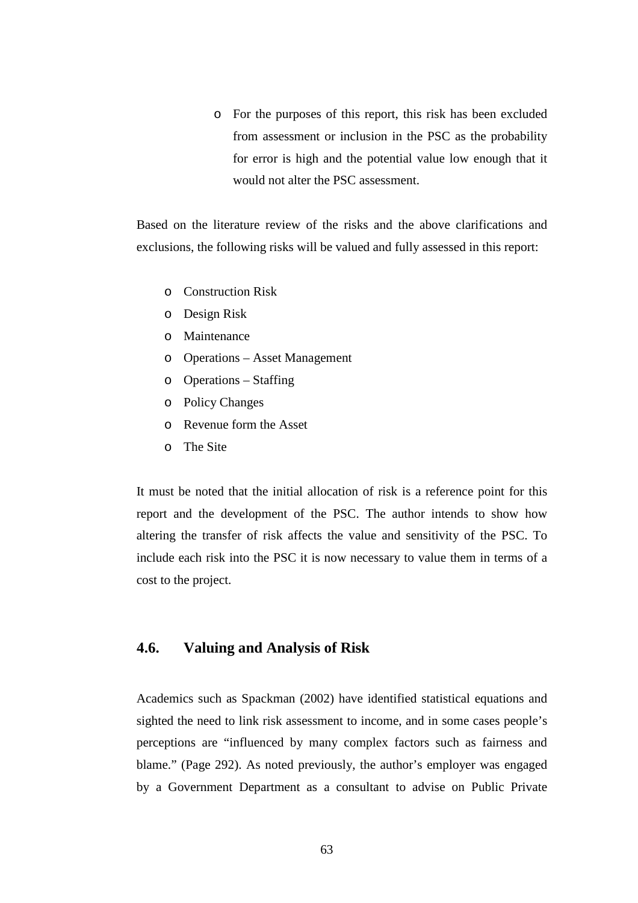o For the purposes of this report, this risk has been excluded from assessment or inclusion in the PSC as the probability for error is high and the potential value low enough that it would not alter the PSC assessment.

Based on the literature review of the risks and the above clarifications and exclusions, the following risks will be valued and fully assessed in this report:

- o Construction Risk
- o Design Risk
- o Maintenance
- o Operations Asset Management
- o Operations Staffing
- o Policy Changes
- o Revenue form the Asset
- o The Site

It must be noted that the initial allocation of risk is a reference point for this report and the development of the PSC. The author intends to show how altering the transfer of risk affects the value and sensitivity of the PSC. To include each risk into the PSC it is now necessary to value them in terms of a cost to the project.

### **4.6. Valuing and Analysis of Risk**

Academics such as Spackman (2002) have identified statistical equations and sighted the need to link risk assessment to income, and in some cases people's perceptions are "influenced by many complex factors such as fairness and blame." (Page 292). As noted previously, the author's employer was engaged by a Government Department as a consultant to advise on Public Private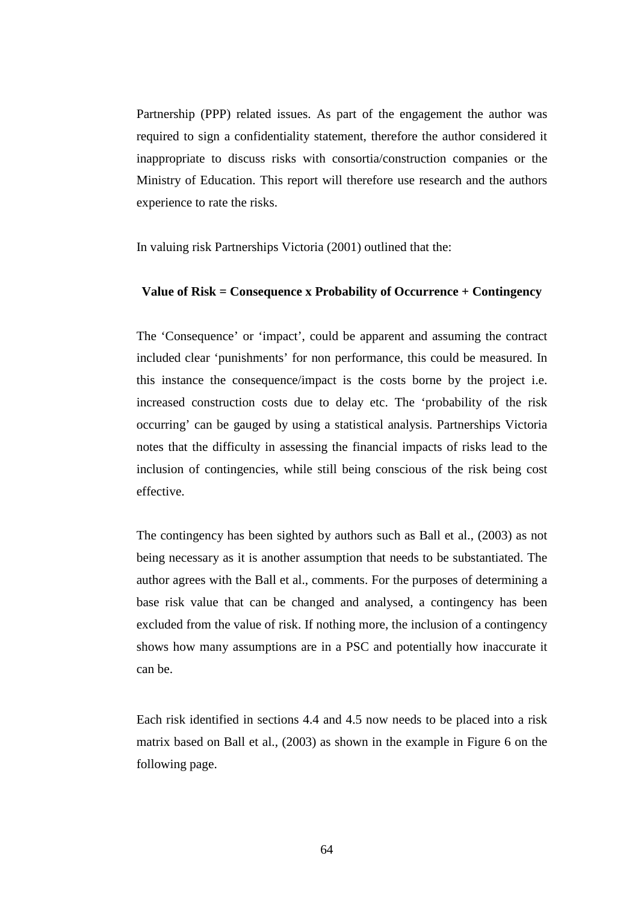Partnership (PPP) related issues. As part of the engagement the author was required to sign a confidentiality statement, therefore the author considered it inappropriate to discuss risks with consortia/construction companies or the Ministry of Education. This report will therefore use research and the authors experience to rate the risks.

In valuing risk Partnerships Victoria (2001) outlined that the:

#### **Value of Risk = Consequence x Probability of Occurrence + Contingency**

The 'Consequence' or 'impact', could be apparent and assuming the contract included clear 'punishments' for non performance, this could be measured. In this instance the consequence/impact is the costs borne by the project i.e. increased construction costs due to delay etc. The 'probability of the risk occurring' can be gauged by using a statistical analysis. Partnerships Victoria notes that the difficulty in assessing the financial impacts of risks lead to the inclusion of contingencies, while still being conscious of the risk being cost effective.

The contingency has been sighted by authors such as Ball et al., (2003) as not being necessary as it is another assumption that needs to be substantiated. The author agrees with the Ball et al., comments. For the purposes of determining a base risk value that can be changed and analysed, a contingency has been excluded from the value of risk. If nothing more, the inclusion of a contingency shows how many assumptions are in a PSC and potentially how inaccurate it can be.

Each risk identified in sections 4.4 and 4.5 now needs to be placed into a risk matrix based on Ball et al., (2003) as shown in the example in Figure 6 on the following page.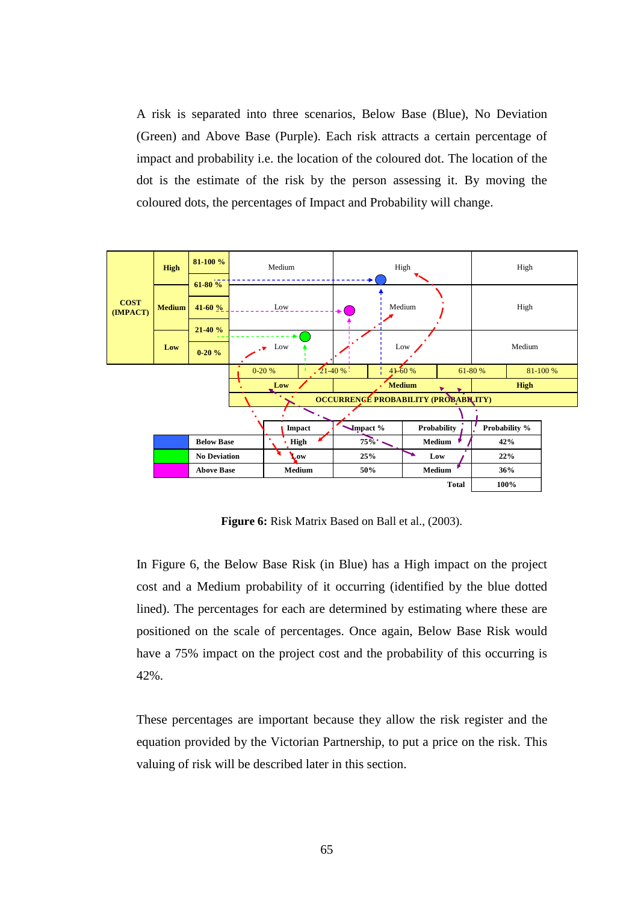A risk is separated into three scenarios, Below Base (Blue), No Deviation (Green) and Above Base (Purple). Each risk attracts a certain percentage of impact and probability i.e. the location of the coloured dot. The location of the dot is the estimate of the risk by the person assessing it. By moving the coloured dots, the percentages of Impact and Probability will change.



**Figure 6:** Risk Matrix Based on Ball et al., (2003).

In Figure 6, the Below Base Risk (in Blue) has a High impact on the project cost and a Medium probability of it occurring (identified by the blue dotted lined). The percentages for each are determined by estimating where these are positioned on the scale of percentages. Once again, Below Base Risk would have a 75% impact on the project cost and the probability of this occurring is 42%.

These percentages are important because they allow the risk register and the equation provided by the Victorian Partnership, to put a price on the risk. This valuing of risk will be described later in this section.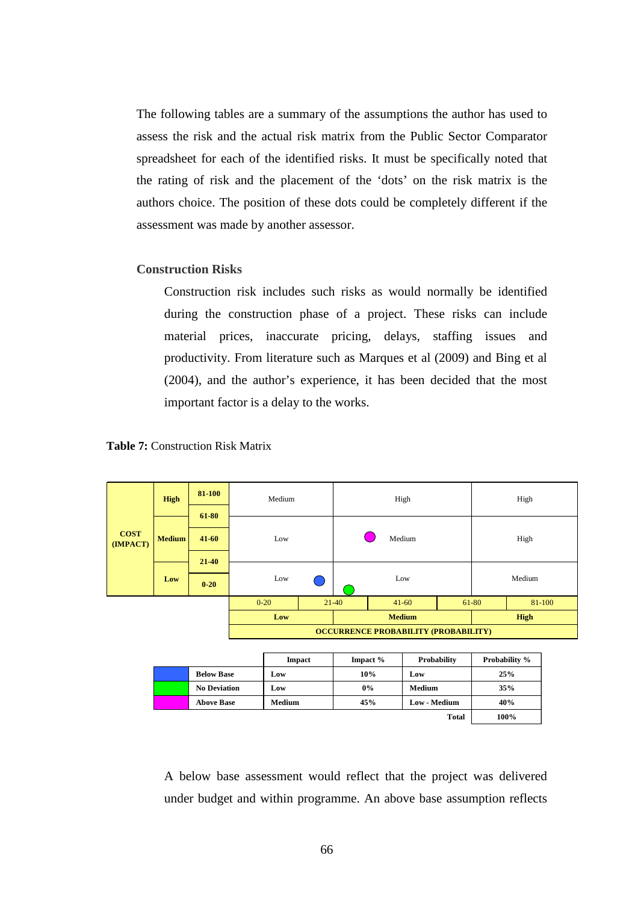The following tables are a summary of the assumptions the author has used to assess the risk and the actual risk matrix from the Public Sector Comparator spreadsheet for each of the identified risks. It must be specifically noted that the rating of risk and the placement of the 'dots' on the risk matrix is the authors choice. The position of these dots could be completely different if the assessment was made by another assessor.

# **Construction Risks**

Construction risk includes such risks as would normally be identified during the construction phase of a project. These risks can include material prices, inaccurate pricing, delays, staffing issues and productivity. From literature such as Marques et al (2009) and Bing et al (2004), and the author's experience, it has been decided that the most important factor is a delay to the works.





A below base assessment would reflect that the project was delivered under budget and within programme. An above base assumption reflects

**100%**

**Total**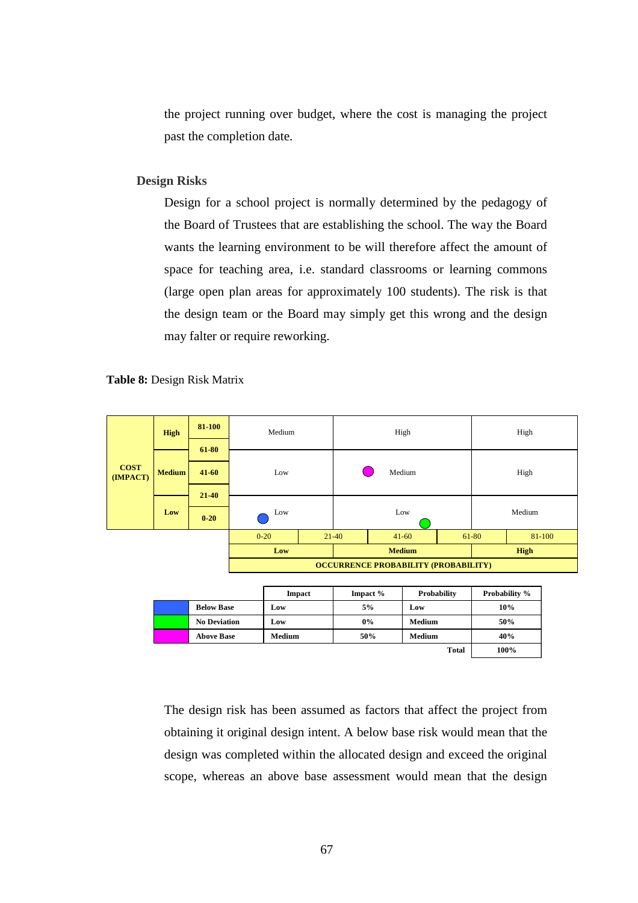the project running over budget, where the cost is managing the project past the completion date.

## **Design Risks**

Design for a school project is normally determined by the pedagogy of the Board of Trustees that are establishing the school. The way the Board wants the learning environment to be will therefore affect the amount of space for teaching area, i.e. standard classrooms or learning commons (large open plan areas for approximately 100 students). The risk is that the design team or the Board may simply get this wrong and the design may falter or require reworking.

**Table 8:** Design Risk Matrix

|                         | <b>High</b>   | 81-100    | Medium   |                                             |               | High      |  | High   |        |  |
|-------------------------|---------------|-----------|----------|---------------------------------------------|---------------|-----------|--|--------|--------|--|
|                         |               | 61-80     |          |                                             |               |           |  |        |        |  |
| <b>COST</b><br>(IMPACT) | <b>Medium</b> | $41 - 60$ | Low      |                                             |               | Medium    |  |        | High   |  |
|                         |               | $21 - 40$ |          |                                             |               |           |  |        |        |  |
|                         | Low           | $0 - 20$  | Low      |                                             | Low           |           |  | Medium |        |  |
|                         |               |           | $0 - 20$ |                                             | $21-40$       | $41 - 60$ |  | 61-80  | 81-100 |  |
|                         |               |           | Low      |                                             | <b>Medium</b> |           |  | High   |        |  |
|                         |               |           |          | <b>OCCURRENCE PROBABILITY (PROBABILITY)</b> |               |           |  |        |        |  |

|                     | <b>Impact</b> | Impact $%$ | Probability   | <b>Probability %</b> |
|---------------------|---------------|------------|---------------|----------------------|
| <b>Below Base</b>   | Low           | 5%         | Low           | 10%                  |
| <b>No Deviation</b> | Low           | $0\%$      | Medium        | 50%                  |
| <b>Above Base</b>   | Medium        | 50%        | <b>Medium</b> | 40%                  |
|                     |               |            | <b>Total</b>  | 100%                 |

The design risk has been assumed as factors that affect the project from obtaining it original design intent. A below base risk would mean that the design was completed within the allocated design and exceed the original scope, whereas an above base assessment would mean that the design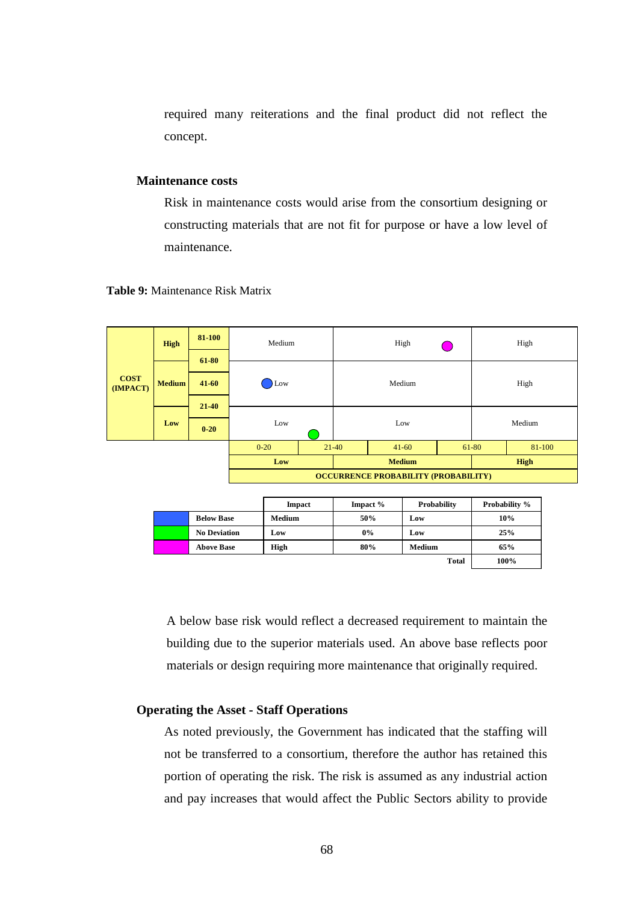required many reiterations and the final product did not reflect the concept.

## **Maintenance costs**

Risk in maintenance costs would arise from the consortium designing or constructing materials that are not fit for purpose or have a low level of maintenance.





|  |                     | <b>Impact</b> | Impact $%$ | Probability   | <b>Probability %</b> |
|--|---------------------|---------------|------------|---------------|----------------------|
|  | <b>Below Base</b>   | Medium        | 50%        | Low           | 10%                  |
|  | <b>No Deviation</b> | LOW.          | $0\%$      | Low           | 25%                  |
|  | <b>Above Base</b>   | High          | 80%        | <b>Medium</b> | 65%                  |
|  |                     |               |            | <b>Total</b>  | 100%                 |

A below base risk would reflect a decreased requirement to maintain the building due to the superior materials used. An above base reflects poor materials or design requiring more maintenance that originally required.

# **Operating the Asset - Staff Operations**

As noted previously, the Government has indicated that the staffing will not be transferred to a consortium, therefore the author has retained this portion of operating the risk. The risk is assumed as any industrial action and pay increases that would affect the Public Sectors ability to provide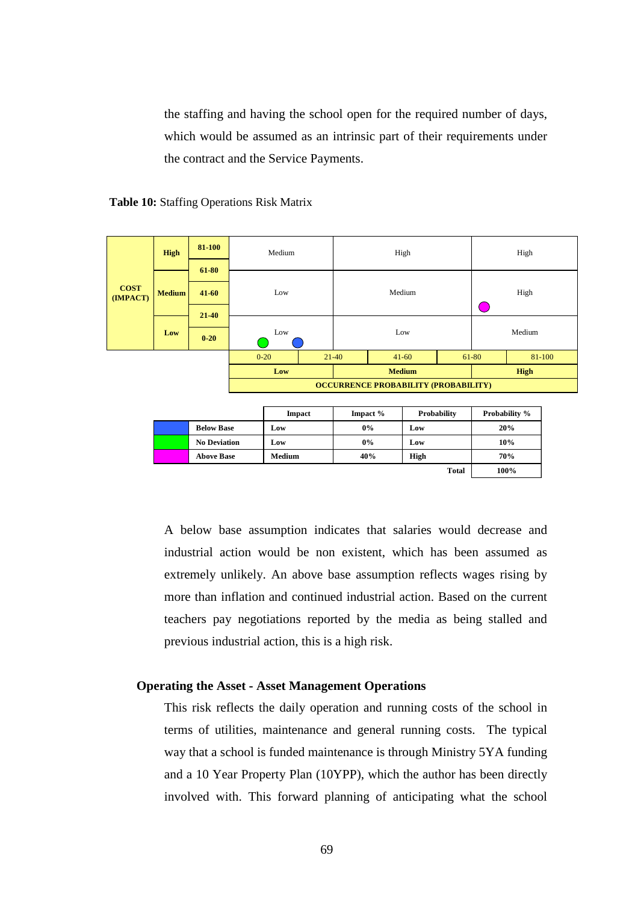the staffing and having the school open for the required number of days, which would be assumed as an intrinsic part of their requirements under the contract and the Service Payments.





|  |                     | <b>Impact</b> | Impact $%$ | Probability  | <b>Probability %</b> |
|--|---------------------|---------------|------------|--------------|----------------------|
|  | <b>Below Base</b>   | Low           | 0%         | Low          | 20%                  |
|  | <b>No Deviation</b> | Low           | 0%         | Low          | 10%                  |
|  | <b>Above Base</b>   | Medium        | 40%        | High         | 70%                  |
|  |                     |               |            | <b>Total</b> | 100%                 |

A below base assumption indicates that salaries would decrease and industrial action would be non existent, which has been assumed as extremely unlikely. An above base assumption reflects wages rising by more than inflation and continued industrial action. Based on the current teachers pay negotiations reported by the media as being stalled and previous industrial action, this is a high risk.

# **Operating the Asset - Asset Management Operations**

This risk reflects the daily operation and running costs of the school in terms of utilities, maintenance and general running costs. The typical way that a school is funded maintenance is through Ministry 5YA funding and a 10 Year Property Plan (10YPP), which the author has been directly involved with. This forward planning of anticipating what the school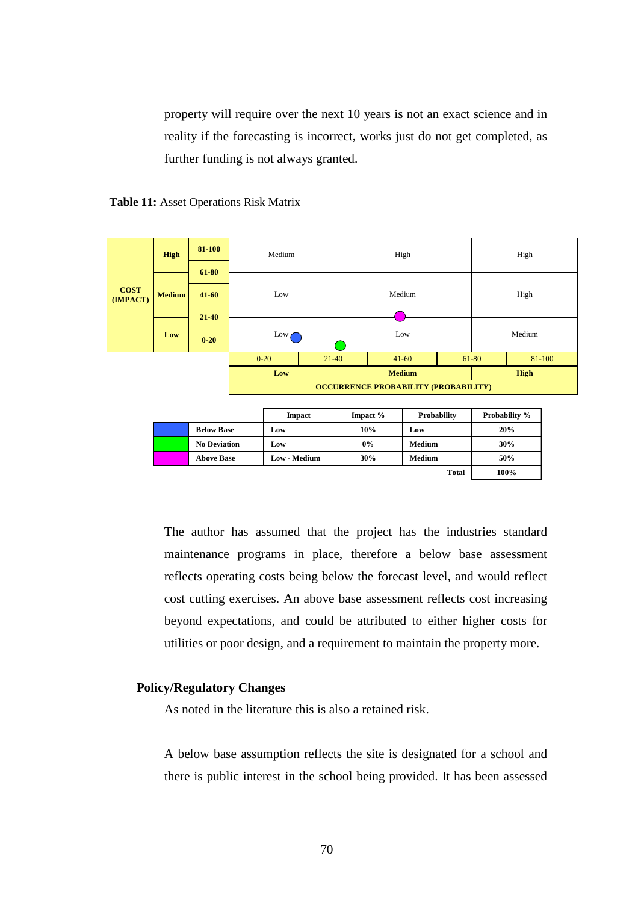property will require over the next 10 years is not an exact science and in reality if the forecasting is incorrect, works just do not get completed, as further funding is not always granted.





|  |                     | <b>Impact</b> | Impact $%$ | Probability  | <b>Probability %</b> |
|--|---------------------|---------------|------------|--------------|----------------------|
|  | <b>Below Base</b>   | Low           | 10%        | Low          | 20%                  |
|  | <b>No Deviation</b> | Low           | 0%         | Medium       | 30%                  |
|  | <b>Above Base</b>   | Low - Medium  | 30%        | Medium       | 50%                  |
|  |                     |               |            | <b>Total</b> | 100%                 |

The author has assumed that the project has the industries standard maintenance programs in place, therefore a below base assessment reflects operating costs being below the forecast level, and would reflect cost cutting exercises. An above base assessment reflects cost increasing beyond expectations, and could be attributed to either higher costs for utilities or poor design, and a requirement to maintain the property more.

# **Policy/Regulatory Changes**

As noted in the literature this is also a retained risk.

A below base assumption reflects the site is designated for a school and there is public interest in the school being provided. It has been assessed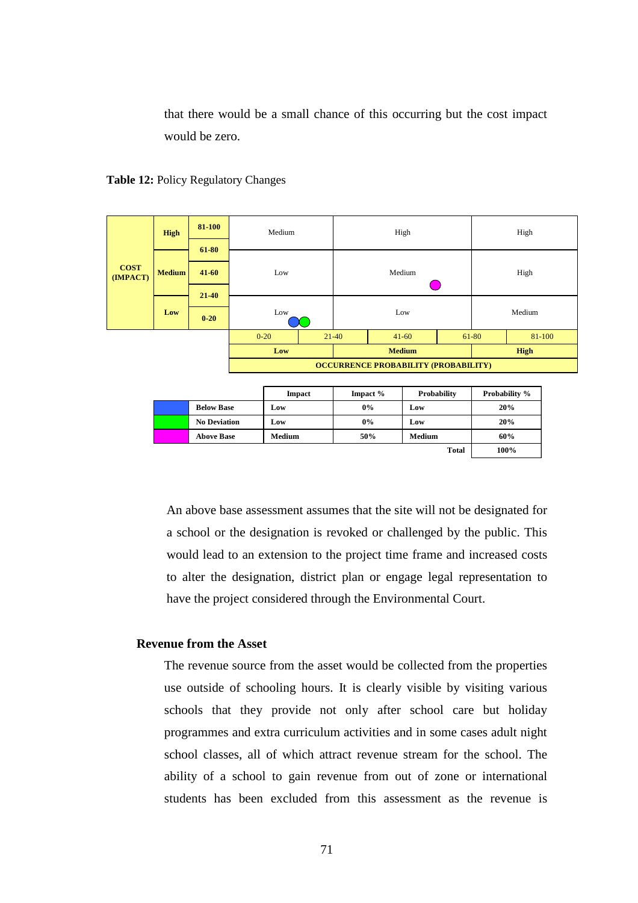that there would be a small chance of this occurring but the cost impact would be zero.



|                         | <b>High</b>   | 81-100    | Medium                                      |           | High          |  | High  |        |  |  |
|-------------------------|---------------|-----------|---------------------------------------------|-----------|---------------|--|-------|--------|--|--|
|                         |               | 61-80     |                                             |           |               |  |       |        |  |  |
| <b>COST</b><br>(IMPACT) | <b>Medium</b> | $41 - 60$ | Low                                         |           | Medium        |  |       | High   |  |  |
|                         |               | 21-40     |                                             |           |               |  |       |        |  |  |
|                         | Low           | $0 - 20$  | Low                                         |           | Low           |  |       | Medium |  |  |
|                         |               |           | $0 - 20$                                    | $21 - 40$ | $41 - 60$     |  | 61-80 | 81-100 |  |  |
|                         |               |           | Low                                         |           | <b>Medium</b> |  |       | High   |  |  |
|                         |               |           | <b>OCCURRENCE PROBABILITY (PROBABILITY)</b> |           |               |  |       |        |  |  |

|                     | <b>Impact</b> | Impact % | Probability   | <b>Probability %</b> |
|---------------------|---------------|----------|---------------|----------------------|
| <b>Below Base</b>   | Low           | $0\%$    | Low           | 20%                  |
| <b>No Deviation</b> | Low           | $0\%$    | Low           | 20%                  |
| <b>Above Base</b>   | Medium        | 50%      | <b>Medium</b> | 60%                  |
|                     |               |          | <b>Total</b>  | 100%                 |

An above base assessment assumes that the site will not be designated for a school or the designation is revoked or challenged by the public. This would lead to an extension to the project time frame and increased costs to alter the designation, district plan or engage legal representation to have the project considered through the Environmental Court.

## **Revenue from the Asset**

The revenue source from the asset would be collected from the properties use outside of schooling hours. It is clearly visible by visiting various schools that they provide not only after school care but holiday programmes and extra curriculum activities and in some cases adult night school classes, all of which attract revenue stream for the school. The ability of a school to gain revenue from out of zone or international students has been excluded from this assessment as the revenue is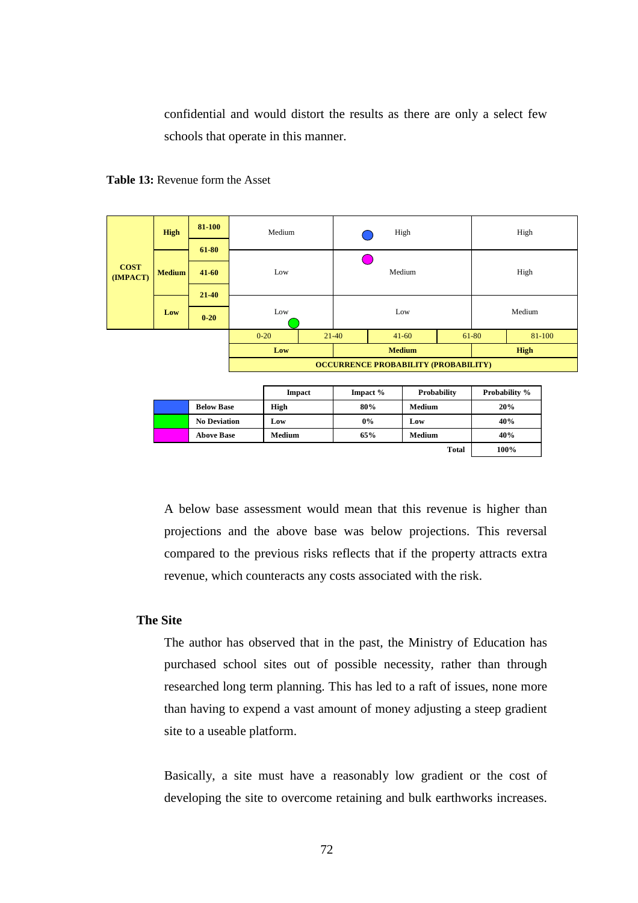confidential and would distort the results as there are only a select few schools that operate in this manner.





|                     | <b>Impact</b> | Impact $%$ | Probability  | <b>Probability %</b> |
|---------------------|---------------|------------|--------------|----------------------|
| <b>Below Base</b>   | High          | 80%        | Medium       | 20%                  |
| <b>No Deviation</b> | Low           | 0%         | Low          | 40%                  |
| <b>Above Base</b>   | Medium        | 65%        | Medium       | 40%                  |
|                     |               |            | <b>Total</b> | 100%                 |

A below base assessment would mean that this revenue is higher than projections and the above base was below projections. This reversal compared to the previous risks reflects that if the property attracts extra revenue, which counteracts any costs associated with the risk.

# **The Site**

The author has observed that in the past, the Ministry of Education has purchased school sites out of possible necessity, rather than through researched long term planning. This has led to a raft of issues, none more than having to expend a vast amount of money adjusting a steep gradient site to a useable platform.

Basically, a site must have a reasonably low gradient or the cost of developing the site to overcome retaining and bulk earthworks increases.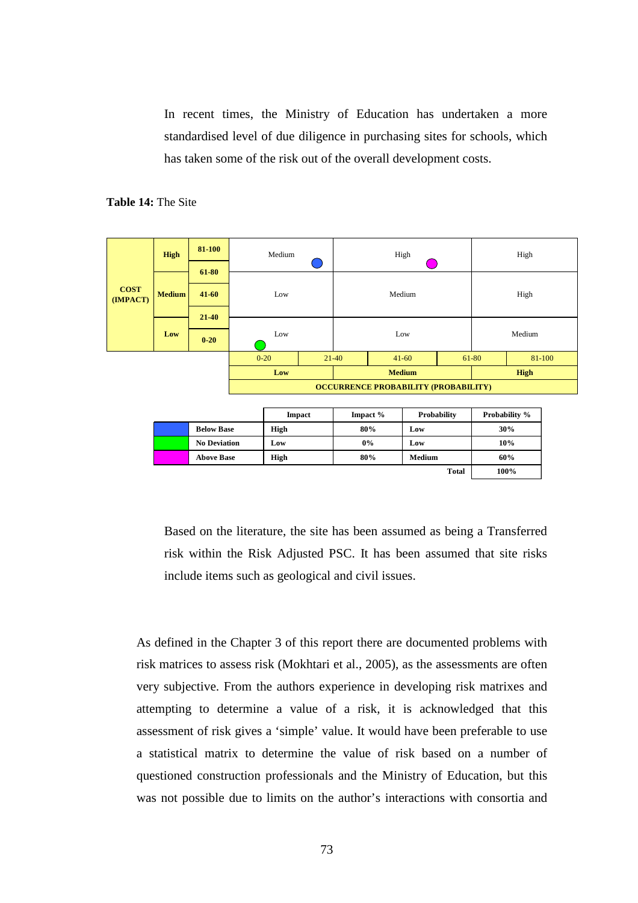In recent times, the Ministry of Education has undertaken a more standardised level of due diligence in purchasing sites for schools, which has taken some of the risk out of the overall development costs.

#### **Table 14:** The Site

|                         | <b>High</b>   | 81-100            |                                             | Medium |               |          |        | High               |       |                      | High   |  |
|-------------------------|---------------|-------------------|---------------------------------------------|--------|---------------|----------|--------|--------------------|-------|----------------------|--------|--|
|                         |               | 61-80             |                                             |        |               |          |        |                    |       |                      |        |  |
|                         |               |                   |                                             |        |               |          |        |                    |       |                      |        |  |
| <b>COST</b><br>(IMPACT) | <b>Medium</b> | $41 - 60$         |                                             | Low    |               |          | Medium |                    |       | High                 |        |  |
|                         |               | $21 - 40$         |                                             |        |               |          |        |                    |       |                      |        |  |
|                         |               |                   |                                             |        |               |          |        |                    |       |                      |        |  |
|                         | Low           | $0 - 20$          |                                             | Low    |               |          |        | Low                |       |                      | Medium |  |
|                         |               |                   | $0 - 20$                                    |        |               | $21-40$  |        | $41 - 60$          | 61-80 |                      | 81-100 |  |
|                         |               |                   | Low                                         |        | <b>Medium</b> |          |        |                    | High  |                      |        |  |
|                         |               |                   | <b>OCCURRENCE PROBABILITY (PROBABILITY)</b> |        |               |          |        |                    |       |                      |        |  |
|                         |               |                   |                                             |        |               |          |        |                    |       |                      |        |  |
|                         |               |                   |                                             | Impact |               | Impact % |        | <b>Probability</b> |       | <b>Probability %</b> |        |  |
|                         |               | <b>Below Base</b> |                                             | High   |               | 80%      |        | Low                |       |                      | 30%    |  |

|  |                     | шпрасс | mupact 70 | 1100a0111ty | <b>LIUDADIII</b> V /0 |
|--|---------------------|--------|-----------|-------------|-----------------------|
|  | <b>Below Base</b>   | High   | 80%       | Low         | 30%                   |
|  | <b>No Deviation</b> | Low    | 0%        | Low         | 10%                   |
|  | <b>Above Base</b>   | High   | 80%       | Medium      | 60%                   |
|  |                     |        |           | Total       | 100%                  |

Based on the literature, the site has been assumed as being a Transferred risk within the Risk Adjusted PSC. It has been assumed that site risks include items such as geological and civil issues.

As defined in the Chapter 3 of this report there are documented problems with risk matrices to assess risk (Mokhtari et al., 2005), as the assessments are often very subjective. From the authors experience in developing risk matrixes and attempting to determine a value of a risk, it is acknowledged that this assessment of risk gives a 'simple' value. It would have been preferable to use a statistical matrix to determine the value of risk based on a number of questioned construction professionals and the Ministry of Education, but this was not possible due to limits on the author's interactions with consortia and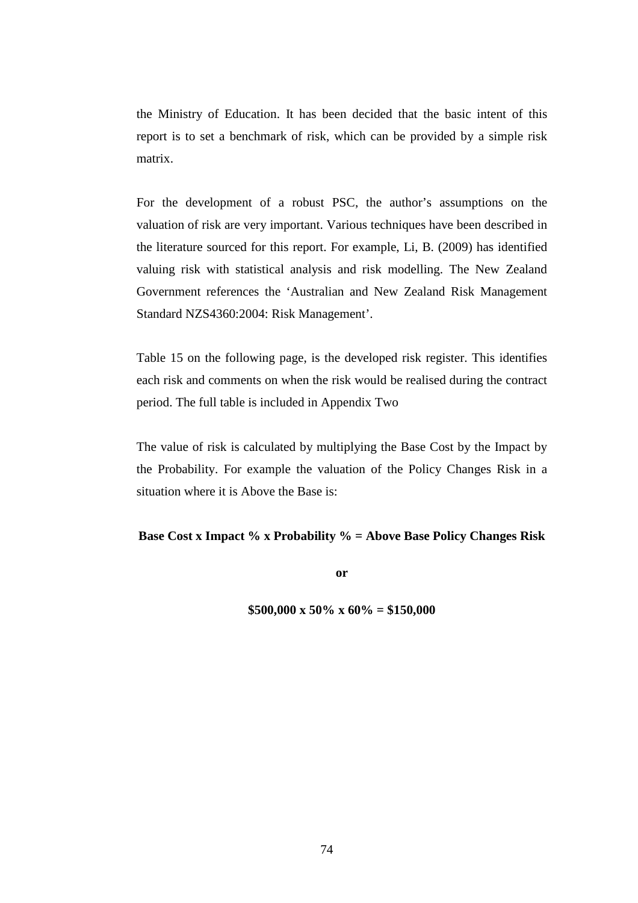the Ministry of Education. It has been decided that the basic intent of this report is to set a benchmark of risk, which can be provided by a simple risk matrix.

For the development of a robust PSC, the author's assumptions on the valuation of risk are very important. Various techniques have been described in the literature sourced for this report. For example, Li, B. (2009) has identified valuing risk with statistical analysis and risk modelling. The New Zealand Government references the 'Australian and New Zealand Risk Management Standard NZS4360:2004: Risk Management'.

Table 15 on the following page, is the developed risk register. This identifies each risk and comments on when the risk would be realised during the contract period. The full table is included in Appendix Two

The value of risk is calculated by multiplying the Base Cost by the Impact by the Probability. For example the valuation of the Policy Changes Risk in a situation where it is Above the Base is:

## **Base Cost x Impact % x Probability % = Above Base Policy Changes Risk**

**or** 

**\$500,000 x 50% x 60% = \$150,000**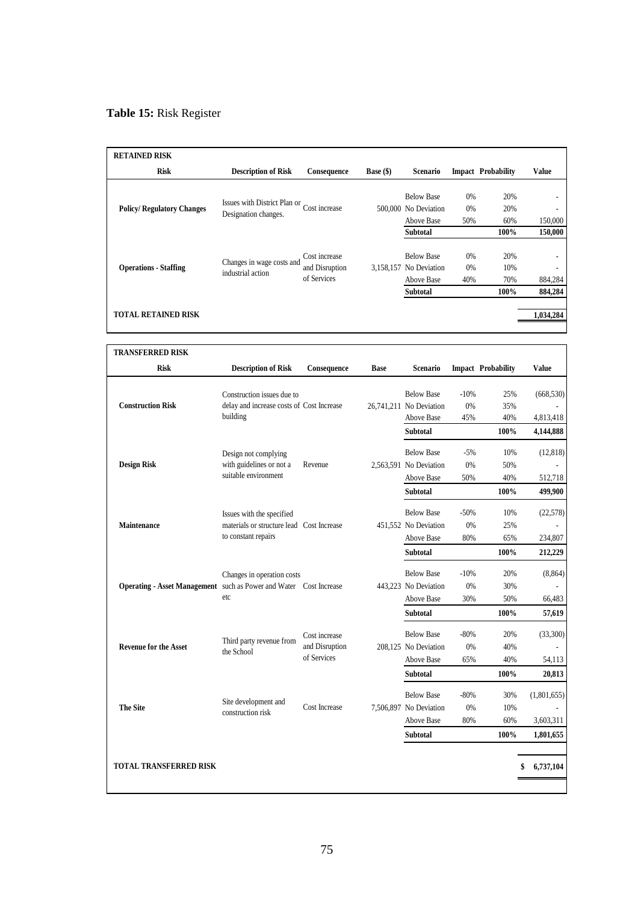# **Table 15:** Risk Register

| <b>RETAINED RISK</b>             |                                                      |                                                |                    |                                                           |                 |                           |              |
|----------------------------------|------------------------------------------------------|------------------------------------------------|--------------------|-----------------------------------------------------------|-----------------|---------------------------|--------------|
| <b>Risk</b>                      | <b>Description of Risk</b>                           | Consequence                                    | <b>Base</b> $(\$)$ | Scenario                                                  |                 | <b>Impact Probability</b> | <b>Value</b> |
| <b>Policy/Regulatory Changes</b> | Issues with District Plan or<br>Designation changes. | Cost increase                                  |                    | <b>Below Base</b><br>500,000 No Deviation<br>Above Base   | 0%<br>0%<br>50% | 20%<br>20%<br>60%         | 150,000      |
|                                  |                                                      |                                                |                    | Subtotal                                                  |                 | 100%                      | 150,000      |
| <b>Operations - Staffing</b>     | Changes in wage costs and<br>industrial action       | Cost increase<br>and Disruption<br>of Services |                    | <b>Below Base</b><br>3,158,157 No Deviation<br>Above Base | 0%<br>0%<br>40% | 20%<br>10%<br>70%         | 884,284      |
|                                  |                                                      |                                                |                    | <b>Subtotal</b>                                           |                 | 100%                      | 884,284      |
| <b>TOTAL RETAINED RISK</b>       |                                                      |                                                |                    |                                                           |                 |                           | 1,034,284    |

| <b>TRANSFERRED RISK</b>                                            |                                                                         |                |             |                                              |              |                           |             |
|--------------------------------------------------------------------|-------------------------------------------------------------------------|----------------|-------------|----------------------------------------------|--------------|---------------------------|-------------|
| <b>Risk</b>                                                        | <b>Description of Risk</b>                                              | Consequence    | <b>Base</b> | Scenario                                     |              | <b>Impact Probability</b> | Value       |
| <b>Construction Risk</b>                                           | Construction issues due to<br>delay and increase costs of Cost Increase |                |             | <b>Below Base</b><br>26.741.211 No Deviation | $-10%$<br>0% | 25%<br>35%                | (668, 530)  |
|                                                                    | building                                                                |                |             | Above Base                                   | 45%          | 40%                       | 4,813,418   |
|                                                                    |                                                                         |                |             | Subtotal                                     |              | 100%                      | 4,144,888   |
|                                                                    | Design not complying                                                    |                |             | <b>Below Base</b>                            | $-5%$        | 10%                       | (12, 818)   |
| <b>Design Risk</b>                                                 | with guidelines or not a                                                | Revenue        |             | 2,563,591 No Deviation                       | 0%           | 50%                       |             |
|                                                                    | suitable environment                                                    |                |             | Above Base                                   | 50%          | 40%                       | 512,718     |
|                                                                    |                                                                         |                |             | <b>Subtotal</b>                              |              | 100%                      | 499,900     |
|                                                                    | Issues with the specified                                               |                |             | <b>Below Base</b>                            | $-50%$       | 10%                       | (22,578)    |
| <b>Maintenance</b>                                                 | materials or structure lead Cost Increase                               |                |             | 451.552 No Deviation                         | 0%           | 25%                       |             |
|                                                                    | to constant repairs                                                     |                |             | Above Base                                   | 80%          | 65%                       | 234,807     |
|                                                                    |                                                                         |                |             | <b>Subtotal</b>                              |              | 100%                      | 212,229     |
|                                                                    | Changes in operation costs                                              |                |             | <b>Below Base</b>                            | $-10%$       | 20%                       | (8, 864)    |
| Operating - Asset Management such as Power and Water Cost Increase |                                                                         |                |             | 443.223 No Deviation                         | 0%           | 30%                       |             |
|                                                                    | etc                                                                     |                |             | Above Base                                   | 30%          | 50%                       | 66,483      |
|                                                                    |                                                                         |                |             | Subtotal                                     |              | 100%                      | 57,619      |
|                                                                    | Third party revenue from                                                | Cost increase  |             | <b>Below Base</b>                            | $-80%$       | 20%                       | (33,300)    |
| <b>Revenue for the Asset</b>                                       | the School                                                              | and Disruption |             | 208.125 No Deviation                         | 0%           | 40%                       |             |
|                                                                    |                                                                         | of Services    |             | Above Base                                   | 65%          | 40%                       | 54,113      |
|                                                                    |                                                                         |                |             | Subtotal                                     |              | 100%                      | 20,813      |
|                                                                    |                                                                         |                |             | <b>Below Base</b>                            | $-80%$       | 30%                       | (1,801,655) |
| <b>The Site</b>                                                    | Site development and<br>construction risk                               | Cost Increase  |             | 7,506,897 No Deviation                       | 0%           | 10%                       |             |
|                                                                    |                                                                         |                |             | Above Base                                   | 80%          | 60%                       | 3,603,311   |
|                                                                    |                                                                         |                |             | Subtotal                                     |              | 100%                      | 1,801,655   |
|                                                                    |                                                                         |                |             |                                              |              |                           |             |
| <b>TOTAL TRANSFERRED RISK</b>                                      |                                                                         |                |             |                                              |              |                           | 6,737,104   |
|                                                                    |                                                                         |                |             |                                              |              |                           |             |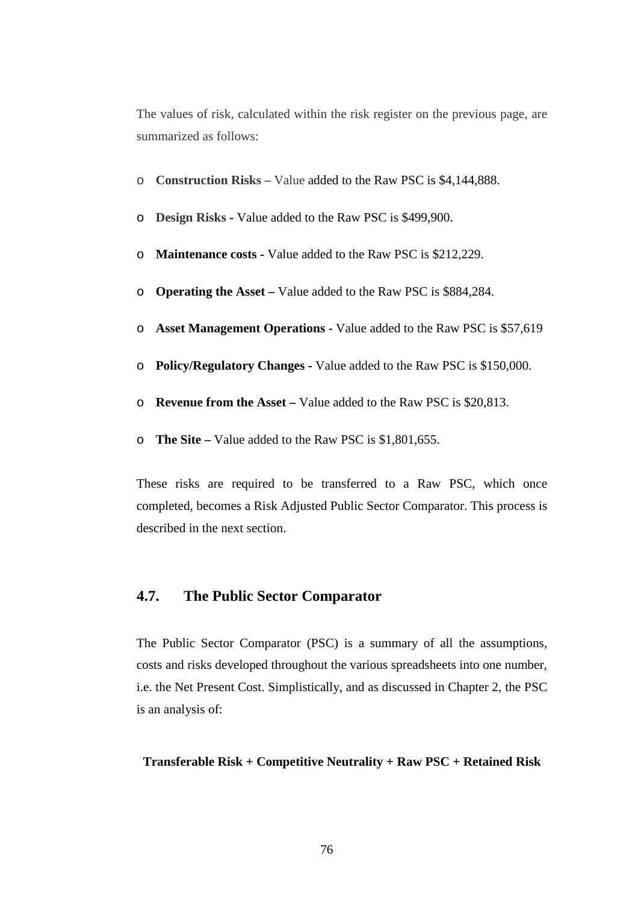The values of risk, calculated within the risk register on the previous page, are summarized as follows:

- o **Construction Risks** Value added to the Raw PSC is \$4,144,888.
- o **Design Risks** Value added to the Raw PSC is \$499,900.
- o **Maintenance costs** Value added to the Raw PSC is \$212,229.
- o **Operating the Asset –** Value added to the Raw PSC is \$884,284.
- o **Asset Management Operations** Value added to the Raw PSC is \$57,619
- o **Policy/Regulatory Changes** Value added to the Raw PSC is \$150,000.
- o **Revenue from the Asset** Value added to the Raw PSC is \$20,813.
- o **The Site** Value added to the Raw PSC is \$1,801,655.

These risks are required to be transferred to a Raw PSC, which once completed, becomes a Risk Adjusted Public Sector Comparator. This process is described in the next section.

# **4.7. The Public Sector Comparator**

The Public Sector Comparator (PSC) is a summary of all the assumptions, costs and risks developed throughout the various spreadsheets into one number, i.e. the Net Present Cost. Simplistically, and as discussed in Chapter 2, the PSC is an analysis of:

## **Transferable Risk + Competitive Neutrality + Raw PSC + Retained Risk**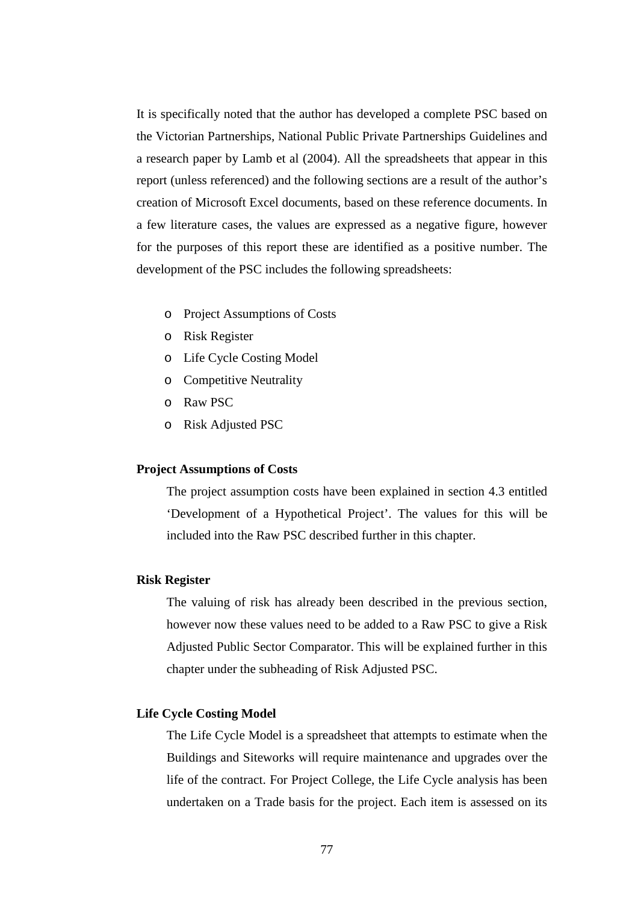It is specifically noted that the author has developed a complete PSC based on the Victorian Partnerships, National Public Private Partnerships Guidelines and a research paper by Lamb et al (2004). All the spreadsheets that appear in this report (unless referenced) and the following sections are a result of the author's creation of Microsoft Excel documents, based on these reference documents. In a few literature cases, the values are expressed as a negative figure, however for the purposes of this report these are identified as a positive number. The development of the PSC includes the following spreadsheets:

- o Project Assumptions of Costs
- o Risk Register
- o Life Cycle Costing Model
- o Competitive Neutrality
- o Raw PSC
- o Risk Adjusted PSC

# **Project Assumptions of Costs**

The project assumption costs have been explained in section 4.3 entitled 'Development of a Hypothetical Project'. The values for this will be included into the Raw PSC described further in this chapter.

## **Risk Register**

The valuing of risk has already been described in the previous section, however now these values need to be added to a Raw PSC to give a Risk Adjusted Public Sector Comparator. This will be explained further in this chapter under the subheading of Risk Adjusted PSC.

## **Life Cycle Costing Model**

The Life Cycle Model is a spreadsheet that attempts to estimate when the Buildings and Siteworks will require maintenance and upgrades over the life of the contract. For Project College, the Life Cycle analysis has been undertaken on a Trade basis for the project. Each item is assessed on its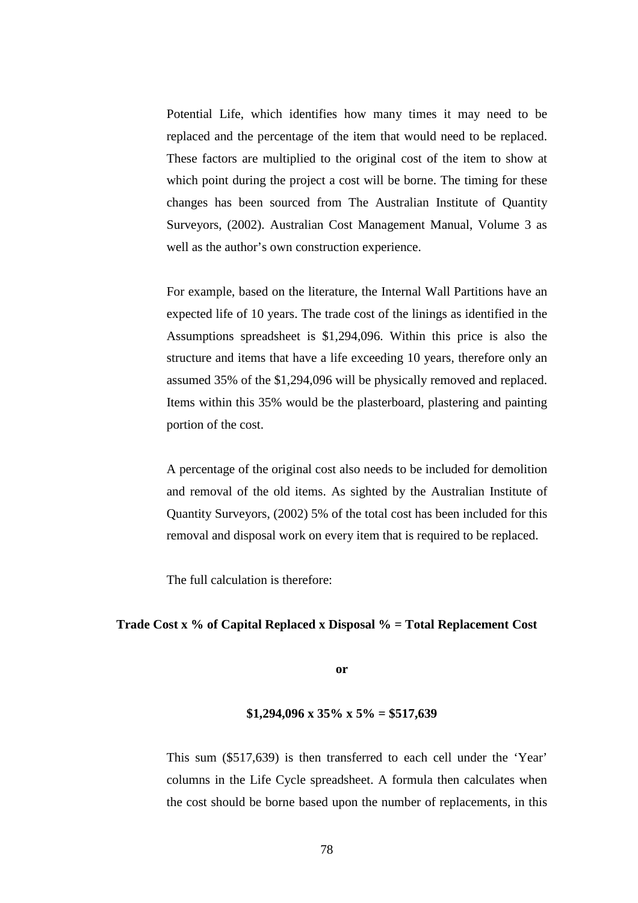Potential Life, which identifies how many times it may need to be replaced and the percentage of the item that would need to be replaced. These factors are multiplied to the original cost of the item to show at which point during the project a cost will be borne. The timing for these changes has been sourced from The Australian Institute of Quantity Surveyors, (2002). Australian Cost Management Manual, Volume 3 as well as the author's own construction experience.

For example, based on the literature, the Internal Wall Partitions have an expected life of 10 years. The trade cost of the linings as identified in the Assumptions spreadsheet is \$1,294,096. Within this price is also the structure and items that have a life exceeding 10 years, therefore only an assumed 35% of the \$1,294,096 will be physically removed and replaced. Items within this 35% would be the plasterboard, plastering and painting portion of the cost.

A percentage of the original cost also needs to be included for demolition and removal of the old items. As sighted by the Australian Institute of Quantity Surveyors, (2002) 5% of the total cost has been included for this removal and disposal work on every item that is required to be replaced.

The full calculation is therefore:

## **Trade Cost x % of Capital Replaced x Disposal % = Total Replacement Cost**

**or** 

## **\$1,294,096 x 35% x 5% = \$517,639**

This sum (\$517,639) is then transferred to each cell under the 'Year' columns in the Life Cycle spreadsheet. A formula then calculates when the cost should be borne based upon the number of replacements, in this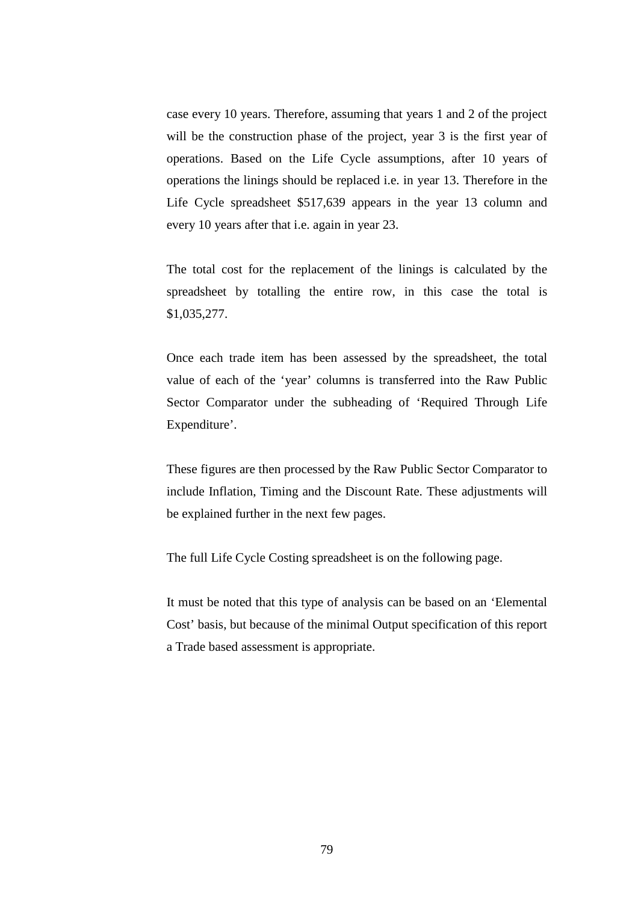case every 10 years. Therefore, assuming that years 1 and 2 of the project will be the construction phase of the project, year 3 is the first year of operations. Based on the Life Cycle assumptions, after 10 years of operations the linings should be replaced i.e. in year 13. Therefore in the Life Cycle spreadsheet \$517,639 appears in the year 13 column and every 10 years after that i.e. again in year 23.

The total cost for the replacement of the linings is calculated by the spreadsheet by totalling the entire row, in this case the total is \$1,035,277.

Once each trade item has been assessed by the spreadsheet, the total value of each of the 'year' columns is transferred into the Raw Public Sector Comparator under the subheading of 'Required Through Life Expenditure'.

These figures are then processed by the Raw Public Sector Comparator to include Inflation, Timing and the Discount Rate. These adjustments will be explained further in the next few pages.

The full Life Cycle Costing spreadsheet is on the following page.

It must be noted that this type of analysis can be based on an 'Elemental Cost' basis, but because of the minimal Output specification of this report a Trade based assessment is appropriate.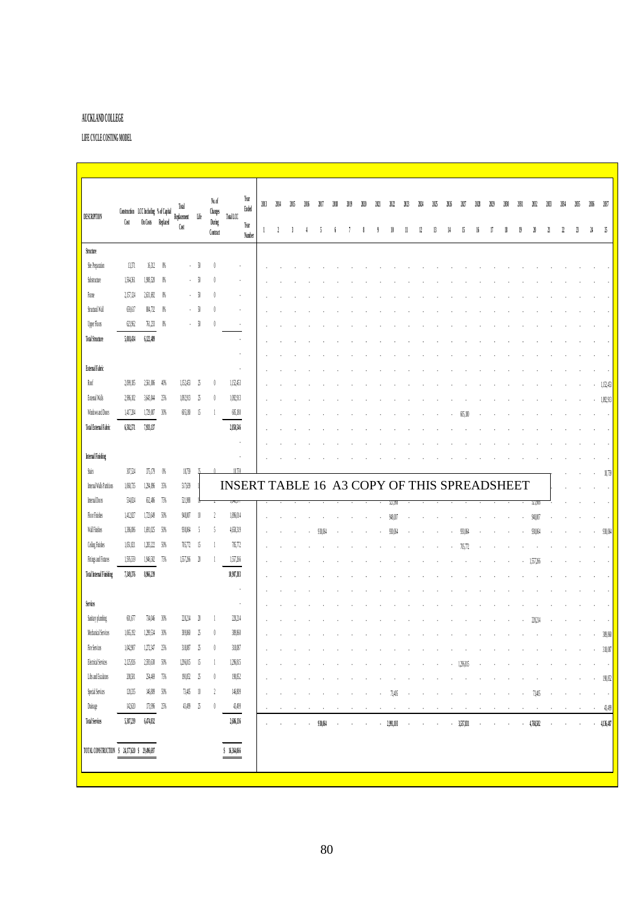# **AUCKLAND COLLEGE**

**LIFE CYCLE COSTING MODEL**

| <b>DESCRIPTION</b><br>Cost<br>Structure<br>Site Preparation<br>[3,37]<br>Substructure<br>1,564,361<br>2,157,124<br>Franc<br>Structural Wall<br>69,617<br>Upper Floors<br>623.962<br>5,08,04<br><b>Total Structure</b><br>External Fabric<br>Rof<br>2,099,185<br>External Walls<br>2,986,102<br>Windows and Doors<br>1,417,284<br>650,511<br>Total External Fabric<br><b>Internal Finishing</b><br>30.54<br><b>Stairs</b><br>Internal Walls Partitions<br>1,060,735<br>Internal Doors<br>534,824 | Construction LCC Including % of Capital<br>On Costs Replaced<br>16,312<br>1.908.520<br>2.61.02<br>804,732<br>761,233<br>6,12,499<br>2,561,006 | $^{16}$<br>$\frac{1}{2}$<br>$\frac{1}{2}$<br>$\frac{1}{2}$<br>$\mathfrak{g}$ | Total<br>Replacement<br>Cost | Life<br>$\sqrt{ }$<br>-91<br>$\sqrt{ }$<br>-91                                                          | No.of<br>$\mathcal{C}_{\text{hanges}}$<br>During<br>Contract | Total LCC                                   | Year<br>Ended<br>Year<br>Number | 2013<br>$\mathbf{1}$     | 2014<br>-1 | 2MS<br>$\overline{3}$ |        |         |         |        | 3121       | 2021 | M         | 303    | 204    | 205 | M         | 2027         | m                        | $\mathcal{M}9$ | 10     | 2031 | 2032      | 113        | 264    | 205     | 2036    | 167          |
|-------------------------------------------------------------------------------------------------------------------------------------------------------------------------------------------------------------------------------------------------------------------------------------------------------------------------------------------------------------------------------------------------------------------------------------------------------------------------------------------------|-----------------------------------------------------------------------------------------------------------------------------------------------|------------------------------------------------------------------------------|------------------------------|---------------------------------------------------------------------------------------------------------|--------------------------------------------------------------|---------------------------------------------|---------------------------------|--------------------------|------------|-----------------------|--------|---------|---------|--------|------------|------|-----------|--------|--------|-----|-----------|--------------|--------------------------|----------------|--------|------|-----------|------------|--------|---------|---------|--------------|
|                                                                                                                                                                                                                                                                                                                                                                                                                                                                                                 |                                                                                                                                               |                                                                              |                              |                                                                                                         |                                                              |                                             |                                 |                          |            |                       |        |         |         |        |            |      |           |        |        |     |           |              |                          |                |        |      |           |            |        |         |         |              |
|                                                                                                                                                                                                                                                                                                                                                                                                                                                                                                 |                                                                                                                                               |                                                                              |                              |                                                                                                         |                                                              |                                             |                                 |                          |            |                       |        |         |         |        |            |      |           | 11     | 12     | 13  | 14        | 15           | 16                       | 17             | 18     | 19   | N         | 21         | 22     | B       | Μ       | 15           |
|                                                                                                                                                                                                                                                                                                                                                                                                                                                                                                 |                                                                                                                                               |                                                                              |                              |                                                                                                         |                                                              |                                             |                                 |                          |            |                       |        |         |         |        |            |      |           |        |        |     |           |              |                          |                |        |      |           |            |        |         |         |              |
|                                                                                                                                                                                                                                                                                                                                                                                                                                                                                                 |                                                                                                                                               |                                                                              |                              |                                                                                                         |                                                              |                                             |                                 |                          |            |                       |        |         |         |        |            |      |           |        |        |     |           |              |                          |                |        |      |           |            |        |         |         |              |
|                                                                                                                                                                                                                                                                                                                                                                                                                                                                                                 |                                                                                                                                               |                                                                              |                              |                                                                                                         |                                                              |                                             |                                 |                          |            |                       |        |         |         |        |            |      |           |        |        |     |           |              |                          |                |        |      |           |            |        |         |         |              |
|                                                                                                                                                                                                                                                                                                                                                                                                                                                                                                 |                                                                                                                                               |                                                                              |                              |                                                                                                         |                                                              |                                             |                                 |                          |            |                       |        |         |         |        |            |      |           |        |        |     |           |              |                          |                |        |      |           |            |        |         |         |              |
|                                                                                                                                                                                                                                                                                                                                                                                                                                                                                                 |                                                                                                                                               |                                                                              |                              |                                                                                                         |                                                              |                                             |                                 |                          |            |                       |        |         |         |        |            |      |           |        |        |     |           |              |                          |                |        |      |           |            |        |         |         |              |
|                                                                                                                                                                                                                                                                                                                                                                                                                                                                                                 |                                                                                                                                               |                                                                              |                              |                                                                                                         |                                                              | l.                                          |                                 |                          |            |                       |        |         |         |        |            |      |           |        |        |     |           |              |                          |                |        |      |           |            |        |         |         |              |
|                                                                                                                                                                                                                                                                                                                                                                                                                                                                                                 |                                                                                                                                               |                                                                              |                              | - 50                                                                                                    |                                                              | $\ddot{\phantom{a}}$                        |                                 |                          |            |                       |        |         |         |        |            |      |           |        |        |     |           |              |                          |                |        |      |           |            |        |         |         |              |
|                                                                                                                                                                                                                                                                                                                                                                                                                                                                                                 |                                                                                                                                               |                                                                              |                              |                                                                                                         |                                                              | i,                                          |                                 |                          |            |                       |        |         |         |        |            |      |           |        |        |     |           |              |                          |                |        |      |           |            |        |         |         |              |
|                                                                                                                                                                                                                                                                                                                                                                                                                                                                                                 |                                                                                                                                               |                                                                              |                              |                                                                                                         |                                                              | $\cdot$                                     |                                 |                          |            |                       |        |         |         |        |            |      |           |        |        |     |           |              |                          |                |        |      |           |            |        |         |         |              |
|                                                                                                                                                                                                                                                                                                                                                                                                                                                                                                 |                                                                                                                                               |                                                                              |                              |                                                                                                         |                                                              | $\cdot$                                     |                                 |                          |            |                       |        |         |         |        |            |      |           |        |        |     |           |              |                          |                |        |      |           |            |        |         |         |              |
|                                                                                                                                                                                                                                                                                                                                                                                                                                                                                                 |                                                                                                                                               | 40%                                                                          | 1,152,453                    | -25                                                                                                     |                                                              | 1,152,453                                   |                                 |                          |            |                       |        |         |         |        |            |      |           |        |        |     |           |              |                          |                |        |      |           |            |        |         |         | 1,152,453    |
|                                                                                                                                                                                                                                                                                                                                                                                                                                                                                                 | 3,603,044                                                                                                                                     | 25%                                                                          | 1,092,913                    | -25                                                                                                     |                                                              | 1,092,913                                   |                                 |                          |            |                       |        |         |         |        |            |      |           |        |        |     |           |              |                          |                |        |      |           |            |        |         |         | 1,092,913    |
|                                                                                                                                                                                                                                                                                                                                                                                                                                                                                                 | $1,\!72,\!00$                                                                                                                                 | 30%                                                                          | 605,180                      | 15                                                                                                      |                                                              | 605.180                                     |                                 |                          |            |                       |        |         |         |        |            |      |           |        |        |     |           |              |                          |                |        |      |           |            |        |         |         |              |
|                                                                                                                                                                                                                                                                                                                                                                                                                                                                                                 | 7,933,137                                                                                                                                     |                                                                              |                              |                                                                                                         |                                                              | 2,80,516                                    |                                 |                          |            |                       |        |         |         |        |            |      |           |        |        |     |           |              |                          |                |        |      |           |            |        |         |         |              |
|                                                                                                                                                                                                                                                                                                                                                                                                                                                                                                 |                                                                                                                                               |                                                                              |                              |                                                                                                         |                                                              | $\cdot$                                     |                                 |                          |            |                       |        |         |         |        |            |      |           |        |        |     |           |              |                          |                |        |      |           |            |        |         |         |              |
|                                                                                                                                                                                                                                                                                                                                                                                                                                                                                                 |                                                                                                                                               |                                                                              |                              |                                                                                                         |                                                              | $\cdot$                                     |                                 |                          |            |                       |        |         |         |        |            |      |           |        |        |     |           |              |                          |                |        |      |           |            |        |         |         |              |
|                                                                                                                                                                                                                                                                                                                                                                                                                                                                                                 | 375,179                                                                                                                                       | $\sqrt{h}$                                                                   | 18,759                       |                                                                                                         |                                                              | 18.750                                      |                                 |                          |            |                       |        |         |         |        |            |      |           |        |        |     |           |              |                          |                |        |      |           |            |        |         |         | 18,759       |
|                                                                                                                                                                                                                                                                                                                                                                                                                                                                                                 | 1,294,096                                                                                                                                     | $3\%$                                                                        | 517,639                      |                                                                                                         |                                                              | INSERT TABLE 16 A3 COPY OF THIS SPREADSHEET |                                 |                          |            |                       |        |         |         |        |            |      |           |        |        |     |           |              |                          |                |        |      |           |            |        |         |         |              |
|                                                                                                                                                                                                                                                                                                                                                                                                                                                                                                 | 62,4%                                                                                                                                         | 75%                                                                          | 521,988                      |                                                                                                         |                                                              | JHJ J                                       |                                 |                          |            |                       |        |         |         |        |            |      | 041,981   |        |        |     |           |              |                          |                |        |      | 321.908   |            |        |         |         |              |
| <b>Floor Finishes</b><br>1,412,827                                                                                                                                                                                                                                                                                                                                                                                                                                                              | 1,723,649                                                                                                                                     | $50\%$                                                                       | 948.007                      |                                                                                                         | $\gamma$                                                     | 1,86,014                                    |                                 |                          |            |                       |        |         |         |        |            |      | 948.OD    |        |        |     |           |              |                          |                |        |      | 98.00     |            |        |         |         |              |
| Wall Finishes<br>1,3%,0%                                                                                                                                                                                                                                                                                                                                                                                                                                                                        | 1,091,025                                                                                                                                     | - 50%                                                                        | 930,064                      | f                                                                                                       |                                                              | 4,650,319                                   |                                 |                          |            |                       |        | 930 NS  |         |        |            |      | 930.064   |        |        |     |           | 930.064      |                          |                |        |      |           |            |        |         |         | 930,064      |
| Celing Finishes<br>1,051,821                                                                                                                                                                                                                                                                                                                                                                                                                                                                    | 1,283,222                                                                                                                                     | $50\%$                                                                       | 705,772                      | - 15                                                                                                    |                                                              | 705.772                                     |                                 |                          |            |                       |        |         |         |        |            |      |           |        |        |     |           | 16.772       |                          |                |        |      |           |            |        |         |         |              |
| Fiting and Fixtures<br>1,595,559                                                                                                                                                                                                                                                                                                                                                                                                                                                                | 1,916,582                                                                                                                                     | 75%                                                                          | 1,557,266                    | $\mathfrak{A}$                                                                                          |                                                              | 1,57,266                                    |                                 |                          |            |                       |        |         |         |        |            |      |           |        |        |     |           |              |                          |                |        |      | 1.557.36  |            |        |         |         |              |
| <b>Total Internal Finishing</b><br>7,30,3%                                                                                                                                                                                                                                                                                                                                                                                                                                                      | 8,966,239                                                                                                                                     |                                                                              |                              |                                                                                                         |                                                              | 10,907,383                                  |                                 |                          |            |                       |        |         |         |        |            |      |           |        |        |     |           |              |                          |                |        |      |           |            |        |         |         |              |
|                                                                                                                                                                                                                                                                                                                                                                                                                                                                                                 |                                                                                                                                               |                                                                              |                              |                                                                                                         |                                                              | $\ddot{\phantom{0}}$                        |                                 |                          |            |                       |        |         |         |        |            |      |           |        |        |     |           |              |                          |                |        |      |           |            |        |         |         |              |
| Services                                                                                                                                                                                                                                                                                                                                                                                                                                                                                        |                                                                                                                                               |                                                                              |                              |                                                                                                         |                                                              | $\cdot$                                     |                                 |                          |            |                       |        |         |         |        |            |      |           |        |        |     |           |              |                          |                |        |      |           |            |        |         |         |              |
| Sanitary plumbing<br>601,677                                                                                                                                                                                                                                                                                                                                                                                                                                                                    | 734,046                                                                                                                                       | 30%                                                                          | 20.214                       |                                                                                                         |                                                              | 20,214                                      |                                 |                          |            |                       |        |         |         |        |            |      |           |        |        |     |           |              |                          |                |        |      |           |            |        |         |         |              |
| Mechanical Services<br>1,065,192                                                                                                                                                                                                                                                                                                                                                                                                                                                                | 1,299,534                                                                                                                                     | 30%                                                                          | 389.860                      | $\gamma$                                                                                                |                                                              | 389,860                                     |                                 |                          |            |                       |        |         |         |        |            |      |           |        |        |     |           |              |                          |                |        |      |           |            |        |         | $\cdot$ | 39,860       |
| Fire Services<br>$1{,}00{,}90$                                                                                                                                                                                                                                                                                                                                                                                                                                                                  | 1,272,347                                                                                                                                     | $25\%$                                                                       | 318,087                      | $\mathfrak{L}% _{T}=\mathfrak{L}_{T}\!\left( a,b\right) ,\ \mathfrak{L}_{T}=C_{T}\!\left( a,b\right) ,$ |                                                              | $318,087$                                   |                                 |                          |            |                       |        |         |         |        |            |      |           |        |        |     |           |              |                          |                |        |      |           |            |        |         |         | 318,087      |
| <b>Electrical Services</b><br>2,125,926                                                                                                                                                                                                                                                                                                                                                                                                                                                         | 2,593,630 50%                                                                                                                                 |                                                                              | 1,296,815 15                 |                                                                                                         | -1                                                           | 1,2%,815                                    |                                 | $\overline{\phantom{a}}$ |            |                       |        |         |         |        |            |      |           |        |        |     |           | $-1,296,815$ | $\overline{\phantom{a}}$ |                |        |      |           |            |        |         |         | $\cdot$      |
| Lifts and Escalators<br>206,581                                                                                                                                                                                                                                                                                                                                                                                                                                                                 | 254,469 75%                                                                                                                                   |                                                                              | 190,852 25                   |                                                                                                         | 0                                                            | 190,852                                     |                                 |                          |            |                       |        |         |         |        |            |      |           |        |        |     |           |              |                          |                |        |      |           |            |        |         |         | $-190,852$   |
| Special Services<br>120,335                                                                                                                                                                                                                                                                                                                                                                                                                                                                     | 146,809 50%                                                                                                                                   |                                                                              | 73,405 10                    |                                                                                                         | $\mathbf{1}$                                                 | 146,809                                     |                                 |                          |            |                       |        |         |         |        |            |      | 73,405    |        |        |     |           |              |                          |                |        |      | 73,405    |            |        | $\cdot$ | $\cdot$ | $\sim$       |
| Drainage<br>142,600                                                                                                                                                                                                                                                                                                                                                                                                                                                                             | 173,996 25%                                                                                                                                   |                                                                              | 43,499 25                    |                                                                                                         | 0                                                            | 43,499                                      |                                 |                          |            |                       |        |         |         |        |            |      |           |        |        |     |           |              |                          |                |        |      |           |            |        |         |         | 43,499       |
| <b>Total Services</b><br>5,307,239                                                                                                                                                                                                                                                                                                                                                                                                                                                              | 6,474,832                                                                                                                                     |                                                                              |                              |                                                                                                         |                                                              | 2,606,136                                   |                                 | $\sim$                   | $\cdot$    | $\alpha$              | $\sim$ | 930,064 | $\cdot$ | $\sim$ | $\epsilon$ |      | 2,991,103 | $\sim$ | $\sim$ |     | 3,537,831 |              | $\sim$                   | $\mathbf{r}$   | $\sim$ |      | 4,768,582 | $\sim$ $-$ | $\sim$ | $\sim$  |         | $-4,136,487$ |
| TOTAL CONSTRUCTION \$ 24,177,620 \$ 29,496,697                                                                                                                                                                                                                                                                                                                                                                                                                                                  |                                                                                                                                               |                                                                              |                              |                                                                                                         |                                                              | \$16,364,066                                |                                 |                          |            |                       |        |         |         |        |            |      |           |        |        |     |           |              |                          |                |        |      |           |            |        |         |         |              |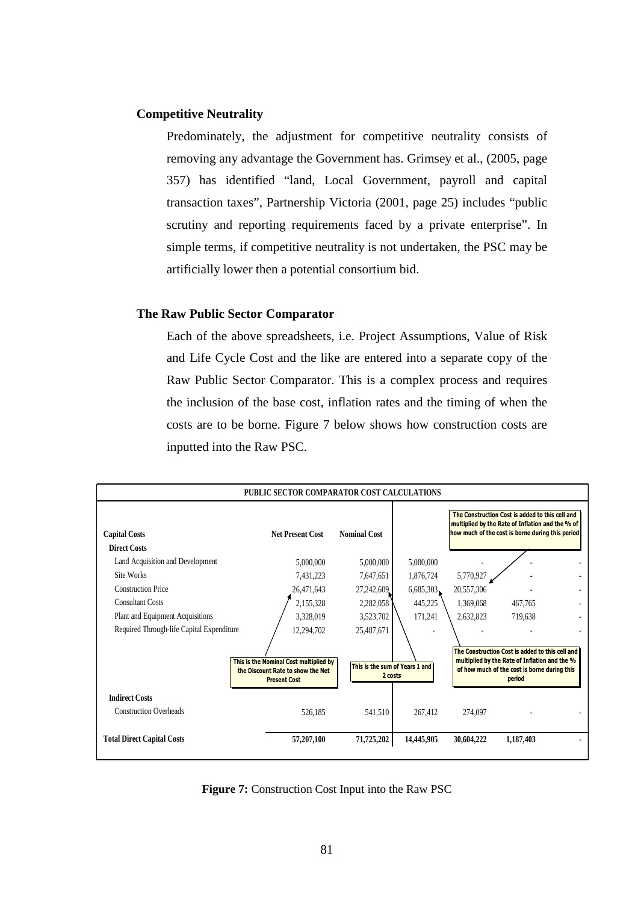# **Competitive Neutrality**

Predominately, the adjustment for competitive neutrality consists of removing any advantage the Government has. Grimsey et al., (2005, page 357) has identified "land, Local Government, payroll and capital transaction taxes", Partnership Victoria (2001, page 25) includes "public scrutiny and reporting requirements faced by a private enterprise". In simple terms, if competitive neutrality is not undertaken, the PSC may be artificially lower then a potential consortium bid.

## **The Raw Public Sector Comparator**

Each of the above spreadsheets, i.e. Project Assumptions, Value of Risk and Life Cycle Cost and the like are entered into a separate copy of the Raw Public Sector Comparator. This is a complex process and requires the inclusion of the base cost, inflation rates and the timing of when the costs are to be borne. Figure 7 below shows how construction costs are inputted into the Raw PSC.



**Figure 7:** Construction Cost Input into the Raw PSC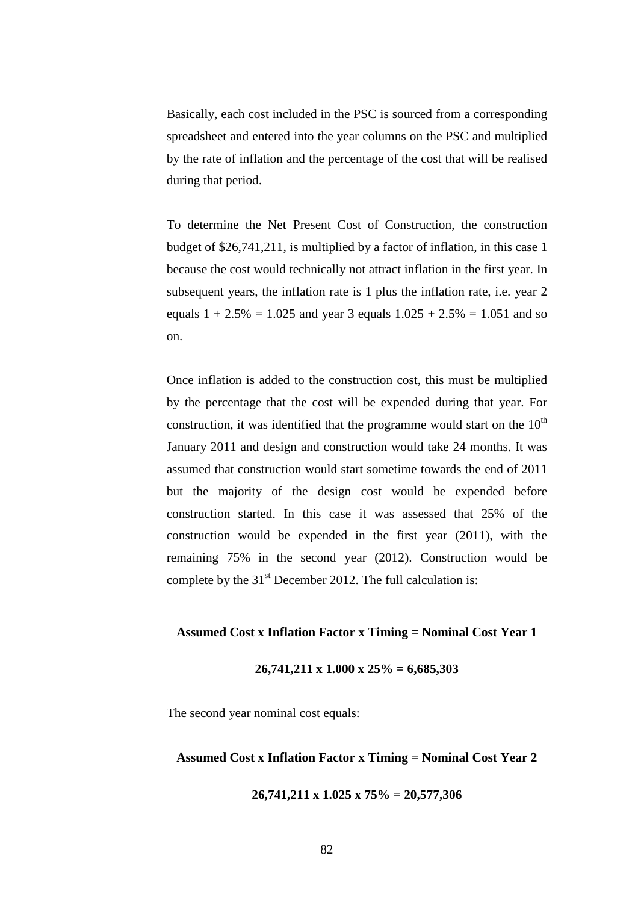Basically, each cost included in the PSC is sourced from a corresponding spreadsheet and entered into the year columns on the PSC and multiplied by the rate of inflation and the percentage of the cost that will be realised during that period.

To determine the Net Present Cost of Construction, the construction budget of \$26,741,211, is multiplied by a factor of inflation, in this case 1 because the cost would technically not attract inflation in the first year. In subsequent years, the inflation rate is 1 plus the inflation rate, i.e. year 2 equals  $1 + 2.5\% = 1.025$  and year 3 equals  $1.025 + 2.5\% = 1.051$  and so on.

Once inflation is added to the construction cost, this must be multiplied by the percentage that the cost will be expended during that year. For construction, it was identified that the programme would start on the  $10<sup>th</sup>$ January 2011 and design and construction would take 24 months. It was assumed that construction would start sometime towards the end of 2011 but the majority of the design cost would be expended before construction started. In this case it was assessed that 25% of the construction would be expended in the first year (2011), with the remaining 75% in the second year (2012). Construction would be complete by the  $31<sup>st</sup>$  December 2012. The full calculation is:

# **Assumed Cost x Inflation Factor x Timing = Nominal Cost Year 1**

## **26,741,211 x 1.000 x 25% = 6,685,303**

The second year nominal cost equals:

### **Assumed Cost x Inflation Factor x Timing = Nominal Cost Year 2**

**26,741,211 x 1.025 x 75% = 20,577,306**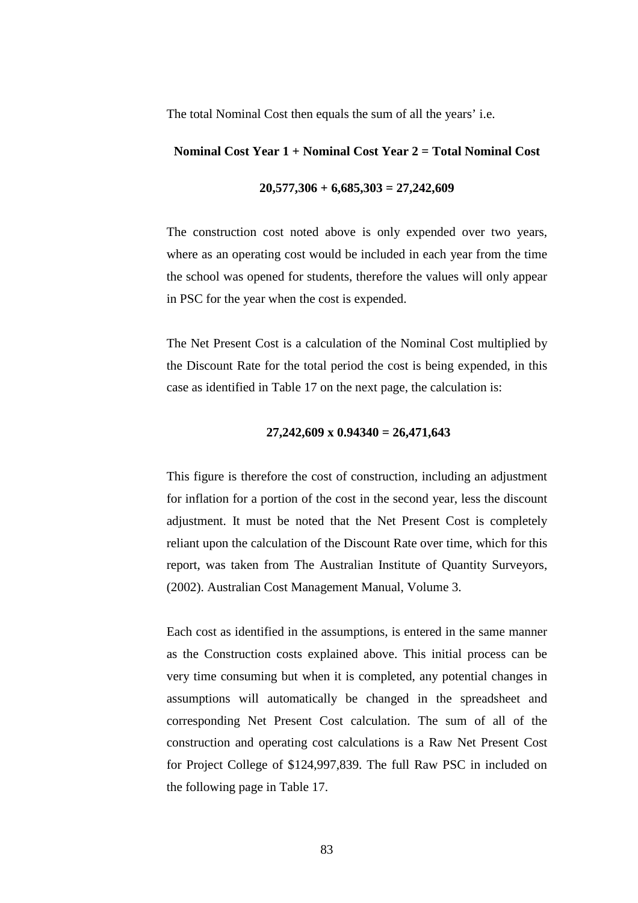The total Nominal Cost then equals the sum of all the years' i.e.

# **Nominal Cost Year 1 + Nominal Cost Year 2 = Total Nominal Cost**

# **20,577,306 + 6,685,303 = 27,242,609**

The construction cost noted above is only expended over two years, where as an operating cost would be included in each year from the time the school was opened for students, therefore the values will only appear in PSC for the year when the cost is expended.

The Net Present Cost is a calculation of the Nominal Cost multiplied by the Discount Rate for the total period the cost is being expended, in this case as identified in Table 17 on the next page, the calculation is:

## **27,242,609 x 0.94340 = 26,471,643**

This figure is therefore the cost of construction, including an adjustment for inflation for a portion of the cost in the second year, less the discount adjustment. It must be noted that the Net Present Cost is completely reliant upon the calculation of the Discount Rate over time, which for this report, was taken from The Australian Institute of Quantity Surveyors, (2002). Australian Cost Management Manual, Volume 3.

Each cost as identified in the assumptions, is entered in the same manner as the Construction costs explained above. This initial process can be very time consuming but when it is completed, any potential changes in assumptions will automatically be changed in the spreadsheet and corresponding Net Present Cost calculation. The sum of all of the construction and operating cost calculations is a Raw Net Present Cost for Project College of \$124,997,839. The full Raw PSC in included on the following page in Table 17.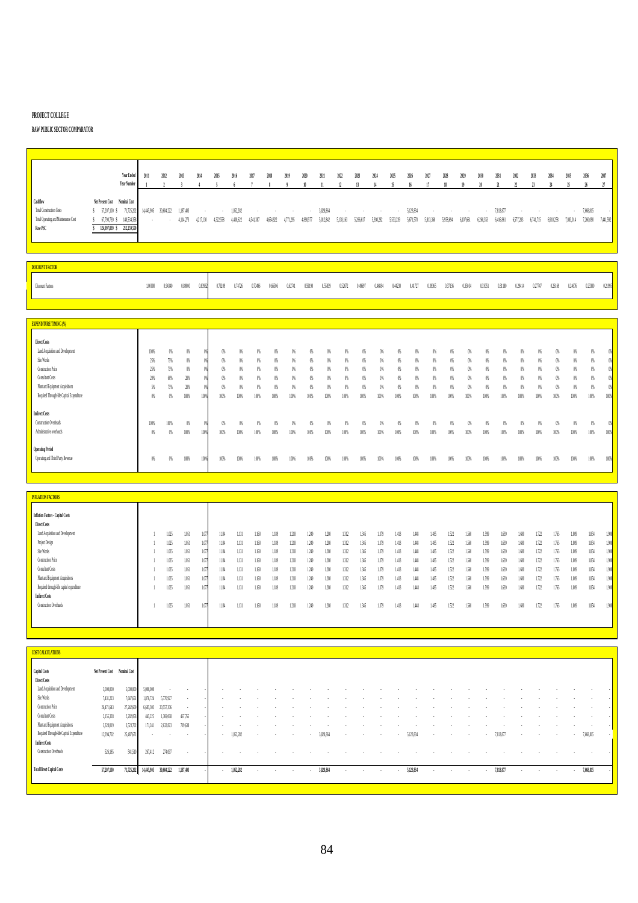#### **PROJECT COLLEGE**

## **RAW PUBLIC SECTOR COMPARATOR**

|                                                                                         |                                                                                                                                                            | Year Ended<br>Year Number | 2011            | 2012 | 2013                    | 2014            | 2015      | 2016                   | 2017                     | 2018                | 2019                           | 2020      | 2021      | 2022 2023 2024                | 13 | 14        | M25<br>$\mathbf{15}$ | 2026      | 2027                         | 2028      | 2029                                | NN        | 2031                   | 2032               | 2033                | Ж                                    | 2035      | 2036                   | 2037      |
|-----------------------------------------------------------------------------------------|------------------------------------------------------------------------------------------------------------------------------------------------------------|---------------------------|-----------------|------|-------------------------|-----------------|-----------|------------------------|--------------------------|---------------------|--------------------------------|-----------|-----------|-------------------------------|----|-----------|----------------------|-----------|------------------------------|-----------|-------------------------------------|-----------|------------------------|--------------------|---------------------|--------------------------------------|-----------|------------------------|-----------|
| Cashflow<br>Total Construction Costs<br>Total Operating and Maintenance Cost<br>Raw PSC | Net Present Cost Nominal Cost<br>\$ 57,207,100 \$ 71,725,202 14,445,905 30,604,222 1,187,403<br>\$ 67,790,739 \$ 140,534,358<br>124,997,839 \$ 212,259,559 |                           | and the company |      | $4,114,273$ $4,217,130$ | $\sim 10^{-11}$ | 4,322,558 | 1.052.282<br>4,430,622 | $\sim$ $\sim$<br>4541387 | $\sim$<br>4,654,922 | <b>Contractor</b><br>4.711.295 | 4,890,577 | 3.828.864 | 5,012,842 5,138,163 5,266,617 |    | 5,398,282 | 5,533,239            | 5,671,570 | <b>Contract</b><br>5,813,360 | 5,958,694 | and the control of the<br>6,107,661 | 6,260,353 | 7.813.877<br>6.416.861 | $\sim$<br>6577.283 | $\sim$<br>6,741,715 | <b>Contract Contract</b><br>6910.258 | 7.083.014 | 7,668,815<br>7,360,090 | 7,441,592 |

| SCOUNT FACTO           |       |  |                                                                                                                                                                                                                                |  |  |  |  |  |  |  |  |  |  |  |
|------------------------|-------|--|--------------------------------------------------------------------------------------------------------------------------------------------------------------------------------------------------------------------------------|--|--|--|--|--|--|--|--|--|--|--|
| <b>Discount Factor</b> | 10000 |  | - 0.94340 0.89000 0.839620 0.79209 0.74726 0.0096 0.66704 0.99190 0.53639 0.52672 0.49697 0.4684 0.4729 0.41727 0.39365 0.37136 0.35134 0.33151 0.31180 0.29414 0.2717 0.26169 0.2466 0.2350 0.2945 0.2959 0.24676 0.2370 0.29 |  |  |  |  |  |  |  |  |  |  |  |

| <b>EXPENDITURE TIMING (%)</b>             |               |      |      |      |        |      |      |      |      |      |      |      |        |      |      |      |      |     |      |      |      |      |      |      |      |               |               |
|-------------------------------------------|---------------|------|------|------|--------|------|------|------|------|------|------|------|--------|------|------|------|------|-----|------|------|------|------|------|------|------|---------------|---------------|
|                                           |               |      |      |      |        |      |      |      |      |      |      |      |        |      |      |      |      |     |      |      |      |      |      |      |      |               |               |
| Direct Costs                              |               |      |      |      |        |      |      |      |      |      |      |      |        |      |      |      |      |     |      |      |      |      |      |      |      |               |               |
| Land Acquisition and Development          | 10%           | 0%   | 0%   |      | 0%     |      |      |      |      |      |      |      |        |      |      |      |      |     |      |      |      |      |      |      | 0%   | 0%            |               |
| Site Works                                | 25%           | 75%  | 0%   |      | $^{0}$ |      |      |      |      |      |      |      |        |      |      |      |      |     |      | O    |      |      |      |      | 0%   | $\frac{0}{2}$ |               |
| Construction Price                        | 25%           | 75%  | 0%   |      | 0%     |      |      |      |      |      |      |      |        |      |      |      |      |     |      |      |      |      |      |      | 0%   | m             |               |
| Consultant Costs                          | 20%           | 60%  | 20%  |      | 0%     | œ    | Ø    |      |      |      |      |      |        |      |      |      |      |     |      |      |      |      |      |      | 0%   | - 65          |               |
| Plant and Equipment Acquisitions          | $\frac{5}{3}$ | 75%  | 20%  |      | 0%     | œ    | œ    | OX   |      |      |      |      | $^{0}$ |      |      |      |      |     |      |      | (A)  | 09   |      |      | 0%   | 05            |               |
| Required Through-life Capital Expenditure | 0%            | 0%   | 100% |      | 100%   | 100% | 100% | 100% | 100% | 100% | 100% |      | 100%   | 100% | 100% | 100% | 100% | 10% | 100% | 100% | 100% | 100% | 100% | 100% | 100% | 10%           |               |
|                                           |               |      |      |      |        |      |      |      |      |      |      |      |        |      |      |      |      |     |      |      |      |      |      |      |      |               |               |
| <b>Indirect Costs</b>                     |               |      |      |      |        |      |      |      |      |      |      |      |        |      |      |      |      |     |      |      |      |      |      |      |      |               |               |
| Construction Overheads                    | 100%          | 100% | 0%   |      | $^{0}$ |      | 05   |      |      |      |      |      |        |      |      |      |      |     |      |      |      |      |      |      | O%   | 05            |               |
| Administrative overheads                  | 0%            | 0%   | 100% | 100% | 100%   | 10%  | 100% | 100% | 100% | 100% | 100% | 100% | 100%   | 100% | 100% | 100% | 100% | 10% | 100% | 100% | 100% | 100% | 100% | 100% | 100% | 10%           |               |
|                                           |               |      |      |      |        |      |      |      |      |      |      |      |        |      |      |      |      |     |      |      |      |      |      |      |      |               |               |
| Operating Period                          |               |      |      |      |        |      |      |      |      |      |      |      |        |      |      |      |      |     |      |      |      |      |      |      |      |               |               |
| Operating and Third Party Revenue         | 0%            | 0%   | 100% |      | 100%   | 10%  | 100% | 100% | 10%  | 100% | 100% | 100% | 100%   | 100% | 100% | 100% | 100% | 10% | 100% | 100% | 100% | 100% | 100% | 100% | 100% | 10%           | $100^{\circ}$ |
|                                           |               |      |      |      |        |      |      |      |      |      |      |      |        |      |      |      |      |     |      |      |      |      |      |      |      |               |               |

| <b>INFLATION FACTORS</b>                  |               |         |      |       |       |       |       |       |       |       |       |       |       |       |      |       |      |       |       |       |       |       |       |       |       |     |
|-------------------------------------------|---------------|---------|------|-------|-------|-------|-------|-------|-------|-------|-------|-------|-------|-------|------|-------|------|-------|-------|-------|-------|-------|-------|-------|-------|-----|
|                                           |               |         |      |       |       |       |       |       |       |       |       |       |       |       |      |       |      |       |       |       |       |       |       |       |       |     |
| Inflation Factors - Capital Costs         |               |         |      |       |       |       |       |       |       |       |       |       |       |       |      |       |      |       |       |       |       |       |       |       |       |     |
| Direct Costs                              |               |         |      |       |       |       |       |       |       |       |       |       |       |       |      |       |      |       |       |       |       |       |       |       |       |     |
| Land Acquisition and Development          | 1.025         | 1.051   | 1.07 | 1.104 | 1.131 | 1.160 | 1.189 | 1.218 | 1.349 | 1.280 | 1312  | 1.345 | 1379  | 1.413 | 1.48 | 1.485 | 152  | 1,560 | 1599  | 1.639 | 1.680 | 1.722 | 1.765 | 1.809 | 1.854 |     |
| Project Design                            | 1.05          | 1051    |      | 1.104 | 1.131 | 1.160 | 1.189 | 1.218 | 1.349 | 280   | 1312  | 1345  | 1.379 | 1.413 | 1.48 | 1.485 | 1522 | 1,560 | 1599  | 1.639 | 1.680 | 1.722 | 1.765 | 1,809 | 1.854 |     |
| Site Works                                | 1.05          | 1.051   | 107  | 1.104 | 1.131 | 1.160 | 1.189 | 1.218 | 1.349 | 1280  | 1312  | 1345  | 1379  | 1.413 | 1.48 | 1.485 | 1522 | 150   | 1599  | 1.639 | 1.680 | 1.722 | 1.765 | 1809  | 1.854 |     |
| <b>Construction Price</b>                 | 1.0%          | 1.051   | 107  | 1.104 | 1.131 | 1.160 | 1.189 | 1218  | 1.349 |       | i312  | 1.345 | 1379  | 1.413 | 1.48 | 1.485 | 1522 | 1561  | 1599  | 1.639 | 1.680 | 1.722 | 1.765 | 1,809 | 1.854 |     |
| Consultant Costs                          | 1.0%          | 1.051   | 10   | 1.104 | 1.131 | 1.160 | 1.189 | 1218  | 1.349 | 280   | 1312  | 1.345 | 1379  | 1.413 | 1.48 | 1.485 | 1522 | 150   | 1599  | 1.639 | 1,680 |       | 1.765 | 1809  | 1.854 | w   |
| Plant and Equipment Acquisitions          | I MS<br>1,000 | 1051    |      | 1.104 | 1.131 | 1.160 | 1.189 | 1218  | 1.349 | 1.280 | 1312  | 1.345 | 1.379 | 1.413 | 1.48 | 1.485 | 1522 | 1.560 | 1599  | 1.639 | 1.680 | 1.722 | 1.765 | 1,809 | 1.854 | 1.7 |
| Required through life capital expenditure | 1.025         | $1.051$ | 1/2  | 1.104 | 1.131 | 1.160 | 1.189 | 1218  | 1.349 | 1.280 | 1312  | 1.345 | 1.379 | 1.413 | 1.48 | 1.485 | 1522 | 1.560 | 1.599 | 1.639 | 1.680 | 1.722 | 1.765 | 1,809 | 1.854 |     |
| <b>Indirect Costs</b>                     |               |         |      |       |       |       |       |       |       |       |       |       |       |       |      |       |      |       |       |       |       |       |       |       |       |     |
| Construction Overheads                    | 1.05          | $1051$  | 107  | 1.104 | 1.131 | 1.160 | 1.189 | 1218  | 1.349 | 1.280 | 1.312 | 1.345 | 1.379 | 1.413 | 1.48 | 1.485 | 1522 | 1.560 | 1.599 | 1.639 | 1.680 | 1.722 | 1.765 | 1.809 | 1.854 |     |
|                                           |               |         |      |       |       |       |       |       |       |       |       |       |       |       |      |       |      |       |       |       |       |       |       |       |       |     |

| <b>COST CALCULATIONS</b>                  |                               |            |                       |                          |           |        |           |        |         |        |         |           |         |        |        |         |           |                          |         |        |        |           |         |         |                  |        |           |  |
|-------------------------------------------|-------------------------------|------------|-----------------------|--------------------------|-----------|--------|-----------|--------|---------|--------|---------|-----------|---------|--------|--------|---------|-----------|--------------------------|---------|--------|--------|-----------|---------|---------|------------------|--------|-----------|--|
| Capital Costs<br><b>Direct Costs</b>      | Net Present Cost Nominal Cost |            |                       |                          |           |        |           |        |         |        |         |           |         |        |        |         |           |                          |         |        |        |           |         |         |                  |        |           |  |
| Land Acquisition and Development          | 5,000,000                     | 5,000,00   | 5,000,000             | $\overline{\phantom{a}}$ |           |        |           |        |         |        |         |           |         |        |        |         |           |                          |         |        |        |           |         |         |                  |        |           |  |
| Site Works                                | 7,431,223                     | 7,647,65   | 1,876,724             | 5,770,927                | $\sim$    |        |           |        |         |        |         |           |         |        |        |         |           |                          |         |        |        |           |         |         |                  |        |           |  |
| <b>Construction Price</b>                 | 26,471,643                    | 27,242,609 | 6,685,306             | 20,557,306               | $\sim$    |        |           |        |         |        |         |           |         |        |        |         |           |                          |         |        |        |           |         |         |                  |        |           |  |
| Consultant Costs                          | 2,155,328                     | 2,282,058  | 445,225               | 1,369,068                | 467.765   |        |           |        |         |        |         |           |         |        |        |         |           |                          |         |        |        |           |         |         |                  |        |           |  |
| Plant and Equipment Acquisitions          | 3,328,019                     | 3,523,702  | 171.241               | 2,632,823                | 719,638   |        |           |        |         |        |         |           |         |        |        |         |           |                          |         |        |        |           |         |         |                  |        |           |  |
| Required Through-life Capital Expenditure | 12,294,702                    | 25,487,67  | $\sim$                | $\sim$                   | . .       | $\sim$ | 1,052.282 | $\sim$ |         | $\sim$ |         | 3,828,864 | $\sim$  | $\sim$ | $\sim$ | $\sim$  | 5.123.834 | $\overline{\phantom{a}}$ |         | $\sim$ | $\sim$ | 7,813,877 | $\sim$  | $\sim$  | $\sim$           | $\sim$ | 7,668,815 |  |
| <b>Indirect Costs</b>                     |                               |            |                       |                          |           |        |           |        |         |        |         |           |         |        |        |         |           |                          |         |        |        |           |         |         |                  |        |           |  |
| Construction Overheads                    | 526,185                       | 541,510    | 267,412               | 274,097                  | $\sim$    |        |           |        |         |        |         |           |         |        |        |         |           |                          |         |        |        |           |         |         |                  |        |           |  |
|                                           |                               |            |                       |                          |           |        |           |        |         |        |         |           |         |        |        |         |           |                          |         |        |        |           |         |         |                  |        |           |  |
| <b>Total Direct Capital Costs</b>         | 57,207,100                    | 71,725,202 | 14,445,915 30,604,222 |                          | 1,187,403 | $\sim$ | 1,052,282 | $\sim$ | $\cdot$ | $\sim$ | $\cdot$ | 3,828,864 | $\cdot$ | $\sim$ | $\sim$ | $\cdot$ | 5,123,834 | $\cdot$                  | $\cdot$ | $\sim$ | $\sim$ | 7,813,877 | $\cdot$ | $\cdot$ | $\sim$ 100 $\mu$ | $\sim$ | 7,668,815 |  |
|                                           |                               |            |                       |                          |           |        |           |        |         |        |         |           |         |        |        |         |           |                          |         |        |        |           |         |         |                  |        |           |  |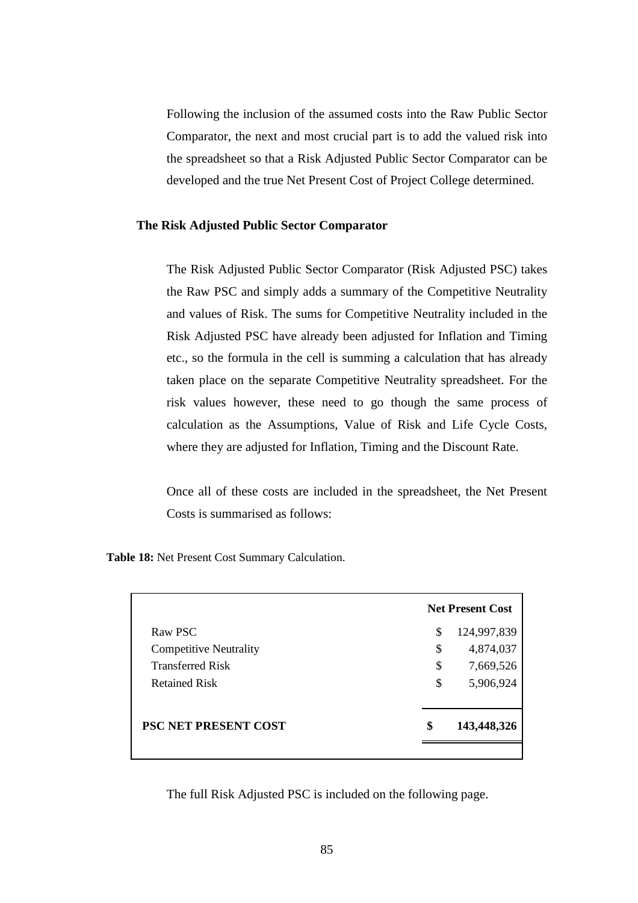Following the inclusion of the assumed costs into the Raw Public Sector Comparator, the next and most crucial part is to add the valued risk into the spreadsheet so that a Risk Adjusted Public Sector Comparator can be developed and the true Net Present Cost of Project College determined.

# **The Risk Adjusted Public Sector Comparator**

The Risk Adjusted Public Sector Comparator (Risk Adjusted PSC) takes the Raw PSC and simply adds a summary of the Competitive Neutrality and values of Risk. The sums for Competitive Neutrality included in the Risk Adjusted PSC have already been adjusted for Inflation and Timing etc., so the formula in the cell is summing a calculation that has already taken place on the separate Competitive Neutrality spreadsheet. For the risk values however, these need to go though the same process of calculation as the Assumptions, Value of Risk and Life Cycle Costs, where they are adjusted for Inflation, Timing and the Discount Rate.

Once all of these costs are included in the spreadsheet, the Net Present Costs is summarised as follows:

**Table 18:** Net Present Cost Summary Calculation.

|                               | <b>Net Present Cost</b> |
|-------------------------------|-------------------------|
| Raw PSC                       | \$<br>124,997,839       |
| <b>Competitive Neutrality</b> | \$<br>4,874,037         |
| <b>Transferred Risk</b>       | \$<br>7,669,526         |
| <b>Retained Risk</b>          | \$<br>5,906,924         |
| <b>PSC NET PRESENT COST</b>   | \$<br>143,448,326       |
|                               |                         |

The full Risk Adjusted PSC is included on the following page.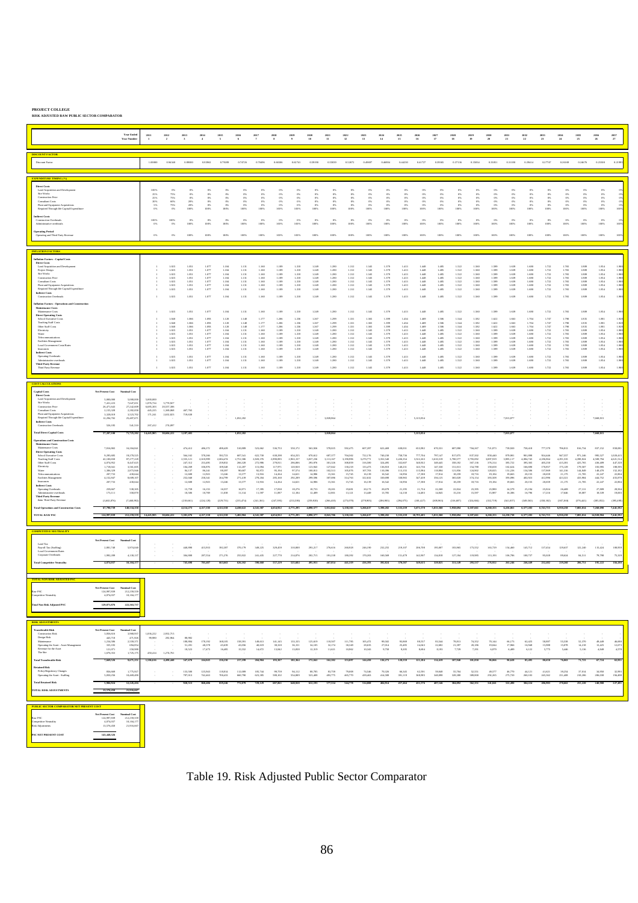**PROJECT COLLEGE RISK ADJUSTED RAW PUBLIC SECTOR COMPARATOR**

|                                                                                                                                                                                                                                                                                                                                                                                                                                                                                                                                                                                                                                                                                                                                                                 |                                                                                                                                                                                                                                                                                                               | <b>Year Ends</b><br>Year Numbe                                                                                                                                                                                                                                                                          | 2011<br>$\mathbf{1}$                                                                             | 2012<br>$\rightarrow$                                                                                                                                                                                                                  | 2013<br>$\cdot$                                                                                                                                                                                                                 | 2014<br>$\overline{4}$                                                                                                                                                                                                                                                                                                                                                              | 2015<br>$\overline{\phantom{a}}$                                                                                                                                                                                                                                                              | $\frac{2016}{6}$                                                                                                                                                                                                                                                                                                                                         | $\begin{array}{c} 2017 \\ 7 \end{array}$                                                                                                                                                                                                                                                                                                             | $\frac{2018}{8}$                                                                                                                                                                                                                                                                  | 2019<br>$\cdot$                                                                                                                                                                                                                                                                            | $\begin{array}{r} 2020 \\ 10 \end{array}$                                                                                                                                                                                                                                                                             | 2021<br>$11\,$                                                                                                                                                                                                                                                                                                        | 2022<br>12                                                                                                                                                                                                                                                                                 | 2023<br>13                                                                                                                                                                                                               | $\begin{array}{c} 2024 \\ 14 \end{array}$                                                                                                                                                 | 2025<br>15                                                                                                                                                                                                                                                                          | $\frac{2026}{16}$                                                                                                                                                                                                          | 2027<br>17                                                                                                                                                                                       | $\frac{2028}{18}$                                                                                                                                                                                                                                                     | 2029<br>19                                                                                                                                                                                                                             | $\begin{array}{c} 2030 \\ 20 \end{array}$                                                                                                                                                                                           | $\begin{array}{c} 2031 \\ 21 \end{array}$                                                                                                                                                        | $\frac{2032}{22}$                                                                                                                                                                                                                                                                      | 2033<br>23                                                                                                                                                                                                                                                                                                                                            | $\frac{2034}{24}$                                                                                                                                                                                                                       | 2035<br>25                                                                                                                                                                                                                                                                                                            | $\frac{2036}{26}$                                                                                                                                                                                                                                                                                                                                            | $\frac{2037}{27}$                                                                                                                                                                                    |
|-----------------------------------------------------------------------------------------------------------------------------------------------------------------------------------------------------------------------------------------------------------------------------------------------------------------------------------------------------------------------------------------------------------------------------------------------------------------------------------------------------------------------------------------------------------------------------------------------------------------------------------------------------------------------------------------------------------------------------------------------------------------|---------------------------------------------------------------------------------------------------------------------------------------------------------------------------------------------------------------------------------------------------------------------------------------------------------------|---------------------------------------------------------------------------------------------------------------------------------------------------------------------------------------------------------------------------------------------------------------------------------------------------------|--------------------------------------------------------------------------------------------------|----------------------------------------------------------------------------------------------------------------------------------------------------------------------------------------------------------------------------------------|---------------------------------------------------------------------------------------------------------------------------------------------------------------------------------------------------------------------------------|-------------------------------------------------------------------------------------------------------------------------------------------------------------------------------------------------------------------------------------------------------------------------------------------------------------------------------------------------------------------------------------|-----------------------------------------------------------------------------------------------------------------------------------------------------------------------------------------------------------------------------------------------------------------------------------------------|----------------------------------------------------------------------------------------------------------------------------------------------------------------------------------------------------------------------------------------------------------------------------------------------------------------------------------------------------------|------------------------------------------------------------------------------------------------------------------------------------------------------------------------------------------------------------------------------------------------------------------------------------------------------------------------------------------------------|-----------------------------------------------------------------------------------------------------------------------------------------------------------------------------------------------------------------------------------------------------------------------------------|--------------------------------------------------------------------------------------------------------------------------------------------------------------------------------------------------------------------------------------------------------------------------------------------|-----------------------------------------------------------------------------------------------------------------------------------------------------------------------------------------------------------------------------------------------------------------------------------------------------------------------|-----------------------------------------------------------------------------------------------------------------------------------------------------------------------------------------------------------------------------------------------------------------------------------------------------------------------|--------------------------------------------------------------------------------------------------------------------------------------------------------------------------------------------------------------------------------------------------------------------------------------------|--------------------------------------------------------------------------------------------------------------------------------------------------------------------------------------------------------------------------|-------------------------------------------------------------------------------------------------------------------------------------------------------------------------------------------|-------------------------------------------------------------------------------------------------------------------------------------------------------------------------------------------------------------------------------------------------------------------------------------|----------------------------------------------------------------------------------------------------------------------------------------------------------------------------------------------------------------------------|--------------------------------------------------------------------------------------------------------------------------------------------------------------------------------------------------|-----------------------------------------------------------------------------------------------------------------------------------------------------------------------------------------------------------------------------------------------------------------------|----------------------------------------------------------------------------------------------------------------------------------------------------------------------------------------------------------------------------------------|-------------------------------------------------------------------------------------------------------------------------------------------------------------------------------------------------------------------------------------|--------------------------------------------------------------------------------------------------------------------------------------------------------------------------------------------------|----------------------------------------------------------------------------------------------------------------------------------------------------------------------------------------------------------------------------------------------------------------------------------------|-------------------------------------------------------------------------------------------------------------------------------------------------------------------------------------------------------------------------------------------------------------------------------------------------------------------------------------------------------|-----------------------------------------------------------------------------------------------------------------------------------------------------------------------------------------------------------------------------------------|-----------------------------------------------------------------------------------------------------------------------------------------------------------------------------------------------------------------------------------------------------------------------------------------------------------------------|--------------------------------------------------------------------------------------------------------------------------------------------------------------------------------------------------------------------------------------------------------------------------------------------------------------------------------------------------------------|------------------------------------------------------------------------------------------------------------------------------------------------------------------------------------------------------|
| <b>ISCOUNT FACTOR</b><br>Discount Facto                                                                                                                                                                                                                                                                                                                                                                                                                                                                                                                                                                                                                                                                                                                         |                                                                                                                                                                                                                                                                                                               |                                                                                                                                                                                                                                                                                                         | 1.00000                                                                                          | 0.94340                                                                                                                                                                                                                                | 0.89000                                                                                                                                                                                                                         | 0.83962                                                                                                                                                                                                                                                                                                                                                                             | 0.79209                                                                                                                                                                                                                                                                                       | 0.74726                                                                                                                                                                                                                                                                                                                                                  | 0.70496                                                                                                                                                                                                                                                                                                                                              | 0.66506                                                                                                                                                                                                                                                                           | 0.62741                                                                                                                                                                                                                                                                                    | 0.59190                                                                                                                                                                                                                                                                                                               | 0.55839                                                                                                                                                                                                                                                                                                               | 0.52672                                                                                                                                                                                                                                                                                    | 0.49697                                                                                                                                                                                                                  | 0.46884                                                                                                                                                                                   | 0.44230                                                                                                                                                                                                                                                                             | 0.41727                                                                                                                                                                                                                    | 0.39365                                                                                                                                                                                          | 0.37136                                                                                                                                                                                                                                                               | 0.35034                                                                                                                                                                                                                                | 0.33051                                                                                                                                                                                                                             | 0.31180                                                                                                                                                                                          | 0.29414                                                                                                                                                                                                                                                                                | 0.27747                                                                                                                                                                                                                                                                                                                                               | 0.26169                                                                                                                                                                                                                                 | 0.24676                                                                                                                                                                                                                                                                                                               | 0.23300                                                                                                                                                                                                                                                                                                                                                      | 0.219                                                                                                                                                                                                |
| Direct Costs<br>Land Acqui<br>Site Works<br><b>Construction Price</b><br>Consultant Costs<br>Plant and Equipment Acquisition<br>Required Through-life Capital Expen<br><b>Indirect Costs</b><br><b>Construction Overheads</b><br>Administrative overhead<br>ting Period<br>Operating and Third Party Revenue                                                                                                                                                                                                                                                                                                                                                                                                                                                    |                                                                                                                                                                                                                                                                                                               |                                                                                                                                                                                                                                                                                                         | 100%<br>25%<br>25%<br>20%<br>5%<br>100%<br>$0\%$<br>o%                                           | 0%<br>75%<br>$75\%$<br>$\omega$ %<br>$\frac{75\%}{0\%}$<br>$100\%$<br>$0\%$<br>$0\%$                                                                                                                                                   | O%<br>os.<br>$0\%$<br>20%<br>20%<br>$0\%$<br>100%<br>100%                                                                                                                                                                       | $\frac{0\%}{0\%}$<br>$0\%$<br>$0\%$<br>0%<br>0%<br>100%<br>100%                                                                                                                                                                                                                                                                                                                     | $\frac{0\pi}{0\pi}$<br>$0\%$<br>ON<br>$\sigma$<br>$^{(n)}$<br>100%<br>100%                                                                                                                                                                                                                    | $0\%$<br>$0\%$<br>$0\%$<br>$0\%$<br>$0\%$<br>$0\%$<br>100%<br>100%                                                                                                                                                                                                                                                                                       | O%<br>$O\%$<br>$0\%$<br>o%<br>0%<br>o <sub>N</sub><br>100%<br>100%                                                                                                                                                                                                                                                                                   | $_{0\%}^{0\%}$<br>$0\%$<br>$0\%$<br>05<br>1001<br>100%<br>100%                                                                                                                                                                                                                    | $rac{0\%}{0\%}$<br>$0\%$<br><b>on</b><br>$^{on}$<br>100 <sub>2</sub><br>o <sub>x</sub><br>100%<br>100%                                                                                                                                                                                     | $0\%$<br>$0\%$<br>$0\%$<br>0%<br>0 <sup>5</sup><br>100%<br>0%<br>100%<br>100%                                                                                                                                                                                                                                         | $rac{0\%}{0\%}$<br>0%<br>ow.<br>ow.<br>m<br>100%<br>100%                                                                                                                                                                                                                                                              | $\frac{\omega_{\rm X}}{\omega_{\rm X}}$<br>os<br>ON<br>100%<br>100%                                                                                                                                                                                                                        | $rac{0\%}{0\%}$<br>$0\%$<br>on.<br>$^{on}$<br>$0\%$<br>100%<br>100%                                                                                                                                                      | $\frac{9\%}{9\%}$<br>ox<br>os<br>os<br>100%<br>100%                                                                                                                                       | $\frac{0\%}{0\%}$<br>$0\%$<br>$0\%$<br>$0\%$<br>$100\%$<br>$0\%$<br>100%<br>100%                                                                                                                                                                                                    | os<br>$^{0\%}$<br>os.<br>ON<br>100%<br>100%                                                                                                                                                                                | $\frac{0\%}{0\%}$<br>$0\%$<br>$0\%$<br>$0\%$<br>$0\%$<br>100%<br>100%                                                                                                                            | ox.<br>$^{0\%}$<br>os.<br>os.<br>$\circ$<br>100n<br>100%<br>100%                                                                                                                                                                                                      | 0%<br>$0\%$<br>$0\%$<br>0%<br>$0\%$<br>100%<br>$0\%$<br>100%<br>100%                                                                                                                                                                   | O%<br>$0\%$<br>$0\%$<br>ox.<br>ON<br>100%<br>100%                                                                                                                                                                                   | $\frac{0\%}{0\%}$<br>$0\%$<br>$0\%$<br>$0\%$<br>100%<br>$0\%$<br>100%<br>100%                                                                                                                    | $0\%$<br>$\alpha$<br>os.<br>os.<br>$0\%$<br>$0\%$<br>100%<br>100%                                                                                                                                                                                                                      | $\frac{0\%}{0\%}$<br>$0\%$<br>$0\%$<br>0%<br>$0\%$<br>100%<br>100%                                                                                                                                                                                                                                                                                    | o%<br>os.<br>$0\%$<br>o%<br>$^{0}$<br>1007<br>$0\%$<br>100%<br>100%                                                                                                                                                                     | $\frac{0\%}{0\%}$<br>$0\%$<br>$0\%$<br>$0\%$<br>100%<br>$0\%$<br>100%<br>100%                                                                                                                                                                                                                                         | $rac{0\%}{0\%}$<br>$0\%$<br>o <sub>x</sub><br>$100\%$<br>$0\%$<br>100%<br>100%                                                                                                                                                                                                                                                                               | $\frac{0 \pi}{0 \pi}$<br>$\frac{0\%}{100\%}$<br>1001                                                                                                                                                 |
| <b>LATION FACTORS</b><br>nflation Factors - Capital Costs<br><b>Direct Costs</b><br>Land Acquisition and Developmen<br>Project Davign<br>Site Works<br><b>Construction Price</b><br>Consultant Costs<br>Plant and Equipment Acquisition<br>Required Through-Efe Capital Expenditur<br><b>Indirect Costs</b><br>Construction Overheads<br>illation Factors - Operations and Constructio<br>Maintenance Costs<br>Maintenance Costs<br>Direct Operating Costs<br>School Executive Costs<br>Teaching Staff Costs<br>Other Staff Costs<br>Electricity<br>Water<br>Facilities Management<br>Local Government Costs/Rate<br>Interances<br><b>Indirect Costs</b><br>Operating Overheads<br>Administrative overhead<br><b>Third Party Revenue</b><br>Third Party Revenue |                                                                                                                                                                                                                                                                                                               |                                                                                                                                                                                                                                                                                                         | τ.<br>$\,$ 1 $\,$                                                                                | $\begin{array}{c} 1.025 \\ 1.025 \end{array}$<br>1.025<br>$\frac{1.025}{1.025}$<br>1.025<br>1.025<br>1.025<br>1.025<br>1.040<br>1.040<br>1.040<br>1.025<br>$\frac{1.025}{1.025}$<br>1.025<br>1.025<br>1.025<br>1.025<br>1.025<br>1.025 | 1.051<br>1.051<br>$\begin{array}{c} 1.051 \\ 1.051 \\ 1.051 \end{array}$<br>$\frac{1.051}{1.051}$<br>1.051<br>1.051<br>1.066<br>1.066<br>1.066<br>1.051<br>1.051<br>1.051<br>1.051<br>1.051<br>1.051<br>1.051<br>1.051<br>1.051 | $\begin{array}{c} 1.077 \\ 1.077 \end{array}$<br>1.077<br>$\begin{array}{c} 1.077 \\ 1.077 \end{array}$<br>1.077<br>1.077<br>1.077<br>1.077<br>1.093<br>$\begin{array}{c} 1.093 \\ 1.093 \end{array}$<br>1.077<br>$\begin{array}{c} 1.077 \\ 1.077 \end{array}$<br>1.077<br>$\begin{array}{c} 1.077 \\ 1.077 \end{array}$<br>$\begin{array}{c} 1.077 \\ 1.077 \end{array}$<br>1.077 | $\begin{array}{c} 1.104 \\ 1.104 \end{array}$<br>1.104<br>$\frac{1.104}{1.104}$<br>1.104<br>1.104<br>1.104<br>1.104<br>1.120<br>$\begin{array}{c} 1.120 \\ 1.120 \end{array}$<br>1.104<br>1.104<br>1.104<br>1.104<br>$\begin{array}{c} 1.104 \\ 1.104 \end{array}$<br>1.104<br>1.104<br>1.104 | $\begin{array}{c} 1.131 \\ 1.131 \end{array}$<br>1.131<br>$\begin{array}{c} 1.131 \\ 1.131 \end{array}$<br>1.131<br>1.131<br>1.131<br>1.131<br>1.148<br>$\begin{array}{c} 1.148 \\ 1.148 \end{array}$<br>1.131<br>$\begin{array}{c} 1.131 \\ 1.131 \end{array}$<br>1.131<br>$\begin{array}{c} 1.131 \\ 1.131 \end{array}$<br>1.131<br>1.131<br>$1.131\,$ | $\begin{array}{c} 1.160 \\ 1.160 \end{array}$<br>$\begin{array}{c} 1.160 \\ 1.160 \\ 1.160 \end{array}$<br>1.160<br>1.160<br>1.160<br>1.160<br>1.177<br>$\begin{array}{c} 1.177 \\ 1.177 \end{array}$<br>1.160<br>$\begin{array}{c} 1.160 \\ 1.160 \end{array}$<br>1.160<br>$\begin{array}{c} 1.160 \\ 1.160 \end{array}$<br>1.160<br>1.160<br>1.160 | $\begin{array}{c} 1.189 \\ 1.189 \end{array}$<br>1.189<br>$\begin{array}{c} 1.189 \\ 1.189 \end{array}$<br>1.189<br>1.189<br>1.189<br>1.189<br>1,206<br>1.206<br>1.189<br>$\begin{array}{c} 1.189 \\ 1.189 \end{array}$<br>1.189<br>1.189<br>1.189<br>1.189<br>1.189<br>$1.1\,89$ | $\begin{array}{c} 1.218 \\ 1.218 \end{array}$<br>1.218<br>$\begin{array}{c} 1.218 \\ 1.218 \end{array}$<br>1.218<br>1.218<br>1.218<br>1.218<br>1.236<br>1.236<br>1.236<br>1.218<br>$\begin{array}{c} 1.218 \\ 1.218 \end{array}$<br>1.218<br>1.218<br>1.218<br>1.218<br>1.218<br>$1.218\,$ | $\begin{array}{c} 1.249 \\ 1.249 \end{array}$<br>1.249<br>$\begin{array}{c} 1.249 \\ 1.249 \end{array}$<br>1.249<br>1.249<br>1.249<br>1.249<br>1.267<br>1.267<br>1.267<br>1.249<br>$\begin{array}{c} 1.249 \\ 1.249 \end{array}$<br>1.249<br>$\begin{array}{c} 1.249 \\ 1.249 \end{array}$<br>1.249<br>1.249<br>1.249 | $\begin{array}{c} 1.280 \\ 1.280 \end{array}$<br>$\begin{array}{c} 1.280 \\ 1.280 \\ 1.280 \end{array}$<br>1.280<br>1.280<br>1.280<br>1.280<br>1.299<br>$\begin{array}{c} 1.299 \\ 1.299 \end{array}$<br>1.280<br>$\begin{array}{c} 1.280 \\ 1.280 \end{array}$<br>1.280<br>1.260<br>1.280<br>1.280<br>1.280<br>1.280 | $\begin{array}{c} 1.312 \\ 1.312 \end{array}$<br>1.312<br>$\begin{array}{c} 1.312 \\ 1.312 \end{array}$<br>1.312<br>1.312<br>1.312<br>1.312<br>1.331<br>1.331<br>1.331<br>1.312<br>$\begin{array}{c} 1.312 \\ 1.312 \end{array}$<br>1.312<br>1.312<br>1.312<br>1.312<br>1.312<br>$1.312\,$ | $\begin{array}{c} 1.345 \\ 1.345 \end{array}$<br>1.345<br>1.345<br>1.345<br>1.345<br>1.345<br>1.345<br>1.345<br>1.365<br>1.365<br>1.365<br>1.345<br>1.345<br>1.345<br>1.345<br>1.345<br>1.345<br>1.345<br>1.345<br>1.345 | 1.379<br>1.379<br>1.379<br>1.379<br>1.379<br>1.379<br>1.379<br>1.379<br>1.379<br>1.399<br>1.399<br>1.399<br>1.379<br>1.379<br>1.379<br>1.379<br>1.379<br>1.379<br>1.379<br>1.379<br>1.379 | $\begin{array}{c} 1.413 \\ 1.413 \end{array}$<br>1.413<br>$\frac{1.413}{1.413}$<br>1.413<br>1.413<br>1.413<br>1.413<br>1.434<br>$\frac{1.434}{1.434}$<br>1.413<br>$\begin{array}{c} 1.413 \\ 1.413 \end{array}$<br>1.413<br>$\frac{1.413}{1.413}$<br>$\frac{1.413}{1.413}$<br>1.413 | $\frac{1.448}{1.448}$<br>1,448<br>$\frac{1448}{1448}$<br>1,448<br>$1.448\,$<br>1,448<br>1,448<br>1.469<br>$\frac{1.469}{1.469}$<br>1,448<br>$\frac{1448}{1448}$<br>1.448<br>$\frac{1448}{1448}$<br>1,448<br>1.448<br>1,448 | 1.485<br>1.485<br>1.485<br>1.485<br>1.485<br>1,485<br>1.485<br>1.485<br>1,485<br>1.506<br>1.506<br>1.506<br>1.485<br>1.485<br>1.485<br>1.485<br>1.485<br>1.485<br>$\frac{1.485}{1.485}$<br>1.485 | $\begin{array}{c} 1.522 \\ 1.522 \end{array}$<br>1.522<br>$\frac{1.522}{1.522}$<br>1.522<br>1.522<br>1.522<br>1.522<br>1.544<br>1.544<br>1.544<br>1.522<br>$\frac{1.522}{1.522}$<br>1.522<br>$\begin{array}{c} 1.522 \\ 1.522 \end{array}$<br>1.522<br>1.522<br>1.522 | 1.560<br>1.560<br>1.560<br>1.560<br>1.560<br>1.560<br>1.560<br>1.560<br>1.560<br>1.582<br>$\begin{array}{c} 1.582 \\ 1.582 \end{array}$<br>1.560<br>1.560<br>1.560<br>1.560<br>$\frac{1.560}{1.560}$<br>$\frac{1.560}{1.560}$<br>1.560 | 1.999<br>1.999<br>$\begin{array}{c} 1.999 \\ 1.999 \\ 1.999 \end{array}$<br>1,999<br>1.999<br>1,999<br>1.999<br>1.622<br>$\frac{1.622}{1.622}$<br>1.999<br>1.999<br>1.999<br>1.999<br>1.999<br>1.999<br>$1.999$<br>$1.999$<br>1.999 | 1.639<br>1.639<br>1.639<br>1.639<br>1.639<br>1.639<br>1.639<br>1.639<br>1.639<br>1.663<br>1.663<br>1.663<br>1.639<br>1.639<br>1.639<br>1.639<br>1.639<br>1.639<br>$\frac{1.639}{1.639}$<br>1.639 | $\begin{array}{c} 1.680 \\ 1.680 \end{array}$<br>$\begin{array}{c} 1.680 \\ 1.680 \\ 1.680 \end{array}$<br>1,680<br>1.680<br>1.680<br>1.680<br>1.704<br>1.704<br>1.704<br>1.680<br>1.680<br>1.680<br>1.680<br>$\begin{array}{c} 1.680 \\ 1.680 \end{array}$<br>1.680<br>1.680<br>1.680 | $\!\!1.722\!\! \\ \!\!1.722$<br>$\begin{array}{c} 1.722 \\ 1.722 \\ 1.722 \end{array}$<br>1.722<br>1.722<br>1.722<br>1.722<br>1.747<br>$\begin{array}{c} 1.747 \\ 1.747 \end{array}$<br>1.722<br>$\begin{array}{r} 1.722 \\ 1.722 \end{array}$<br>1.722<br>$\begin{array}{c} 1.722 \\ 1.722 \end{array}$<br>$\!\!1.722\!\! \\ \!\!1.722$<br>$1.722\,$ | $1.765$<br>$1.765$<br>$\begin{array}{r} 1.768 \\ 1.768 \\ 1.768 \end{array}$<br>1.765<br>1.765<br>1.765<br>1.765<br>1.790<br>1.790<br>1.790<br>1.765<br>1.765<br>1.765<br>1.765<br>$\frac{1.765}{1.765}$<br>$1.765$<br>$1.765$<br>1.765 | $\begin{array}{c} 1.809 \\ 1.809 \end{array}$<br>1,800<br>$\begin{array}{c} 1.809 \\ 1.809 \end{array}$<br>1,800<br>1.809<br>1.809<br>1.800<br>1.835<br>1.835<br>1.835<br>1.809<br>$\begin{array}{c} 1.809 \\ 1.809 \end{array}$<br>1.809<br>$\begin{array}{c} 1.809 \\ 1.809 \end{array}$<br>1.809<br>1.800<br>1.809 | $\begin{array}{c} 1.884 \\ 1.884 \end{array}$<br>1.854<br>$\begin{array}{c} 1.884 \\ 1.884 \end{array}$<br>1.854<br>1.884<br>1.854<br>1.854<br>1.881<br>$\begin{array}{c} 1.881 \\ 1.881 \end{array}$<br>1.854<br>$\begin{array}{c} 1.884 \\ 1.884 \end{array}$<br>1.854<br>$\begin{array}{c} 1.884 \\ 1.884 \end{array}$<br>$1.884\,$<br>1.854<br>$1.884\,$ | 1.908<br>1.908<br>1.90<br>1,900<br>1,900<br>1.90<br>1.90<br>1.90<br>1.92<br>$\frac{1.928}{1.928}$<br>1.90<br>$\frac{1.900}{1.900}$<br>1,900<br>$\frac{1.900}{1.900}$<br>$\frac{1.90}{1.90}$<br>1.900 |
| OST CALCULATIONS<br>Capital Costs<br>Direct Costs<br>Land Acquisition and Developmen<br>Site Works<br><b>Construction Price</b><br>Consultant Costs<br>Plant and Equipment Acquisitions<br>Required Through-life Capital Expen<br><b>Indirect Costs</b><br>Construction Overheads<br><b>Fotal Direct Capital Costs</b><br>erations and Construction Cost<br>Maintenance Costs<br>Maintenance Costs<br>Direct Operating Costs<br>School Executive Costs<br>Teaching Staff Costs<br>Other Staff Costs<br>Electricity<br>Water<br>Facilities Management<br>Insurances<br><b>Indirect Costs</b><br>Operating Overheads<br>Administrative overhead<br><b>Third Party Revenue</b><br>Less Third Party Revenu<br><b>Total Operations and Co</b><br>TOTAL RAW PSC       | Net Present Cost<br>5,000,000<br>7.431.223<br>26,471,643<br>2,155,328<br>3.328.019<br>12,294,702<br>526,185<br>57,207,100<br>7.816.865<br>9,295,685<br>42.100.650<br>4,074,952<br>1,718,041<br>1,386,329<br>207,733<br>4,152,847<br>207,733<br>259,667<br>173,111<br>(3,602,876)<br>67,790,739<br>124,997,839 | <b>Nominal Cost</b><br>5,000,00<br>7.647.651<br>27,242,609<br>2,282,05<br>3,523,702<br>25,487,67<br>541,510<br>71,725,202<br>16204.84<br>19,270,52<br>87.277.229<br>8,447,625<br>3,561,605<br>2.873.94<br>430,64<br>8,609,10<br>430.64<br>538,305<br>358.870<br>(7,468,98)<br>140,534,35<br>212.259.559 | 5,000,000<br>1,876,724<br>5.685,303<br>445,225<br>171,241<br>267,412<br>14,445,905<br>14,445,905 | 5.770.927<br>20,557,306<br>1,369,068<br>2,632,823<br>274,097<br>30,604,222<br>30604222                                                                                                                                                 | 467,765<br>719,638<br>1,187,403<br>474,412<br>564,162<br>2.555.121<br>247,312<br>104,269<br>84,137<br>12,608<br>252,040<br>12,608<br>15,759<br>10,506<br>(218,661)<br>4,114,273<br>5,301,676                                    | 486,272<br>578,266<br>2.618.999<br>253,495<br>106,876<br>86.241<br>12,923<br>258,341<br>12.923<br>16,153<br>10.769<br>(224, 128)<br>4,217,130<br>4,217,130                                                                                                                                                                                                                          | 498.429<br>992,723<br>2.684.474<br>259,832<br>109,548<br>88,397<br>13,246<br>264,799<br>13,246<br>16,557<br>11,038<br>(229, 731)<br>4,322,558<br>4.322.558                                                                                                                                    | 1,052,282<br>1,052,282<br>510,889<br>607,541<br>2.751.586<br>266,328<br>112,287<br>90,607<br>13,577<br>271,419<br>13,577<br>16,971<br>11,314<br>(235, 474)<br>4,430,622<br>5.487.904                                                                                                                                                                     | 523,662<br>622,730<br>2.820.376<br>272,986<br>115,094<br>92.872<br>13,916<br>278,204<br>13,916<br>17,395<br>11,597<br>(241, 361)<br>4,541,387<br>4,541,387                                                                                                                                                                                           | 536.753<br>638,298<br>2,890,885<br>279,811<br>117,971<br>95.194<br>14,264<br>285,160<br>14,264<br>17,830<br>11,887<br>(247,395)<br>4,654,922<br>4,654,922                                                                                                                         | 550.172<br>654,255<br>2.963.157<br>286,806<br>120,920<br>97.574<br>14,621<br>292,289<br>14,621<br>18,276<br>12,184<br>(253, 580)<br>4,771,295<br>4.771.765                                                                                                                                 | 563,926<br>670,612<br>3.037.236<br>293,976<br>123,943<br>100.013<br>14,986<br>299,596<br>14,986<br>18,733<br>12,489<br>(259, 920)<br>4,890,577<br>4.898.577                                                                                                                                                           | 3,828,864<br>3,828,864<br>578.025<br>687,377<br>3.113.167<br>301,326<br>127,042<br>102.513<br>15,361<br>307,086<br>15.361<br>19,201<br>12,801<br>(266, 418)<br>5,012,842<br>8 841 706                                                                                                                                 | 592.475<br>704,562<br>3.190,996<br>308,859<br>130,218<br>105.076<br>15,745<br>314,763<br>15.745<br>19,681<br>13,121<br>(273,078)<br>5,138,163<br>5,138,163                                                                                                                                 | 607.287<br>722,176<br>3.270.771<br>316,580<br>133,473<br>107.703<br>16,139<br>322,632<br>16,139<br>20,173<br>13,449<br>(279,905)<br>5,266,617<br>5.266.61                                                                | 622.469<br>740,230<br>3.352.540<br>324,495<br>136,810<br>110.396<br>16,542<br>330,698<br>16542<br>20,678<br>13,785<br>(286, 903)<br>5,398,282<br>5 998 787                                | 638.031<br>758,736<br>3.436.354<br>332,607<br>140,231<br>113,155<br>16,956<br>338,965<br>16,956<br>21,195<br>14,130<br>(294.075)<br>5,533,239<br>5,533,239                                                                                                                          | 5,123,834<br>5,123,834<br>653,982<br>777,704<br>3.522.263<br>340,922<br>143,736<br>115,984<br>17,38<br>347,439<br>17,380<br>21,724<br>14,483<br>(301, 427)<br>5,671,570<br>10/205.405                                      | 670.331<br>797,147<br>3.610.319<br>340,445<br>147,330<br>118,884<br>17,814<br>356,125<br>17,814<br>22,268<br>14.845<br>(308, 963)<br>5,813,360<br>5,813,360                                      | 687,090<br>817,075<br>3.700.577<br>358,182<br>151,013<br>121,856<br>18,259<br>365,028<br>18,259<br>22,824<br>15,216<br>(316, 687)<br>5,958,694<br>5,958,694                                                                                                           | 704.267<br>837,502<br>3.793.092<br>367,136<br>154,788<br>124,902<br>18,716<br>374,154<br>18,716<br>23,395<br>15,997<br>(324, 604)<br>6,107,661<br>6,107,661                                                                            | 721,873<br>858,440<br>3,887,919<br>376,314<br>158,658<br>128.025<br>19,184<br>383,508<br>19,184<br>23,980<br>15,987<br>(332,719)<br>6,260,353<br>6,260,353                                                                          | 7,813,877<br>7,813,877<br>739,920<br>879,901<br>3,985.117<br>385,722<br>162,624<br>131.226<br>19,663<br>393,096<br>19,663<br>24,579<br>16,386<br>(341,037)<br>6,416,861<br>14,230,738            | 758.418<br>901,898<br>4.084.745<br>395,365<br>166,690<br>134,506<br>20,155<br>402,923<br>20.155<br>25,194<br>16,796<br>(349, 563)<br>6,577,283<br>6.577.789                                                                                                                            | 777,379<br>924,446<br>4.186.864<br>405,250<br>170,857<br>137,869<br>20,659<br>412,996<br>20,659<br>25,824<br>17,216<br>(358, 302)<br>6,741,715<br>6741715                                                                                                                                                                                             | 796.813<br>947,557<br>4.291.535<br>415,381<br>175,129<br>$\frac{141,316}{21,175}$<br>423,321<br>21,175<br>26,469<br>17,646<br>(367,260)<br>6,910,258<br>6.910.258                                                                       | 816,734<br>971,246<br>4.998.824<br>425,765<br>179,507<br>144,849<br>21,705<br>433,904<br>21.705<br>27,131<br>18.087<br>(376, 441)<br>7,083,014<br>7,083,014                                                                                                                                                           | 7,668,815<br>7,668,815<br>837.152<br>995,527<br>4.508.794<br>436,409<br>183,995<br>148,470<br>22,247<br>444,752<br>22,247<br>27,809<br>18,539<br>(385, 852)<br>7,260,090<br>14,928,984                                                                                                                                                                       | 858.08<br>1,020,41<br>4.621.51<br>447,32<br>188,59<br>$\frac{152,182}{22,804}$<br>455,87<br>22,80<br>28,50<br>19.00<br>(395, 49<br>7,441,592<br>7.441.592                                            |
| <b>MPETITIVE NEUTRALITY</b><br>Land Tax<br>Payroll Tax (Staffing)<br>Local Government Rate<br>Corporate Overheads<br><b>Total Competitive Neutralit</b>                                                                                                                                                                                                                                                                                                                                                                                                                                                                                                                                                                                                         | Net Present Cost<br>2.881.748<br>1,992,289<br>4,874,037                                                                                                                                                                                                                                                       | 5,974.04<br>4,130,13<br>10,104,17                                                                                                                                                                                                                                                                       |                                                                                                  |                                                                                                                                                                                                                                        | 440,890<br>304,908<br>745,698                                                                                                                                                                                                   | 415,933<br>287,554<br>703,48                                                                                                                                                                                                                                                                                                                                                        | 392.387<br>271,276<br>663,663                                                                                                                                                                                                                                                                 | 370,179<br>255,922<br>626,102                                                                                                                                                                                                                                                                                                                            | 349,225<br>241, 435<br>590,66                                                                                                                                                                                                                                                                                                                        | 329,459<br>227,770<br>557,229                                                                                                                                                                                                                                                     | 310,808<br>214,876<br>525,684                                                                                                                                                                                                                                                              | 293,217<br>202,715<br>495,931                                                                                                                                                                                                                                                                                         | 276,616<br>191,238<br>467,854                                                                                                                                                                                                                                                                                         | 260,928<br>180,392<br>441,319                                                                                                                                                                                                                                                              | 246,190<br>170,203<br>416,39                                                                                                                                                                                             | 232,255<br>160,569<br>392,824                                                                                                                                                             | 219,107<br>151,479<br>370,58                                                                                                                                                                                                                                                        | 206,708<br>142,907<br>349,61                                                                                                                                                                                               | 195,007<br>134,818<br>329,82                                                                                                                                                                     | 183,965<br>127,184<br>311,14                                                                                                                                                                                                                                          | 173,552<br>119,985<br>293,537                                                                                                                                                                                                          | 163,729<br>113,193<br>276,922                                                                                                                                                                                                       | 154,460<br>106,786<br>261,24                                                                                                                                                                     | 145,712<br>100,737<br>346,44                                                                                                                                                                                                                                                           | 137,454<br>95,028<br>232,482                                                                                                                                                                                                                                                                                                                          | 129,637<br>89,624<br>219,260                                                                                                                                                                                                            | 122,240<br>84,511<br>206,751                                                                                                                                                                                                                                                                                          | 115,424<br>79,798<br>195,222                                                                                                                                                                                                                                                                                                                                 | 108.95<br>75.32<br>184,288                                                                                                                                                                           |
| OTAL NON RISK ADJUSTED PS<br>caw PSC<br><b>Competitive Neutrality</b><br><b>Total Non Risk Adjusted PSC</b>                                                                                                                                                                                                                                                                                                                                                                                                                                                                                                                                                                                                                                                     | Net Present Cost<br>$\substack{124,997,839 \\ 4,874,037}$<br>129,871,876                                                                                                                                                                                                                                      | Nominal Cost<br>212,259,55<br>10,104,17<br>222,363,737                                                                                                                                                                                                                                                  |                                                                                                  |                                                                                                                                                                                                                                        |                                                                                                                                                                                                                                 |                                                                                                                                                                                                                                                                                                                                                                                     |                                                                                                                                                                                                                                                                                               |                                                                                                                                                                                                                                                                                                                                                          |                                                                                                                                                                                                                                                                                                                                                      |                                                                                                                                                                                                                                                                                   |                                                                                                                                                                                                                                                                                            |                                                                                                                                                                                                                                                                                                                       |                                                                                                                                                                                                                                                                                                                       |                                                                                                                                                                                                                                                                                            |                                                                                                                                                                                                                          |                                                                                                                                                                                           |                                                                                                                                                                                                                                                                                     |                                                                                                                                                                                                                            |                                                                                                                                                                                                  |                                                                                                                                                                                                                                                                       |                                                                                                                                                                                                                                        |                                                                                                                                                                                                                                     |                                                                                                                                                                                                  |                                                                                                                                                                                                                                                                                        |                                                                                                                                                                                                                                                                                                                                                       |                                                                                                                                                                                                                                         |                                                                                                                                                                                                                                                                                                                       |                                                                                                                                                                                                                                                                                                                                                              |                                                                                                                                                                                                      |
| <b>Fransferable Risk</b><br><b>Construction Risk</b><br>$\begin{array}{c} \textbf{Design Risk} \\ \textbf{Minference} \end{array}$<br>Operating the Asset - Asset Managemen<br>Revenue for the Asset<br>The $\operatorname{Sinc}$<br><b>Total Trumfership Risk</b><br>Retained Risk<br>Policy/Regulatory Changes<br>Operating the Asset - Staffing<br><b>Total Retained Risk</b><br>TOTAL RISK ADJUSTMENTS                                                                                                                                                                                                                                                                                                                                                      | Net Present Cost<br>3,856,616<br>445,718<br>1,234,586<br>335,183<br>121.071<br>1,676,353<br>7,669,526<br>855,669<br>5,050,256<br>5,906,924<br>13,576,450<br>$\equiv$                                                                                                                                          | minal Cost<br>3,968,93<br>471.926<br>2,559,37<br>694,854<br>250,98<br>1.725, 17<br>9,671.25<br>1,775.92<br>10,469,49<br>12.245.416<br>21,916,667                                                                                                                                                        | 1,036,222<br>99,980<br>450,414<br>1,586,616                                                      | 2,932,715<br>282,964<br>1,274,761<br>4,490,440                                                                                                                                                                                         | 88,982<br>188,884<br>51,281<br>18,523<br>347,670<br>133,500<br>787,013<br>920.513                                                                                                                                               | 178,192<br>48,378<br>17,475<br>244,045<br>125,943<br>742,463<br>868,406                                                                                                                                                                                                                                                                                                             | 168,105<br>45,639<br>16,485<br>230.230<br>118.814<br>300,433<br>819.246                                                                                                                                                                                                                       | 158,591<br>43,056<br>15,552<br>217.199<br>112,089<br>660,790<br>772.879                                                                                                                                                                                                                                                                                  | 149,613<br>40,619<br>14,672<br>204,904<br>105.744<br>623,385<br>729.129                                                                                                                                                                                                                                                                              | 141,145<br>38,320<br>13,842<br>193,307<br>99.759<br>588,102<br>687,861                                                                                                                                                                                                            | 133,155<br>36,151<br>13.058<br>182,364<br>94.112<br>554,809<br>648,920                                                                                                                                                                                                                     | 125,619<br>34,105<br>12.319<br>172,042<br>88,785<br>523,408<br>612,193                                                                                                                                                                                                                                                | 118,507<br>32,174<br>11,621<br>162,302<br>83,759<br>493,775<br>577,534                                                                                                                                                                                                                                                | 111,785<br>30,349<br>10.962<br>153,097<br>29,008<br>465,770<br>544,778                                                                                                                                                                                                                     | 105,472<br>28,635<br>10.343<br>144,450<br>74.546<br>439,463<br>514,008                                                                                                                                                   | 99,502<br>27,014<br>9.758<br>136,273<br>70.326<br>414,588<br>484,914                                                                                                                      | 93,869<br>25,485<br>9.205<br>128,559<br>66.345<br>391,119<br>457,464                                                                                                                                                                                                                | 88,557<br>24,043<br>8,684<br>121.284<br>62.991<br>368,985<br>431,576                                                                                                                                                       | 83,544<br>22,682<br>8.193<br>114,419<br>99.048<br>348,098<br>407.146                                                                                                                             | 78,813<br>21,397<br>7,729<br>107,940<br>55,704<br>328,388<br>384,092                                                                                                                                                                                                  | 74,352<br>20,186<br>7,291<br>101,830<br>52.551<br>309,800<br>362,351                                                                                                                                                                   | 70,144<br>19,044<br>6.879<br><b>96 B66</b><br>49.577<br>292,265<br>341,841                                                                                                                                                          | 66,173<br>17,966<br>6,489<br>90.628<br>46,770<br>275,720<br>322,490                                                                                                                              | 62,425<br>16,948<br>6,122<br>85,495<br>44.121<br>260,103<br>394234                                                                                                                                                                                                                     | 58,887<br>15,988<br>5.775<br>80,650<br>41,621<br>245,362<br>286,983                                                                                                                                                                                                                                                                                   | 55,538<br>15,078<br>5,446<br>76,063<br>39.254<br>231,408<br>270,662                                                                                                                                                                     | 52,370<br>14,218<br>5,136<br>71.723<br>37.014<br>218,206<br>255,220                                                                                                                                                                                                                                                   | 49,449<br>13,425<br>4,849<br>67,724<br>34,950<br>206,038<br>240,988                                                                                                                                                                                                                                                                                          | 12,673<br>4,57<br>63,931<br>32.99<br>194,498<br>227,491                                                                                                                                              |
| <b>PUBLIC SECTOR COMPARATOR N</b><br>Caw PSC<br><b>mpetitive Neutrality</b><br>Risk Adjustments<br><b>PSC NET PRESENT COST</b>                                                                                                                                                                                                                                                                                                                                                                                                                                                                                                                                                                                                                                  | Net Present Cost<br>124,997,839<br>4,874,037<br>13,576,450<br>143,448,326                                                                                                                                                                                                                                     | ominal Cost<br>212.259.59<br>10,104,17<br>21,916,66                                                                                                                                                                                                                                                     |                                                                                                  |                                                                                                                                                                                                                                        |                                                                                                                                                                                                                                 |                                                                                                                                                                                                                                                                                                                                                                                     |                                                                                                                                                                                                                                                                                               |                                                                                                                                                                                                                                                                                                                                                          |                                                                                                                                                                                                                                                                                                                                                      |                                                                                                                                                                                                                                                                                   |                                                                                                                                                                                                                                                                                            |                                                                                                                                                                                                                                                                                                                       |                                                                                                                                                                                                                                                                                                                       |                                                                                                                                                                                                                                                                                            |                                                                                                                                                                                                                          |                                                                                                                                                                                           |                                                                                                                                                                                                                                                                                     |                                                                                                                                                                                                                            |                                                                                                                                                                                                  |                                                                                                                                                                                                                                                                       |                                                                                                                                                                                                                                        |                                                                                                                                                                                                                                     |                                                                                                                                                                                                  |                                                                                                                                                                                                                                                                                        |                                                                                                                                                                                                                                                                                                                                                       |                                                                                                                                                                                                                                         |                                                                                                                                                                                                                                                                                                                       |                                                                                                                                                                                                                                                                                                                                                              |                                                                                                                                                                                                      |

Table 19. Risk Adjusted Public Sector Comparator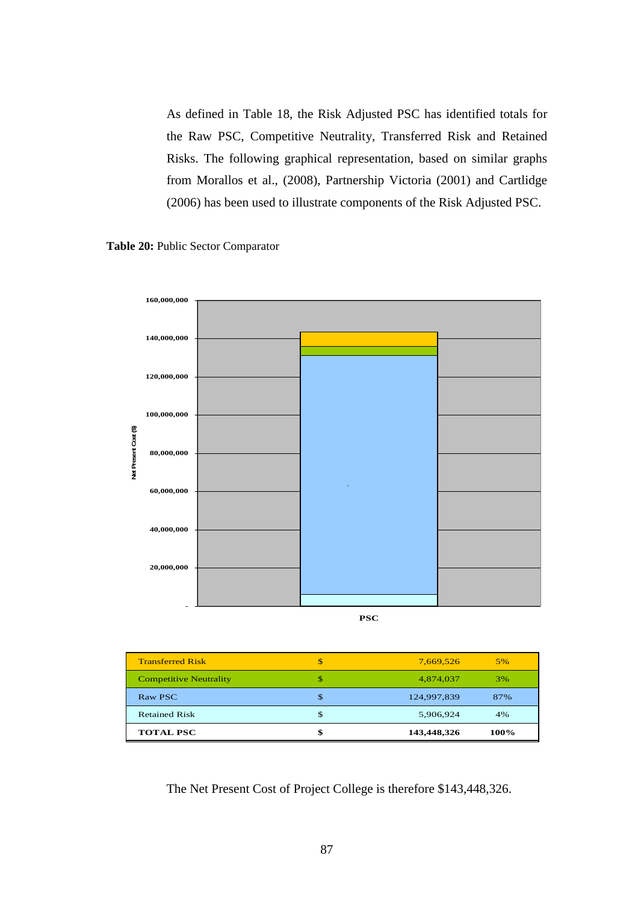As defined in Table 18, the Risk Adjusted PSC has identified totals for the Raw PSC, Competitive Neutrality, Transferred Risk and Retained Risks. The following graphical representation, based on similar graphs from Morallos et al., (2008), Partnership Victoria (2001) and Cartlidge (2006) has been used to illustrate components of the Risk Adjusted PSC.





| <b>Transferred Risk</b>       | 7,669,526         | 5%   |
|-------------------------------|-------------------|------|
| <b>Competitive Neutrality</b> | 4,874,037         | 3%   |
| Raw PSC                       | \$<br>124,997,839 | 87%  |
| <b>Retained Risk</b>          | \$<br>5,906,924   | 4%   |
| <b>TOTAL PSC</b>              | \$<br>143,448,326 | 100% |

The Net Present Cost of Project College is therefore \$143,448,326.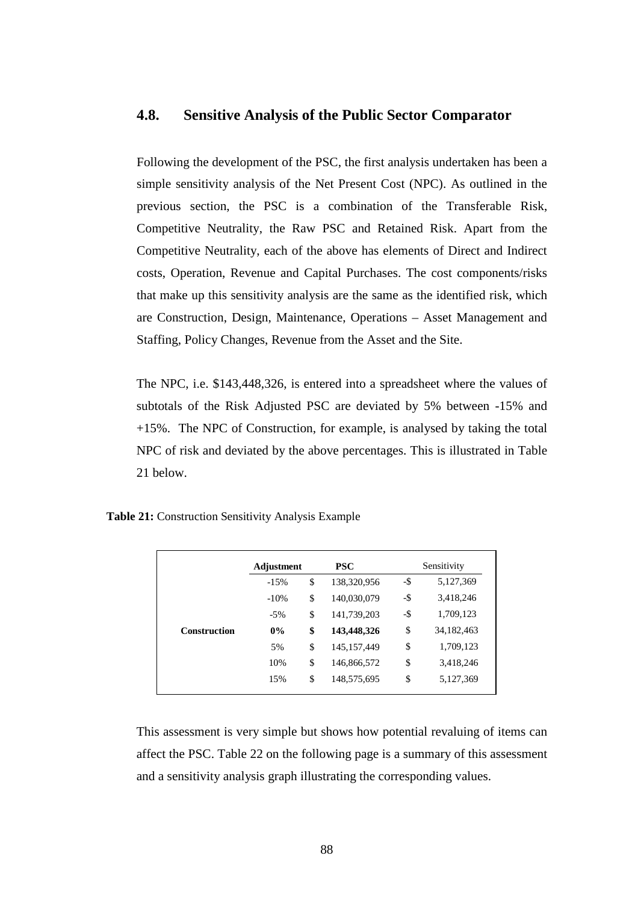# **4.8. Sensitive Analysis of the Public Sector Comparator**

Following the development of the PSC, the first analysis undertaken has been a simple sensitivity analysis of the Net Present Cost (NPC). As outlined in the previous section, the PSC is a combination of the Transferable Risk, Competitive Neutrality, the Raw PSC and Retained Risk. Apart from the Competitive Neutrality, each of the above has elements of Direct and Indirect costs, Operation, Revenue and Capital Purchases. The cost components/risks that make up this sensitivity analysis are the same as the identified risk, which are Construction, Design, Maintenance, Operations – Asset Management and Staffing, Policy Changes, Revenue from the Asset and the Site.

The NPC, i.e. \$143,448,326, is entered into a spreadsheet where the values of subtotals of the Risk Adjusted PSC are deviated by 5% between -15% and +15%. The NPC of Construction, for example, is analysed by taking the total NPC of risk and deviated by the above percentages. This is illustrated in Table 21 below.

**Table 21:** Construction Sensitivity Analysis Example

|                     | Adjustment | <b>PSC</b>          |        | Sensitivity  |
|---------------------|------------|---------------------|--------|--------------|
|                     | $-15%$     | \$<br>138,320,956   | $-$ \$ | 5,127,369    |
|                     | $-10%$     | \$<br>140,030,079   | -\$    | 3,418,246    |
|                     | $-5%$      | \$<br>141,739,203   | -\$    | 1,709,123    |
| <b>Construction</b> | $0\%$      | \$<br>143,448,326   | \$     | 34, 182, 463 |
|                     | 5%         | \$<br>145, 157, 449 | \$     | 1,709,123    |
|                     | 10%        | \$<br>146,866,572   | \$     | 3,418,246    |
|                     | 15%        | \$<br>148,575,695   | \$     | 5,127,369    |
|                     |            |                     |        |              |

This assessment is very simple but shows how potential revaluing of items can affect the PSC. Table 22 on the following page is a summary of this assessment and a sensitivity analysis graph illustrating the corresponding values.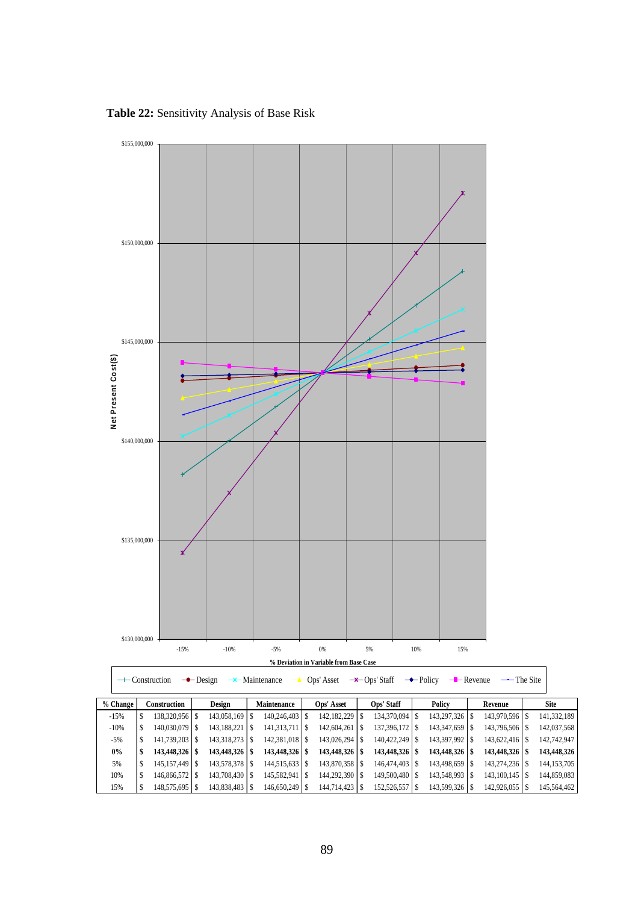**Table 22:** Sensitivity Analysis of Base Risk

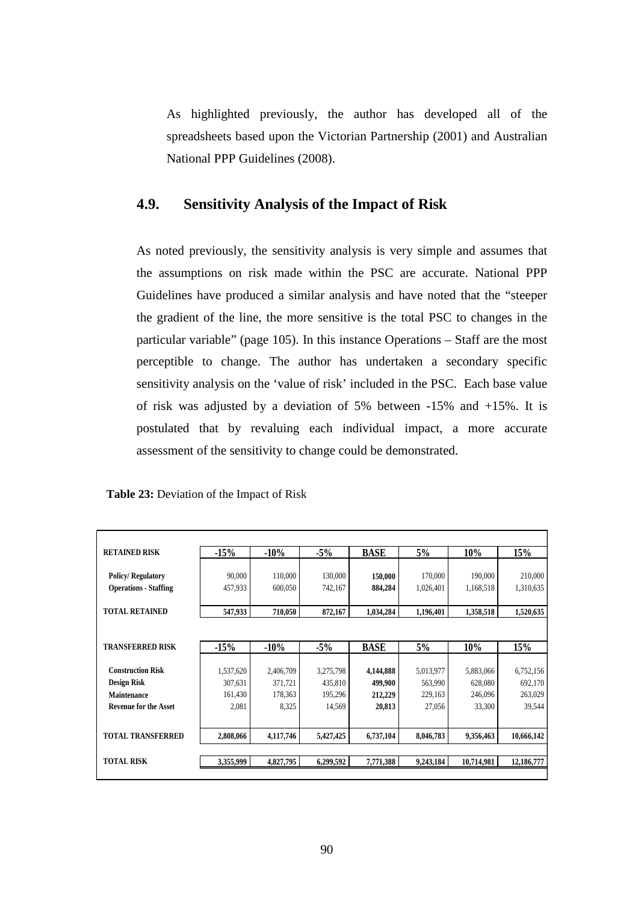As highlighted previously, the author has developed all of the spreadsheets based upon the Victorian Partnership (2001) and Australian National PPP Guidelines (2008).

# **4.9. Sensitivity Analysis of the Impact of Risk**

As noted previously, the sensitivity analysis is very simple and assumes that the assumptions on risk made within the PSC are accurate. National PPP Guidelines have produced a similar analysis and have noted that the "steeper the gradient of the line, the more sensitive is the total PSC to changes in the particular variable" (page 105). In this instance Operations – Staff are the most perceptible to change. The author has undertaken a secondary specific sensitivity analysis on the 'value of risk' included in the PSC. Each base value of risk was adjusted by a deviation of 5% between -15% and +15%. It is postulated that by revaluing each individual impact, a more accurate assessment of the sensitivity to change could be demonstrated.

|  |  | Table 23: Deviation of the Impact of Risk |  |  |  |  |  |
|--|--|-------------------------------------------|--|--|--|--|--|
|--|--|-------------------------------------------|--|--|--|--|--|

| <b>RETAINED RISK</b>         | $-15%$    | $-10\%$   | $-5%$     | <b>BASE</b> | 5%        | $10\%$     | 15%        |
|------------------------------|-----------|-----------|-----------|-------------|-----------|------------|------------|
|                              |           |           |           |             |           |            |            |
| <b>Policy/Regulatory</b>     | 90,000    | 110,000   | 130,000   | 150,000     | 170,000   | 190,000    | 210,000    |
| <b>Operations - Staffing</b> | 457,933   | 600,050   | 742,167   | 884,284     | 1,026,401 | 1,168,518  | 1,310,635  |
|                              |           |           |           |             |           |            |            |
| <b>TOTAL RETAINED</b>        | 547,933   | 710,050   | 872,167   | 1,034,284   | 1,196,401 | 1,358,518  | 1,520,635  |
|                              |           |           |           |             |           |            |            |
| <b>TRANSFERRED RISK</b>      | $-15%$    | $-10%$    | $-5%$     | <b>BASE</b> | 5%        | 10%        | 15%        |
|                              |           |           |           |             |           |            |            |
| <b>Construction Risk</b>     | 1,537,620 | 2,406,709 | 3,275,798 | 4,144,888   | 5,013,977 | 5,883,066  | 6,752,156  |
| <b>Design Risk</b>           | 307,631   | 371,721   | 435,810   | 499,900     | 563,990   | 628,080    | 692,170    |
| <b>Maintenance</b>           | 161,430   | 178,363   | 195,296   | 212,229     | 229,163   | 246,096    | 263,029    |
| <b>Revenue for the Asset</b> | 2,081     | 8,325     | 14,569    | 20,813      | 27,056    | 33,300     | 39,544     |
|                              |           |           |           |             |           |            |            |
| <b>TOTAL TRANSFERRED</b>     | 2,808,066 | 4,117,746 | 5,427,425 | 6,737,104   | 8,046,783 | 9,356,463  | 10,666,142 |
|                              |           |           |           |             |           |            |            |
| <b>TOTAL RISK</b>            | 3,355,999 | 4,827,795 | 6,299,592 | 7,771,388   | 9,243,184 | 10,714,981 | 12,186,777 |
|                              |           |           |           |             |           |            |            |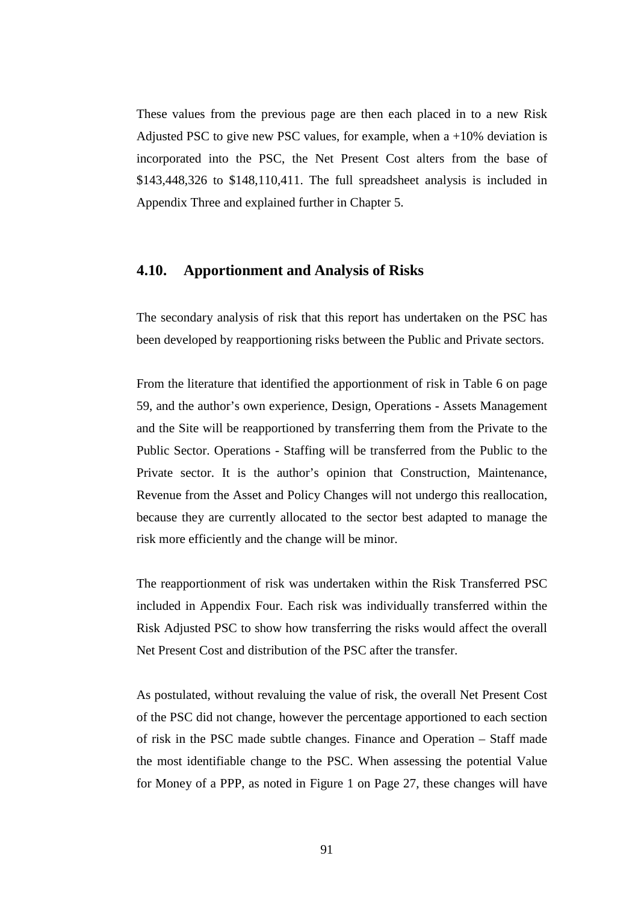These values from the previous page are then each placed in to a new Risk Adjusted PSC to give new PSC values, for example, when  $a + 10\%$  deviation is incorporated into the PSC, the Net Present Cost alters from the base of \$143,448,326 to \$148,110,411. The full spreadsheet analysis is included in Appendix Three and explained further in Chapter 5.

# **4.10. Apportionment and Analysis of Risks**

The secondary analysis of risk that this report has undertaken on the PSC has been developed by reapportioning risks between the Public and Private sectors.

From the literature that identified the apportionment of risk in Table 6 on page 59, and the author's own experience, Design, Operations - Assets Management and the Site will be reapportioned by transferring them from the Private to the Public Sector. Operations - Staffing will be transferred from the Public to the Private sector. It is the author's opinion that Construction, Maintenance, Revenue from the Asset and Policy Changes will not undergo this reallocation, because they are currently allocated to the sector best adapted to manage the risk more efficiently and the change will be minor.

The reapportionment of risk was undertaken within the Risk Transferred PSC included in Appendix Four. Each risk was individually transferred within the Risk Adjusted PSC to show how transferring the risks would affect the overall Net Present Cost and distribution of the PSC after the transfer.

As postulated, without revaluing the value of risk, the overall Net Present Cost of the PSC did not change, however the percentage apportioned to each section of risk in the PSC made subtle changes. Finance and Operation – Staff made the most identifiable change to the PSC. When assessing the potential Value for Money of a PPP, as noted in Figure 1 on Page 27, these changes will have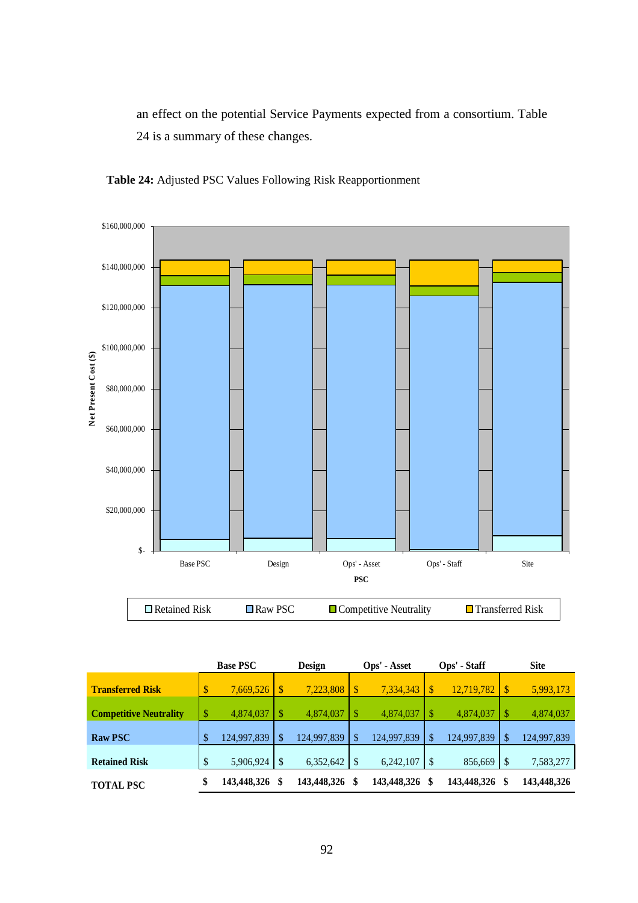an effect on the potential Service Payments expected from a consortium. Table 24 is a summary of these changes.



**Table 24:** Adjusted PSC Values Following Risk Reapportionment

| <b>Base PSC</b>   |    | <b>Design</b> |                        |             |              | Ops' - Staff |                           | <b>Site</b> |
|-------------------|----|---------------|------------------------|-------------|--------------|--------------|---------------------------|-------------|
| \$<br>7,669,526   |    |               | \$                     | 7,334,343   |              | 12,719,782   | $\boldsymbol{\mathsf{S}}$ | 5,993,173   |
| \$<br>4,874,037   |    | 4,874,037     |                        | 4,874,037   |              | 4,874,037    | $\mathcal{S}$             | 4,874,037   |
| \$<br>124,997,839 | S  | 124,997,839   | \$                     | 124,997,839 | -\$          | 124,997,839  | \$                        | 124,997,839 |
| \$<br>5,906,924   |    |               |                        | 6,242,107   |              | 856,669      | -\$                       | 7,583,277   |
| \$<br>143,448,326 | \$ |               | \$                     | 143,448,326 | \$           | 143,448,326  | \$                        | 143,448,326 |
|                   |    |               | 7,223,808<br>6,352,642 | 143,448,326 | Ops' - Asset |              |                           |             |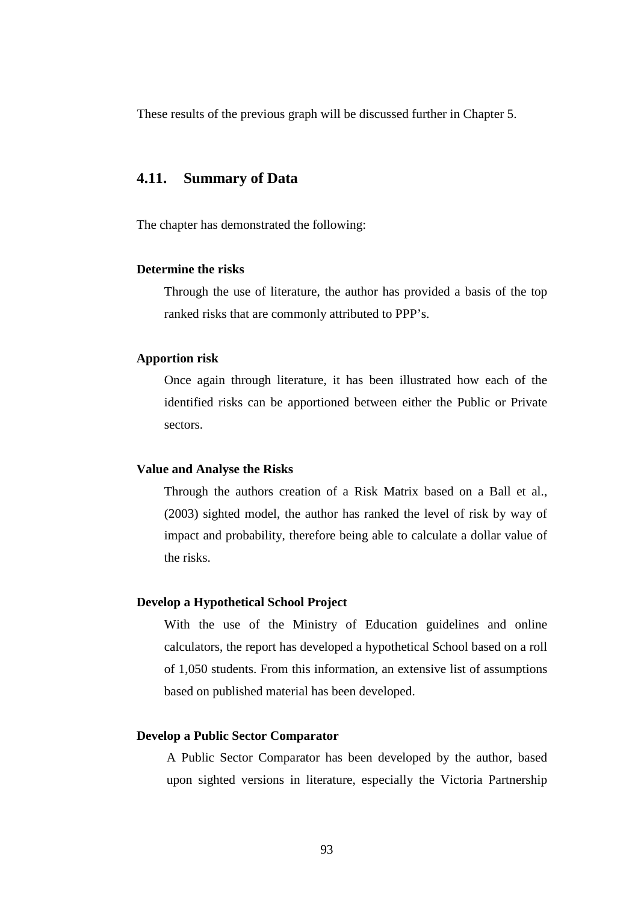These results of the previous graph will be discussed further in Chapter 5.

# **4.11. Summary of Data**

The chapter has demonstrated the following:

# **Determine the risks**

Through the use of literature, the author has provided a basis of the top ranked risks that are commonly attributed to PPP's.

# **Apportion risk**

Once again through literature, it has been illustrated how each of the identified risks can be apportioned between either the Public or Private sectors.

# **Value and Analyse the Risks**

Through the authors creation of a Risk Matrix based on a Ball et al., (2003) sighted model, the author has ranked the level of risk by way of impact and probability, therefore being able to calculate a dollar value of the risks.

# **Develop a Hypothetical School Project**

With the use of the Ministry of Education guidelines and online calculators, the report has developed a hypothetical School based on a roll of 1,050 students. From this information, an extensive list of assumptions based on published material has been developed.

## **Develop a Public Sector Comparator**

A Public Sector Comparator has been developed by the author, based upon sighted versions in literature, especially the Victoria Partnership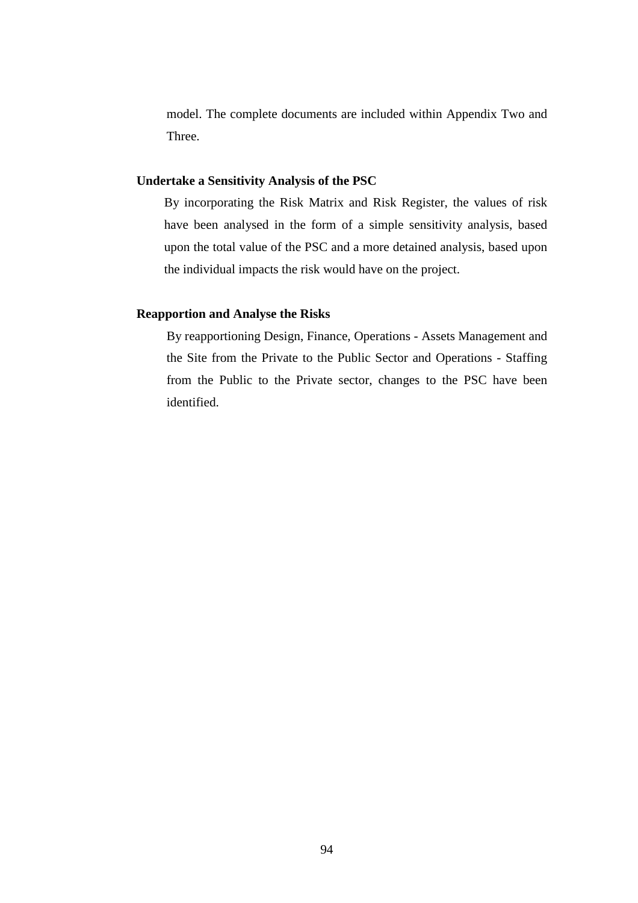model. The complete documents are included within Appendix Two and Three.

## **Undertake a Sensitivity Analysis of the PSC**

By incorporating the Risk Matrix and Risk Register, the values of risk have been analysed in the form of a simple sensitivity analysis, based upon the total value of the PSC and a more detained analysis, based upon the individual impacts the risk would have on the project.

# **Reapportion and Analyse the Risks**

By reapportioning Design, Finance, Operations - Assets Management and the Site from the Private to the Public Sector and Operations - Staffing from the Public to the Private sector, changes to the PSC have been identified.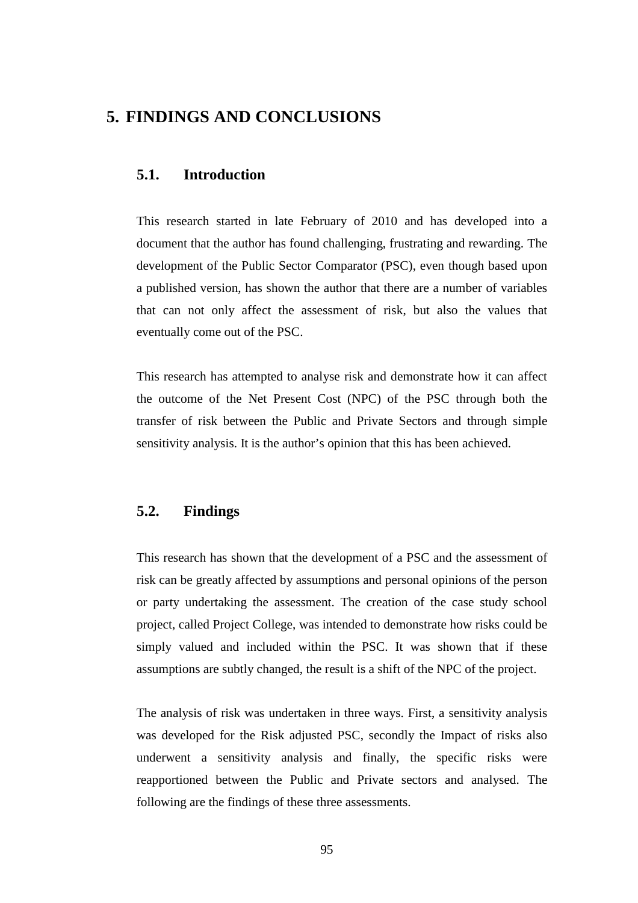# **5. FINDINGS AND CONCLUSIONS**

# **5.1. Introduction**

This research started in late February of 2010 and has developed into a document that the author has found challenging, frustrating and rewarding. The development of the Public Sector Comparator (PSC), even though based upon a published version, has shown the author that there are a number of variables that can not only affect the assessment of risk, but also the values that eventually come out of the PSC.

This research has attempted to analyse risk and demonstrate how it can affect the outcome of the Net Present Cost (NPC) of the PSC through both the transfer of risk between the Public and Private Sectors and through simple sensitivity analysis. It is the author's opinion that this has been achieved.

# **5.2. Findings**

This research has shown that the development of a PSC and the assessment of risk can be greatly affected by assumptions and personal opinions of the person or party undertaking the assessment. The creation of the case study school project, called Project College, was intended to demonstrate how risks could be simply valued and included within the PSC. It was shown that if these assumptions are subtly changed, the result is a shift of the NPC of the project.

The analysis of risk was undertaken in three ways. First, a sensitivity analysis was developed for the Risk adjusted PSC, secondly the Impact of risks also underwent a sensitivity analysis and finally, the specific risks were reapportioned between the Public and Private sectors and analysed. The following are the findings of these three assessments.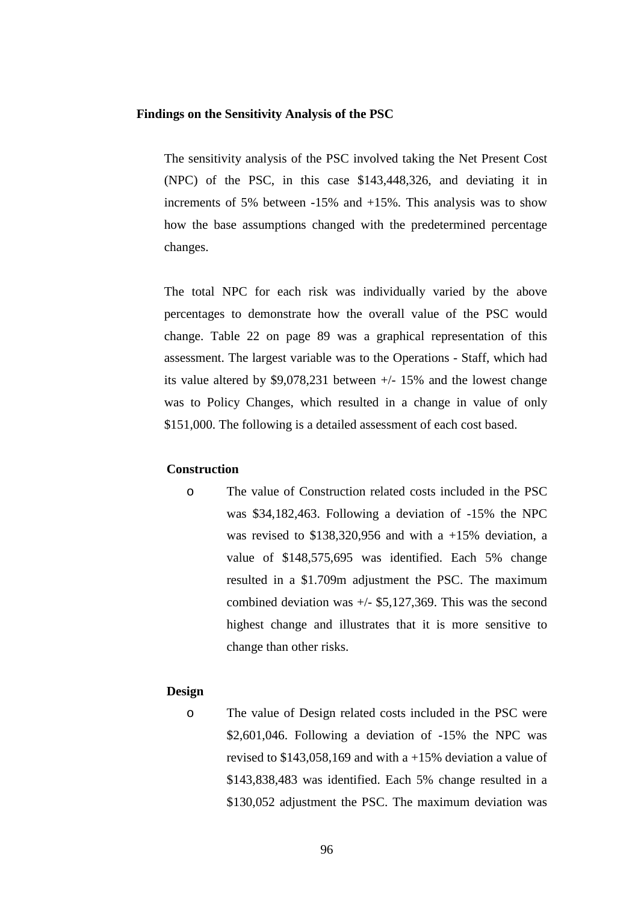## **Findings on the Sensitivity Analysis of the PSC**

The sensitivity analysis of the PSC involved taking the Net Present Cost (NPC) of the PSC, in this case \$143,448,326, and deviating it in increments of 5% between -15% and +15%. This analysis was to show how the base assumptions changed with the predetermined percentage changes.

The total NPC for each risk was individually varied by the above percentages to demonstrate how the overall value of the PSC would change. Table 22 on page 89 was a graphical representation of this assessment. The largest variable was to the Operations - Staff, which had its value altered by \$9,078,231 between +/- 15% and the lowest change was to Policy Changes, which resulted in a change in value of only \$151,000. The following is a detailed assessment of each cost based.

# **Construction**

o The value of Construction related costs included in the PSC was \$34,182,463. Following a deviation of -15% the NPC was revised to  $$138,320,956$  and with a +15% deviation, a value of \$148,575,695 was identified. Each 5% change resulted in a \$1.709m adjustment the PSC. The maximum combined deviation was  $+/-$  \$5,127,369. This was the second highest change and illustrates that it is more sensitive to change than other risks.

## **Design**

o The value of Design related costs included in the PSC were \$2,601,046. Following a deviation of -15% the NPC was revised to  $$143.058.169$  and with a  $+15\%$  deviation a value of \$143,838,483 was identified. Each 5% change resulted in a \$130,052 adjustment the PSC. The maximum deviation was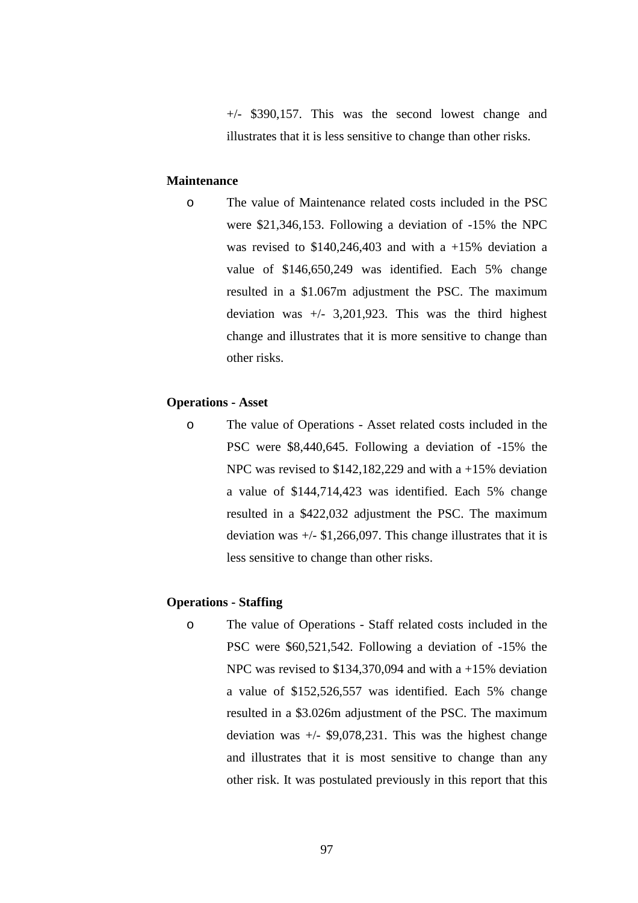+/- \$390,157. This was the second lowest change and illustrates that it is less sensitive to change than other risks.

# **Maintenance**

o The value of Maintenance related costs included in the PSC were \$21,346,153. Following a deviation of -15% the NPC was revised to  $$140,246,403$  and with a +15% deviation a value of \$146,650,249 was identified. Each 5% change resulted in a \$1.067m adjustment the PSC. The maximum deviation was  $+/- 3,201,923$ . This was the third highest change and illustrates that it is more sensitive to change than other risks.

#### **Operations - Asset**

o The value of Operations - Asset related costs included in the PSC were \$8,440,645. Following a deviation of -15% the NPC was revised to \$142,182,229 and with a  $+15%$  deviation a value of \$144,714,423 was identified. Each 5% change resulted in a \$422,032 adjustment the PSC. The maximum deviation was  $+/-$  \$1,266,097. This change illustrates that it is less sensitive to change than other risks.

### **Operations - Staffing**

o The value of Operations - Staff related costs included in the PSC were \$60,521,542. Following a deviation of -15% the NPC was revised to \$134,370,094 and with a  $+15\%$  deviation a value of \$152,526,557 was identified. Each 5% change resulted in a \$3.026m adjustment of the PSC. The maximum deviation was  $+/-$  \$9,078,231. This was the highest change and illustrates that it is most sensitive to change than any other risk. It was postulated previously in this report that this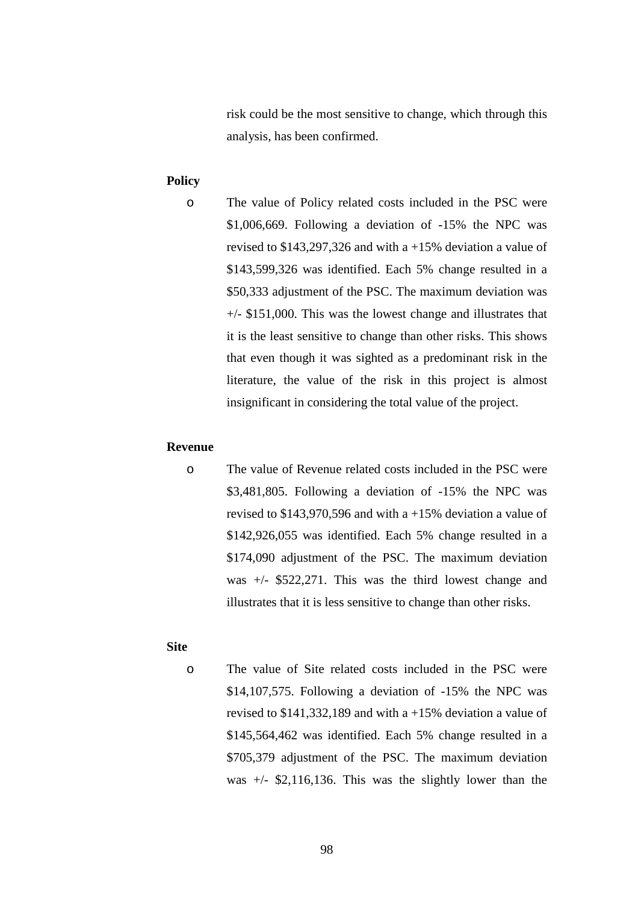risk could be the most sensitive to change, which through this analysis, has been confirmed.

# **Policy**

o The value of Policy related costs included in the PSC were \$1,006,669. Following a deviation of -15% the NPC was revised to \$143,297,326 and with a +15% deviation a value of \$143,599,326 was identified. Each 5% change resulted in a \$50,333 adjustment of the PSC. The maximum deviation was +/- \$151,000. This was the lowest change and illustrates that it is the least sensitive to change than other risks. This shows that even though it was sighted as a predominant risk in the literature, the value of the risk in this project is almost insignificant in considering the total value of the project.

# **Revenue**

o The value of Revenue related costs included in the PSC were \$3,481,805. Following a deviation of -15% the NPC was revised to \$143,970,596 and with a +15% deviation a value of \$142,926,055 was identified. Each 5% change resulted in a \$174,090 adjustment of the PSC. The maximum deviation was +/- \$522,271. This was the third lowest change and illustrates that it is less sensitive to change than other risks.

# **Site**

o The value of Site related costs included in the PSC were \$14,107,575. Following a deviation of -15% the NPC was revised to \$141,332,189 and with a +15% deviation a value of \$145,564,462 was identified. Each 5% change resulted in a \$705,379 adjustment of the PSC. The maximum deviation was +/- \$2,116,136. This was the slightly lower than the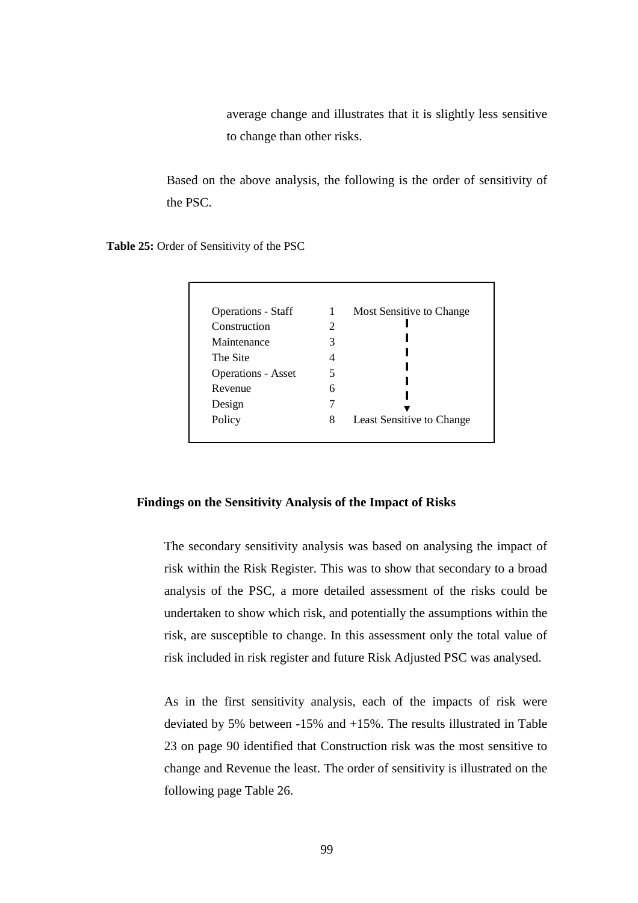average change and illustrates that it is slightly less sensitive to change than other risks.

Based on the above analysis, the following is the order of sensitivity of the PSC.

**Table 25:** Order of Sensitivity of the PSC

| <b>Operations - Staff</b> | 1 | Most Sensitive to Change  |
|---------------------------|---|---------------------------|
| Construction              | 2 |                           |
| Maintenance               | 3 |                           |
| The Site                  | 4 |                           |
| <b>Operations - Asset</b> | 5 |                           |
| Revenue                   | 6 |                           |
| Design                    |   |                           |
| Policy                    | 8 | Least Sensitive to Change |

## **Findings on the Sensitivity Analysis of the Impact of Risks**

The secondary sensitivity analysis was based on analysing the impact of risk within the Risk Register. This was to show that secondary to a broad analysis of the PSC, a more detailed assessment of the risks could be undertaken to show which risk, and potentially the assumptions within the risk, are susceptible to change. In this assessment only the total value of risk included in risk register and future Risk Adjusted PSC was analysed.

As in the first sensitivity analysis, each of the impacts of risk were deviated by 5% between -15% and +15%. The results illustrated in Table 23 on page 90 identified that Construction risk was the most sensitive to change and Revenue the least. The order of sensitivity is illustrated on the following page Table 26.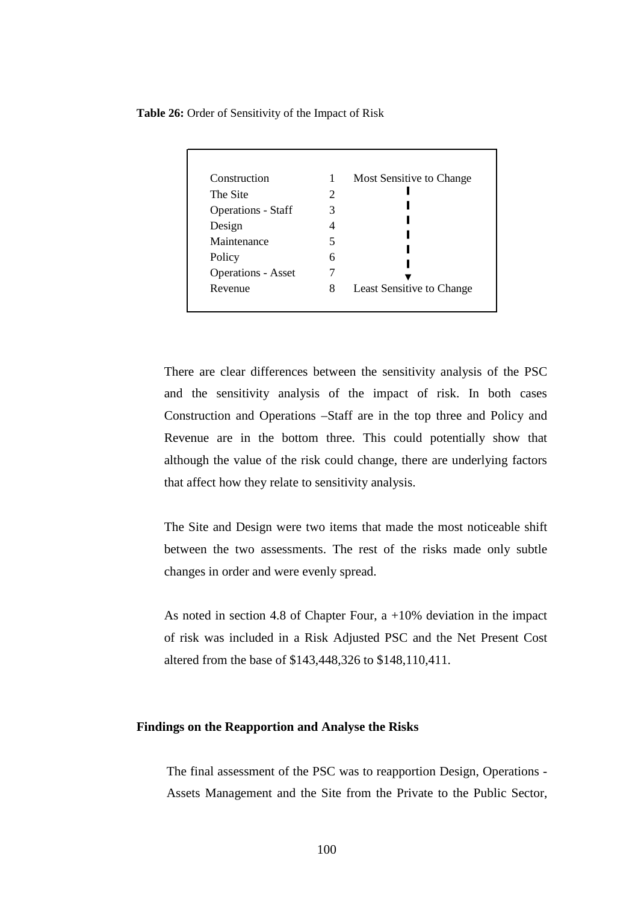**Table 26:** Order of Sensitivity of the Impact of Risk

| Construction              |                             | Most Sensitive to Change  |
|---------------------------|-----------------------------|---------------------------|
| The Site                  | $\mathcal{D}_{\mathcal{L}}$ |                           |
| <b>Operations - Staff</b> | 3                           |                           |
| Design                    |                             |                           |
| Maintenance               | 5                           |                           |
| Policy                    | 6                           |                           |
| <b>Operations - Asset</b> |                             |                           |
| Revenue                   | 8                           | Least Sensitive to Change |

There are clear differences between the sensitivity analysis of the PSC and the sensitivity analysis of the impact of risk. In both cases Construction and Operations –Staff are in the top three and Policy and Revenue are in the bottom three. This could potentially show that although the value of the risk could change, there are underlying factors that affect how they relate to sensitivity analysis.

The Site and Design were two items that made the most noticeable shift between the two assessments. The rest of the risks made only subtle changes in order and were evenly spread.

As noted in section 4.8 of Chapter Four, a +10% deviation in the impact of risk was included in a Risk Adjusted PSC and the Net Present Cost altered from the base of \$143,448,326 to \$148,110,411.

# **Findings on the Reapportion and Analyse the Risks**

The final assessment of the PSC was to reapportion Design, Operations - Assets Management and the Site from the Private to the Public Sector,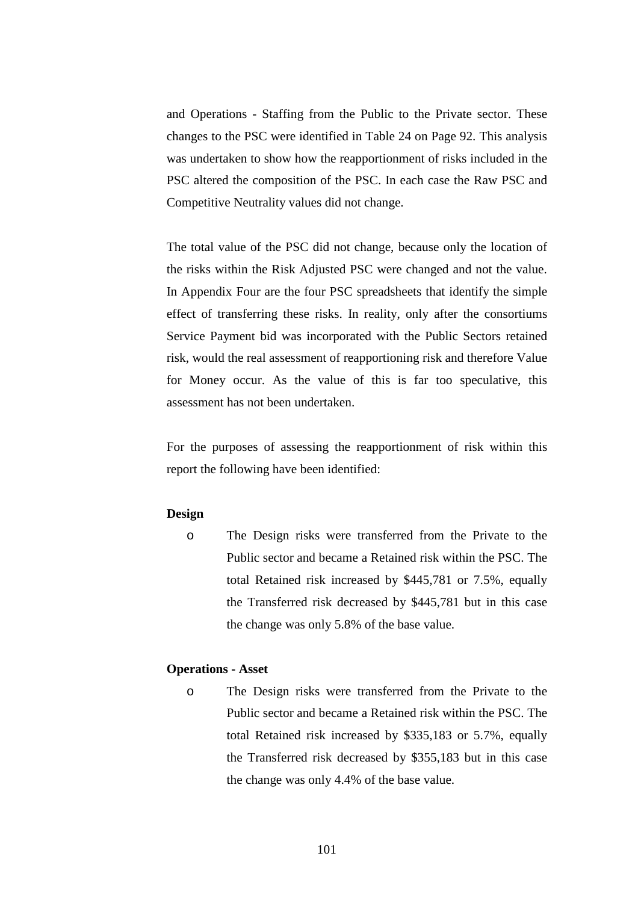and Operations - Staffing from the Public to the Private sector. These changes to the PSC were identified in Table 24 on Page 92. This analysis was undertaken to show how the reapportionment of risks included in the PSC altered the composition of the PSC. In each case the Raw PSC and Competitive Neutrality values did not change.

The total value of the PSC did not change, because only the location of the risks within the Risk Adjusted PSC were changed and not the value. In Appendix Four are the four PSC spreadsheets that identify the simple effect of transferring these risks. In reality, only after the consortiums Service Payment bid was incorporated with the Public Sectors retained risk, would the real assessment of reapportioning risk and therefore Value for Money occur. As the value of this is far too speculative, this assessment has not been undertaken.

For the purposes of assessing the reapportionment of risk within this report the following have been identified:

## **Design**

o The Design risks were transferred from the Private to the Public sector and became a Retained risk within the PSC. The total Retained risk increased by \$445,781 or 7.5%, equally the Transferred risk decreased by \$445,781 but in this case the change was only 5.8% of the base value.

# **Operations - Asset**

o The Design risks were transferred from the Private to the Public sector and became a Retained risk within the PSC. The total Retained risk increased by \$335,183 or 5.7%, equally the Transferred risk decreased by \$355,183 but in this case the change was only 4.4% of the base value.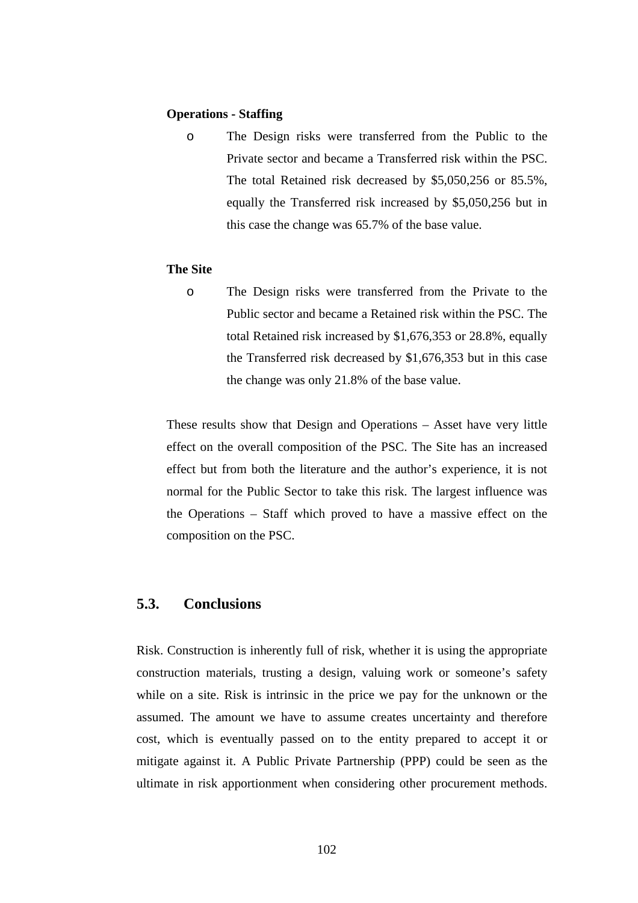#### **Operations - Staffing**

o The Design risks were transferred from the Public to the Private sector and became a Transferred risk within the PSC. The total Retained risk decreased by \$5,050,256 or 85.5%, equally the Transferred risk increased by \$5,050,256 but in this case the change was 65.7% of the base value.

#### **The Site**

o The Design risks were transferred from the Private to the Public sector and became a Retained risk within the PSC. The total Retained risk increased by \$1,676,353 or 28.8%, equally the Transferred risk decreased by \$1,676,353 but in this case the change was only 21.8% of the base value.

These results show that Design and Operations – Asset have very little effect on the overall composition of the PSC. The Site has an increased effect but from both the literature and the author's experience, it is not normal for the Public Sector to take this risk. The largest influence was the Operations – Staff which proved to have a massive effect on the composition on the PSC.

#### **5.3. Conclusions**

Risk. Construction is inherently full of risk, whether it is using the appropriate construction materials, trusting a design, valuing work or someone's safety while on a site. Risk is intrinsic in the price we pay for the unknown or the assumed. The amount we have to assume creates uncertainty and therefore cost, which is eventually passed on to the entity prepared to accept it or mitigate against it. A Public Private Partnership (PPP) could be seen as the ultimate in risk apportionment when considering other procurement methods.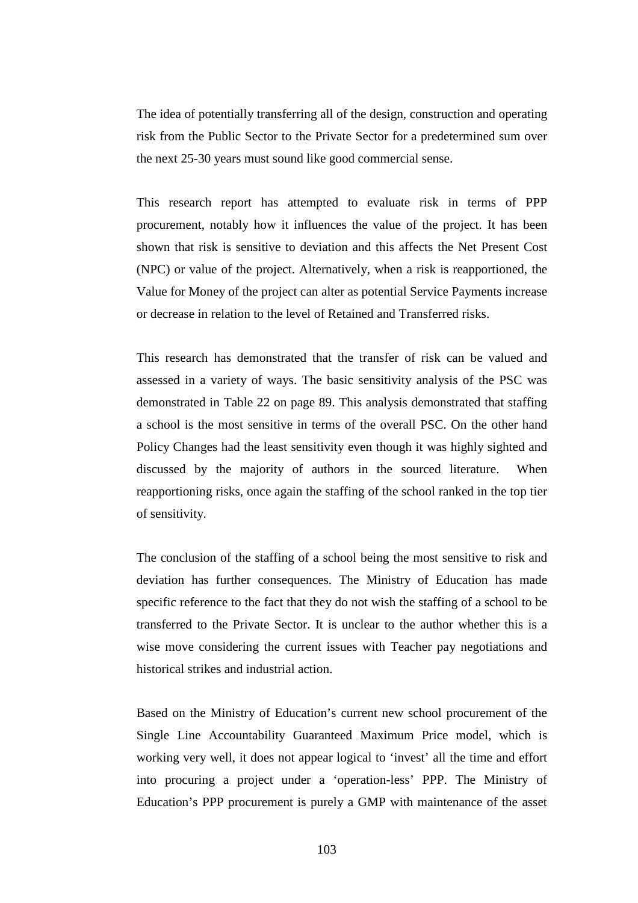The idea of potentially transferring all of the design, construction and operating risk from the Public Sector to the Private Sector for a predetermined sum over the next 25-30 years must sound like good commercial sense.

This research report has attempted to evaluate risk in terms of PPP procurement, notably how it influences the value of the project. It has been shown that risk is sensitive to deviation and this affects the Net Present Cost (NPC) or value of the project. Alternatively, when a risk is reapportioned, the Value for Money of the project can alter as potential Service Payments increase or decrease in relation to the level of Retained and Transferred risks.

This research has demonstrated that the transfer of risk can be valued and assessed in a variety of ways. The basic sensitivity analysis of the PSC was demonstrated in Table 22 on page 89. This analysis demonstrated that staffing a school is the most sensitive in terms of the overall PSC. On the other hand Policy Changes had the least sensitivity even though it was highly sighted and discussed by the majority of authors in the sourced literature. When reapportioning risks, once again the staffing of the school ranked in the top tier of sensitivity.

The conclusion of the staffing of a school being the most sensitive to risk and deviation has further consequences. The Ministry of Education has made specific reference to the fact that they do not wish the staffing of a school to be transferred to the Private Sector. It is unclear to the author whether this is a wise move considering the current issues with Teacher pay negotiations and historical strikes and industrial action.

Based on the Ministry of Education's current new school procurement of the Single Line Accountability Guaranteed Maximum Price model, which is working very well, it does not appear logical to 'invest' all the time and effort into procuring a project under a 'operation-less' PPP. The Ministry of Education's PPP procurement is purely a GMP with maintenance of the asset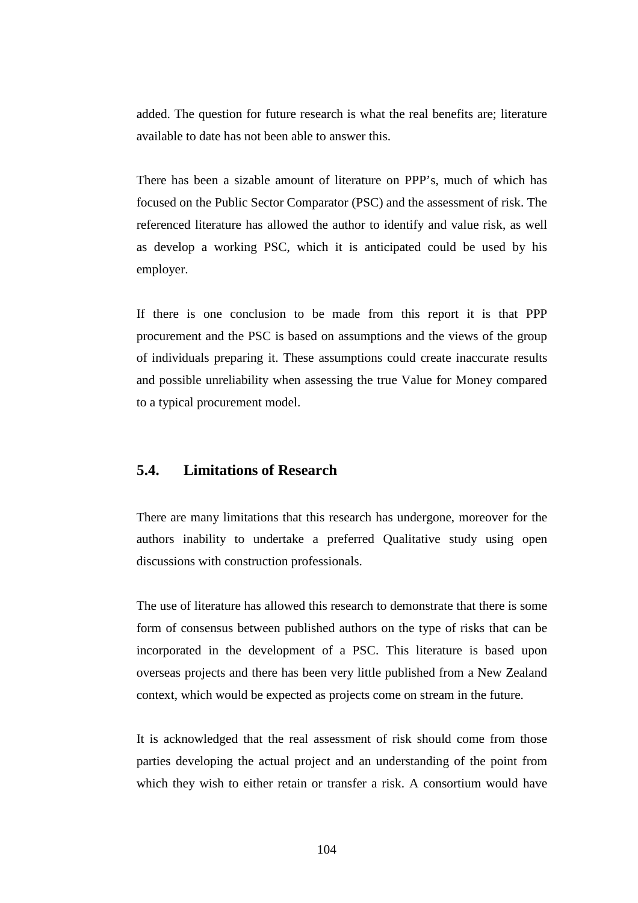added. The question for future research is what the real benefits are; literature available to date has not been able to answer this.

There has been a sizable amount of literature on PPP's, much of which has focused on the Public Sector Comparator (PSC) and the assessment of risk. The referenced literature has allowed the author to identify and value risk, as well as develop a working PSC, which it is anticipated could be used by his employer.

If there is one conclusion to be made from this report it is that PPP procurement and the PSC is based on assumptions and the views of the group of individuals preparing it. These assumptions could create inaccurate results and possible unreliability when assessing the true Value for Money compared to a typical procurement model.

#### **5.4. Limitations of Research**

There are many limitations that this research has undergone, moreover for the authors inability to undertake a preferred Qualitative study using open discussions with construction professionals.

The use of literature has allowed this research to demonstrate that there is some form of consensus between published authors on the type of risks that can be incorporated in the development of a PSC. This literature is based upon overseas projects and there has been very little published from a New Zealand context, which would be expected as projects come on stream in the future.

It is acknowledged that the real assessment of risk should come from those parties developing the actual project and an understanding of the point from which they wish to either retain or transfer a risk. A consortium would have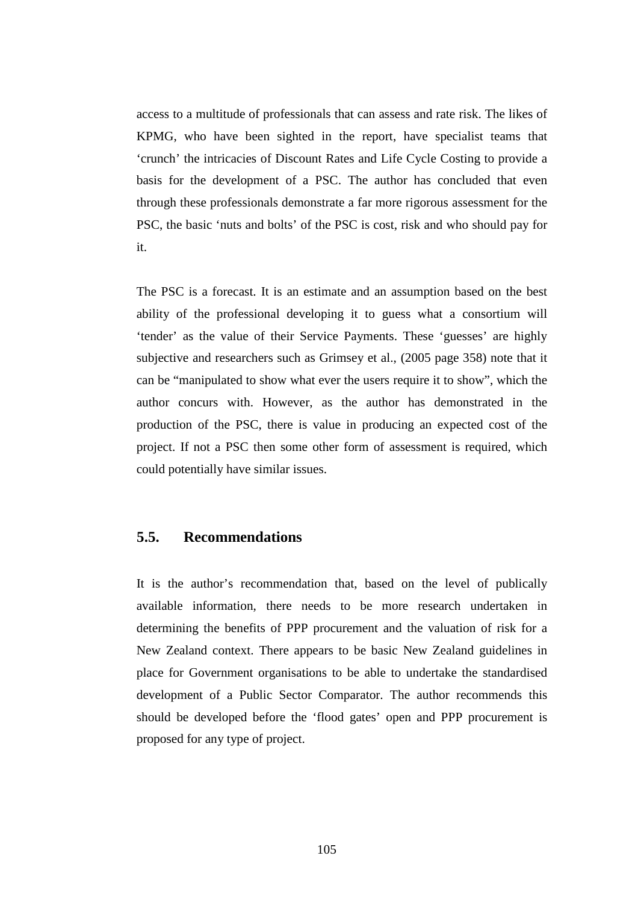access to a multitude of professionals that can assess and rate risk. The likes of KPMG, who have been sighted in the report, have specialist teams that 'crunch' the intricacies of Discount Rates and Life Cycle Costing to provide a basis for the development of a PSC. The author has concluded that even through these professionals demonstrate a far more rigorous assessment for the PSC, the basic 'nuts and bolts' of the PSC is cost, risk and who should pay for it.

The PSC is a forecast. It is an estimate and an assumption based on the best ability of the professional developing it to guess what a consortium will 'tender' as the value of their Service Payments. These 'guesses' are highly subjective and researchers such as Grimsey et al., (2005 page 358) note that it can be "manipulated to show what ever the users require it to show", which the author concurs with. However, as the author has demonstrated in the production of the PSC, there is value in producing an expected cost of the project. If not a PSC then some other form of assessment is required, which could potentially have similar issues.

#### **5.5. Recommendations**

It is the author's recommendation that, based on the level of publically available information, there needs to be more research undertaken in determining the benefits of PPP procurement and the valuation of risk for a New Zealand context. There appears to be basic New Zealand guidelines in place for Government organisations to be able to undertake the standardised development of a Public Sector Comparator. The author recommends this should be developed before the 'flood gates' open and PPP procurement is proposed for any type of project.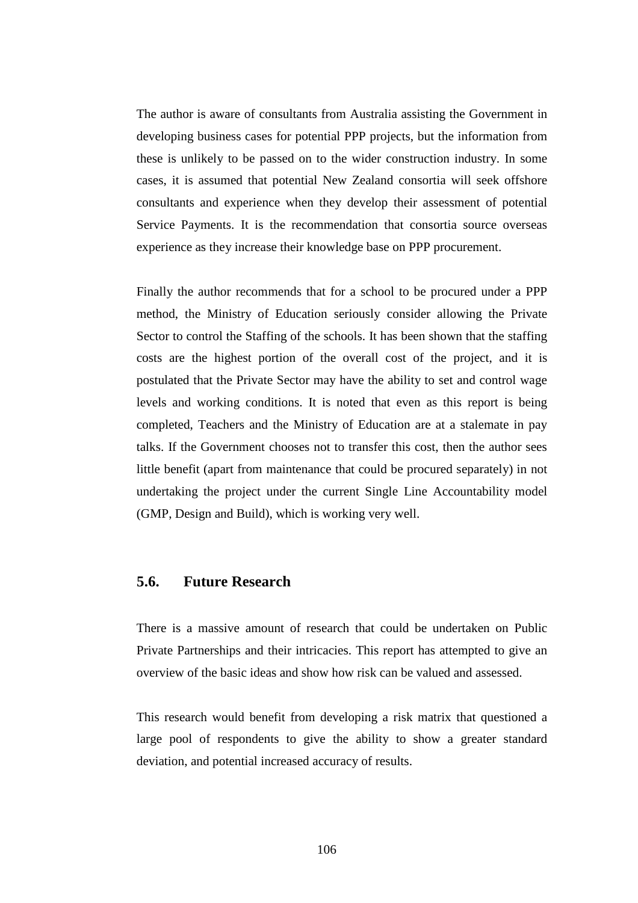The author is aware of consultants from Australia assisting the Government in developing business cases for potential PPP projects, but the information from these is unlikely to be passed on to the wider construction industry. In some cases, it is assumed that potential New Zealand consortia will seek offshore consultants and experience when they develop their assessment of potential Service Payments. It is the recommendation that consortia source overseas experience as they increase their knowledge base on PPP procurement.

Finally the author recommends that for a school to be procured under a PPP method, the Ministry of Education seriously consider allowing the Private Sector to control the Staffing of the schools. It has been shown that the staffing costs are the highest portion of the overall cost of the project, and it is postulated that the Private Sector may have the ability to set and control wage levels and working conditions. It is noted that even as this report is being completed, Teachers and the Ministry of Education are at a stalemate in pay talks. If the Government chooses not to transfer this cost, then the author sees little benefit (apart from maintenance that could be procured separately) in not undertaking the project under the current Single Line Accountability model (GMP, Design and Build), which is working very well.

#### **5.6. Future Research**

There is a massive amount of research that could be undertaken on Public Private Partnerships and their intricacies. This report has attempted to give an overview of the basic ideas and show how risk can be valued and assessed.

This research would benefit from developing a risk matrix that questioned a large pool of respondents to give the ability to show a greater standard deviation, and potential increased accuracy of results.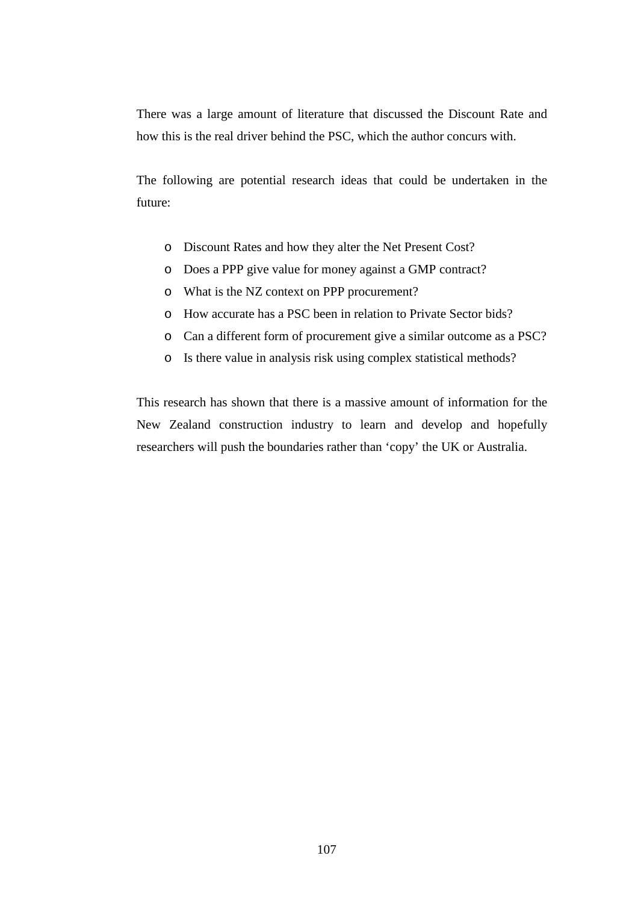There was a large amount of literature that discussed the Discount Rate and how this is the real driver behind the PSC, which the author concurs with.

The following are potential research ideas that could be undertaken in the future:

- o Discount Rates and how they alter the Net Present Cost?
- o Does a PPP give value for money against a GMP contract?
- o What is the NZ context on PPP procurement?
- o How accurate has a PSC been in relation to Private Sector bids?
- o Can a different form of procurement give a similar outcome as a PSC?
- o Is there value in analysis risk using complex statistical methods?

This research has shown that there is a massive amount of information for the New Zealand construction industry to learn and develop and hopefully researchers will push the boundaries rather than 'copy' the UK or Australia.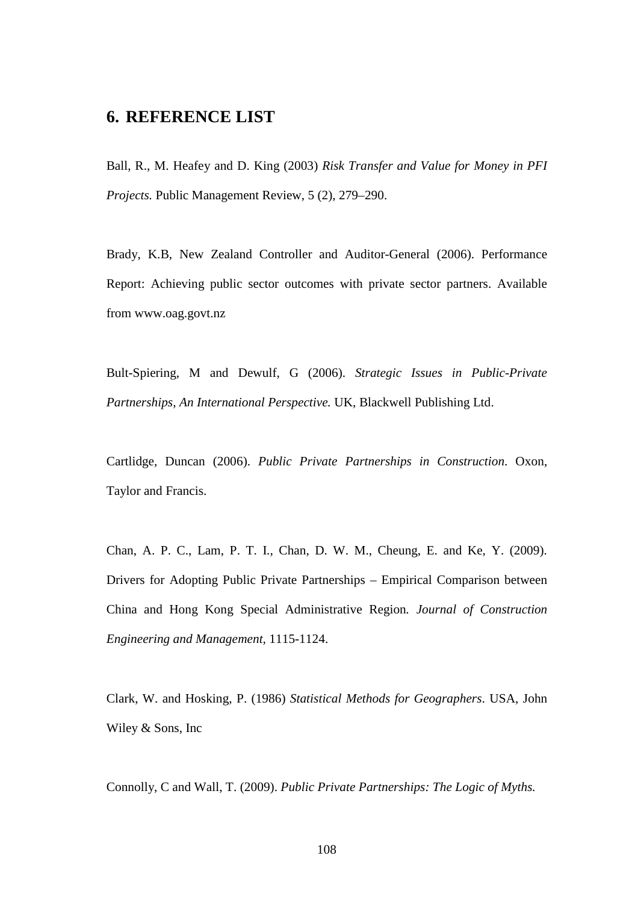## **6. REFERENCE LIST**

Ball, R., M. Heafey and D. King (2003) *Risk Transfer and Value for Money in PFI Projects.* Public Management Review, 5 (2), 279–290.

Brady, K.B, New Zealand Controller and Auditor-General (2006). Performance Report: Achieving public sector outcomes with private sector partners. Available from www.oag.govt.nz

Bult-Spiering, M and Dewulf, G (2006). *Strategic Issues in Public-Private Partnerships, An International Perspective.* UK, Blackwell Publishing Ltd.

Cartlidge, Duncan (2006). *Public Private Partnerships in Construction*. Oxon, Taylor and Francis.

Chan, A. P. C., Lam, P. T. I., Chan, D. W. M., Cheung, E. and Ke, Y. (2009). Drivers for Adopting Public Private Partnerships – Empirical Comparison between China and Hong Kong Special Administrative Region*. Journal of Construction Engineering and Management,* 1115-1124.

Clark, W. and Hosking, P. (1986) *Statistical Methods for Geographers*. USA, John Wiley & Sons, Inc

Connolly, C and Wall, T. (2009). *Public Private Partnerships: The Logic of Myths.*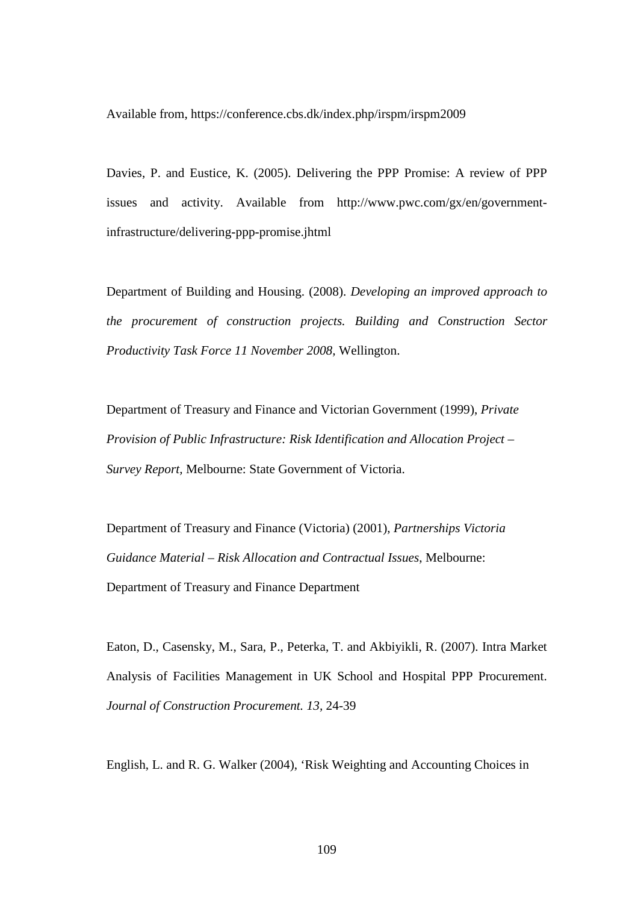Available from, https://conference.cbs.dk/index.php/irspm/irspm2009

Davies, P. and Eustice, K. (2005). Delivering the PPP Promise: A review of PPP issues and activity. Available from http://www.pwc.com/gx/en/governmentinfrastructure/delivering-ppp-promise.jhtml

Department of Building and Housing. (2008). *Developing an improved approach to the procurement of construction projects. Building and Construction Sector Productivity Task Force 11 November 2008,* Wellington.

Department of Treasury and Finance and Victorian Government (1999), *Private Provision of Public Infrastructure: Risk Identification and Allocation Project – Survey Report,* Melbourne: State Government of Victoria.

Department of Treasury and Finance (Victoria) (2001), *Partnerships Victoria Guidance Material – Risk Allocation and Contractual Issues*, Melbourne: Department of Treasury and Finance Department

Eaton, D., Casensky, M., Sara, P., Peterka, T. and Akbiyikli, R. (2007). Intra Market Analysis of Facilities Management in UK School and Hospital PPP Procurement. *Journal of Construction Procurement. 13,* 24-39

English, L. and R. G. Walker (2004), 'Risk Weighting and Accounting Choices in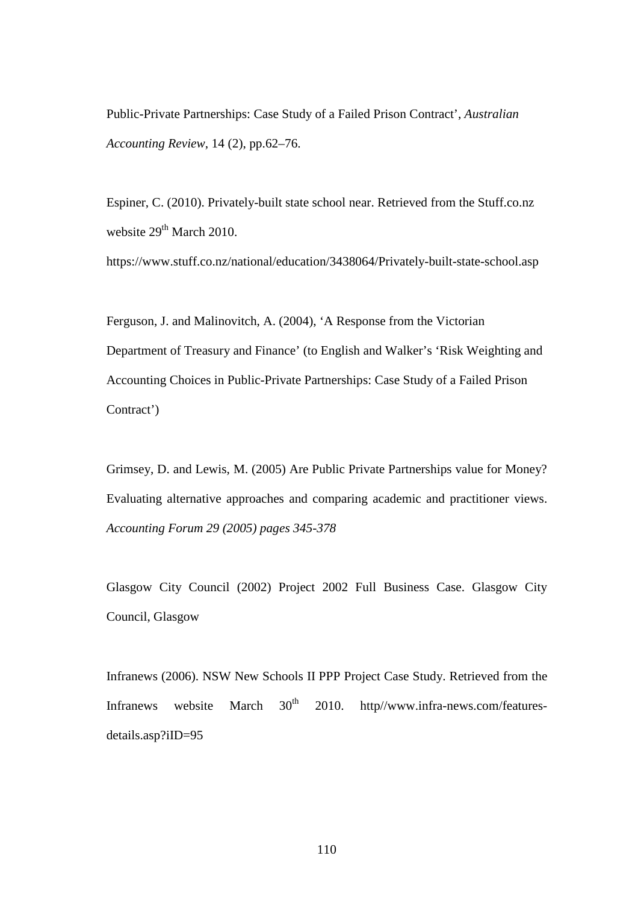Public-Private Partnerships: Case Study of a Failed Prison Contract', *Australian Accounting Review*, 14 (2), pp.62–76.

Espiner, C. (2010). Privately-built state school near. Retrieved from the Stuff.co.nz website  $29<sup>th</sup>$  March 2010.

https://www.stuff.co.nz/national/education/3438064/Privately-built-state-school.asp

Ferguson, J. and Malinovitch, A. (2004), 'A Response from the Victorian Department of Treasury and Finance' (to English and Walker's 'Risk Weighting and Accounting Choices in Public-Private Partnerships: Case Study of a Failed Prison Contract')

Grimsey, D. and Lewis, M. (2005) Are Public Private Partnerships value for Money? Evaluating alternative approaches and comparing academic and practitioner views. *Accounting Forum 29 (2005) pages 345-378* 

Glasgow City Council (2002) Project 2002 Full Business Case. Glasgow City Council, Glasgow

Infranews (2006). NSW New Schools II PPP Project Case Study. Retrieved from the Infranews website March  $30<sup>th</sup>$  2010. http//www.infra-news.com/featuresdetails.asp?iID=95

110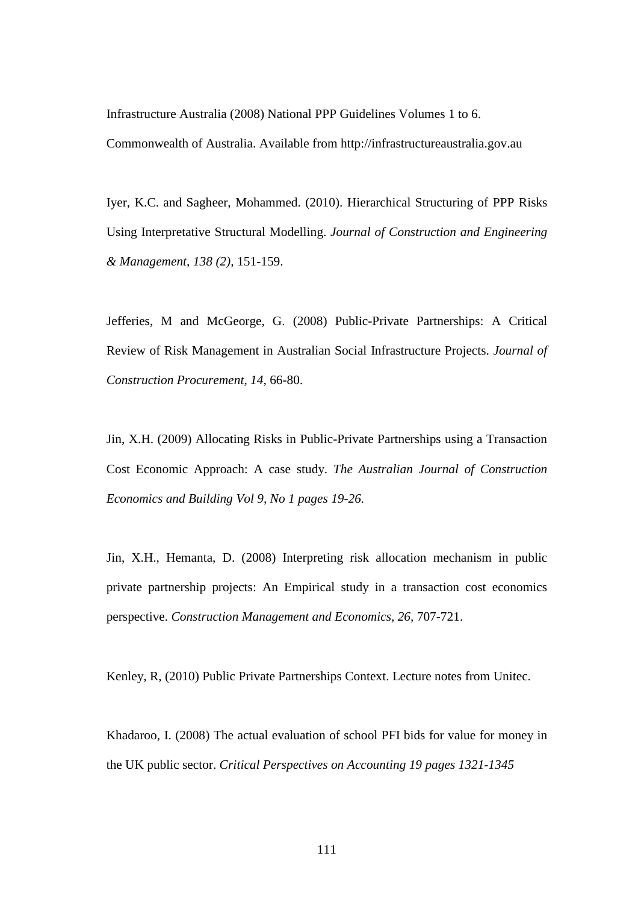Infrastructure Australia (2008) National PPP Guidelines Volumes 1 to 6.

Commonwealth of Australia. Available from http://infrastructureaustralia.gov.au

Iyer, K.C. and Sagheer, Mohammed. (2010). Hierarchical Structuring of PPP Risks Using Interpretative Structural Modelling. *Journal of Construction and Engineering & Management, 138 (2),* 151-159.

Jefferies, M and McGeorge, G. (2008) Public-Private Partnerships: A Critical Review of Risk Management in Australian Social Infrastructure Projects. *Journal of Construction Procurement, 14,* 66-80.

Jin, X.H. (2009) Allocating Risks in Public-Private Partnerships using a Transaction Cost Economic Approach: A case study. *The Australian Journal of Construction Economics and Building Vol 9, No 1 pages 19-26.* 

Jin, X.H., Hemanta, D. (2008) Interpreting risk allocation mechanism in public private partnership projects: An Empirical study in a transaction cost economics perspective. *Construction Management and Economics, 26,* 707-721.

Kenley, R, (2010) Public Private Partnerships Context. Lecture notes from Unitec.

Khadaroo, I. (2008) The actual evaluation of school PFI bids for value for money in the UK public sector. *Critical Perspectives on Accounting 19 pages 1321-1345*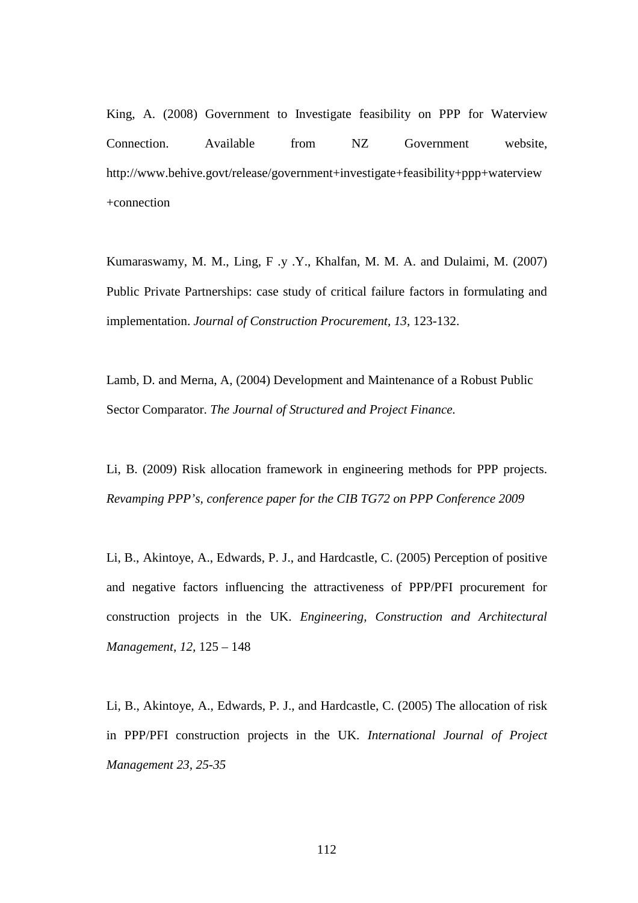King, A. (2008) Government to Investigate feasibility on PPP for Waterview Connection. Available from NZ Government website, http://www.behive.govt/release/government+investigate+feasibility+ppp+waterview +connection

Kumaraswamy, M. M., Ling, F .y .Y., Khalfan, M. M. A. and Dulaimi, M. (2007) Public Private Partnerships: case study of critical failure factors in formulating and implementation. *Journal of Construction Procurement, 13,* 123-132.

Lamb, D. and Merna, A, (2004) Development and Maintenance of a Robust Public Sector Comparator. *The Journal of Structured and Project Finance.* 

Li, B. (2009) Risk allocation framework in engineering methods for PPP projects. *Revamping PPP's, conference paper for the CIB TG72 on PPP Conference 2009* 

Li, B., Akintoye, A., Edwards, P. J., and Hardcastle, C. (2005) Perception of positive and negative factors influencing the attractiveness of PPP/PFI procurement for construction projects in the UK. *Engineering, Construction and Architectural Management, 12,* 125 – 148

Li, B., Akintoye, A., Edwards, P. J., and Hardcastle, C. (2005) The allocation of risk in PPP/PFI construction projects in the UK. *International Journal of Project Management 23, 25-35*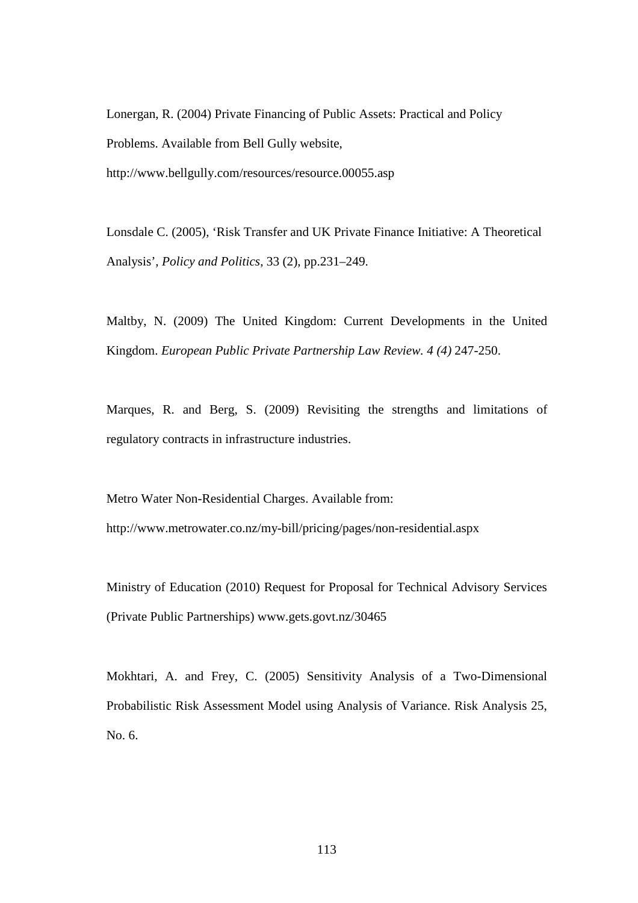Lonergan, R. (2004) Private Financing of Public Assets: Practical and Policy Problems. Available from Bell Gully website, http://www.bellgully.com/resources/resource.00055.asp

Lonsdale C. (2005), 'Risk Transfer and UK Private Finance Initiative: A Theoretical Analysis', *Policy and Politics*, 33 (2), pp.231–249.

Maltby, N. (2009) The United Kingdom: Current Developments in the United Kingdom. *European Public Private Partnership Law Review. 4 (4)* 247-250.

Marques, R. and Berg, S. (2009) Revisiting the strengths and limitations of regulatory contracts in infrastructure industries.

Metro Water Non-Residential Charges. Available from: http://www.metrowater.co.nz/my-bill/pricing/pages/non-residential.aspx

Ministry of Education (2010) Request for Proposal for Technical Advisory Services (Private Public Partnerships) www.gets.govt.nz/30465

Mokhtari, A. and Frey, C. (2005) Sensitivity Analysis of a Two-Dimensional Probabilistic Risk Assessment Model using Analysis of Variance. Risk Analysis 25, No. 6.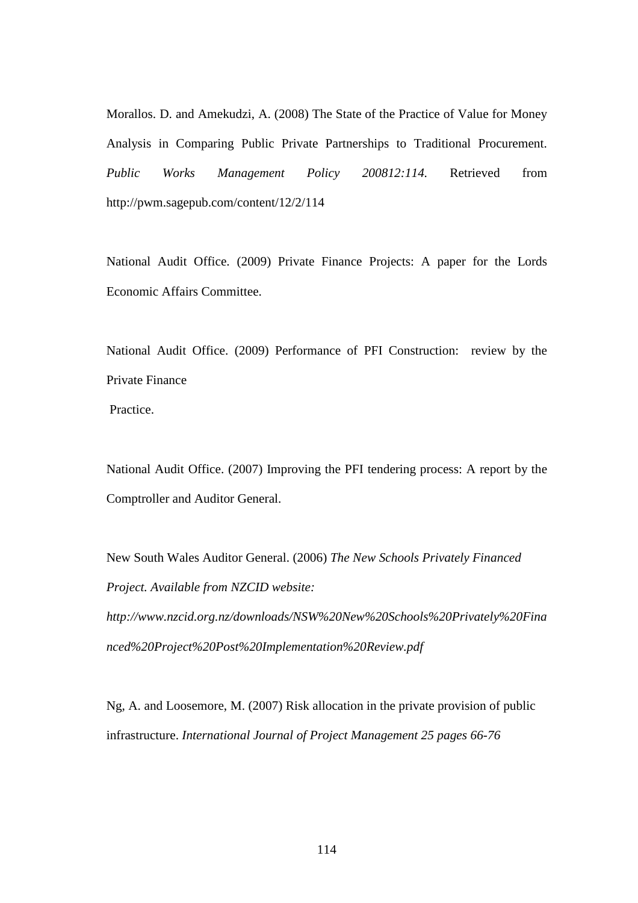Morallos. D. and Amekudzi, A. (2008) The State of the Practice of Value for Money Analysis in Comparing Public Private Partnerships to Traditional Procurement. *Public Works Management Policy 200812:114.* Retrieved from http://pwm.sagepub.com/content/12/2/114

National Audit Office. (2009) Private Finance Projects: A paper for the Lords Economic Affairs Committee.

National Audit Office. (2009) Performance of PFI Construction: review by the Private Finance

Practice.

National Audit Office. (2007) Improving the PFI tendering process: A report by the Comptroller and Auditor General.

New South Wales Auditor General. (2006) *The New Schools Privately Financed Project. Available from NZCID website: http://www.nzcid.org.nz/downloads/NSW%20New%20Schools%20Privately%20Fina nced%20Project%20Post%20Implementation%20Review.pdf*

Ng, A. and Loosemore, M. (2007) Risk allocation in the private provision of public infrastructure. *International Journal of Project Management 25 pages 66-76*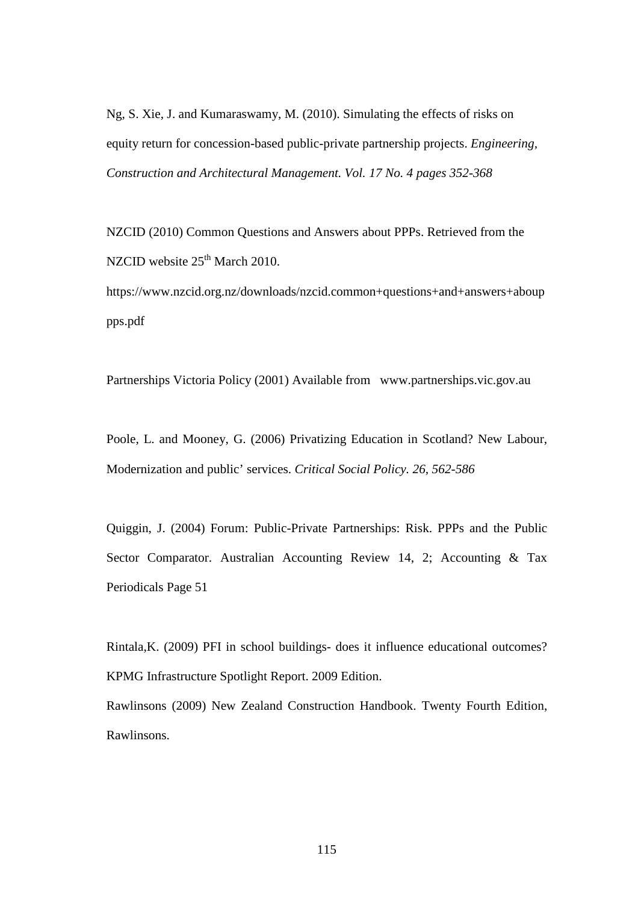Ng, S. Xie, J. and Kumaraswamy, M. (2010). Simulating the effects of risks on equity return for concession-based public-private partnership projects. *Engineering, Construction and Architectural Management. Vol. 17 No. 4 pages 352-368* 

NZCID (2010) Common Questions and Answers about PPPs. Retrieved from the NZCID website  $25<sup>th</sup>$  March 2010.

https://www.nzcid.org.nz/downloads/nzcid.common+questions+and+answers+aboup pps.pdf

Partnerships Victoria Policy (2001) Available from www.partnerships.vic.gov.au

Poole, L. and Mooney, G. (2006) Privatizing Education in Scotland? New Labour, Modernization and public' services. *Critical Social Policy. 26, 562-586*

Quiggin, J. (2004) Forum: Public-Private Partnerships: Risk. PPPs and the Public Sector Comparator. Australian Accounting Review 14, 2; Accounting & Tax Periodicals Page 51

Rintala,K. (2009) PFI in school buildings- does it influence educational outcomes? KPMG Infrastructure Spotlight Report. 2009 Edition.

Rawlinsons (2009) New Zealand Construction Handbook. Twenty Fourth Edition, Rawlinsons.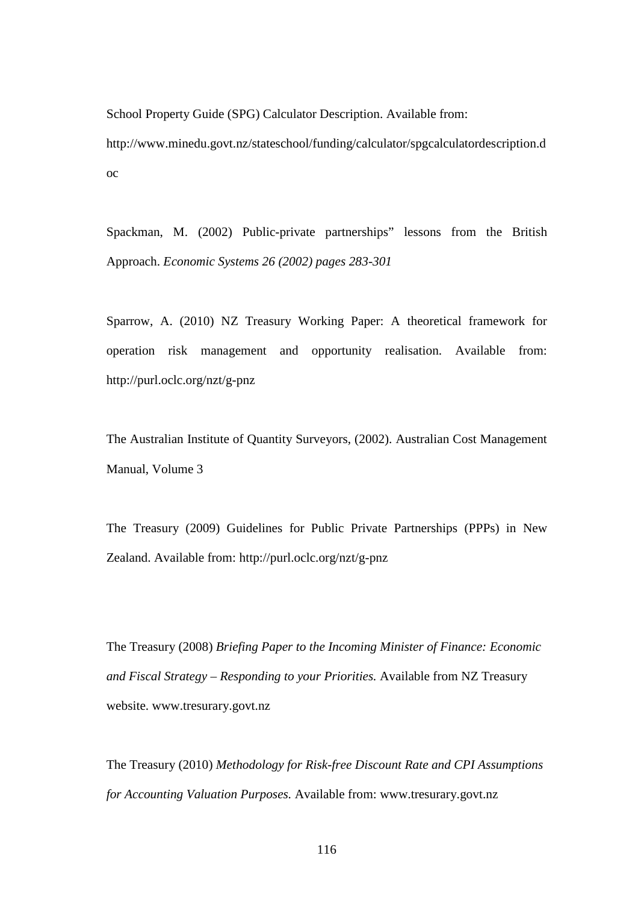School Property Guide (SPG) Calculator Description. Available from: http://www.minedu.govt.nz/stateschool/funding/calculator/spgcalculatordescription.d oc

Spackman, M. (2002) Public-private partnerships" lessons from the British Approach. *Economic Systems 26 (2002) pages 283-301*

Sparrow, A. (2010) NZ Treasury Working Paper: A theoretical framework for operation risk management and opportunity realisation. Available from: http://purl.oclc.org/nzt/g-pnz

The Australian Institute of Quantity Surveyors, (2002). Australian Cost Management Manual, Volume 3

The Treasury (2009) Guidelines for Public Private Partnerships (PPPs) in New Zealand. Available from: http://purl.oclc.org/nzt/g-pnz

The Treasury (2008) *Briefing Paper to the Incoming Minister of Finance: Economic and Fiscal Strategy – Responding to your Priorities.* Available from NZ Treasury website. www.tresurary.govt.nz

The Treasury (2010) *Methodology for Risk-free Discount Rate and CPI Assumptions for Accounting Valuation Purposes.* Available from: www.tresurary.govt.nz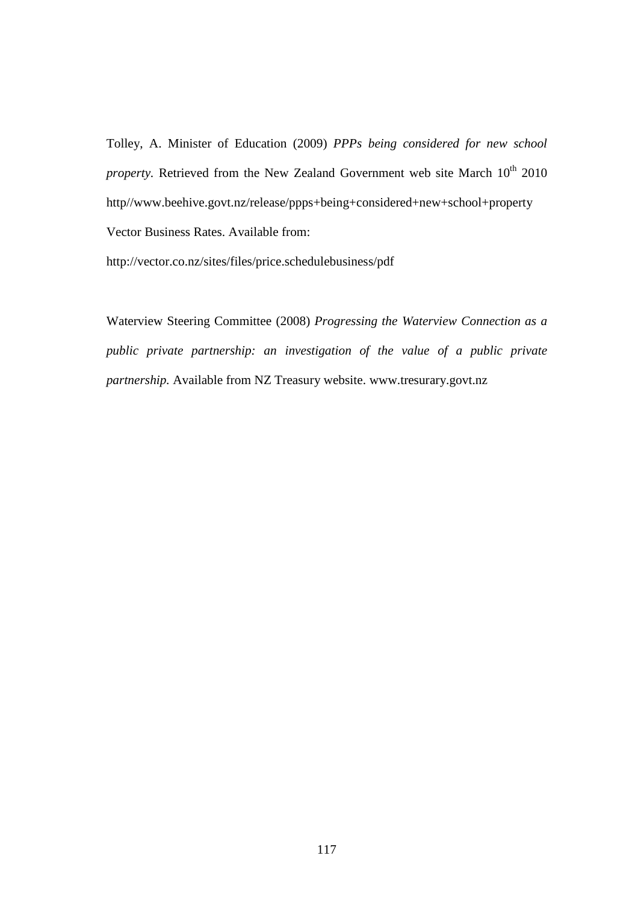Tolley, A. Minister of Education (2009) *PPPs being considered for new school property.* Retrieved from the New Zealand Government web site March 10<sup>th</sup> 2010 http//www.beehive.govt.nz/release/ppps+being+considered+new+school+property Vector Business Rates. Available from:

http://vector.co.nz/sites/files/price.schedulebusiness/pdf

Waterview Steering Committee (2008) *Progressing the Waterview Connection as a public private partnership: an investigation of the value of a public private partnership.* Available from NZ Treasury website. www.tresurary.govt.nz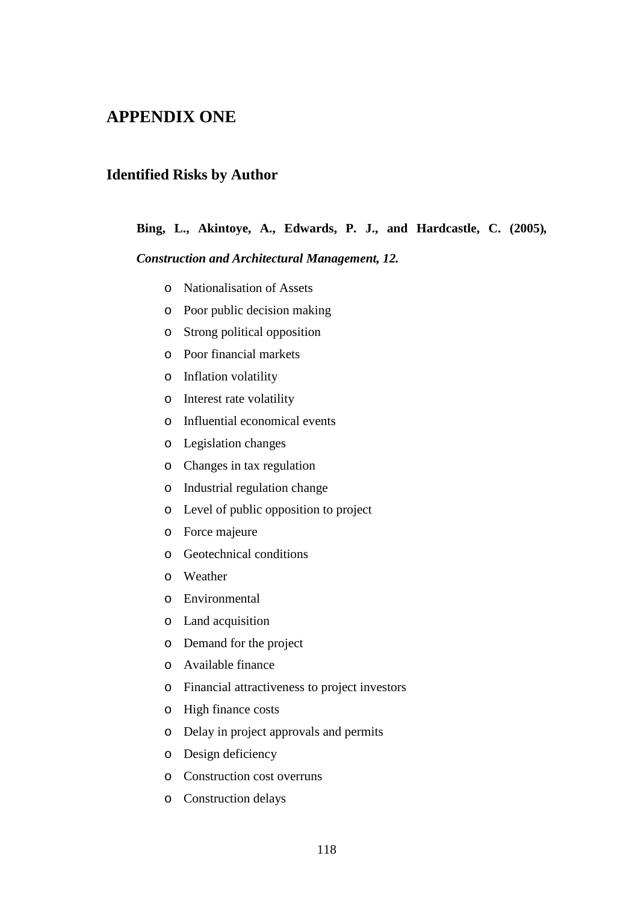### **APPENDIX ONE**

### **Identified Risks by Author**

#### **Bing, L., Akintoye, A., Edwards, P. J., and Hardcastle, C. (2005)***,*

#### *Construction and Architectural Management, 12.*

- o Nationalisation of Assets
- o Poor public decision making
- o Strong political opposition
- o Poor financial markets
- o Inflation volatility
- o Interest rate volatility
- o Influential economical events
- o Legislation changes
- o Changes in tax regulation
- o Industrial regulation change
- o Level of public opposition to project
- o Force majeure
- o Geotechnical conditions
- o Weather
- o Environmental
- o Land acquisition
- o Demand for the project
- o Available finance
- o Financial attractiveness to project investors
- o High finance costs
- o Delay in project approvals and permits
- o Design deficiency
- o Construction cost overruns
- o Construction delays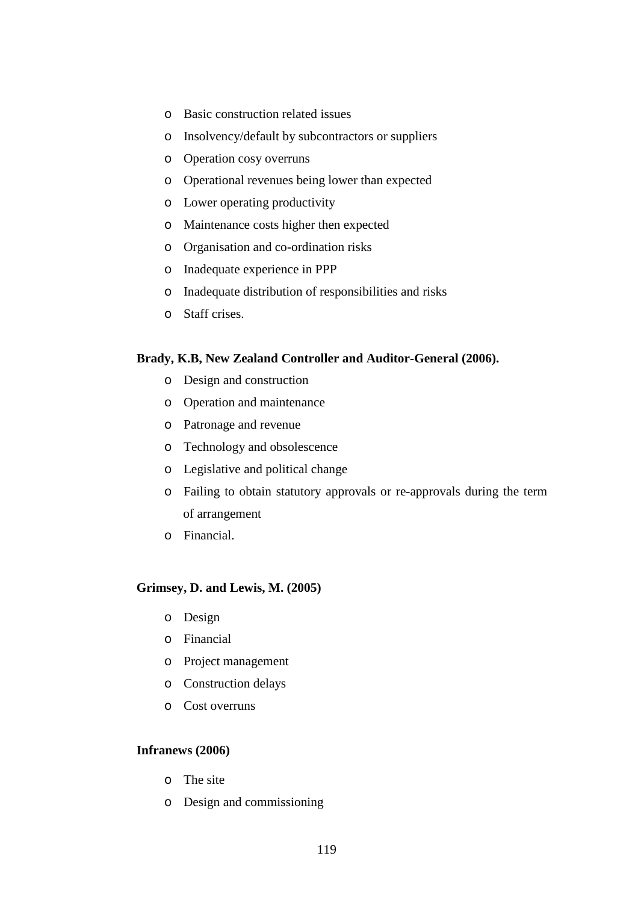- o Basic construction related issues
- o Insolvency/default by subcontractors or suppliers
- o Operation cosy overruns
- o Operational revenues being lower than expected
- o Lower operating productivity
- o Maintenance costs higher then expected
- o Organisation and co-ordination risks
- o Inadequate experience in PPP
- o Inadequate distribution of responsibilities and risks
- o Staff crises.

#### **Brady, K.B, New Zealand Controller and Auditor-General (2006).**

- o Design and construction
- o Operation and maintenance
- o Patronage and revenue
- o Technology and obsolescence
- o Legislative and political change
- o Failing to obtain statutory approvals or re-approvals during the term of arrangement
- o Financial.

#### **Grimsey, D. and Lewis, M. (2005)**

- o Design
- o Financial
- o Project management
- o Construction delays
- o Cost overruns

#### **Infranews (2006)**

- o The site
- o Design and commissioning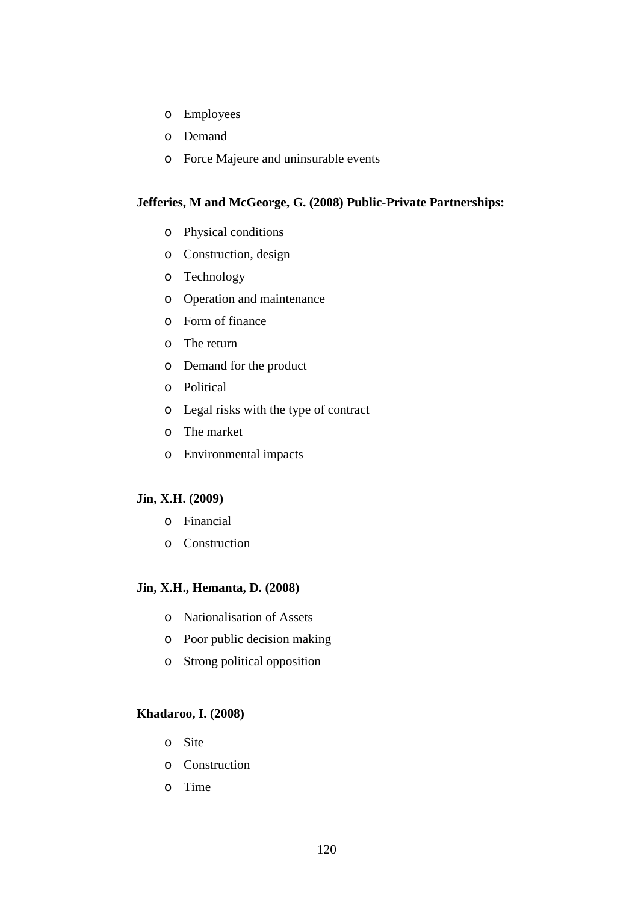- o Employees
- o Demand
- o Force Majeure and uninsurable events

#### **Jefferies, M and McGeorge, G. (2008) Public-Private Partnerships:**

- o Physical conditions
- o Construction, design
- o Technology
- o Operation and maintenance
- o Form of finance
- o The return
- o Demand for the product
- o Political
- o Legal risks with the type of contract
- o The market
- o Environmental impacts

#### **Jin, X.H. (2009)**

- o Financial
- o Construction

### **Jin, X.H., Hemanta, D. (2008)**

- o Nationalisation of Assets
- o Poor public decision making
- o Strong political opposition

#### **Khadaroo, I. (2008)**

- o Site
- o Construction
- o Time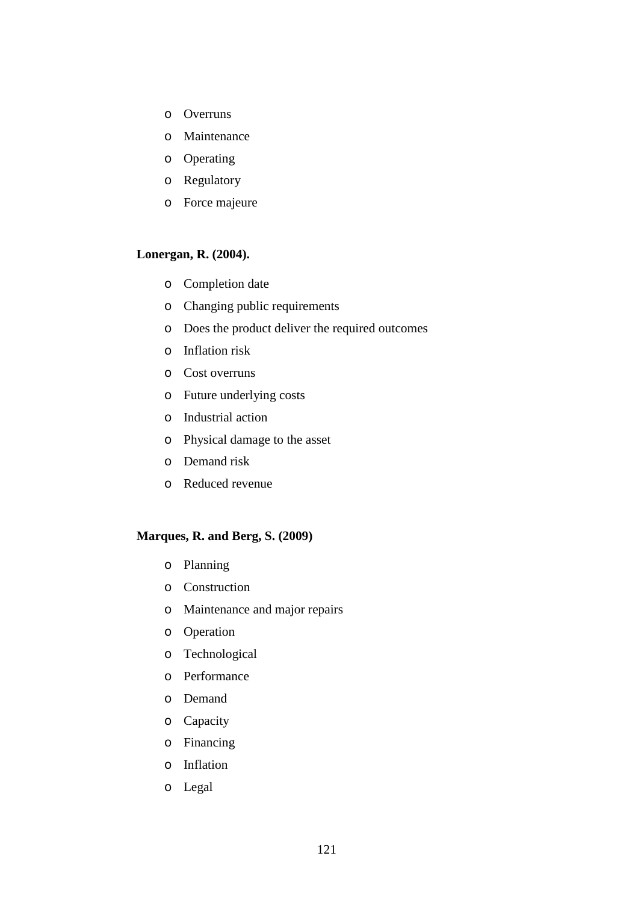- o Overruns
- o Maintenance
- o Operating
- o Regulatory
- o Force majeure

#### **Lonergan, R. (2004).**

- o Completion date
- o Changing public requirements
- o Does the product deliver the required outcomes
- o Inflation risk
- o Cost overruns
- o Future underlying costs
- o Industrial action
- o Physical damage to the asset
- o Demand risk
- o Reduced revenue

#### **Marques, R. and Berg, S. (2009)**

- o Planning
- o Construction
- o Maintenance and major repairs
- o Operation
- o Technological
- o Performance
- o Demand
- o Capacity
- o Financing
- o Inflation
- o Legal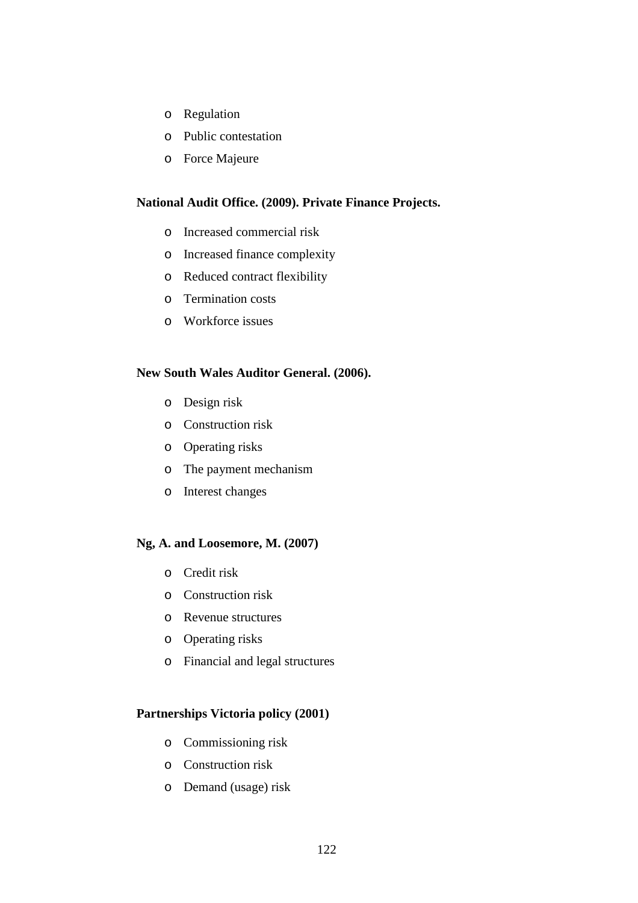- o Regulation
- o Public contestation
- o Force Majeure

#### **National Audit Office. (2009). Private Finance Projects.**

- o Increased commercial risk
- o Increased finance complexity
- o Reduced contract flexibility
- o Termination costs
- o Workforce issues

#### **New South Wales Auditor General. (2006).**

- o Design risk
- o Construction risk
- o Operating risks
- o The payment mechanism
- o Interest changes

#### **Ng, A. and Loosemore, M. (2007)**

- o Credit risk
- o Construction risk
- o Revenue structures
- o Operating risks
- o Financial and legal structures

#### **Partnerships Victoria policy (2001)**

- o Commissioning risk
- o Construction risk
- o Demand (usage) risk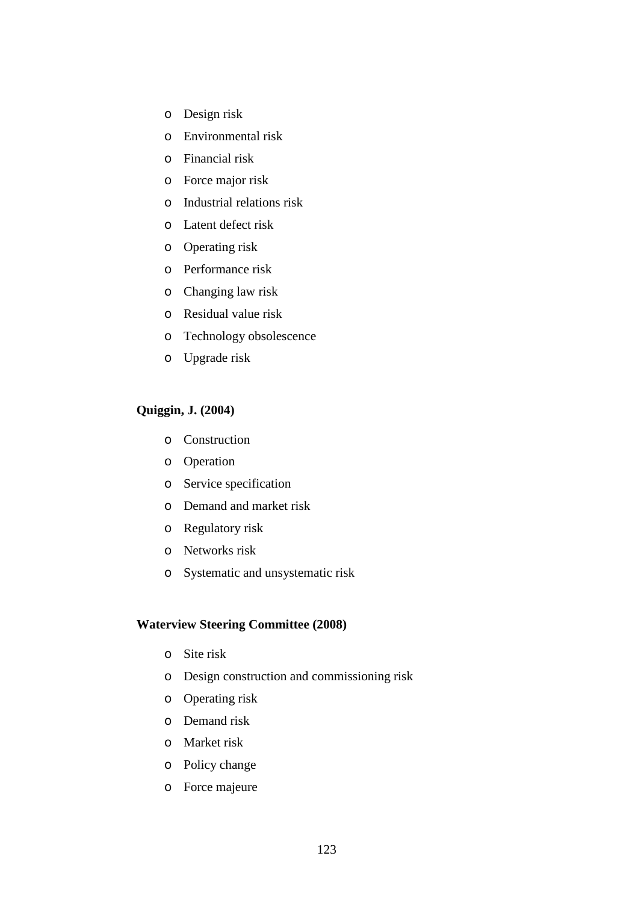- o Design risk
- o Environmental risk
- o Financial risk
- o Force major risk
- o Industrial relations risk
- o Latent defect risk
- o Operating risk
- o Performance risk
- o Changing law risk
- o Residual value risk
- o Technology obsolescence
- o Upgrade risk

#### **Quiggin, J. (2004)**

- o Construction
- o Operation
- o Service specification
- o Demand and market risk
- o Regulatory risk
- o Networks risk
- o Systematic and unsystematic risk

#### **Waterview Steering Committee (2008)**

- o Site risk
- o Design construction and commissioning risk
- o Operating risk
- o Demand risk
- o Market risk
- o Policy change
- o Force majeure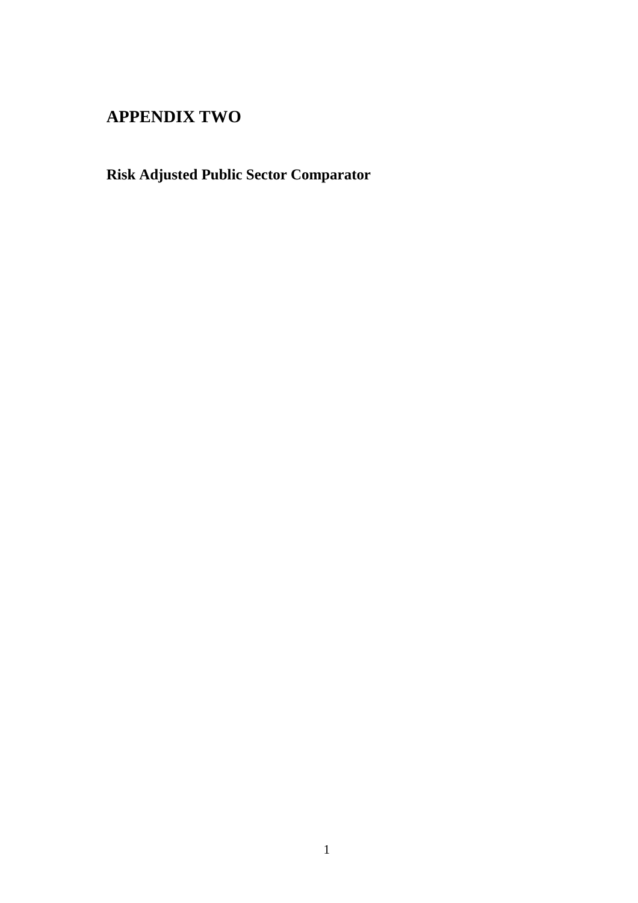## **APPENDIX TWO**

# **Risk Adjusted Public Sector Comparator**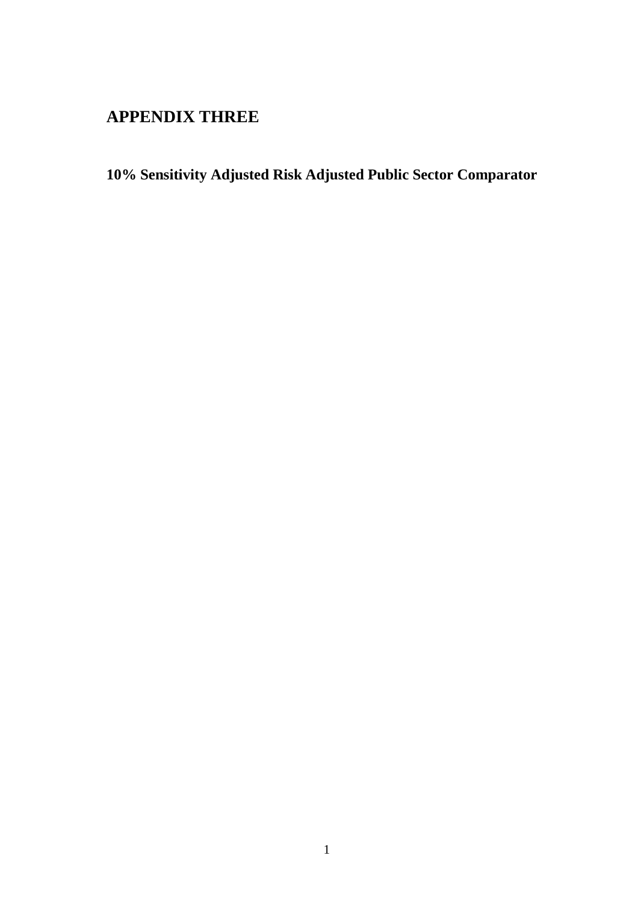## **APPENDIX THREE**

**10% Sensitivity Adjusted Risk Adjusted Public Sector Comparator**